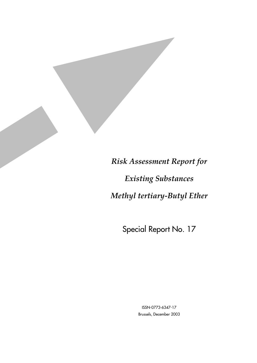*Risk Assessment Report for Existing Substances Methyl tertiary-Butyl Ether*

Special Report No. 17

ISSN-0773-6347-17 Brussels, December 2003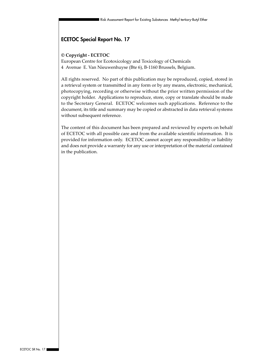# **ECETOC Special Report No. 17**

# **© Copyright - ECETOC**

European Centre for Ecotoxicology and Toxicology of Chemicals 4 Avenue E. Van Nieuwenhuyse (Bte 6), B-1160 Brussels, Belgium.

All rights reserved. No part of this publication may be reproduced, copied, stored in a retrieval system or transmitted in any form or by any means, electronic, mechanical, photocopying, recording or otherwise without the prior written permission of the copyright holder. Applications to reproduce, store, copy or translate should be made to the Secretary General. ECETOC welcomes such applications. Reference to the document, its title and summary may be copied or abstracted in data retrieval systems without subsequent reference.

The content of this document has been prepared and reviewed by experts on behalf of ECETOC with all possible care and from the available scientific information. It is provided for information only. ECETOC cannot accept any responsibility or liability and does not provide a warranty for any use or interpretation of the material contained in the publication.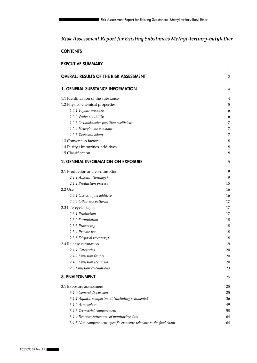*Risk Assessment Report for Existing Substances Methyl-tertiary-butylether*

## **CONTENTS**

| <b>EXECUTIVE SUMMARY</b>                                           | $\mathbf 1$    |
|--------------------------------------------------------------------|----------------|
| <b>OVERALL RESULTS OF THE RISK ASSESSMENT</b>                      | $\overline{2}$ |
| <b>1. GENERAL SUBSTANCE INFORMATION</b>                            | 4              |
| 1.1 Identification of the substance                                | 4              |
| 1.2 Physico-chemical properties                                    | 5              |
| 1.2.1 Vapour pressure                                              | 6              |
| 1.2.2 Water solubility                                             | 6              |
| 1.2.3 Octanol/water partition coefficient                          | 7              |
| 1.2.4 Henry's law constant                                         | 7              |
| 1.2.5 Taste and odour                                              | 7              |
| 1.3 Conversion factors                                             | 8              |
| 1.4 Purity / impurities, additives                                 | 8              |
| 1.5 Classification                                                 | 8              |
| 2. GENERAL INFORMATION ON EXPOSURE                                 | 9              |
| 2.1 Production and consumption                                     | 9              |
| 2.1.1 Amount (tonnage)                                             | 9              |
| 2.1.2 Production process                                           | 15             |
| $2.2$ Use                                                          | 16             |
| 2.2.1 Use as a fuel additive                                       | 16             |
| 2.2.2 Other use patterns                                           | 17             |
| 2.3 Life-cycle stages                                              | 17             |
| 2.3.1 Production                                                   | 17             |
| 2.3.2 Formulation                                                  | 18             |
| 2.3.3 Processing                                                   | 18             |
| 2.3.4 Private use                                                  | 18             |
| 2.3.5 Disposal (recovery)                                          | 18             |
| 2.4 Release estimation                                             | 19             |
| 2.4.1 Categories                                                   | 20             |
| 2.4.2 Emission factors                                             | 20             |
| 2.4.3 Emission scenarios                                           | 20             |
| 2.5 Emission calculations                                          | 23             |
| 3. ENVIRONMENT                                                     | 25             |
| 3.1 Exposure assessment                                            | 25             |
| 3.1.0 General discussion                                           | 25             |
| 3.1.1 Aquatic compartment (including sediments)                    | 36             |
| 3.1.2 Atmosphere                                                   | 49             |
| 3.1.3 Terrestrial compartment                                      | 58             |
| 3.1.4 Representativeness of monitoring data                        | 64             |
| 3.1.5 Non-compartment-specific exposure relevant to the food chain | 64             |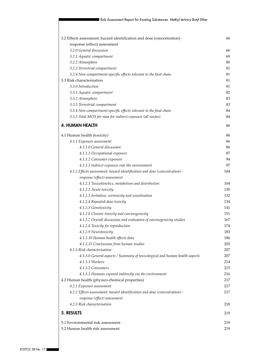| 3.2 Effects assessment: hazard identification and dose (concentration) -    | 66  |
|-----------------------------------------------------------------------------|-----|
| response (effect) assessment                                                |     |
| 3.2.0 General discussion                                                    | 66  |
| 3.2.1 Aquatic compartment                                                   | 69  |
| 3.2.2 Atmosphere                                                            | 80  |
| 3.2.3 Terrestrial compartment                                               | 81  |
| 3.2.4 Non-compartment-specific effects relevant to the food chain           | 81  |
| 3.3 Risk characterisation                                                   | 81  |
| 3.3.0 Introduction                                                          | 81  |
| 3.3.1 Aquatic compartment                                                   | 82  |
| 3.3.2 Atmosphere                                                            | 83  |
| 3.3.3 Terrestrial compartment                                               | 83  |
| 3.3.4 Non-compartment-specific effects relevant to the food chain           | 84  |
| 3.3.5 Total MOS for man for indirect exposure (all routes)                  | 84  |
| <b>4. HUMAN HEALTH</b>                                                      | 86  |
| 4.1 Human health (toxicity)                                                 | 86  |
| 4.1.1 Exposure assessment                                                   | 86  |
| 4.1.1.0 General discussion                                                  | 86  |
| 4.1.1.1 Occupational exposure                                               | 87  |
| 4.1.1.2 Consumer exposure                                                   | 94  |
| 4.1.1.3 Indirect exposure viat the environment                              | 97  |
| 4.1.2 Effects assessment: hazard identification and dose (concentration) -  | 104 |
| response (effect) assessment                                                |     |
| 4.1.2.1 Toxicokinetics, metabolism and distribution                         | 104 |
| 4.1.2.2 Acute toxicity                                                      | 130 |
| 4.1.2.3 Irritation, corrosivity and sensitisation                           | 132 |
| 4.1.2.4 Repeated-dose toxicity                                              | 134 |
| 4.1.2.5 Genotoxicity                                                        | 141 |
| 4.1.2.6 Chronic toxicity and carcinogenicity                                | 151 |
| 4.1.2.7 Overall discussion and evaluation of carcinogenicity studies        | 167 |
| 4.1.2.8 Toxicity for reproduction                                           | 174 |
| 4.1.2.9 Neurotoxicity                                                       | 183 |
| 4.1.2.10 Human health effects data                                          | 186 |
| 4.1.2.11 Conclusions from human studies                                     | 205 |
| 4.1.3 Risk characterisation                                                 | 207 |
| 4.1.3.0 General aspects / Summary of toxicological and human health aspects | 207 |
| 4.1.3.1 Workers                                                             | 214 |
| 4.1.3.2 Consumers                                                           | 215 |
| 4.1.3.3 Humans exposed indirectly via the environment                       | 216 |
| 4.2 Human health (physico-chemical properties)                              | 217 |
| 4.2.1 Exposure assessment                                                   | 217 |
| 4.2.2 Effects assessment: hazard identification and dose (concentration) -  | 217 |
| response (effect) assessment                                                |     |
| 4.2.3 Risk characterisation                                                 | 218 |
| 5. RESULTS                                                                  | 219 |
| 5.1 Environmental risk assessment                                           | 219 |
| 5.2 Human health risk assessment                                            | 219 |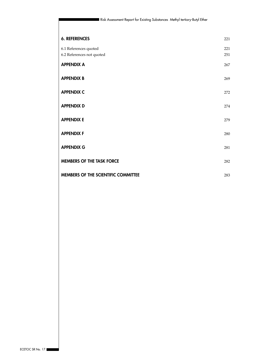| 6. REFERENCES                                      | 221        |
|----------------------------------------------------|------------|
| 6.1 References quoted<br>6.2 References not quoted | 221<br>251 |
| <b>APPENDIX A</b>                                  | 267        |
| <b>APPENDIX B</b>                                  | 269        |
| <b>APPENDIX C</b>                                  | 272        |
| <b>APPENDIX D</b>                                  | 274        |
| <b>APPENDIX E</b>                                  | 279        |
| <b>APPENDIX F</b>                                  | 280        |
| <b>APPENDIX G</b>                                  | 281        |
| <b>MEMBERS OF THE TASK FORCE</b>                   | 282        |
| MEMBERS OF THE SCIENTIFIC COMMITTEE                | 283        |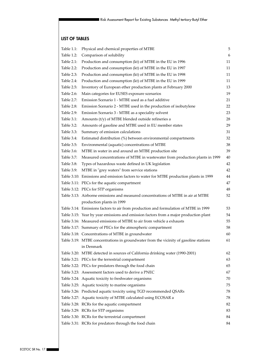# **LIST OF TABLES**

| Table 1.1: | Physical and chemical properties of MTBE                                               | 5  |
|------------|----------------------------------------------------------------------------------------|----|
| Table 1.2: | Comparison of solubility                                                               | 6  |
| Table 2.1: | Production and consumption (kt) of MTBE in the EU in 1996                              | 11 |
| Table 2.2: | Production and consumption (kt) of MTBE in the EU in 1997                              | 11 |
| Table 2.3: | Production and consumption (kt) of MTBE in the EU in 1998                              | 11 |
| Table 2.4: | Production and consumption (kt) of MTBE in the EU in 1999                              | 11 |
| Table 2.5: | Inventory of European ether production plants at February 2000                         | 13 |
| Table 2.6: | Main categories for EUSES exposure scenarios                                           | 19 |
| Table 2.7: | Emission Scenario 1 - MTBE used as a fuel additive                                     | 21 |
| Table 2.8: | Emission Scenario 2 - MTBE used in the production of isobutylene                       | 22 |
| Table 2.9: | Emission Scenario 3 - MTBE as a speciality solvent                                     | 23 |
| Table 3.1: | Amounts (t/y) of MTBE blended outside refineries a                                     | 28 |
| Table 3.2: | Amounts of gasoline and MTBE used in EU member states                                  | 29 |
| Table 3.3: | Summary of emission calculations                                                       | 31 |
| Table 3.4: | Estimated distribution (%) between environmental compartments                          | 32 |
| Table 3.5: | Environmental (aquatic) concentrations of MTBE                                         | 38 |
| Table 3.6: | MTBE in water in and around an MTBE production site                                    | 39 |
| Table 3.7: | Measured concentrations of MTBE in wastewater from production plants in 1999           | 40 |
| Table 3.8: | Types of hazardous waste defined in UK legislation                                     | 42 |
| Table 3.9: | MTBE in "grey waters" from service stations                                            | 42 |
|            | Table 3.10: Emissions and emission factors to water for MTBE production plants in 1999 | 44 |
|            | Table 3.11: PECs for the aquatic compartment                                           | 47 |
|            | Table 3.12: PECs for STP organisms                                                     | 48 |
|            | Table 3.13: Airborne emissions and measured concentrations of MTBE in air at MTBE      | 52 |
|            | production plants in 1999                                                              |    |
|            | Table 3.14: Emissions factors to air from production and formulation of MTBE in 1999   | 53 |
|            | Table 3.15: Year by year emissions and emission factors from a major production plant  | 54 |
|            | Table 3.16: Measured emissions of MTBE to air from vehicle a exhausts                  | 55 |
|            | Table 3.17: Summary of PECs for the atmospheric compartment                            | 58 |
|            | Table 3.18: Concentrations of MTBE in groundwater                                      | 60 |
|            | Table 3.19: MTBE concentrations in groundwater from the vicinity of gasoline stations  | 61 |
|            | in Denmark                                                                             |    |
|            | Table 3.20: MTBE detected in sources of California drinking water (1990-2001)          | 62 |
|            | Table 3.21: PECs for the terrestrial compartment                                       | 63 |
|            | Table 3.22: PECs for predators through the food chain                                  | 65 |
|            | Table 3.23: Assessment factors used to derive a PNEC                                   | 67 |
|            | Table 3.24: Aquatic toxicity to freshwater organisms                                   | 70 |
|            | Table 3.25: Aquatic toxicity to marine organisms                                       | 75 |
|            | Table 3.26: Predicted aquatic toxicity using TGD recommended QSARs                     | 78 |
|            | Table 3.27: Aquatic toxicity of MTBE calculated using ECOSAR a                         | 78 |
|            | Table 3.28: RCRs for the aquatic compartment                                           | 82 |
|            | Table 3.29: RCRs for STP organisms                                                     | 83 |
|            | Table 3.30: RCRs for the terrestrial compartment                                       | 84 |
|            | Table 3.31: RCRs for predators through the food chain                                  | 84 |
|            |                                                                                        |    |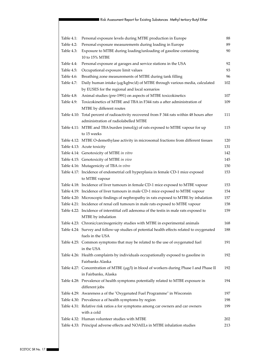| Table 4.1: | Personal exposure levels during MTBE production in Europe                                  | 88  |
|------------|--------------------------------------------------------------------------------------------|-----|
| Table 4.2: | Personal exposure measurements during loading in Europe                                    | 89  |
| Table 4.3: | Exposure to MTBE during loading/unloading of gasoline containing                           | 90  |
|            | 10 to 15% MTBE                                                                             |     |
| Table 4.4: | Personal exposure at garages and service stations in the USA                               | 92  |
| Table 4.5: | Occupational exposure limit values                                                         | 93  |
| Table 4.6: | Breathing zone measurements of MTBE during tank filling                                    | 96  |
| Table 4.7: | Daily human intake (µg/kgbw/d) of MTBE through various media, calculated                   | 102 |
|            | by EUSES for the regional and local scenarios                                              |     |
| Table 4.8: | Animal studies (pre-1991) on aspects of MTBE toxicokinetics                                | 107 |
| Table 4.9: | Toxicokinetics of MTBE and TBA in F344 rats a after administration of                      | 109 |
|            | MTBE by different routes                                                                   |     |
|            | Table 4.10: Total percent of radioactivity recovered from F 344 rats within 48 hours after | 111 |
|            | administration of radiolabelled MTBE                                                       |     |
|            | Table 4.11: MTBE and TBA burden (nmol/g) of rats exposed to MTBE vapour for up             | 115 |
|            | to 15 weeks                                                                                |     |
|            | Table 4.12: MTBE O-demethylase activity in microsomal fractions from different tissues     | 120 |
|            | Table 4.13: Acute toxicity                                                                 | 131 |
|            | Table 4.14: Genotoxicity of MTBE in vitro                                                  | 142 |
|            | Table 4.15: Genotoxicity of MTBE in vivo                                                   | 145 |
|            | Table 4.16: Mutagenicity of TBA in vitro                                                   | 150 |
|            | Table 4.17: Incidence of endometrial cell hyperplasia in female CD-1 mice exposed          | 153 |
|            | to MTBE vapour                                                                             |     |
|            | Table 4.18: Incidence of liver tumours in female CD-1 mice exposed to MTBE vapour          | 153 |
|            | Table 4.19: Incidence of liver tumours in male CD-1 mice exposed to MTBE vapour            | 154 |
|            | Table 4.20: Microscopic findings of nephropathy in rats exposed to MTBE by inhalation      | 157 |
|            | Table 4.21: Incidence of renal cell tumours in male rats exposed to MTBE vapour            | 158 |
|            | Table 4.22: Incidence of interstitial cell adenoma of the testis in male rats exposed to   | 159 |
|            | MTBE by inhalation                                                                         |     |
|            | Table 4.23: Chronic/carcinogenicity studies with MTBE in experimental animals              | 168 |
|            | Table 4.24: Survey and follow-up studies of potential health effects related to oxygenated | 188 |
|            | fuels in the USA                                                                           |     |
|            | Table 4.25: Common symptoms that may be related to the use of oxygenated fuel              | 191 |
|            | in the USA                                                                                 |     |
|            | Table 4.26: Health complaints by individuals occupationally exposed to gasoline in         | 192 |
|            | Fairbanks Alaska                                                                           |     |
|            | Table 4.27: Concentration of MTBE (µg/l) in blood of workers during Phase I and Phase II   | 192 |
|            | in Fairbanks, Alaska                                                                       |     |
|            | Table 4.28: Prevalence of health symptoms potentially related to MTBE exposure in          | 194 |
|            | different jobs                                                                             |     |
|            | Table 4.29: Awareness a of the "Oxygenated Fuel Programme" in Wisconsin                    | 197 |
|            | Table 4.30: Prevalence a of health symptoms by region                                      | 198 |
|            | Table 4.31: Relative risk ratios a for symptoms among car owners and car owners            | 199 |
|            | with a cold                                                                                |     |
|            | Table 4.32: Human volunteer studies with MTBE                                              | 202 |
|            | Table 4.33: Principal adverse effects and NOAELs in MTBE inhalation studies                | 213 |
|            |                                                                                            |     |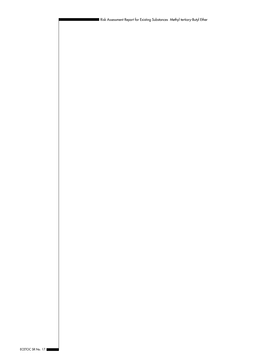Risk Assessment Report for Existing Substances Methyl tertiary-Butyl Ether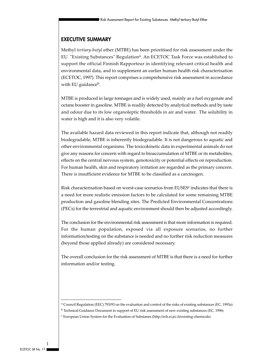# **EXECUTIVE SUMMARY**

Methyl *tertiary-butyl* ether (MTBE) has been prioritised for risk assessment under the EU "Existing Substances" Regulationa. An ECETOC Task Force was established to support the official Finnish Rapporteur in identifying relevant critical health and environmental data, and to supplement an earlier human health risk characterisation (ECETOC, 1997). This report comprises a comprehensive risk assessment in accordance with EU guidance<sup>b</sup>.

MTBE is produced in large tonnages and is widely used, mainly as a fuel oxygenate and octane booster in gasoline. MTBE is readily detected by analytical methods and by taste and odour due to its low organoleptic thresholds in air and water. The solubility in water is high and it is also very volatile.

The available hazard data reviewed in this report indicate that, although not readily biodegradable, MTBE is inherently biodegradable. It is not dangerous to aquatic and other environmental organisms. The toxicokinetic data in experimental animals do not give any reasons for concern with regard to bioaccumulation of MTBE or its metabolites, effects on the central nervous system, genotoxicity or potential effects on reproduction. For human health, skin and respiratory irritation are regarded as the primary concern. There is insufficient evidence for MTBE to be classified as a carcinogen.

Risk characterisation based on worst-case scenarios from EUSES<sup>c</sup> indicates that there is a need for more realistic emission factors to be calculated for some remaining MTBE production and gasoline blending sites. The Predicted Environmental Concentrations (PECs) for the terrestrial and aquatic environment should then be adjusted accordingly.

The conclusion for the environmental risk assessment is that more information is required. For the human population, exposed via all exposure scenarios, no further information/testing on the substance is needed and no further risk reduction measures (beyond those applied already) are considered necessary.

The overall conclusion for the risk assessment of MTBE is that there is a need for further information and/or testing.

- <sup>a</sup> Council Regulation (EEC) 793/93 on the evaluation and control of the risks of existing substances (EC, 1993a)
- <sup>b</sup> Technical Guidance Document in support of EU risk assessment of new existing substances (EC, 1996)
- <sup>c</sup> European Union System for the Evaluation of Substanes (http://ecb.ei.jrc.it/existing-chemicals)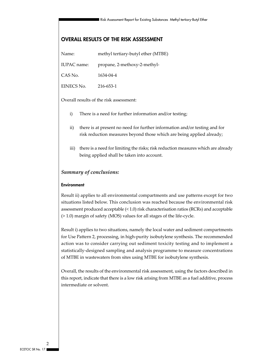# **OVERALL RESULTS OF THE RISK ASSESSMENT**

| Name:              | methyl tertiary-butyl ether (MTBE) |
|--------------------|------------------------------------|
| <b>IUPAC</b> name: | propane, 2-methoxy-2-methyl-       |
| CAS No.            | 1634-04-4                          |
| EINECS No.         | 216-653-1                          |

Overall results of the risk assessment:

- i) There is a need for further information and/or testing;
- ii) there is at present no need for further information and/or testing and for risk reduction measures beyond those which are being applied already;
- iii) there is a need for limiting the risks; risk reduction measures which are already being applied shall be taken into account.

# *Summary of conclusions:*

#### **Environment**

Result ii) applies to all environmental compartments and use patterns except for two situations listed below. This conclusion was reached because the environmental risk assessment produced acceptable (< 1.0) risk characterisation ratios (RCRs) and acceptable (> 1.0) margin of safety (MOS) values for all stages of the life-cycle.

Result i) applies to two situations, namely the local water and sediment compartments for Use Pattern 2, processing, in high-purity isobutylene synthesis. The recommended action was to consider carrying out sediment toxicity testing and to implement a statistically-designed sampling and analysis programme to measure concentrations of MTBE in wastewaters from sites using MTBE for isobutylene synthesis.

Overall, the results of the environmental risk assessment, using the factors described in this report, indicate that there is a low risk arising from MTBE as a fuel additive, process intermediate or solvent.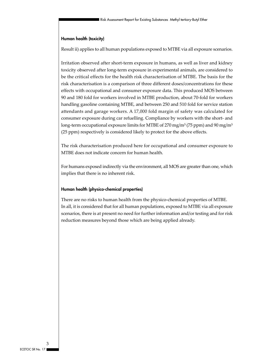#### **Human health (toxicity)**

Result ii) applies to all human populations exposed to MTBE via all exposure scenarios.

Irritation observed after short-term exposure in humans, as well as liver and kidney toxicity observed after long-term exposure in experimental animals, are considered to be the critical effects for the health risk characterisation of MTBE. The basis for the risk characterisation is a comparison of three different doses/concentrations for these effects with occupational and consumer exposure data. This produced MOS between 90 and 180 fold for workers involved in MTBE production, about 70-fold for workers handling gasoline containing MTBE, and between 250 and 510 fold for service station attendants and garage workers. A 17,000 fold margin of safety was calculated for consumer exposure during car refuelling. Compliance by workers with the short- and long-term occupational exposure limits for MTBE of 270 mg/m<sup>3</sup> (75 ppm) and 90 mg/m<sup>3</sup> (25 ppm) respectively is considered likely to protect for the above effects.

The risk characterisation produced here for occupational and consumer exposure to MTBE does not indicate concern for human health.

For humans exposed indirectly via the environment, all MOS are greater than one, which implies that there is no inherent risk.

### **Human health (physico-chemical properties)**

There are no risks to human health from the physico-chemical properties of MTBE. In all, it is considered that for all human populations, exposed to MTBE via all exposure scenarios, there is at present no need for further information and/or testing and for risk reduction measures beyond those which are being applied already.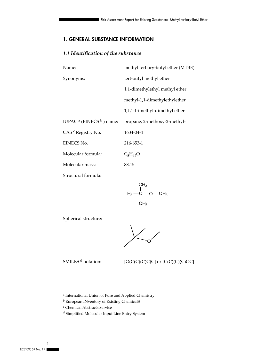# **1. GENERAL SUBSTANCE INFORMATION**

# *1.1 Identification of the substance*

| Name:                                  | methyl tertiary-butyl ether (MTBE) |  |  |  |
|----------------------------------------|------------------------------------|--|--|--|
| Synonyms:                              | tert-butyl methyl ether            |  |  |  |
|                                        | 1,1-dimethylethyl methyl ether     |  |  |  |
|                                        | methyl-1,1-dimethylethylether      |  |  |  |
|                                        | 1,1,1-trimethyl-dimethyl ether     |  |  |  |
|                                        |                                    |  |  |  |
| IUPAC $\alpha$ (EINECS $\beta$ ) name: | propane, 2-methoxy-2-methyl-       |  |  |  |
| CAS <sup>c</sup> Registry No.          | 1634-04-4                          |  |  |  |
| EINECS No.                             | 216-653-1                          |  |  |  |
| Molecular formula:                     | $C_5H_{12}O$                       |  |  |  |
| Molecular mass:                        | 88.15                              |  |  |  |

Structural formula:



Spherical structure:



SMILES <sup>d</sup> notation:  $[O(C(C)C)C]$  or  $[C(C)(C)CC]$ 

- <sup>c</sup> Chemical Abstracts Service
- <sup>d</sup> Simplified Molecular Input Line Entry System

<sup>a</sup> International Union of Pure and Applied Chemistry

<sup>b</sup> European INventory of Existing ChemicalS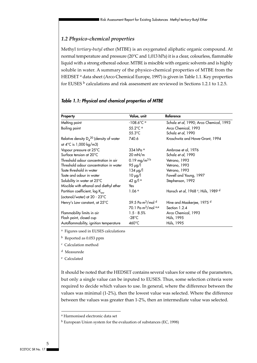# *1.2 Physico-chemical properties*

Methyl *tertiary-butyl* ether (MTBE) is an oxygenated aliphatic organic compound. At normal temperature and pressure (20°C and 1,013 hPa) it is a clear, colourless, flammable liquid with a strong ethereal odour. MTBE is miscible with organic solvents and is highly soluble in water. A summary of the physico-chemical properties of MTBE from the HEDSET<sup>a</sup> data sheet (Arco Chemical Europe, 1997) is given in Table 1.1. Key properties for EUSES<sup>b</sup> calculations and risk assessment are reviewed in Sections 1.2.1 to 1.2.5.

| Property                                   | Value, unit                     | Reference                                                 |
|--------------------------------------------|---------------------------------|-----------------------------------------------------------|
| Melting point                              | $-108.6^{\circ}$ C $^{\circ}$   | Scholz et al, 1990; Arco Chemical, 1993                   |
| Boiling point                              | 55.2°C a                        | Arco Chemical, 1993                                       |
|                                            | $55.3^{\circ}$ C                | Scholz et al, 1990                                        |
| Relative density $D_A^2$ (density of water | 740.6                           | Kroschwitz and Howe-Grant, 1994                           |
| at $4^{\circ}$ C is 1,000 kg/m3)           |                                 |                                                           |
| Vapour pressure at 25°C                    | 334 hPa $a$                     | Ambrose et al, 1976                                       |
| Surface tension at 20°C                    | $20 \text{ mN/m}$               | Scholz et al, 1990                                        |
| Threshold odour concentration in air       | 0.19 mg/m <sup>3b</sup>         | Vetrano, 1993                                             |
| Threshold odour concentration in water     | 95 $\mu$ g/l                    | Vetrano, 1993                                             |
| Taste threshold in water                   | $134 \,\mathrm{pg}/l$           | Vetrano, 1993                                             |
| Taste and odour in water                   | $10 \mu g/l$                    | Fawell and Young, 1997                                    |
| Solubility in water at 25°C                | 42 g/ $\vert$ <sup>a</sup>      | Stephenson, 1992                                          |
| Miscible with ethanol and diethyl ether    | Yes                             |                                                           |
| Partition coefficient, $log K_{\infty}$    | 1.06 <sup>a</sup>               | Hansch et al, 1968 <sup>c</sup> ; Hüls, 1989 <sup>d</sup> |
| (octanol/water) at 20 - 23°C               |                                 |                                                           |
| Henry's Law constant, at 25°C              | 59.5 $Pa·m3/mold$               | Hine and Mookerjee, 1975 d                                |
|                                            | 70.1 Pa·m <sup>3</sup> /mol a,e | Section 1.2.4                                             |
| Flammability limits in air                 | $1.5 - 8.5%$                    | Arco Chemical, 1993                                       |
| Flash point, closed cup                    | $-28^{\circ}$ C                 | Hüls, 1995                                                |
| Autoflammability, ignition temperature     | 460°C                           | Hüls, 1995                                                |

### **Table 1.1: Physical and chemical properties of MTBE**

<sup>a</sup> Figures used in EUSES calculations

- <sup>b</sup> Reported as 0.053 ppm
- <sup>c</sup> Calculation method
- <sup>d</sup> Measurede
- <sup>e</sup> Calculated

It should be noted that the HEDSET contains several values for some of the parameters, but only a single value can be inputed to EUSES. Thus, some selection criteria were required to decide which values to use. In general, where the difference between the values was minimal (1-2%), then the lowest value was selected. Where the difference between the values was greater than 1-2%, then an intermediate value was selected.

<sup>a</sup> Harmonised electronic data set

<sup>b</sup> European Union system for the evaluation of substances (EC, 1998)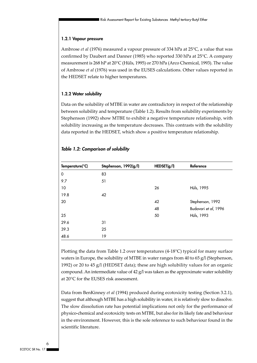# **1.2.1 Vapour pressure**

Ambrose *et al* (1976) measured a vapour pressure of 334 hPa at 25°C, a value that was confirmed by Daubert and Danner (1985) who reported 330 hPa at 25°C. A company measurement is 268 hP at 20°C (Hüls, 1995) or 270 hPa (Arco Chemical, 1993). The value of Ambrose *et al* (1976) was used in the EUSES calculations. Other values reported in the HEDSET relate to higher temperatures.

# **1.2.2 Water solubility**

Data on the solubility of MTBE in water are contradictory in respect of the relationship between solubility and temperature (Table 1.2). Results from solubility experiments by Stephenson (1992) show MTBE to exhibit a negative temperature relationship, with solubility increasing as the temperature decreases. This contrasts with the solubility data reported in the HEDSET, which show a positive temperature relationship.

# **Table 1.2: Comparison of solubility**

| Temperature(°C)     | Stephenson, 1992(g/l) | HEDSET(g/l) | Reference            |
|---------------------|-----------------------|-------------|----------------------|
| $\mathsf{O}\xspace$ | 83                    |             |                      |
| 9.7                 | 51                    |             |                      |
| 10                  |                       | 26          | Hüls, 1995           |
| 19.8                | 42                    |             |                      |
| 20                  |                       | 42          | Stephenson, 1992     |
|                     |                       | 48          | Budavari et al, 1996 |
| 25                  |                       | 50          | Hüls, 1993           |
| 29.6                | 31                    |             |                      |
| 39.3                | 25                    |             |                      |
| 48.6                | 19                    |             |                      |

Plotting the data from Table 1.2 over temperatures (4-18°C) typical for many surface waters in Europe, the solubility of MTBE in water ranges from 40 to 65 g/l (Stephenson, 1992) or 20 to 45  $g/l$  (HEDSET data); these are high solubility values for an organic compound. An intermediate value of 42 g/l was taken as the approximate water solubility at 20°C for the EUSES risk assessment.

Data from BenKinney *et al* (1994) produced during ecotoxicity testing (Section 3.2.1), suggest that although MTBE has a high solubility in water, it is relatively slow to dissolve. The slow dissolution rate has potential implications not only for the performance of physico-chemical and ecotoxicity tests on MTBE, but also for its likely fate and behaviour in the environment. However, this is the sole reference to such behaviour found in the scientific literature.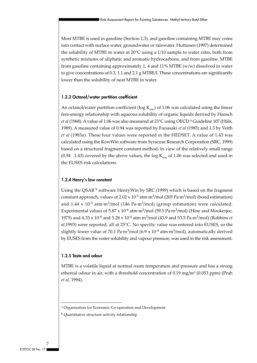Most MTBE is used in gasoline (Section 2.3), and gasoline containing MTBE may come into contact with surface water, groundwater or rainwater. Huttunen (1997) determined the solubility of MTBE in water at 20°C using a 1/10 sample to water ratio, both from synthetic mixtures of aliphatic and aromatic hydrocarbons, and from gasoline. MTBE from gasoline containing approximately 1, 4 and 11% MTBE (w/w) dissolved in water to give concentrations of 0.3, 1.1 and 2.1 g MTBE/l. These concentrations are significantly lower than the solubility of neat MTBE in water.

#### **1.2.3 Octanol/water partition coefficient**

An octanol/water partition coefficient (log  $K_{ow}$ ) of 1.06 was calculated using the linear free-energy relationship with aqueous solubility of organic liquids derived by Hansch *et al* (1968). A value of 1.06 was also measured at 23°C using OECD a Guideline 107 (Hüls, 1989). A measured value of 0.94 was reported by Funasaki *et al* (1985) and 1.3 by Veith *et al* (1983a). These four values were reported in the HEDSET. A value of 1.43 was calculated using the KowWin software from Syracuse Research Corporation (SRC, 1999) based on a structural fragment constant method. In view of the relatively small range (0.94 1.43) covered by the above values, the log  $K_{ow}$  of 1.06 was selected and used in the EUSES risk calculations.

#### **1.2.4 Henry's law constant**

Using the QSAR  $\frac{b}{c}$  software HenryWin by SRC (1999) which is based on the fragment constant approach, values of  $2.02 \times 10^{-3}$  atm·m<sup>3</sup>/mol (205 Pa·m<sup>3</sup>/mol) (bond estimation) and  $1.44 \times 10^{-3}$  atm·m<sup>3</sup>/mol (146 Pa·m<sup>3</sup>/mol) (group estimation) were calculated. Experimental values of  $5.87 \times 10^{-4}$  atm·m<sup>3</sup>/mol (59.5 Pa·m<sup>3</sup>/mol) (Hine and Mookerjee, 1975) and 4.33 x 10-4 and 5.28 x 10-4 atm·m3/mol (43.9 and 53.5 Pa·m3/mol) (Robbins *et al*,1993) were reported, all at 25°C. No specific value was entered into EUSES, so the slightly lower value of 70.1 Pa·m<sup>3</sup>/mol (6.9 x 10<sup>-4</sup> atm·m<sup>3</sup>/mol), automatically derived by EUSES from the water solubility and vapour pressure, was used in the risk assessment.

### **1.2.5 Taste and odour**

MTBE is a volatile liquid at normal room temperature and pressure and has a strong ethereal odour in air, with a threshold concentration of 0.19 mg/m<sup>3</sup> (0.053 ppm) (Prah *et al*, 1994).

<sup>a</sup> Organisation for Economic Co-operation and Development

<sup>b</sup> Quantitative structure activity relationship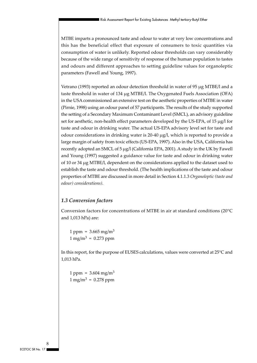MTBE imparts a pronounced taste and odour to water at very low concentrations and this has the beneficial effect that exposure of consumers to toxic quantities via consumption of water is unlikely. Reported odour thresholds can vary considerably because of the wide range of sensitivity of response of the human population to tastes and odours and different approaches to setting guideline values for organoleptic parameters (Fawell and Young, 1997).

Vetrano (1993) reported an odour detection threshold in water of 95 µg MTBE/l and a taste threshold in water of 134 µg MTBE/l. The Oxygenated Fuels Association (OFA) in the USA commissioned an extensive test on the aesthetic properties of MTBE in water (Pirnie, 1998) using an odour panel of 57 participants. The results of the study supported the setting of a Secondary Maximum Contaminant Level (SMCL), an advisory guideline set for aesthetic, non-health effect parameters developed by the US-EPA, of 15 µg/l for taste and odour in drinking water. The actual US-EPA advisory level set for taste and odour considerations in drinking water is  $20-40 \mu g/l$ , which is reported to provide a large margin of safety from toxic effects (US-EPA, 1997). Also in the USA, California has recently adopted an SMCL of 5  $\mu$ g/l (California EPA, 2001). A study in the UK by Fawell and Young (1997) suggested a guidance value for taste and odour in drinking water of 10 or 34 µg MTBE/l, dependent on the considerations applied to the dataset used to establish the taste and odour threshold. (The health implications of the taste and odour properties of MTBE are discussed in more detail in Section 4.1.1.3 *Organoleptic (taste and odour) considerations)*.

# *1.3 Conversion factors*

Conversion factors for concentrations of MTBE in air at standard conditions (20°C and 1,013 hPa) are:

1 ppm =  $3.665$  mg/m<sup>3</sup>  $1 \text{ mg/m}^3 = 0.273 \text{ ppm}$ 

In this report, for the purpose of EUSES calculations, values were converted at 25°C and 1,013 hPa.

```
1 ppm = 3.604 mg/m<sup>3</sup>
1 \text{ mg/m}^3 = 0.278 \text{ ppm}
```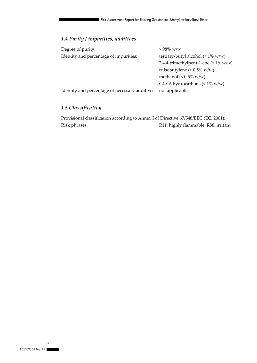# *1.4 Purity / impurities, additives*

| Degree of purity:                                              | $>98\%$ w/w                             |
|----------------------------------------------------------------|-----------------------------------------|
| Identity and percentage of impurities:                         | tertiary-butyl alcohol $(< 1\%$ w/w)    |
|                                                                | 2,4,4-trimethylpent-1-ene $($ < 1% w/w) |
|                                                                | triisobutylene $(< 0.5\%$ w/w)          |
|                                                                | methanol $(< 0.5\%$ w/w)                |
|                                                                | C4-C6 hydrocarbons $($ < 1% w/w)        |
| Identity and percentage of necessary additives: not applicable |                                         |

# *1.5 Classification*

Provisional classification according to Annex I of Directive 67/548/EEC (EC, 2001): Risk phrases:  $R11$ , highly flammable; R38, irritant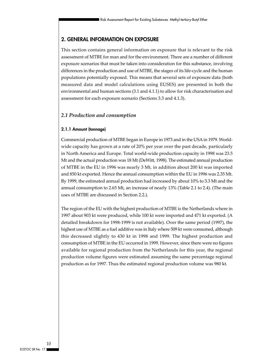# **2. GENERAL INFORMATION ON EXPOSURE**

This section contains general information on exposure that is relevant to the risk assessment of MTBE for man and for the environment. There are a number of different exposure scenarios that must be taken into consideration for this substance, involving differences in the production and use of MTBE, the stages of its life-cycle and the human populations potentially exposed. This means that several sets of exposure data (both measured data and model calculations using EUSES) are presented in both the environmental and human sections (3.1 and 4.1.1) to allow for risk characterisation and assessment for each exposure scenario (Sections 3.3 and 4.1.3).

# *2.1 Production and consumption*

#### **2.1.1 Amount (tonnage)**

Commercial production of MTBE began in Europe in 1973 and in the USA in 1979. Worldwide capacity has grown at a rate of 20% per year over the past decade, particularly in North America and Europe. Total world-wide production capacity in 1998 was 23.5 Mt and the actual production was 18 Mt (DeWitt, 1998). The estimated annual production of MTBE in the EU in 1996 was nearly 3 Mt, in addition about 200 kt was imported and 850 kt exported. Hence the annual consumption within the EU in 1996 was 2.35 Mt. By 1999, the estimated annual production had increased by about 10% to 3.3 Mt and the annual consumption to 2.65 Mt, an increase of nearly 13% (Table 2.1 to 2.4). (The main uses of MTBE are discussed in Section 2.2.).

The region of the EU with the highest production of MTBE is the Netherlands where in 1997 about 903 kt were produced, while 100 kt were imported and 471 kt exported. (A detailed breakdown for 1998-1999 is not available). Over the same period (1997), the highest use of MTBE as a fuel additive was in Italy where 509 kt were consumed, although this decreased slightly to 430 kt in 1998 and 1999. The highest production and consumption of MTBE in the EU occurred in 1999. However, since there were no figures available for regional production from the Netherlands for this year, the regional production volume figures were estimated assuming the same percentage regional production as for 1997. Thus the estimated regional production volume was 980 kt.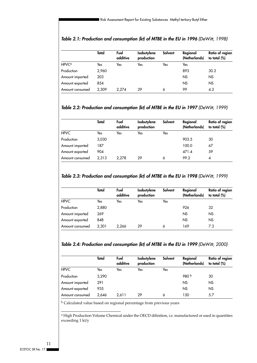|                         | Total | Fuel<br>additive | <b>Isobutylene</b><br>production | Solvent | Regional<br>(Netherlands) | Ratio of region<br>to total $(\%)$ |
|-------------------------|-------|------------------|----------------------------------|---------|---------------------------|------------------------------------|
| <b>HPVC<sup>a</sup></b> | Yes   | Yes              | Yes                              | Yes     | Yes                       |                                    |
| Production              | 2,960 |                  |                                  |         | 893                       | 30.2                               |
| Amount imported         | 203   |                  |                                  |         | NS                        | NS                                 |
| Amount exported         | 854   |                  |                                  |         | N <sub>S</sub>            | NS                                 |
| Amount consumed         | 2.309 | 2,274            | 29                               | 6       | 99                        | 4.2                                |

# **Table 2.1: Production and consumption (kt) of MTBE in the EU in 1996** (DeWitt, 1998)

# **Table 2.2: Production and consumption (kt) of MTBE in the EU in 1997** (DeWitt, 1999)

|                 | Total | Fuel<br>additive | Isobutylene<br>production | Solvent | Regional<br>(Netherlands) | Ratio of region<br>to total $(\%)$ |
|-----------------|-------|------------------|---------------------------|---------|---------------------------|------------------------------------|
| <b>HPVC</b>     | Yes   | Yes              | Yes                       | Yes     |                           |                                    |
| Production      | 3,030 |                  |                           |         | 903.5                     | 30                                 |
| Amount imported | 187   |                  |                           |         | 100.0                     | 67                                 |
| Amount exported | 904   |                  |                           |         | 471.4                     | 59                                 |
| Amount consumed | 2.313 | 2.278            | 29                        | 6       | 99.2                      | 4                                  |

# **Table 2.3: Production and consumption (kt) of MTBE in the EU in 1998** (DeWitt, 1999)

|                 | Total | Fuel<br>additive | <b>Isobutylene</b><br>production | Solvent | Regional<br>(Netherlands) | Ratio of region<br>to total $(\%)$ |
|-----------------|-------|------------------|----------------------------------|---------|---------------------------|------------------------------------|
| <b>HPVC</b>     | Yes   | Yes              | Yes                              | Yes     |                           |                                    |
| Production      | 2,880 |                  |                                  |         | 926                       | 32                                 |
| Amount imported | 269   |                  |                                  |         | NS                        | <b>NS</b>                          |
| Amount exported | 848   |                  |                                  |         | NS                        | <b>NS</b>                          |
| Amount consumed | 2.301 | 2.266            | 29                               | 6       | 169                       | 7.3                                |

# **Table 2.4: Production and consumption (kt) of MTBE in the EU in 1999** (DeWitt, 2000)

|                 | Total | Fuel<br>additive | <b>Isobutylene</b><br>production | Solvent | Regional<br>(Netherlands) | Ratio of region<br>to total $(\%)$ |
|-----------------|-------|------------------|----------------------------------|---------|---------------------------|------------------------------------|
| <b>HPVC</b>     | Yes   | Yes              | Yes                              | Yes     |                           |                                    |
| Production      | 3,290 |                  |                                  |         | 980 b                     | 30                                 |
| Amount imported | 291   |                  |                                  |         | NS                        | NS.                                |
| Amount exported | 935   |                  |                                  |         | <b>NS</b>                 | NS                                 |
| Amount consumed | 2.646 | 2.611            | 29                               | 6       | 150                       | 5.7                                |

<sup>b</sup> Calculated value based on regional percentage from previous years

<sup>a</sup> High Production Volume Chemical under the OECD difinition, i.e. manufactured or used in quantities exceeding 1 kt/y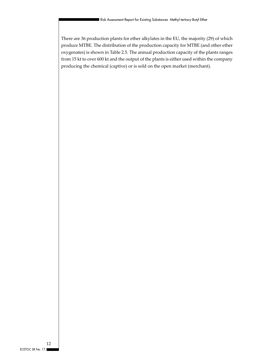There are 36 production plants for ether alkylates in the EU, the majority (29) of which produce MTBE. The distribution of the production capacity for MTBE (and other ether oxygenates) is shown in Table 2.5. The annual production capacity of the plants ranges from 15 kt to over 600 kt and the output of the plants is either used within the company producing the chemical (captive) or is sold on the open market (merchant).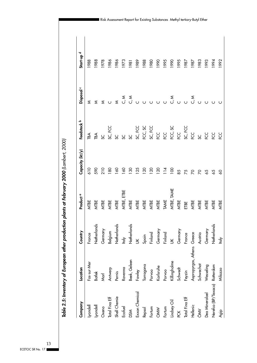| Company                       | Location                                           | Country       | Product <sup>a</sup>                            | Capacity (kt/y)  | Feedstock <sup>b</sup>                                                                                                                                                                                                                                                                                                  | Disposal <sup>c</sup> | Start-up <sup>d</sup> |
|-------------------------------|----------------------------------------------------|---------------|-------------------------------------------------|------------------|-------------------------------------------------------------------------------------------------------------------------------------------------------------------------------------------------------------------------------------------------------------------------------------------------------------------------|-----------------------|-----------------------|
| <b>Lyondell</b>               | Fos-sur-Mer                                        | France        | <b>MTBE</b>                                     | 610              |                                                                                                                                                                                                                                                                                                                         |                       | 1988                  |
| Lyondell                      | <b>Botlek</b>                                      | Netherlands   |                                                 | 590              | $\begin{array}{lllllllll} \mathbb{R} & \mathbb{R} & \mathbb{S} & \mathbb{S} & \mathbb{S} & \mathbb{S} \\ \mathbb{R} & \mathbb{R} & \mathbb{S} & \mathbb{S} & \mathbb{S} & \mathbb{S} & \mathbb{S} \\ \mathbb{R} & \mathbb{R} & \mathbb{S} & \mathbb{S} & \mathbb{S} & \mathbb{S} & \mathbb{S} & \mathbb{S} \end{array}$ |                       | 1988                  |
| Oxeno                         | Marl                                               | Germany       | MTBE<br>MTBE                                    | 210              |                                                                                                                                                                                                                                                                                                                         |                       | 1978                  |
| Total Fina Elf                | Antwerp                                            | Belgium       | MTBE                                            | 180              |                                                                                                                                                                                                                                                                                                                         |                       | 1986                  |
| Shell Chemie                  | Pernis                                             | Netherlands   | MTBE                                            | 160              |                                                                                                                                                                                                                                                                                                                         |                       | 1986                  |
| Ecofuel                       | Ravenna                                            | $\frac{1}{2}$ | ETBE                                            | $\overline{160}$ |                                                                                                                                                                                                                                                                                                                         |                       | 1973                  |
| <b>DSM</b>                    | Beek, Geleen                                       | Netherlands   |                                                 | $\frac{8}{2}$    |                                                                                                                                                                                                                                                                                                                         |                       | 1981                  |
| Exxon Chemical                | Fawley                                             | $\leq$        | MTBE, I<br>MTBE<br>MTBE<br>MTBE<br>MTBE<br>MAME | <b>125</b>       |                                                                                                                                                                                                                                                                                                                         |                       | 1989                  |
| Repsol                        | Tarragona                                          | Spain         |                                                 | $\overline{5}$   |                                                                                                                                                                                                                                                                                                                         |                       | 1988                  |
| Fortum                        | Porvoo                                             | Finland       |                                                 | $\overline{120}$ |                                                                                                                                                                                                                                                                                                                         |                       | 1980                  |
| OMW                           | Karlsruhe                                          | Germany       |                                                 | $\overline{5}$   |                                                                                                                                                                                                                                                                                                                         |                       | 1990                  |
| Fortum                        | Porvoo                                             | Finland       |                                                 | $\frac{4}{1}$    |                                                                                                                                                                                                                                                                                                                         |                       | 1995                  |
| Lindsey Oil                   | Killingholme                                       | $\leq$        | MTBE, TAME                                      | $\overline{5}$   |                                                                                                                                                                                                                                                                                                                         |                       | 1990                  |
| PCK                           | Schwedt                                            | Germany       |                                                 | 85               |                                                                                                                                                                                                                                                                                                                         |                       | 1995                  |
| Total Fina Elf                | Feyzin                                             | France        | <b>MTBE</b><br>ETBE                             | 75               |                                                                                                                                                                                                                                                                                                                         |                       | 1987                  |
| Hellenic                      | Aspropyrgos, Athens Greece<br>Schwechat<br>Austria |               | <b>MTBE<br/>MTBE</b><br>MTBE                    | S                |                                                                                                                                                                                                                                                                                                                         |                       | 1987                  |
| ÓMV                           |                                                    | Austria       |                                                 | $\mathcal{S}$    |                                                                                                                                                                                                                                                                                                                         |                       | 1983                  |
| Dea Mineraloel                | Wesseling                                          | Germany       |                                                 | 65               |                                                                                                                                                                                                                                                                                                                         |                       | 1993                  |
| Nerefco (BP/Texaco) Rotterdam |                                                    | Netherlands   | <b>MTBE</b>                                     | 5 <sup>5</sup>   |                                                                                                                                                                                                                                                                                                                         |                       | 1994                  |
| Agip                          | Milazzo                                            | $\frac{1}{2}$ | <b>VIBE</b>                                     |                  |                                                                                                                                                                                                                                                                                                                         |                       | 1992                  |

Table 2.5: Inventory of European ether production plants at February 2000 (Lambert, 2000) **Table 2.5: Inventory of European ether production plants at February 2000** (Lambert, 2000)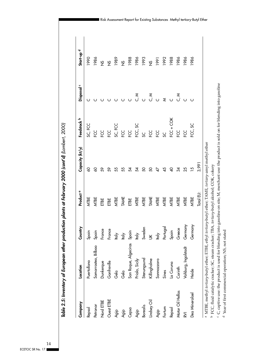| Company          | Location                   | Country                        | Product <sup>a</sup> | Capacity (kt/y)             | Feedstock <sup>b</sup> | Disposal <sup>c</sup> | Start-up <sup>d</sup> |
|------------------|----------------------------|--------------------------------|----------------------|-----------------------------|------------------------|-----------------------|-----------------------|
| Repsol           | Puertollano                | Spain                          | <b>MTBE</b>          | $\mathcal{S}^{\mathcal{S}}$ | SC, FCC                |                       | 1990                  |
| Petronor         | Somorrosteo, Bilbao        | Spain                          | <b>MTBE</b>          | $\delta$                    | FC<br>C                |                       | 1986                  |
| Nord ETBE        | Dunkerque                  | France                         | ETBE                 | SS                          |                        |                       |                       |
| Ouest ETBE       | Gonfreville                | France                         | ETBE                 | SS,                         |                        |                       |                       |
| Agip             | Gela                       | $\overrightarrow{\text{frot}}$ | MTBE                 | 55                          | SC, FCC                |                       | 1988<br>1989<br>1989  |
| Agip             | Gela                       | $\frac{1}{2}$                  | TAME                 | 55                          |                        |                       | $\frac{6}{2}$         |
| Cepsa            | San Roque, Algeciras Spain |                                | ETBE                 | 24                          | 인<br>인<br>인            | $\circ$               | 1988                  |
| Agip             | Priolo, Sicily             | $\frac{1}{2}$                  | <b>MTBE</b>          | 24                          | FCC, SC                |                       | 1986                  |
| <b>Borealis</b>  | Stenungsund                | Sweden                         | <b>MTBE</b>          | SO                          | ပ္တ                    |                       | 1993                  |
| Lindsey Oil      | Killingholme               | $\leq$                         | TAME                 | SO                          |                        |                       | $\frac{6}{2}$         |
| Agip             | Sannazzaro                 | $\frac{1}{2}$                  | <b>MTBE</b>          | $\overline{4}$              | EC 23                  | ξ ξ<br>∪ ∪ ∪ ν ξ      | 1991                  |
| Fortum           | Sines                      | Portugal                       | MTBE                 | 45                          | မင<br>၁၁               |                       | 1992                  |
| Repsol           | La Coruna                  | Spain                          | MTBE                 | ੩                           | FCC+COK                |                       | 1988                  |
| Motor Oil Hellas | Corinth                    | Greece                         | MTBE                 | ಸ                           | PCC                    | 、 W<br>U U U          | 1986                  |
| ΣÑ               | Vohburg, Ingolstadt        | Germany                        | <b>MTBE</b>          | 25                          | ပ္ပ                    |                       | 1986                  |
| Dea Mineraloel   | Heide                      | Germany                        | MTBE                 | $\overline{5}$              | FCC, SC                | $\circ$               | 1986                  |
|                  |                            |                                | Total EU:            | 3,991                       |                        |                       |                       |

b FCC, fluid catalytic cracker; SC, steam cracker; TBA, *tertiary*-butyl alcohol; COK, cokery

<sup>b</sup> FCC, fluid catalytic cracker; SC, steam cracker; TBA, tertiary-butyl alcohol; COK, cokery

<sup>d</sup> Year of first commercial operation; NS, not stated Year of first commercial operation; NS, not stated

° C, captive use: the product is used for blending into gasoline on site; M, merchant use: the product is sold on for blending into gasoline C, captive use: the product is used for blending into gasoline on site; M, merchant use: the product is sold on for blending into gasoline

Table 2.5: Inventory of European ether production plants at February 2000 (cont'd) (Lambert, 2000) **Table 2.5: Inventory of European ether production plants at February 2000 (cont'd) (**Lambert, 2000)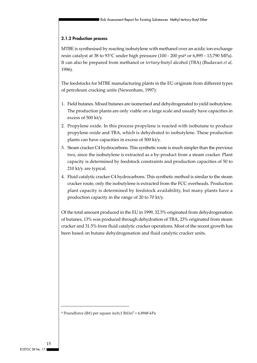## **2.1.2 Production process**

MTBE is synthesised by reacting isobutylene with methanol over an acidic ion-exchange resin catalyst at 38 to 93 $^{\circ}$ C under high pressure (100 - 200 psi<sup>a</sup> or 6,895 - 13,790 MPa). It can also be prepared from methanol or *tertiary*-butyl alcohol (TBA) (Budavari *et al*, 1996).

The feedstocks for MTBE manufacturing plants in the EU originate from different types of petroleum cracking units (Newenham, 1997):

- 1. Field butanes. Mixed butanes are isomerised and dehydrogenated to yield isobutylene. The production plants are only viable on a large scale and usually have capacities in excess of 500 kt/y.
- 2. Propylene oxide. In this process propylene is reacted with isobutane to produce propylene oxide and TBA, which is dehydrated to isobutylene. These production plants can have capacities in excess of 500 kt/y.
- 3. Steam cracker C4 hydrocarbons. This synthetic route is much simpler than the previous two, since the isobutylene is extracted as a by-product from a steam cracker. Plant capacity is determined by feedstock constraints and production capacities of 50 to 210 kt/y are typical.
- 4. Fluid catalytic cracker C4 hydrocarbons. This synthetic method is similar to the steam cracker route, only the isobutylene is extracted from the FCC overheads. Production plant capacity is determined by feedstock availability, but many plants have a production capacity in the range of 20 to 70 kt/y.

Of the total amount produced in the EU in 1999, 32.5% originated from dehydrogenation of butanes, 13% was produced through dehydration of TBA, 23% originated from steam cracker and 31.5% from fluid catalytic cracker operations. Most of the recent growth has been based on butane dehydrogenation and fluid catalytic cracker units.

<sup>&</sup>lt;sup>a</sup> Poundforce (lbf) per square inch;1 lbf/in<sup>2</sup> =  $6,8948$  kPa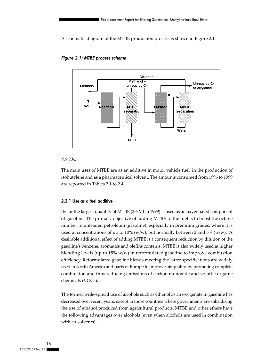A schematic diagram of the MTBE production process is shown in Figure 2.1.



### **Figure 2.1: MTBE process scheme**

# *2.2 Use*

The main uses of MTBE are as an additive in motor vehicle fuel, in the production of isobutylene and as a pharmaceutical solvent. The amounts consumed from 1996 to 1999 are reported in Tables 2.1 to 2.4.

#### **2.2.1 Use as a fuel additive**

By far the largest quantity of MTBE (2.6 Mt in 1999) is used as an oxygenated component of gasoline. The primary objective of adding MTBE to the fuel is to boost the octane number in unleaded petroleum (gasoline), especially in premium grades, where it is used at concentrations of up to 10% (w/w), but normally between 2 and 5% (w/w). A desirable additional effect of adding MTBE is a consequent reduction by dilution of the gasoline's benzene, aromatics and olefins contents. MTBE is also widely used at higher blending levels (up to  $15\%$  w/w) in reformulated gasoline to improve combustion efficiency. Reformulated gasoline blends meeting the latter specifications are widely used in North America and parts of Europe to improve air quality, by promoting complete combustion and thus reducing emissions of carbon monoxide and volatile organic chemicals (VOCs).

The former wide-spread use of alcohols such as ethanol as an oxygenate in gasoline has decreased over recent years, except in those countries where governments are subsidising the use of ethanol produced from agricultural products. MTBE and other ethers have the following advantages over alcohols (even when alcohols are used in combination with co-solvents):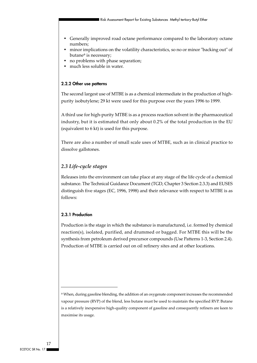- Generally improved road octane performance compared to the laboratory octane numbers;
- minor implications on the volatility characteristics, so no or minor "backing out" of butane<sup>a</sup> is necessary;
- no problems with phase separation;
- much less soluble in water.

### **2.2.2 Other use patterns**

The second largest use of MTBE is as a chemical intermediate in the production of highpurity isobutylene; 29 kt were used for this purpose over the years 1996 to 1999.

A third use for high-purity MTBE is as a process reaction solvent in the pharmaceutical industry, but it is estimated that only about 0.2% of the total production in the EU (equivalent to 6 kt) is used for this purpose.

There are also a number of small scale uses of MTBE, such as in clinical practice to dissolve gallstones.

# *2.3 Life-cycle stages*

Releases into the environment can take place at any stage of the life cycle of a chemical substance. The Technical Guidance Document (TGD, Chapter 3 Section 2.3.3) and EUSES distinguish five stages (EC, 1996, 1998) and their relevance with respect to MTBE is as follows:

# **2.3.1 Production**

Production is the stage in which the substance is manufactured, i.e. formed by chemical reaction(s), isolated, purified, and drummed or bagged. For MTBE this will be the synthesis from petroleum derived precursor compounds (Use Patterns 1-3, Section 2.4). Production of MTBE is carried out on oil refinery sites and at other locations.

a When, during gasoline blending, the addition of an oxygenate component increases the recommended vapour pressure (RVP) of the blend, less butane must be used to maintain the specified RVP. Butane is a relatively inexpensive high-quality component of gasoline and consequently refiners are keen to maximise its usage.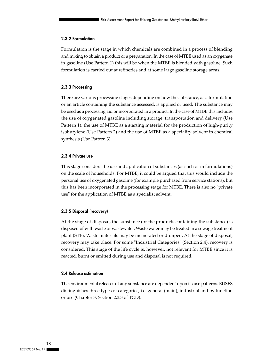## **2.3.2 Formulation**

Formulation is the stage in which chemicals are combined in a process of blending and mixing to obtain a product or a preparation. In the case of MTBE used as an oxygenate in gasoline (Use Pattern 1) this will be when the MTBE is blended with gasoline. Such formulation is carried out at refineries and at some large gasoline storage areas.

# **2.3.3 Processing**

There are various processing stages depending on how the substance, as a formulation or an article containing the substance assessed, is applied or used. The substance may be used as a processing aid or incorporated in a product. In the case of MTBE this includes the use of oxygenated gasoline including storage, transportation and delivery (Use Pattern 1), the use of MTBE as a starting material for the production of high-purity isobutylene (Use Pattern 2) and the use of MTBE as a speciality solvent in chemical synthesis (Use Pattern 3).

# **2.3.4 Private use**

This stage considers the use and application of substances (as such or in formulations) on the scale of households. For MTBE, it could be argued that this would include the personal use of oxygenated gasoline (for example purchased from service stations), but this has been incorporated in the processing stage for MTBE. There is also no "private use" for the application of MTBE as a specialist solvent.

# **2.3.5 Disposal (recovery)**

At the stage of disposal, the substance (or the products containing the substance) is disposed of with waste or wastewater. Waste water may be treated in a sewage treatment plant (STP). Waste materials may be incinerated or dumped. At the stage of disposal, recovery may take place. For some "Industrial Categories" (Section 2.4), recovery is considered. This stage of the life cycle is, however, not relevant for MTBE since it is reacted, burnt or emitted during use and disposal is not required.

### **2.4 Release estimation**

The environmental releases of any substance are dependent upon its use patterns. EUSES distinguishes three types of categories, i.e. general (main), industrial and by function or use (Chapter 3, Section 2.3.3 of TGD).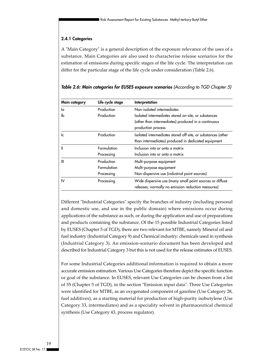# **2.4.1 Categories**

A "Main Category" is a general description of the exposure relevance of the uses of a substance. Main Categories are also used to characterise release scenarios for the estimation of emissions during specific stages of the life cycle. The interpretation can differ for the particular stage of the life cycle under consideration (Table 2.6).

| Main category | Life cycle stage | Interpretation                                               |
|---------------|------------------|--------------------------------------------------------------|
| Ιa            | Production       | Non-isolated intermediates                                   |
| Ib            | Production       | Isolated intermediates stored on-site, or substances         |
|               |                  | (other than intermediates) produced in a continuous          |
|               |                  | production process                                           |
| lc            | Production       | Isolated intermediates stored off-site, or substances (other |
|               |                  | than intermediates) produced in dedicated equipment          |
| Ш             | Formulation      | Inclusion into or onto a matrix                              |
|               | Processing       | Inclusion into or onto a matrix                              |
| Ш             | Production       | Multi-purpose equipment                                      |
|               | Formulation      | Multi-purpose equipment                                      |
|               | Processing       | Non-dispersive use (industrial point sources)                |
| IV            | Processing       | Wide dispersive use (many small point sources or diffuse     |
|               |                  | releases; normally no emission reduction measures)           |

| Table 2.6: Main categories for EUSES exposure scenarios (According to TGD Chapter 5) |  |
|--------------------------------------------------------------------------------------|--|
|--------------------------------------------------------------------------------------|--|

Different "Industrial Categories" specify the branches of industry (including personal and domestic use, and use in the public domain) where emissions occur during applications of the substance as such, or during the application and use of preparations and products containing the substance. Of the 15 possible Industrial Categories listed by EUSES (Chapter 5 of TGD), there are two relevant for MTBE, namely Mineral oil and fuel industry (Industrial Category 9) and Chemical industry: chemicals used in synthesis (Industrial Category 3). An emission-scenario document has been developed and described for Industrial Category 3 but this is not used for the release estimates of EUSES.

For some Industrial Categories additional information is required to obtain a more accurate emission estimation. Various Use Categories therefore depict the specific function or goal of the substance. In EUSES, relevant Use Categories can be chosen from a list of 55 (Chapter 5 of TGD), in the section "Emission input data". Three Use Categories were identified for MTBE, as an oxygenated component of gasoline (Use Category 28, fuel additives), as a starting material for production of high-purity isobutylene (Use Category 33, intermediates) and as a speciality solvent in pharmaceutical chemical synthesis (Use Category 43, process regulator).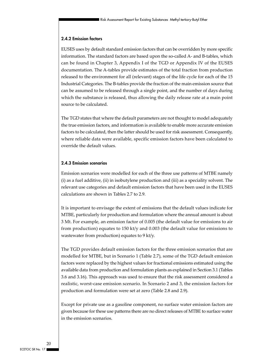#### **2.4.2 Emission factors**

EUSES uses by default standard emission factors that can be overridden by more specific information. The standard factors are based upon the so-called A- and B-tables, which can be found in Chapter 3, Appendix I of the TGD or Appendix IV of the EUSES documentation. The A-tables provide estimates of the total fraction from production released to the environment for all (relevant) stages of the life cycle for each of the 15 Industrial Categories. The B-tables provide the fraction of the main emission source that can be assumed to be released through a single point, and the number of days during which the substance is released, thus allowing the daily release rate at a main point source to be calculated.

The TGD states that where the default parameters are not thought to model adequately the true emission factors, and information is available to enable more accurate emission factors to be calculated, then the latter should be used for risk assessment. Consequently, where reliable data were available, specific emission factors have been calculated to override the default values.

#### **2.4.3 Emission scenarios**

Emission scenarios were modelled for each of the three use patterns of MTBE namely (i) as a fuel additive, (ii) in isobutylene production and (iii) as a speciality solvent. The relevant use categories and default emission factors that have been used in the EUSES calculations are shown in Tables 2.7 to 2.9.

It is important to envisage the extent of emissions that the default values indicate for MTBE, particularly for production and formulation where the annual amount is about 3 Mt. For example, an emission factor of 0.005 (the default value for emissions to air from production) equates to 150 kt/y and 0.003 (the default value for emissions to wastewater from production) equates to 9 kt/y.

The TGD provides default emission factors for the three emission scenarios that are modelled for MTBE, but in Scenario 1 (Table 2.7), some of the TGD default emission factors were replaced by the highest values for fractional emissions estimated using the available data from production and formulation plants as explained in Section 3.1 (Tables 3.6 and 3.16). This approach was used to ensure that the risk assessment considered a realistic, worst-case emission scenario. In Scenario 2 and 3, the emission factors for production and formulation were set at zero (Table 2.8 and 2.9).

Except for private use as a gasoline component, no surface water emission factors are given because for these use patterns there are no direct releases of MTBE to surface water in the emission scenarios.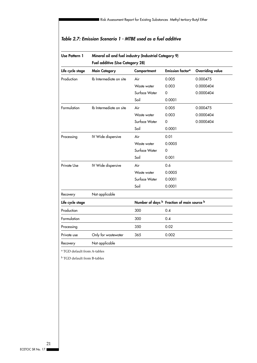| Use Pattern 1    | Mineral oil and fuel industry (Industrial Category 9) |               |                                                          |                         |
|------------------|-------------------------------------------------------|---------------|----------------------------------------------------------|-------------------------|
|                  | Fuel additive (Use Category 28)                       |               |                                                          |                         |
| Life cycle stage | <b>Main Category</b>                                  | Compartment   | Emission factor <sup>a</sup>                             | <b>Overriding value</b> |
| Production       | Ib Intermediate on site                               | Air           | 0.005                                                    | 0.000475                |
|                  |                                                       | Waste water   | 0.003                                                    | 0.0000404               |
|                  |                                                       | Surface Water | $\mathbf 0$                                              | 0.0000404               |
|                  |                                                       | Soil          | 0.0001                                                   |                         |
| Formulation      | Ib Intermediate on site                               | Air           | 0.005                                                    | 0.000475                |
|                  |                                                       | Waste water   | 0.003                                                    | 0.0000404               |
|                  |                                                       | Surface Water | $\mathbf 0$                                              | 0.0000404               |
|                  |                                                       | Soil          | 0.0001                                                   |                         |
| Processing       | IV Wide dispersive                                    | Air           | 0.01                                                     |                         |
|                  |                                                       | Waste water   | 0.0005                                                   |                         |
|                  |                                                       | Surface Water | 0                                                        |                         |
|                  |                                                       | Soil          | 0.001                                                    |                         |
| Private Use      | IV Wide dispersive                                    | Air           | 0.6                                                      |                         |
|                  |                                                       | Waste water   | 0.0005                                                   |                         |
|                  |                                                       | Surface Water | 0.0001                                                   |                         |
|                  |                                                       | Soil          | 0.0001                                                   |                         |
| Recovery         | Not applicable                                        |               |                                                          |                         |
| Life cycle stage |                                                       |               | Number of days <b>b</b> Fraction of main source <b>b</b> |                         |
| Production       |                                                       | 300           | 0.4                                                      |                         |
| Formulation      |                                                       | 300           | 0.4                                                      |                         |
| Processing       |                                                       | 350           | 0.02                                                     |                         |
| Private use      | Only for wastewater                                   | 365           | 0.002                                                    |                         |
| Recovery         | Not applicable                                        |               |                                                          |                         |

# **Table 2.7: Emission Scenario 1 - MTBE used as a fuel additive**

<sup>a</sup> TGD default from A-tables

<sup>b</sup> TGD default from B-tables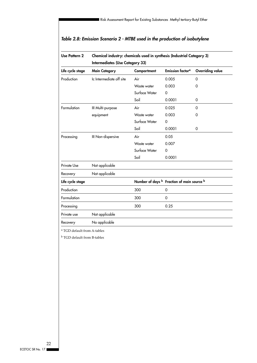| <b>Use Pattern 2</b> | Chemical industry: chemicals used in synthesis (Industrial Category 3)<br><b>Intermediates (Use Category 33)</b> |                                                          |                              |                         |
|----------------------|------------------------------------------------------------------------------------------------------------------|----------------------------------------------------------|------------------------------|-------------------------|
| Life cycle stage     | <b>Main Category</b>                                                                                             | Compartment                                              | Emission factor <sup>a</sup> | <b>Overriding value</b> |
| Production           | Ic Intermediate off site                                                                                         | Air                                                      | 0.005                        | $\mathbf 0$             |
|                      |                                                                                                                  | Waste water                                              | 0.003                        | 0                       |
|                      |                                                                                                                  | Surface Water                                            | $\Omega$                     |                         |
|                      |                                                                                                                  | Soil                                                     | 0.0001                       | 0                       |
| Formulation          | III Multi-purpose                                                                                                | Air                                                      | 0.025                        | 0                       |
|                      | equipment                                                                                                        | Waste water                                              | 0.003                        | 0                       |
|                      |                                                                                                                  | Surface Water                                            | $\mathbf 0$                  |                         |
|                      |                                                                                                                  | Soil                                                     | 0.0001                       | 0                       |
| Processing           | III Non-dispersive                                                                                               | Air                                                      | 0.05                         |                         |
|                      |                                                                                                                  | Waste water                                              | 0.007                        |                         |
|                      |                                                                                                                  | Surface Water                                            | 0                            |                         |
|                      |                                                                                                                  | Soil                                                     | 0.0001                       |                         |
| Private Use          | Not applicable                                                                                                   |                                                          |                              |                         |
| Recovery             | Not applicable                                                                                                   |                                                          |                              |                         |
| Life cycle stage     |                                                                                                                  | Number of days <b>b</b> Fraction of main source <b>b</b> |                              |                         |
| Production           |                                                                                                                  | 300                                                      | 0                            |                         |
| Formulation          |                                                                                                                  | 300                                                      | $\mathbf 0$                  |                         |
| Processing           |                                                                                                                  | 300                                                      | 0.25                         |                         |
| Private use          | Not applicable                                                                                                   |                                                          |                              |                         |
| Recovery             | No applicable                                                                                                    |                                                          |                              |                         |
|                      |                                                                                                                  |                                                          |                              |                         |

# **Table 2.8: Emission Scenario 2 - MTBE used in the production of isobutylene**

<sup>a</sup> TGD default from A-tables

<sup>b</sup> TGD default from B-tables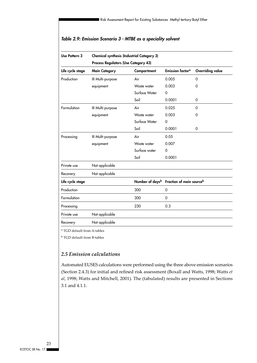| <b>Use Pattern 3</b> | <b>Chemical synthesis (Industrial Category 3)</b> |               |                                                                  |                         |
|----------------------|---------------------------------------------------|---------------|------------------------------------------------------------------|-------------------------|
|                      | Process Regulators (Use Category 43)              |               |                                                                  |                         |
| Life cycle stage     | <b>Main Category</b>                              | Compartment   | Emission factor <sup>a</sup>                                     | <b>Overriding value</b> |
| Production           | III Multi-purpose                                 | Air           | 0.005                                                            | $\Omega$                |
|                      | equipment                                         | Waste water   | 0.003                                                            | 0                       |
|                      |                                                   | Surface Water | 0                                                                |                         |
|                      |                                                   | Soil          | 0.0001                                                           | $\Omega$                |
| Formulation          | III Multi-purpose                                 | Air           | 0.025                                                            | $\Omega$                |
|                      | equipment                                         | Waste water   | 0.003                                                            | 0                       |
|                      |                                                   | Surface Water | 0                                                                |                         |
|                      |                                                   | Soil          | 0.0001                                                           | 0                       |
| Processing           | III Multi-purpose                                 | Air           | 0.05                                                             |                         |
|                      | equipment                                         | Waste water   | 0.007                                                            |                         |
|                      |                                                   | Surface water | $\mathbf 0$                                                      |                         |
|                      |                                                   | Soil          | 0.0001                                                           |                         |
| Private use          | Not applicable                                    |               |                                                                  |                         |
| Recovery             | Not applicable                                    |               |                                                                  |                         |
| Life cycle stage     |                                                   |               | Number of days <sup>b</sup> Fraction of main source <sup>b</sup> |                         |
| Production           |                                                   | 300           | 0                                                                |                         |
| Formulation          |                                                   | 300           | $\Omega$                                                         |                         |
| Processing           |                                                   | 230           | 0.3                                                              |                         |
| Private use          | Not applicable                                    |               |                                                                  |                         |
| Recovery             | Not applicable                                    |               |                                                                  |                         |
|                      |                                                   |               |                                                                  |                         |

# **Table 2.9: Emission Scenario 3 - MTBE as a speciality solvent**

<sup>a</sup> TGD default from A-tables

<sup>b</sup> TGD default from B-tables

# *2.5 Emission calculations*

Automated EUSES calculations were performed using the three above emission scenarios (Section 2.4.3) for initial and refined risk assessment (Boxall and Watts, 1998; Watts *et al*, 1998; Watts and Mitchell, 2001). The (tabulated) results are presented in Sections 3.1 and 4.1.1.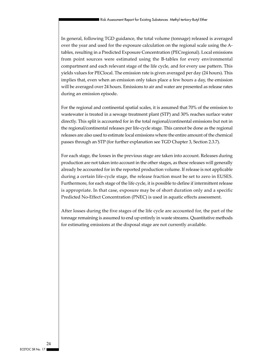In general, following TGD guidance, the total volume (tonnage) released is averaged over the year and used for the exposure calculation on the regional scale using the Atables, resulting in a Predicted Exposure Concentration (PECregional). Local emissions from point sources were estimated using the B-tables for every environmental compartment and each relevant stage of the life cycle, and for every use pattern. This yields values for PEClocal. The emission rate is given averaged per day (24 hours). This implies that, even when an emission only takes place a few hours a day, the emission will be averaged over 24 hours. Emissions to air and water are presented as release rates during an emission episode.

For the regional and continental spatial scales, it is assumed that 70% of the emission to wastewater is treated in a sewage treatment plant (STP) and 30% reaches surface water directly. This split is accounted for in the total regional/continental emissions but not in the regional/continental releases per life-cycle stage. This cannot be done as the regional releases are also used to estimate local emissions where the entire amount of the chemical passes through an STP (for further explanation see TGD Chapter 3, Section 2.3.7).

For each stage, the losses in the previous stage are taken into account. Releases during production are not taken into account in the other stages, as these releases will generally already be accounted for in the reported production volume. If release is not applicable during a certain life-cycle stage, the release fraction must be set to zero in EUSES. Furthermore, for each stage of the life cycle, it is possible to define if intermittent release is appropriate. In that case, exposure may be of short duration only and a specific Predicted No-Effect Concentration (PNEC) is used in aquatic effects assessment.

After losses during the five stages of the life cycle are accounted for, the part of the tonnage remaining is assumed to end up entirely in waste streams. Quantitative methods for estimating emissions at the disposal stage are not currently available.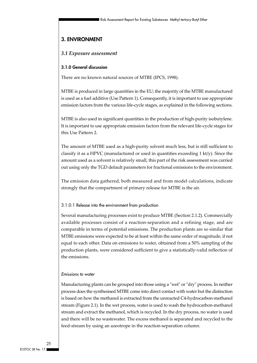# **3. ENVIRONMENT**

### *3.1 Exposure assessment*

#### **3.1.0 General discussion**

There are no known natural sources of MTBE (IPCS, 1998).

MTBE is produced in large quantities in the EU; the majority of the MTBE manufactured is used as a fuel additive (Use Pattern 1). Consequently, it is important to use appropriate emission factors from the various life-cycle stages, as explained in the following sections.

MTBE is also used in significant quantities in the production of high-purity isobutylene. It is important to use appropriate emission factors from the relevant life-cycle stages for this Use Pattern 2.

The amount of MTBE used as a high-purity solvent much less, but is still sufficient to classify it as a HPVC (manufactured or used in quantities exceeding  $1 \text{ k}t/\text{y}$ ). Since the amount used as a solvent is relatively small, this part of the risk assessment was carried out using only the TGD default parameters for fractional emissions to the environment.

The emission data gathered, both measured and from model calculations, indicate strongly that the compartment of primary release for MTBE is the air.

### 3.1.0.1 Release into the environment from production

Several manufacturing processes exist to produce MTBE (Section 2.1.2). Commercially available processes consist of a reaction-separation and a refining stage, and are comparable in terms of potential emissions. The production plants are so similar that MTBE emissions were expected to be at least within the same order of magnitude, if not equal to each other. Data on emissions to water, obtained from a 50% sampling of the production plants, were considered sufficient to give a statistically-valid reflection of the emissions.

#### Emissions to water

Manufacturing plants can be grouped into those using a "wet" or "dry" process. In neither process does the synthesised MTBE come into direct contact with water but the distinction is based on how the methanol is extracted from the unreacted C4-hydrocarbon-methanol stream (Figure 2.1). In the wet process, water is used to wash the hydrocarbon-methanol stream and extract the methanol, which is recycled. In the dry process, no water is used and there will be no wastewater. The excess methanol is separated and recycled to the feed-stream by using an azeotrope in the reaction-separation column.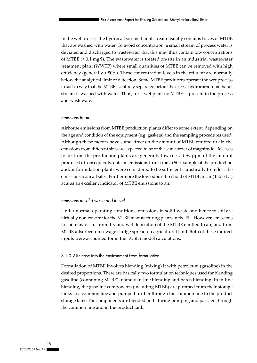In the wet process the hydrocarbon-methanol stream usually contains traces of MTBE that are washed with water. To avoid concentration, a small stream of process water is deviated and discharged to wastewater that this may thus contain low concentrations of MTBE (< 0.1 mg/l). The wastewater is treated on-site in an industrial wastewater treatment plant (WWTP) where small quantities of MTBE can be removed with high efficiency (generally > 80%). These concentration levels in the effluent are normally below the analytical limit of detection. Some MTBE producers operate the wet process in such a way that the MTBE is entirely separated before the excess hydrocarbon-methanol stream is washed with water. Thus, for a wet plant no MTBE is present in the process and wastewater.

#### Emissions to air

Airborne emissions from MTBE production plants differ to some extent, depending on the age and condition of the equipment (e.g. gaskets) and the sampling procedures used. Although these factors have some effect on the amount of MTBE emitted to air, the emissions from different sites are expected to be of the same order of magnitude. Releases to air from the production plants are generally low (i.e. a few ppm of the amount produced). Consequently, data on emissions to air from a 50% sample of the production and/or formulation plants were considered to be sufficient statistically to reflect the emissions from all sites. Furthermore the low odour threshold of MTBE in air (Table 1.1) acts as an excellent indicator of MTBE emissions to air.

#### Emissions in solid waste and to soil

Under normal operating conditions, emissions in solid waste and hence to soil are virtually non-existent for the MTBE manufacturing plants in the EU. However, emissions to soil may occur from dry and wet deposition of the MTBE emitted to air, and from MTBE adsorbed on sewage sludge spread on agricultural land. Both of these indirect inputs were accounted for in the EUSES model calculations.

#### 3.1.0.2 Release into the environment from formulation

Formulation of MTBE involves blending (mixing) it with petroleum (gasoline) in the desired proportions. There are basically two formulation techniques used for blending gasoline (containing MTBE), namely in-line blending and batch blending. In in-line blending, the gasoline components (including MTBE) are pumped from their storage tanks to a common line and pumped further through the common line to the product storage tank. The components are blended both during pumping and passage through the common line and in the product tank.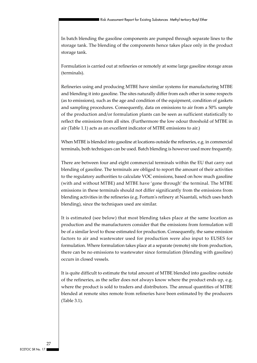In batch blending the gasoline components are pumped through separate lines to the storage tank. The blending of the components hence takes place only in the product storage tank.

Formulation is carried out at refineries or remotely at some large gasoline storage areas (terminals).

Refineries using and producing MTBE have similar systems for manufacturing MTBE and blending it into gasoline. The sites naturally differ from each other in some respects (as to emissions), such as the age and condition of the equipment, condition of gaskets and sampling procedures. Consequently, data on emissions to air from a 50% sample of the production and/or formulation plants can be seen as sufficient statistically to reflect the emissions from all sites. (Furthermore the low odour threshold of MTBE in air (Table 1.1) acts as an excellent indicator of MTBE emissions to air.)

When MTBE is blended into gasoline at locations outside the refineries, e.g. in commercial terminals, both techniques can be used. Batch blending is however used more frequently.

There are between four and eight commercial terminals within the EU that carry out blending of gasoline. The terminals are obliged to report the amount of their activities to the regulatory authorities to calculate VOC emissions, based on how much gasoline (with and without MTBE) and MTBE have 'gone through' the terminal. The MTBE emissions in these terminals should not differ significantly from the emissions from blending activities in the refineries (e.g. Fortum's refinery at Naantali, which uses batch blending), since the techniques used are similar.

It is estimated (see below) that most blending takes place at the same location as production and the manufacturers consider that the emissions from formulation will be of a similar level to those estimated for production. Consequently, the same emission factors to air and wastewater used for production were also input to EUSES for formulation. Where formulation takes place at a separate (remote) site from production, there can be no emissions to wastewater since formulation (blending with gasoline) occurs in closed vessels.

It is quite difficult to estimate the total amount of MTBE blended into gasoline outside of the refineries, as the seller does not always know where the product ends up, e.g. where the product is sold to traders and distributors. The annual quantities of MTBE blended at remote sites remote from refineries have been estimated by the producers (Table 3.1).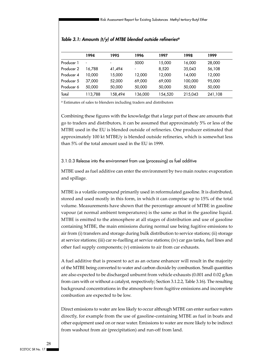|            | 1994    | 1995    | 1996    | 1997    | 1998    | 1999    |
|------------|---------|---------|---------|---------|---------|---------|
| Producer 1 | ٠       |         | 5000    | 15,000  | 16,000  | 28,000  |
| Producer 2 | 16.788  | 41,494  | -       | 8,520   | 35,043  | 56,108  |
| Producer 4 | 10,000  | 15,000  | 12.000  | 12,000  | 14,000  | 12,000  |
| Producer 5 | 37,000  | 52,000  | 69,000  | 69,000  | 100,000 | 95,000  |
| Producer 6 | 50,000  | 50,000  | 50,000  | 50,000  | 50,000  | 50,000  |
| Total      | 113,788 | 158,494 | 136,000 | 154,520 | 215,043 | 241,108 |

#### **Table 3.1: Amounts (t/y) of MTBE blended outside refineries<sup>a</sup>**

<sup>a</sup> Estimates of sales to blenders including traders and distributors

Combining these figures with the knowledge that a large part of these are amounts that go to traders and distributors, it can be assumed that approximately 5% or less of the MTBE used in the EU is blended outside of refineries. One producer estimated that approximately 100 kt MTBE/y is blended outside refineries, which is somewhat less than 5% of the total amount used in the EU in 1999.

#### 3.1.0.3 Release into the environment from use (processing) as fuel additive

MTBE used as fuel additive can enter the environment by two main routes: evaporation and spillage.

MTBE is a volatile compound primarily used in reformulated gasoline. It is distributed, stored and used mostly in this form, in which it can comprise up to 15% of the total volume. Measurements have shown that the percentage amount of MTBE in gasoline vapour (at normal ambient temperatures) is the same as that in the gasoline liquid. MTBE is emitted to the atmosphere at all stages of distribution and use of gasoline containing MTBE, the main emissions during normal use being fugitive emissions to air from (i) transfers and storage during bulk distribution to service stations; (ii) storage at service stations; (iii) car re-fuelling at service stations; (iv) car gas tanks, fuel lines and other fuel supply components; (v) emissions to air from car exhausts.

A fuel additive that is present to act as an octane enhancer will result in the majority of the MTBE being converted to water and carbon dioxide by combustion. Small quantities are also expected to be discharged unburnt from vehicle exhausts (0.001 and 0.02 g/km from cars with or without a catalyst, respectively; Section 3.1.2.2, Table 3.16). The resulting background concentrations in the atmosphere from fugitive emissions and incomplete combustion are expected to be low.

Direct emissions to water are less likely to occur although MTBE can enter surface waters directly, for example from the use of gasoline-containing MTBE as fuel in boats and other equipment used on or near water. Emissions to water are more likely to be indirect from washout from air (precipitation) and run-off from land.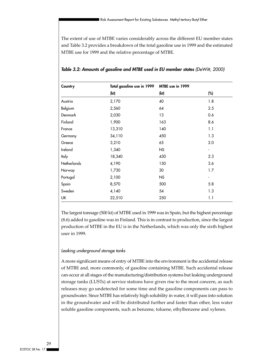The extent of use of MTBE varies considerably across the different EU member states and Table 3.2 provides a breakdown of the total gasoline use in 1999 and the estimated MTBE use for 1999 and the relative percentage of MTBE.

| Country     | Total gasoline use in 1999 | MTBE use in 1999 |     |
|-------------|----------------------------|------------------|-----|
|             | (kt)                       | (kt)             | (%) |
| Austria     | 2,170                      | 40               | 1.8 |
| Belgium     | 2,560                      | 64               | 2.5 |
| Denmark     | 2,030                      | 13               | 0.6 |
| Finland     | 1,900                      | 163              | 8.6 |
| France      | 13,310                     | 140              | 1.1 |
| Germany     | 34,110                     | 450              | 1.3 |
| Greece      | 3,210                      | 65               | 2.0 |
| Ireland     | 1,340                      | <b>NS</b>        | -   |
| Italy       | 18,340                     | 430              | 2.3 |
| Netherlands | 4,190                      | 150              | 3.6 |
| Norway      | 1,730                      | 30               | 1.7 |
| Portugal    | 2,100                      | <b>NS</b>        |     |
| Spain       | 8,570                      | 500              | 5.8 |
| Sweden      | 4,140                      | 54               | 1.3 |
| UK          | 22,510                     | 250              | 1.1 |

# **Table 3.2: Amounts of gasoline and MTBE used in EU member states** (DeWitt, 2000)

The largest tonnage (500 kt) of MTBE used in 1999 was in Spain, but the highest percentage (8.6) added to gasoline was in Finland. This is in contrast to production, since the largest production of MTBE in the EU is in the Netherlands, which was only the sixth highest user in 1999.

### Leaking underground storage tanks

A more significant means of entry of MTBE into the environment is the accidental release of MTBE and, more commonly, of gasoline containing MTBE. Such accidental release can occur at all stages of the manufacturing/distribution systems but leaking underground storage tanks (LUSTs) at service stations have given rise to the most concern, as such releases may go undetected for some time and the gasoline components can pass to groundwater. Since MTBE has relatively high solubility in water, it will pass into solution in the groundwater and will be distributed further and faster than other, less water soluble gasoline components, such as benzene, toluene, ethylbenzene and xylenes.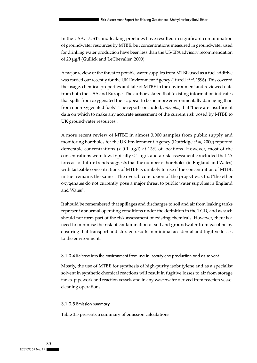In the USA, LUSTs and leaking pipelines have resulted in significant contamination of groundwater resources by MTBE, but concentrations measured in groundwater used for drinking water production have been less than the US-EPA advisory recommendation of 20 µg/l (Gullick and LeChevalier, 2000).

A major review of the threat to potable water supplies from MTBE used as a fuel additive was carried out recently for the UK Environment Agency (Turrell *et al*, 1996). This covered the usage, chemical properties and fate of MTBE in the environment and reviewed data from both the USA and Europe. The authors stated that "existing information indicates that spills from oxygenated fuels appear to be no more environmentally damaging than from non-oxygenated fuels". The report concluded, *inter alia*, that "there are insufficient data on which to make any accurate assessment of the current risk posed by MTBE to UK groundwater resources".

A more recent review of MTBE in almost 3,000 samples from public supply and monitoring boreholes for the UK Environment Agency (Dottridge *et al*, 2000) reported detectable concentrations  $(> 0.1 \mu g/l)$  at 13% of locations. However, most of the concentrations were low, typically < 1 µg/l, and a risk assessment concluded that "A forecast of future trends suggests that the number of boreholes (in England and Wales) with tasteable concentrations of MTBE is unlikely to rise if the concentration of MTBE in fuel remains the same". The overall conclusion of the project was that"the ether oxygenates do not currently pose a major threat to public water supplies in England and Wales".

It should be remembered that spillages and discharges to soil and air from leaking tanks represent abnormal operating conditions under the definition in the TGD, and as such should not form part of the risk assessment of existing chemicals. However, there is a need to minimise the risk of contamination of soil and groundwater from gasoline by ensuring that transport and storage results in minimal accidental and fugitive losses to the environment.

### 3.1.0.4 Release into the environment from use in isobutylene production and as solvent

Mostly, the use of MTBE for synthesis of high-purity isobutylene and as a specialist solvent in synthetic chemical reactions will result in fugitive losses to air from storage tanks, pipework and reaction vessels and in any wastewater derived from reaction vessel cleaning operations.

3.1.0.5 Emission summary

Table 3.3 presents a summary of emission calculations.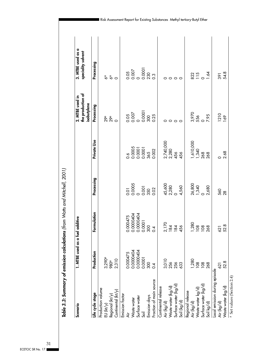| Scenario                            | 1. MTBE used as a fuel additive |                                              |                                |                                                                 | the production of<br>2. MTBE used in | 3. MTBE used as a<br>speciality solvent |
|-------------------------------------|---------------------------------|----------------------------------------------|--------------------------------|-----------------------------------------------------------------|--------------------------------------|-----------------------------------------|
|                                     | Production                      | Formulation                                  |                                | Private Use                                                     | isobutylene                          |                                         |
| Life cycle stage                    |                                 |                                              | Processing                     |                                                                 | Processing                           | Processing                              |
| Production volume                   |                                 |                                              |                                |                                                                 |                                      |                                         |
| EU (kt/y)                           | 3,290 <sup>a</sup>              |                                              |                                |                                                                 |                                      | $\delta$                                |
| Regional (kt/y)                     | 980 <sup>a</sup>                |                                              |                                |                                                                 | 8 &<br>2 O                           | $\delta$ o                              |
| Continental (kt/y)                  | 2,310                           |                                              |                                |                                                                 |                                      |                                         |
| Emission factor                     |                                 |                                              |                                |                                                                 |                                      |                                         |
| خة                                  | 0.000475                        |                                              |                                |                                                                 |                                      |                                         |
| Waste water                         |                                 |                                              |                                |                                                                 |                                      |                                         |
| Surface water                       | 0.0000404<br>0.0000404          |                                              |                                |                                                                 |                                      |                                         |
|                                     | 0.0001                          | 0.000475<br>0.0000404<br>0.0000404<br>0.0001 | 5<br>0000<br>0000000<br>000000 |                                                                 | 0.007<br>0.0007<br>0.0007<br>0.25    | 0.05<br>0.000<br>0.0001<br>0.3<br>0.3   |
| Emission days                       | 300                             | 300                                          |                                |                                                                 |                                      |                                         |
| Fraction of main source             | $\overline{0}$                  | $\overline{6}$                               |                                |                                                                 |                                      |                                         |
| Continental release                 |                                 |                                              |                                |                                                                 |                                      |                                         |
| Air (kg/d)                          | 3,010                           | 2,170                                        | 45,600<br>2,280<br>0           | 2,740,000<br>2,280<br>456<br>456                                | $\circ$                              |                                         |
| Waste water (kg/d)                  | 256                             | 184                                          |                                |                                                                 | $\circ \circ \circ$                  |                                         |
| Surface water (kg/d)<br>Soil (kg/d) | 256                             | 184                                          |                                |                                                                 |                                      | $\circ \circ \circ$                     |
|                                     | 633                             | 456                                          | 4,560                          |                                                                 |                                      |                                         |
| Regional release                    |                                 |                                              |                                |                                                                 |                                      |                                         |
| Air (kg/d)                          | 1,280                           | 1,280                                        | 26,800<br>1,340<br>0           |                                                                 |                                      | $\frac{822}{15}$                        |
| Waste water kg/d)                   | $\frac{80}{1}$                  | $\overline{108}$                             |                                |                                                                 |                                      |                                         |
| Surface water (kg/d)                | 108                             | 108                                          |                                |                                                                 |                                      |                                         |
| Soil kg/d)                          | 268                             | 268                                          | 2,680                          | $\begin{array}{c} 1,610,000 \\ 1,340 \\ 268 \\ 268 \end{array}$ | 3,970<br>556<br>7.95                 | 1.64                                    |
| Local emission during episode       |                                 |                                              |                                |                                                                 |                                      |                                         |
| Air (kg/d)                          | 621                             | 621                                          | 560<br>28                      | $\frac{0}{2.68}$                                                | $\frac{1210}{169}$                   | $391$<br>$54.8$                         |
| Waste water (kg/d)                  | 52.8                            | 52.8                                         |                                |                                                                 |                                      |                                         |

| Summary of emission calculations (from Wats and Mitchel |
|---------------------------------------------------------|
|                                                         |
|                                                         |
|                                                         |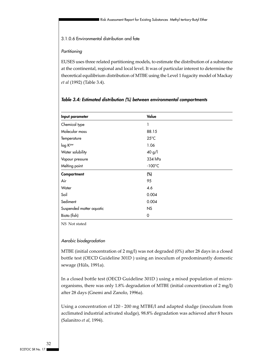### 3.1.0.6 Environmental distribution and fate

#### **Partitioning**

EUSES uses three related partitioning models, to estimate the distribution of a substance at the continental, regional and local level. It was of particular interest to determine the theoretical equilibrium distribution of MTBE using the Level 1 fugacity model of Mackay *et al* (1992) (Table 3.4).

| Input parameter          | Value            |  |
|--------------------------|------------------|--|
| Chemical type            | 1                |  |
| Molecular mass           | 88.15            |  |
| Temperature              | $25^{\circ}$ C   |  |
| log Kow                  | 1.06             |  |
| Water solubility         | 40 g/l           |  |
| Vapour pressure          | 334 hPa          |  |
| Melting point            | $-100^{\circ}$ C |  |
| Compartment              | (%)              |  |
| Air                      | 95               |  |
| Water                    | 4.6              |  |
| Soil                     | 0.004            |  |
| Sediment                 | 0.004            |  |
| Suspended matter aquatic | <b>NS</b>        |  |
| Biota (fish)             | 0                |  |

### **Table 3.4: Estimated distribution (%) between environmental compartments**

NS Not stated

#### Aerobic biodegradation

MTBE (initial concentration of 2 mg/l) was not degraded (0%) after 28 days in a closed bottle test (OECD Guideline 301D ) using an inoculum of predominantly domestic sewage (Hüls, 1991a).

In a closed bottle test (OECD Guideline 301D ) using a mixed population of microorganisms, there was only 1.8% degradation of MTBE (initial concentration of 2 mg/l) after 28 days (Gnemi and Zanolo, 1996a).

Using a concentration of 120 - 200 mg MTBE/l and adapted sludge (inoculum from acclimated industrial activated sludge), 98.8% degradation was achieved after 8 hours (Salanitro *et al*, 1994).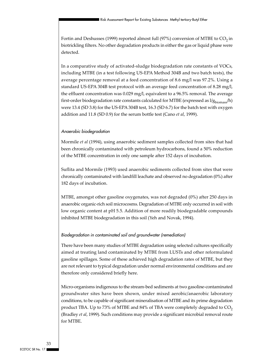Fortin and Deshusses (1999) reported almost full (97%) conversion of MTBE to  $CO<sub>2</sub>$  in biotrickling filters. No other degradation products in either the gas or liquid phase were detected.

In a comparative study of activated-sludge biodegradation rate constants of VOCs, including MTBE (in a test following US-EPA Method 304B and two batch tests), the average percentage removal at a feed concentration of 8.6 mg/l was 97.2%. Using a standard US-EPA 304B test protocol with an average feed concentration of 8.28 mg/l, the effluent concentration was 0.029 mg/l, equivalent to a 96.5% removal. The average first-order biodegradation rate constants calculated for MTBE (expressed as  $1/g_{\text{biomass}}/h$ ) were 13.4 (SD 3.8) for the US-EPA 304B test, 16.3 (SD 6.7) for the batch test with oxygen addition and 11.8 (SD 0.9) for the serum bottle test (Cano *et al*, 1999).

### Anaerobic biodegradation

Mormile *et al* (1994), using anaerobic sediment samples collected from sites that had been chronically contaminated with petroleum hydrocarbons, found a 50% reduction of the MTBE concentration in only one sample after 152 days of incubation.

Suflita and Mormile (1993) used anaerobic sediments collected from sites that were chronically contaminated with landfill leachate and observed no degradation (0%) after 182 days of incubation.

MTBE, amongst other gasoline oxygenates, was not degraded (0%) after 250 days in anaerobic organic-rich soil microcosms. Degradation of MTBE only occurred in soil with low organic content at pH 5.5. Addition of more readily biodegradable compounds inhibited MTBE biodegradation in this soil (Yeh and Novak, 1994).

### Biodegradation in contaminated soil and groundwater (remediation)

There have been many studies of MTBE degradation using selected cultures specifically aimed at treating land contaminated by MTBE from LUSTs and other reformulated gasoline spillages. Some of these achieved high degradation rates of MTBE, but they are not relevant to typical degradation under normal environmental conditions and are therefore only considered briefly here.

Micro-organisms indigenous to the stream-bed sediments at two gasoline-contaminated groundwater sites have been shown, under mixed aerobic/anaerobic laboratory conditions, to be capable of significant mineralisation of MTBE and its prime degradation product TBA. Up to 73% of MTBE and 84% of TBA were completely degraded to  $CO<sub>2</sub>$ (Bradley *et al*, 1999). Such conditions may provide a significant microbial removal route for MTBE.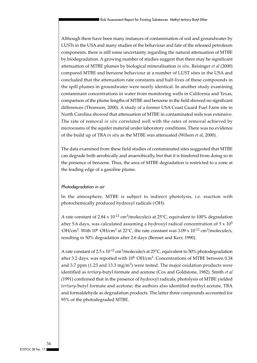Although there have been many instances of contamination of soil and groundwater by LUSTs in the USA and many studies of the behaviour and fate of the released petroleum components, there is still some uncertainty regarding the natural attenuation of MTBE by biodegradation. A growing number of studies suggest that there may be significant attenuation of MTBE plumes by biological mineralisation *in situ*. Reisinger *et al* (2000) compared MTBE and benzene behaviour at a number of LUST sites in the USA and concluded that the attenuation rate constants and half-lives of these compounds in the spill plumes in groundwater were nearly identical. In another study examining contaminant concentrations in water from monitoring wells in California and Texas, comparison of the plume lengths of MTBE and benzene in the field showed no significant differences (Thomson, 2000). A study of a former USA Coast Guard Fuel Farm site in North Carolina showed that attenuation of MTBE in contaminated soils was extensive. The rate of removal *in situ* correlated well with the rates of removal achieved by microcosms of the aquifer material under laboratory conditions. There was no evidence of the build up of TBA *in situ* as the MTBE was attenuated (Wilson *et al*, 2000).

The data examined from these field studies of contaminated sites suggested that MTBE can degrade both aerobically and anaerobically, but that it is hindered from doing so in the presence of benzene. Thus, the area of MTBE degradation is restricted to a zone at the leading edge of a gasoline plume.

### Photodegradation in air

In the atmosphere, MTBE is subject to indirect photolysis, i.e. reaction with photochemically produced hydroxyl radicals (**.** OH).

A rate constant of  $2.84 \times 10^{-12}$  cm<sup>3</sup>/molecule/s at  $25^{\circ}$ C, equivalent to 100% degradation after 5.6 days, was calculated assuming a hydroxyl radical concentration of  $5 \times 10^5$  $\cdot$ OH/cm<sup>3</sup>. With 10<sup>6</sup>  $\cdot$ OH/cm<sup>3</sup> at 22 $\cdot$ C, the rate constant was 3.09 x 10<sup>-12</sup> cm<sup>3</sup>/molecule/s, resulting in 50% degradation after 2.6 days (Bennet and Kerr, 1990).

A rate constant of  $2.5 \times 10^{-12}$  cm<sup>3</sup>/molecule/s at  $25^{\circ}$ C, equivalent to 50% photodegradation after 3.2 days, was reported with 10<sup>6</sup> ·OH/cm<sup>3</sup>. Concentrations of MTBE between 0.34 and 3.7 ppm (1.23 and 13.3 mg/m<sup>3</sup>) were tested. The major oxidation products were identified as *tertiary*-butyl formate and acetone (Cox and Goldstone, 1982). Smith *et al* (1991) confirmed that in the presence of hydroxyl radicals, photolysis of MTBE yielded *tertiary*-butyl formate and acetone; the authors also identified methyl acetate, TBA and formaldehyde as degradation products. The latter three compounds accounted for 95% of the photodegraded MTBE.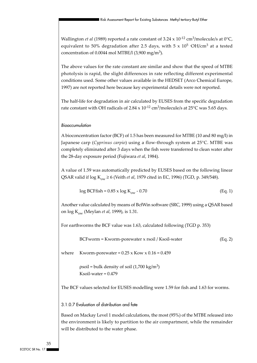Wallington *et al* (1989) reported a rate constant of 3.24 x 10<sup>-12</sup> cm<sup>3</sup>/molecule/s at 0°C, equivalent to 50% degradation after 2.5 days, with 5 x 10<sup>5</sup> **.** OH/cm<sup>3</sup> at a tested concentration of 0.0044 mol MTBE/l  $(3,900 \text{ mg/m}^3)$ .

The above values for the rate constant are similar and show that the speed of MTBE photolysis is rapid, the slight differences in rate reflecting different experimental conditions used. Some other values available in the HEDSET (Arco Chemical Europe, 1997) are not reported here because key experimental details were not reported.

The half-life for degradation in air calculated by EUSES from the specific degradation rate constant with OH radicals of  $2.84 \times 10^{-12}$  cm<sup>3</sup>/molecule/s at  $25^{\circ}$ C was 5.65 days.

### Bioaccumulation

A bioconcentration factor (BCF) of 1.5 has been measured for MTBE (10 and 80 mg/l) in Japanese carp (*Cyprinus carpio*) using a flow-through system at 25°C. MTBE was completely eliminated after 3 days when the fish were transferred to clean water after the 28-day exposure period (Fujiwara *et al*, 1984).

A value of 1.59 was automatically predicted by EUSES based on the following linear QSAR valid if log K<sub>ow</sub> ≥ 6 (Veith *et al*, 1979 cited in EC, 1996) (TGD, p. 349/548).

$$
\log \text{BCFfish} = 0.85 \times \log \text{K}_{\text{ow}} - 0.70 \tag{Eq. 1}
$$

Another value calculated by means of BcfWin software (SRC, 1999) using a QSAR based on  $\log K_{ow}$  (Meylan *et al*, 1999), is 1.31.

For earthworms the BCF value was 1.63, calculated following (TGD p. 353)

BCFworm = Kworm-porewater x rsoil / Ksoil-water (Eq. 2)

where Kworm-porewater =  $0.25 \times$  Kow  $\times$  0.16 = 0.459

 $\text{psoil} = \text{bulk density of soil } (1,700 \text{ kg/m}^3)$ Ksoil-water  $= 0.479$ 

The BCF values selected for EUSES modelling were 1.59 for fish and 1.63 for worms.

3.1.0.7 Evaluation of distribution and fate

Based on Mackay Level 1 model calculations, the most (95%) of the MTBE released into the environment is likely to partition to the air compartment, while the remainder will be distributed to the water phase.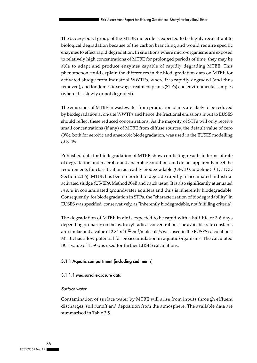The *tertiary*-butyl group of the MTBE molecule is expected to be highly recalcitrant to biological degradation because of the carbon branching and would require specific enzymes to effect rapid degradation. In situations where micro-organisms are exposed to relatively high concentrations of MTBE for prolonged periods of time, they may be able to adapt and produce enzymes capable of rapidly degrading MTBE. This phenomenon could explain the differences in the biodegradation data on MTBE for activated sludge from industrial WWTPs, where it is rapidly degraded (and thus removed), and for domestic sewage treatment plants (STPs) and environmental samples (where it is slowly or not degraded).

The emissions of MTBE in wastewater from production plants are likely to be reduced by biodegradation at on-site WWTPs and hence the fractional emissions input to EUSES should reflect these reduced concentrations. As the majority of STPs will only receive small concentrations (if any) of MTBE from diffuse sources, the default value of zero (0%), both for aerobic and anaerobic biodegradation, was used in the EUSES modelling of STPs.

Published data for biodegradation of MTBE show conflicting results in terms of rate of degradation under aerobic and anaerobic conditions and do not apparently meet the requirements for classification as readily biodegradable (OECD Guideline 301D; TGD Section 2.3.6). MTBE has been reported to degrade rapidly in acclimated industrial activated sludge (US-EPA Method 304B and batch tests). It is also significantly attenuated *in situ* in contaminated groundwater aquifers and thus is inherently biodegradable. Consequently, for biodegradation in STPs, the "characterisation of biodegradability" in EUSES was specified, conservatively, as "inherently biodegradable, not fulfilling criteria".

The degradation of MTBE in air is expected to be rapid with a half-life of 3-6 days depending primarily on the hydroxyl radical concentration. The available rate constants are similar and a value of  $2.84 \times 10^{12}$  cm<sup>3</sup>/molecule/s was used in the EUSES calculations. MTBE has a low potential for bioaccumulation in aquatic organisms. The calculated BCF value of 1.59 was used for further EUSES calculations.

### **3.1.1 Aquatic compartment (including sediments)**

### 3.1.1.1 Measured exposure data

### Surface water

Contamination of surface water by MTBE will arise from inputs through effluent discharges, soil runoff and deposition from the atmosphere. The available data are summarised in Table 3.5.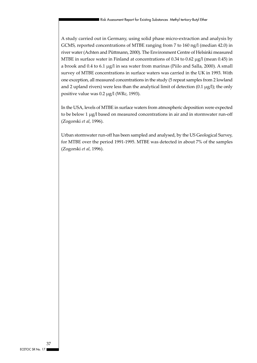A study carried out in Germany, using solid phase micro-extraction and analysis by GCMS, reported concentrations of MTBE ranging from 7 to 160 ng/l (median 42.0) in river water (Achten and Püttmann, 2000). The Environment Centre of Helsinki measured MTBE in surface water in Finland at concentrations of 0.34 to 0.62 µg/l (mean 0.45) in a brook and 0.4 to 6.1 µg/l in sea water from marinas (Piilo and Salla, 2000). A small survey of MTBE concentrations in surface waters was carried in the UK in 1993. With one exception, all measured concentrations in the study (5 repeat samples from 2 lowland and 2 upland rivers) were less than the analytical limit of detection  $(0.1 \mu g/l)$ ; the only positive value was 0.2 µg/l (WRc, 1993).

In the USA, levels of MTBE in surface waters from atmospheric deposition were expected to be below 1 µg/l based on measured concentrations in air and in stormwater run-off (Zogorski *et al*, 1996).

Urban stormwater run-off has been sampled and analysed, by the US Geological Survey, for MTBE over the period 1991-1995. MTBE was detected in about 7% of the samples (Zogorski *et al*, 1996).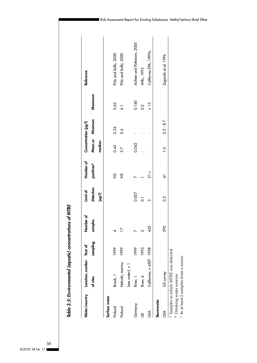| Water/country                       | Location, number Year of                         |          | Number of      | Limit of         | Number of              | Concentration (µg/l) |                 |                | Reference                 |
|-------------------------------------|--------------------------------------------------|----------|----------------|------------------|------------------------|----------------------|-----------------|----------------|---------------------------|
|                                     | of sites                                         | sampling | samples        | detection        | positives <sup>a</sup> |                      | Mean or Minimum | Maximum        |                           |
|                                     |                                                  |          |                | (l/Grl)          |                        | median               |                 |                |                           |
| Surface water                       |                                                  |          |                |                  |                        |                      |                 |                |                           |
| Finland                             | Brook, 1                                         | 1999     |                |                  | $\frac{5}{2}$          | 0.45                 | 0.34            | 0.62           | Piilo and Salla, 2000     |
| Finland                             | Helsinki, marina                                 | 1999     | $\overline{C}$ |                  | $\frac{8}{2}$          | 2.7                  | 0.4             | $\overline{6}$ | Piilo and Salla, 2000     |
|                                     | sec (water)  > 1                                 |          |                |                  |                        |                      |                 |                |                           |
| Germany                             | River, 1                                         | 1999     |                | 0.007            |                        | 0.042                |                 | 0.160          | Achten and Püttmann, 2000 |
| š                                   | River, 4                                         | 1993     |                | $\overline{0}$   |                        |                      |                 | 0.2            | WRc, 1993                 |
| USA                                 | California, > 450 <sup>b</sup> 1998              |          | 455            | ო                | 21 c                   |                      |                 | $\frac{2}{13}$ | California EPA, 1999a     |
| Stormwater                          |                                                  |          |                |                  |                        |                      |                 |                |                           |
| USA                                 | GS survey                                        |          | 592            | $\overline{0.2}$ | ╤                      | $\frac{1}{2}$        | $0.2 - 8.7$     |                | Zogorski et al, 1996      |
| <sup>b</sup> Drinking water sources | <sup>a</sup> Samples in which MTBE was detected  |          |                |                  |                        |                      |                 |                |                           |
|                                     | <sup>c</sup> In at least 2 samples from a source |          |                |                  |                        |                      |                 |                |                           |

Table 3.5: Environmental (aquatic) concentrations of MTBE **Table 3.5: Environmental (aquatic) concentrations of MTBE**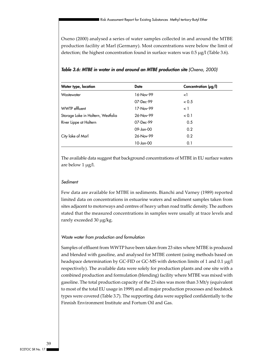Oxeno (2000) analysed a series of water samples collected in and around the MTBE production facility at Marl (Germany). Most concentrations were below the limit of detection; the highest concentration found in surface waters was 0.5 µg/l (Table 3.6).

| Water type, location               | <b>Date</b> | Concentration $\frac{\mu g}{l}$ |
|------------------------------------|-------------|---------------------------------|
| Wastewater                         | 16-Nov-99   | $\leq$                          |
|                                    | 07-Dec-99   | < 0.5                           |
| WWTP effluent                      | 17-Nov-99   | $\leq$ 1                        |
| Storage Lake in Haltern, Westfalia | 26-Nov-99   | < 0.1                           |
| River Lippe at Haltern             | 07-Dec-99   | 0.5                             |
|                                    | 09-Jan-00   | 0.2                             |
| City lake of Marl                  | 26-Nov-99   | 0.2                             |
|                                    | 10-Jan-00   | 0.1                             |

**Table 3.6: MTBE in water in and around an MTBE production site** (Oxeno, 2000)

The available data suggest that background concentrations of MTBE in EU surface waters are below 1  $\mu$ g/l.

#### Sediment

Few data are available for MTBE in sediments. Bianchi and Varney (1989) reported limited data on concentrations in estuarine waters and sediment samples taken from sites adjacent to motorways and centres of heavy urban road traffic density. The authors stated that the measured concentrations in samples were usually at trace levels and rarely exceeded 30 µg/kg.

### Waste water from production and formulation

Samples of effluent from WWTP have been taken from 23 sites where MTBE is produced and blended with gasoline, and analysed for MTBE content (using methods based on headspace determination by GC-FID or GC-MS with detection limits of 1 and 0.1 µg/l respectively). The available data were solely for production plants and one site with a combined production and formulation (blending) facility where MTBE was mixed with gasoline. The total production capacity of the 23 sites was more than 3 Mt/y (equivalent to most of the total EU usage in 1999) and all major production processes and feedstock types were covered (Table 3.7). The supporting data were supplied confidentially to the Finnish Environment Institute and Fortum Oil and Gas.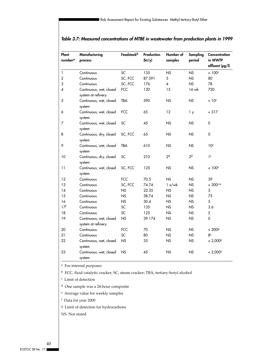| Plant<br>number <sup>a</sup> | Manufacturing<br>process                      | Feedstock <sup>b</sup> | Production<br>(kt/y) | Number of<br>samples    | Sampling<br>period | Concentration<br>in WWTP<br>effluent (µg/l) |
|------------------------------|-----------------------------------------------|------------------------|----------------------|-------------------------|--------------------|---------------------------------------------|
| 1                            | Continuous                                    | SC                     | 135                  | <b>NS</b>               | NS                 | < 100 <sup>c</sup>                          |
| $\mathbf{2}$                 | Continuous                                    | SC, FCC                | 87.591               | 5                       | NS                 | 80                                          |
| 3                            | Continuous                                    | SC, FCC                | 176                  | $\overline{\mathbf{4}}$ | <b>NS</b>          | 78                                          |
| 4                            | Continuous, wet, closed<br>system at refinery | <b>FCC</b>             | 120                  | 15                      | 16 wk              | 720                                         |
| 5                            | Continuous, wet, closed<br>system             | <b>TBA</b>             | 590                  | <b>NS</b>               | <b>NS</b>          | < 10 <sup>c</sup>                           |
| 6                            | Continuous, wet, closed<br>system             | <b>FCC</b>             | 65                   | 12                      | 1 y                | < 317                                       |
| 7                            | Continuous, wet, closed<br>system             | SC                     | 45                   | <b>NS</b>               | <b>NS</b>          | $\mathsf{O}\xspace$                         |
| 8                            | Continuous, dry, closed<br>system             | SC, FCC                | 65                   | <b>NS</b>               | <b>NS</b>          | 0                                           |
| 9                            | Continuous, wet, closed<br>system             | <b>TBA</b>             | 610                  | <b>NS</b>               | <b>NS</b>          | 10 <sup>c</sup>                             |
| 10                           | Continuous, dry, closed<br>system             | SC                     | 210                  | 2 <sup>d</sup>          | 2 <sup>d</sup>     | 1 <sup>c</sup>                              |
| 11                           | Continuous, wet, closed<br>system             | SC, FCC                | 125                  | <b>NS</b>               | <b>NS</b>          | < 100 <sup>c</sup>                          |
| 12                           | Continuous                                    | <b>FCC</b>             | 70.5                 | NS                      | <b>NS</b>          | 39                                          |
| 13                           | Continuous                                    | SC, FCC                | 74.74                | 1 x/wk                  | <b>NS</b>          | $< 200^{c,e}$                               |
| 14                           | Continuous                                    | NS                     | 22.35                | <b>NS</b>               | NS.                | 5                                           |
| 15                           | Continuous                                    | NS                     | 38.74                | <b>NS</b>               | NS                 | 75                                          |
| 16                           | Continuous                                    | NS                     | 30.4                 | <b>NS</b>               | <b>NS</b>          | 5                                           |
| 17 <sup>f</sup>              | Continuous                                    | SC                     | 135                  | <b>NS</b>               | <b>NS</b>          | 3.6                                         |
| 18                           | Continuous                                    | SC                     | 125                  | NS.                     | NS.                | 5                                           |
| 19                           | Continuous, wet, closed                       | NS                     | 39.174               | NS.                     | NS.                | 0                                           |
|                              | system at refinery                            |                        |                      |                         |                    |                                             |
| 20                           | Continuous                                    | <b>FCC</b>             | 70                   | NS.                     | NS                 | $<$ 300 $9$                                 |
| 21                           | Continuous                                    | SC                     | 80                   | <b>NS</b>               | <b>NS</b>          | 8 <sup>c</sup>                              |
| 22                           | Continuous, wet, closed<br>system             | NS                     | 35                   | NS.                     | NS.                | $< 2,000$ <sup>c</sup>                      |
| 23                           | Continuous, wet, closed<br>system             | <b>NS</b>              | 45                   | <b>NS</b>               | <b>NS</b>          | $< 2,000$ <sup>c</sup>                      |

# **Table 3.7: Measured concentrations of MTBE in wastewater from production plants in 1999**

<sup>a</sup> For internal purposes

<sup>b</sup> FCC, fluid catalytic cracker; SC, steam cracker; TBA, tertiary-butyl alcohol

<sup>c</sup> Limit of detection

<sup>d</sup> One sample was a 24-hour composite

<sup>e</sup> Average value for weekly samples

<sup>f</sup> Data for year 2000

<sup>g</sup> Limit of detection for hydrocarbons

NS Not stated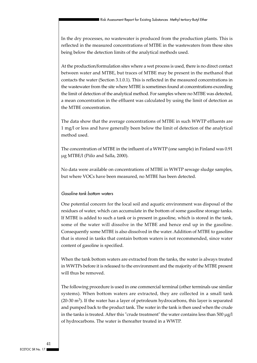In the dry processes, no wastewater is produced from the production plants. This is reflected in the measured concentrations of MTBE in the wastewaters from these sites being below the detection limits of the analytical methods used.

At the production/formulation sites where a wet process is used, there is no direct contact between water and MTBE, but traces of MTBE may be present in the methanol that contacts the water (Section 3.1.0.1). This is reflected in the measured concentrations in the wastewater from the site where MTBE is sometimes found at concentrations exceeding the limit of detection of the analytical method. For samples where no MTBE was detected, a mean concentration in the effluent was calculated by using the limit of detection as the MTBE concentration.

The data show that the average concentrations of MTBE in such WWTP effluents are 1 mg/l or less and have generally been below the limit of detection of the analytical method used.

The concentration of MTBE in the influent of a WWTP (one sample) in Finland was 0.91 µg MTBE/l (Piilo and Salla, 2000).

No data were available on concentrations of MTBE in WWTP sewage sludge samples, but where VOCs have been measured, no MTBE has been detected.

### Gasoline tank bottom waters

One potential concern for the local soil and aquatic environment was disposal of the residues of water, which can accumulate in the bottom of some gasoline storage tanks. If MTBE is added to such a tank or is present in gasoline, which is stored in the tank, some of the water will dissolve in the MTBE and hence end up in the gasoline. Consequently some MTBE is also dissolved in the water. Addition of MTBE to gasoline that is stored in tanks that contain bottom waters is not recommended, since water content of gasoline is specified.

When the tank bottom waters are extracted from the tanks, the water is always treated in WWTPs before it is released to the environment and the majority of the MTBE present will thus be removed.

The following procedure is used in one commercial terminal (other terminals use similar systems). When bottom waters are extracted, they are collected in a small tank  $(20-30 \text{ m}^3)$ . If the water has a layer of petroleum hydrocarbons, this layer is separated and pumped back to the product tank. The water in the tank is then used when the crude in the tanks is treated. After this "crude treatment" the water contains less than  $500 \mu g/l$ of hydrocarbons. The water is thereafter treated in a WWTP.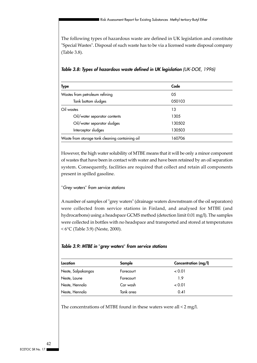The following types of hazardous waste are defined in UK legislation and constitute "Special Wastes". Disposal of such waste has to be via a licensed waste disposal company (Table 3.8).

| <b>Type</b>                                     | Code   |  |
|-------------------------------------------------|--------|--|
| Wastes from petroleum refining                  | 05     |  |
| Tank bottom sludges                             | 050103 |  |
| Oil wastes                                      | 13     |  |
| Oil/water separator contents                    | 1305   |  |
| Oil/water separator sludges                     | 130502 |  |
| Interceptor sludges                             | 130503 |  |
| Waste from storage tank cleaning containing oil | 160706 |  |

## **Table 3.8: Types of hazardous waste defined in UK legislation** (UK-DOE, 1996)

However, the high water solubility of MTBE means that it will be only a minor component of wastes that have been in contact with water and have been retained by an oil separation system. Consequently, facilities are required that collect and retain all components present in spilled gasoline.

### "Grey waters" from service stations

A number of samples of "grey waters" (drainage waters downstream of the oil separators) were collected from service stations in Finland, and analysed for MTBE (and hydrocarbons) using a headspace GCMS method (detection limit 0.01 mg/l). The samples were collected in bottles with no headspace and transported and stored at temperatures < 6°C (Table 3.9) (Neste, 2000).

### **Table 3.9: MTBE in "grey waters" from service stations**

| Location           | Sample    | Concentration (mg/l) |
|--------------------|-----------|----------------------|
| Neste, Salpakangas | Forecourt | < 0.01               |
| Neste, Laune       | Forecourt | 1.9                  |
| Neste, Hennala     | Car wash  | < 0.01               |
| Neste, Hennala     | Tank area | 0.41                 |

The concentrations of MTBE found in these waters were all < 2 mg/l.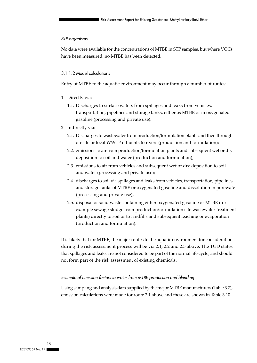### STP organisms

No data were available for the concentrations of MTBE in STP samples, but where VOCs have been measured, no MTBE has been detected.

### 3.1.1.2 Model calculations

Entry of MTBE to the aquatic environment may occur through a number of routes:

- 1. Directly via:
	- 1.1. Discharges to surface waters from spillages and leaks from vehicles, transportation, pipelines and storage tanks, either as MTBE or in oxygenated gasoline (processing and private use).

## 2. Indirectly via:

- 2.1. Discharges to wastewater from production/formulation plants and then through on-site or local WWTP effluents to rivers (production and formulation);
- 2.2. emissions to air from production/formulation plants and subsequent wet or dry deposition to soil and water (production and formulation);
- 2.3. emissions to air from vehicles and subsequent wet or dry deposition to soil and water (processing and private use);
- 2.4. discharges to soil via spillages and leaks from vehicles, transportation, pipelines and storage tanks of MTBE or oxygenated gasoline and dissolution in porewate (processing and private use);
- 2.5. disposal of solid waste containing either oxygenated gasoline or MTBE (for example sewage sludge from production/formulation site wastewater treatment plants) directly to soil or to landfills and subsequent leaching or evaporation (production and formulation).

It is likely that for MTBE, the major routes to the aquatic environment for consideration during the risk assessment process will be via 2.1, 2.2 and 2.3 above. The TGD states that spillages and leaks are not considered to be part of the normal life cycle, and should not form part of the risk assessment of existing chemicals.

# Estimate of emission factors to water from MTBE production and blending

Using sampling and analysis data supplied by the major MTBE manufacturers (Table 3.7), emission calculations were made for route 2.1 above and these are shown in Table 3.10.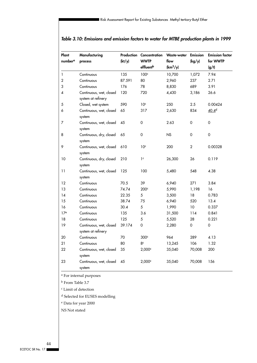| Plant               | Manufacturing           | Production | Concentration       | <b>Waste-water</b> | <b>Emission</b>     | <b>Emission factor</b> |
|---------------------|-------------------------|------------|---------------------|--------------------|---------------------|------------------------|
| number <sup>a</sup> | process                 | (kt/y)     | <b>WWTP</b>         | flow               | (kg/y)              | for WWTP               |
|                     |                         |            | effluentb           | $(km^3/y)$         |                     | (g/t)                  |
| 1                   | Continuous              | 135        | 100c                | 10,700             | 1,072               | 7.94                   |
| 2                   | Continuous              | 87.591     | 80                  | 2,960              | 237                 | 2.71                   |
| 3                   | Continuous              | 176        | 78                  | 8,830              | 689                 | 3.91                   |
| 4                   | Continuous, wet, closed | 120        | 720                 | 4,430              | 3,186               | 26.6                   |
|                     | system at refinery      |            |                     |                    |                     |                        |
| 5                   | Closed, wet system      | 590        | 10 <sup>c</sup>     | 250                | 2.5                 | 0.00424                |
| 6                   | Continuous, wet, closed | 65         | 317                 | 2,630              | 834                 | 40.4 <sup>d</sup>      |
|                     | system                  |            |                     |                    |                     |                        |
| 7                   | Continuous, wet, closed | 45         | $\mathsf{O}\xspace$ | 2.63               | $\mathsf{O}\xspace$ | $\mathsf{O}\xspace$    |
|                     | system                  |            |                     |                    |                     |                        |
| 8                   | Continuous, dry, closed | 65         | $\mathsf{O}\xspace$ | <b>NS</b>          | 0                   | 0                      |
|                     | system                  |            |                     |                    |                     |                        |
| 9                   | Continuous, wet, closed | 610        | 10 <sup>c</sup>     | 200                | $\overline{c}$      | 0.00328                |
|                     | system                  |            |                     |                    |                     |                        |
| 10                  | Continuous, dry, closed | 210        | 1 <sup>c</sup>      | 26,300             | 26                  | 0.119                  |
|                     | system                  |            |                     |                    |                     |                        |
| 11                  | Continuous, wet, closed | 125        | 100                 | 5,480              | 548                 | 4.38                   |
|                     | system                  |            |                     |                    |                     |                        |
| 12                  | Continuous              | 70.5       | 39                  | 6,940              | 271                 | 3.84                   |
| 13                  | Continuous              | 74.74      | 200 <sup>c</sup>    | 5,990              | 1,198               | 16                     |
| 14                  | Continuous              | 22.35      | 5                   | 3,500              | 18                  | 0.783                  |
| 15                  | Continuous              | 38.74      | 75                  | 6,940              | 520                 | 13.4                   |
| 16                  | Continuous              | 30.4       | 5                   | 1,990              | 10                  | 0.337                  |
| 17 <sup>e</sup>     | Continuous              | 135        | 3.6                 | 31,500             | 114                 | 0.841                  |
| 18                  | Continuous              | 125        | 5                   | 5,520              | 28                  | 0.221                  |
| 19                  | Continuous, wet, closed | 39.174     | 0                   | 2,280              | 0                   | $\mathsf{O}\xspace$    |
|                     | system at refinery      |            |                     |                    |                     |                        |
| 20                  | Continuous              | 70         | 300c                | 964                | 289                 | 4.13                   |
| 21                  | Continuous              | 80         | 8 <sup>c</sup>      | 13,245             | 106                 | 1.32                   |
| 22                  | Continuous, wet, closed | 35         | 2,000c              | 35,040             | 70,008              | 200                    |
|                     | system                  |            |                     |                    |                     |                        |
| 23                  | Continuous, wet, closed | 45         | 2,000c              | 35,040             | 70,008              | 156                    |
|                     | system                  |            |                     |                    |                     |                        |

# **Table 3.10: Emissions and emission factors to water for MTBE production plants in 1999**

<sup>a</sup> For internal purposes

<sup>b</sup> From Table 3.7

<sup>c</sup> Limit of detection

<sup>d</sup> Selected for EUSES modelling

<sup>e</sup> Data for year 2000

NS Not stated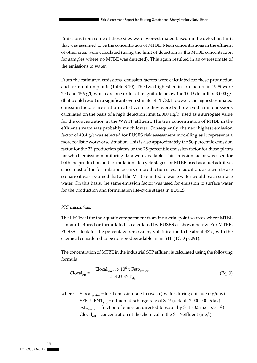Emissions from some of these sites were over-estimated based on the detection limit that was assumed to be the concentration of MTBE. Mean concentrations in the effluent of other sites were calculated (using the limit of detection as the MTBE concentration for samples where no MTBE was detected). This again resulted in an overestimate of the emissions to water.

From the estimated emissions, emission factors were calculated for these production and formulation plants (Table 3.10). The two highest emission factors in 1999 were 200 and 156 g/t, which are one order of magnitude below the TGD default of 3,000 g/t (that would result in a significant overestimate of PECs). However, the highest estimated emission factors are still unrealistic, since they were both derived from emissions calculated on the basis of a high detection limit  $(2,000 \mu g/l)$ , used as a surrogate value for the concentration in the WWTP effluent. The true concentration of MTBE in the effluent stream was probably much lower. Consequently, the next highest emission factor of 40.4 g/t was selected for EUSES risk assessment modelling as it represents a more realistic worst-case situation. This is also approximately the 90-percentile emission factor for the 23 production plants or the 75-percentile emission factor for those plants for which emission monitoring data were available. This emission factor was used for both the production and formulation life-cycle stages for MTBE used as a fuel additive, since most of the formulation occurs on production sites. In addition, as a worst-case scenario it was assumed that all the MTBE emitted to waste water would reach surface water. On this basis, the same emission factor was used for emission to surface water for the production and formulation life-cycle stages in EUSES.

### PEC calculations

The PEClocal for the aquatic compartment from industrial point sources where MTBE is manufactured or formulated is calculated by EUSES as shown below. For MTBE, EUSES calculates the percentage removal by volatilisation to be about 43%, with the chemical considered to be non-biodegradable in an STP (TGD p. 291).

The concentration of MTBE in the industrial STP effluent is calculated using the following formula:

$$
Clocal_{eff} = \frac{Elocal_{water} \times 10^6 \times Fstp_{water}}{EFFLUENT_{stp}}
$$
 (Eq. 3)

where Elocal<sub>water</sub> = local emission rate to (waste) water during episode (kg/day) EFFLUENT<sub>stp</sub> = effluent discharge rate of STP (default 2 000 000 l/day) Fstp<sub>water</sub> = fraction of emission directed to water by STP (0.57 i.e. 57.0 %)  $Clocal_{eff}$  = concentration of the chemical in the STP-effluent (mg/l)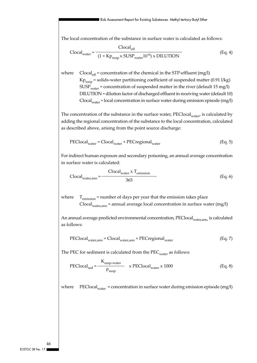The local concentration of the substance in surface water is calculated as follows:

$$
Clocal_{water} = \frac{Clocal_{eff}}{(1 + Kp_{susp} \times SUBP_{water}10^{-6}) \times DILUTION}
$$
 (Eq. 4)

where  $\text{Clocal}_{\text{eff}}$  = concentration of the chemical in the STP-effluent (mg/l)  $Kp_{\text{susp}}$  = solids-water partitioning coefficient of suspended matter (0.91 l/kg)  $SUSP<sub>water</sub>$  = concentration of suspended matter in the river (default 15 mg/l) DILUTION = dilution factor of discharged effluent in receiving water (default 10) Clocal<sub>water</sub> = local concentration in surface water during emission episode (mg/l)

The concentration of the substance in the surface water,  $\text{PECloud}_{\text{water}}$  is calculated by adding the regional concentration of the substance to the local concentration, calculated as described above, arising from the point source discharge:

$$
PEClosedwater = Clocalwater + PEC regionalwater
$$
 (Eq. 5)

For indirect human exposure and secondary poisoning, an annual average concentration in surface water is calculated:

$$
Clocal_{water,ann} = \frac{Clocal_{water} \times T_{emission}}{365}
$$
 (Eq. 6)

where  $T_{emission}$  = number of days per year that the emission takes place  $\text{Clocal}_{\text{water,ann}}$  = annual average local concentration in surface water (mg/l)

An annual average predicted environmental concentration, PEClocal<sub>water,ann</sub> is calculated as follows:

$$
PECloud_{water,ann} = Cloud_{water,ann} + PEC regional_{water}
$$
 (Eq. 7)

The PEC for sediment is calculated from the  $PEC_{water}$  as follows:

$$
PECloudsed = \frac{Ksusp-water}{\rhosusp} \times PEClocalwater \times 1000
$$
 (Eq. 8)

where PEClocal<sub>water</sub> = concentration in surface water during emission episode (mg/l)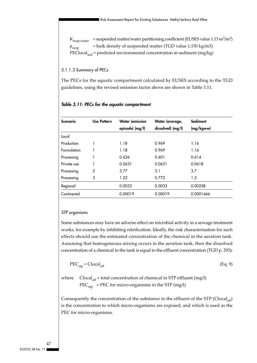$K_{\text{sun-water}}$  = suspended matter/water partitioning coefficient (EUSES value 1.13 m<sup>3</sup>/m<sup>3</sup>)  $\rho_{\text{susp}}$  = bulk density of suspended matter (TGD value 1,150 kg/m3) PEClocal<sub>sed</sub> = predicted environmental concentration in sediment (mg/kg)

#### 3.1.1.3 Summary of PECs

The PECs for the aquatic compartment calculated by EUSES according to the TGD guidelines, using the revised emission factor above are shown in Table 3.11.

| <b>Scenario</b> | Use Pattern | <b>Water (emission</b> | Water (average,   | Sediment  |
|-----------------|-------------|------------------------|-------------------|-----------|
|                 |             | episode) (mg/l)        | dissolved) (mg/l) | (mg/kgww) |
| Local           |             |                        |                   |           |
| Production      |             | 1.18                   | 0.969             | 1.16      |
| Formulation     |             | 1.18                   | 0.969             | 1.16      |
| Processing      |             | 0.626                  | 0.601             | 0.614     |
| Private use     |             | 0.0631                 | 0.0631            | 0.0618    |
| Processing      | 2           | 3.77                   | 3.1               | 3.7       |
| Processing      | 3           | 1.22                   | 0.772             | 1.2       |
| Regional        |             | 0.0033                 | 0.0033            | 0.00258   |
| Continental     |             | 0.00019                | 0.00019           | 0.0001466 |

### **Table 3.11: PECs for the aquatic compartment**

#### STP organisms

Some substances may have an adverse effect on microbial activity in a sewage treatment works, for example by inhibiting nitrification. Ideally, the risk characterisation for such effects should use the estimated concentration of the chemical in the aeration tank. Assuming that homogeneous mixing occurs in the aeration tank, then the dissolved concentration of a chemical in the tank is equal to the effluent concentration (TGD p. 293):

$$
PEC_{\rm stp} = \text{Clocal}_{\rm eff} \tag{Eq. 9}
$$

where  $\text{Clocal}_{\text{eff}}$  = total concentration of chemical in STP effluent (mg/l)  $PEC<sub>str</sub> = PEC$  for micro-organisms in the STP (mg/l)

Consequently the concentration of the substance in the effluent of the STP (Clocal $_{\text{eff}}$ ) is the concentration to which micro-organisms are exposed, and which is used as the PEC for micro-organisms.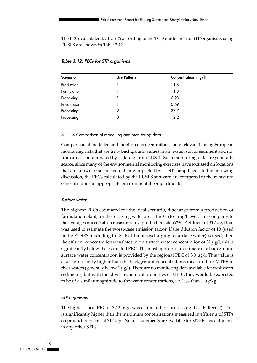The PECs calculated by EUSES according to the TGD guidelines for STP organisms using EUSES are shown in Table 3.12.

| Scenario    | <b>Use Pattern</b> | Concentration (mg/l) |  |
|-------------|--------------------|----------------------|--|
| Production  |                    | 11.8                 |  |
| Formulation |                    | 11.8                 |  |
| Processing  |                    | 6.23                 |  |
| Private use |                    | 0.59                 |  |
| Processing  | 2                  | 37.7                 |  |
| Processing  | 3                  | 12.2                 |  |

### **Table 3.12: PECs for STP organisms**

### 3.1.1.4 Comparison of modelling and monitoring data

Comparison of modelled and monitored concentration is only relevant if using European monitoring data that are truly background values in air, water, soil or sediment and not from areas contaminated by leaks e.g. from LUSTs. Such monitoring data are generally scarce, since many of the environmental monitoring exercises have focussed on locations that are known or suspected of being impacted by LUSTs or spillages. In the following discussion, the PECs calculated by the EUSES software are compared to the measured concentrations in appropriate environmental compartments.

### Surface water

The highest PECs estimated for the local scenario, discharge from a production or formulation plant, for the receiving water are at the 0.5 to 1 mg/l level. This compares to the average concentration measured in a production site WWTP effluent of 317 µg/l that was used to estimate the worst-case emission factor. If the dilution factor of 10 (used in the EUSES modelling for STP effluent discharging to surface water) is used, then the effluent concentration translates into a surface water concentration of 32  $\mu$ g/l, this is significantly below the estimated PEC. The most appropriate estimate of a background surface water concentration is provided by the regional PEC of  $3.3 \mu g/l$ . This value is also significantly higher than the background concentrations measured for MTBE in river waters (generally below 1  $\mu$ g/l). There are no monitoring data available for freshwater sediments, but with the physico-chemical properties of MTBE they would be expected to be of a similar magnitude to the water concentrations, i.e. less than  $1 \mu g/kg$ .

#### STP organisms

The highest local PEC of 37.2 mg/l was estimated for processing (Use Pattern 2). This is significantly higher than the maximum concentrations measured in effluents of STPs on production plants of 317  $\mu$ g/l. No measurements are available for MTBE concentrations in any other STPs.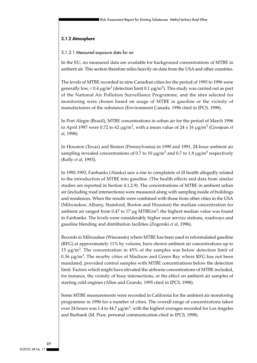### **3.1.2 Atmosphere**

#### 3.1.2.1 Measured exposure data for air

In the EU, no measured data are available for background concentrations of MTBE in ambient air. This section therefore relies heavily on data from the USA and other countries.

The levels of MTBE recorded in nine Canadian cities for the period of 1995 to 1996 were generally low,  $\lt 0.4 \mu g/m^3$  (detection limit 0.1  $\mu g/m^3$ ). This study was carried out as part of the National Air Pollution Surveillance Programme, and the sites selected for monitoring were chosen based on usage of MTBE in gasoline or the vicinity of manufacturers of the substance (Environment Canada, 1996 cited in IPCS, 1998).

In Port Alegre (Brazil), MTBE concentrations in urban air for the period of March 1996 to April 1997 were 0.72 to 62  $\mu$ g/m<sup>3</sup>, with a mean value of 24  $\pm$  16  $\mu$ g/m<sup>3</sup> (Grosjean *et al*, 1998).

In Houston (Texas) and Boston (Pennsylvania) in 1990 and 1991, 24-hour ambient air sampling revealed concentrations of 0.7 to 10  $\mu$ g/m<sup>3</sup> and 0.7 to 1.8  $\mu$ g/m<sup>3</sup> respectively (Kelly *et al*, 1993).

In 1992-1993, Fairbanks (Alaska) saw a rise in complaints of ill health allegedly related to the introduction of MTBE into gasoline. (The health effects and data from similar studies are reported in Section 4.1.2.9). The concentrations of MTBE in ambient urban air (including road intersections) were measured along with sampling inside of buildings and residences. When the results were combined with those from other cities in the USA (Milwaukee, Albany, Stamford, Boston and Houston) the median concentration for ambient air ranged from 0.47 to 17  $\mu$ g MTBE/m<sup>3</sup>; the highest median value was found in Fairbanks. The levels were considerably higher near service stations, roadways and gasoline blending and distribution facilities (Zogorski *et al*, 1996).

Records in Milwaukee (Wisconsin) where MTBE has been used in reformulated gasoline (RFG) at approximately 11% by volume, have shown ambient air concentrations up to 15  $\mu$ g/m<sup>3</sup>. The concentration in 45% of the samples was below detection limit of 0.36  $\mu$ g/m<sup>3</sup>. The nearby cities of Madison and Green Bay where RFG has not been mandated, provided control samples with MTBE concentrations below the detection limit. Factors which might have elevated the airborne concentrations of MTBE included, for instance, the vicinity of busy intersections, or the effect on ambient air samples of starting cold engines (Allen and Grande, 1995 cited in IPCS, 1998).

Some MTBE measurements were recorded in California for the ambient air monitoring programme in 1996 for a number of cities. The overall range of concentrations taken over 24 hours was 1.4 to 44.7  $\mu$ g/m<sup>3</sup>, with the highest averages recorded for Los Angeles and Burbank (M. Poor, personal communication cited in IPCS, 1998).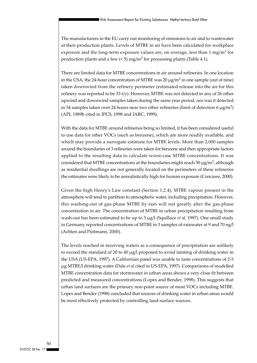The manufacturers in the EU carry out monitoring of emissions to air and to wastewater at their production plants. Levels of MTBE in air have been calculated for workplace exposure and the long-term exposure values are, on average, less than  $1 \text{ mg/m}^3$  for production plants and a few  $(5)$  mg/m<sup>3</sup> for processing plants (Table 4.1).

There are limited data for MTBE concentrations in air around refineries. In one location in the USA, the 24-hour concentration of MTBE was 20  $\mu$ g/m<sup>3</sup> in one sample (out of nine) taken downwind from the refinery perimeter (estimated release into the air for this refinery was reported to be  $33 \frac{t}{y}$ . However, MTBE was not detected in any of 26 other upwind and downwind samples taken during the same year period, nor was it detected in 54 samples taken over 24 hours near two other refineries (limit of detection 6  $\mu$ g/m<sup>3</sup>) (API, 1989b cited in IPCS, 1998 and IARC, 1999).

With the data for MTBE around refineries being so limited, it has been considered useful to use data for other VOCs (such as benzene), which are more readily available, and which may provide a surrogate estimate for MTBE levels. More than 2,000 samples around the boundaries of 3 refineries were taken for benzene and then appropriate factors applied to the resulting data to calculate worst-case MTBE concentrations. It was considered that MTBE concentrations at the boundaries might reach 50  $\mu$ g/m<sup>3</sup>, although as residential dwellings are not generally located on the perimeters of these refineries the estimates were likely to be unrealistically high for human exposure (Concawe, 2000).

Given the high Henry's Law constant (Section 1.2.4), MTBE vapour present in the atmosphere will tend to partition to atmospheric water, including precipitation. However, this washing-out of gas-phase MTBE by rain will not greatly alter the gas-phase concentration in air. The concentration of MTBE in urban precipitation resulting from wash-out has been estimated to be up to 3 µg/l (Squillace *et al*, 1997). One small study in Germany reported concentrations of MTBE in 3 samples of rainwater at 9 and 70 ng/l (Achten and Püttmann, 2000).

The levels reached in receiving waters as a consequence of precipitation are unlikely to exceed the standard of 20 to 40 µg/l proposed to avoid tainting of drinking water in the USA (US-EPA, 1997). A Californian panel was unable to taste concentrations of 2-5 µg MTBE/l drinking water (Dale *et al* cited in US-EPA, 1997). Comparisons of modelled MTBE concentration data for stormwater in urban areas shows a very close fit between predicted and measured concentrations (Lopes and Bender, 1998). This suggests that urban land surfaces are the primary non-point source of most VOCs including MTBE. Lopes and Bender (1998) concluded that sources of drinking water in urban areas would be most effectively protected by controlling land-surface sources.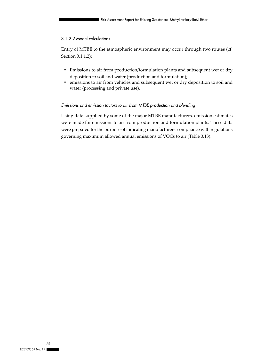### 3.1.2.2 Model calculations

Entry of MTBE to the atmospheric environment may occur through two routes (cf. Section 3.1.1.2):

- Emissions to air from production/formulation plants and subsequent wet or dry deposition to soil and water (production and formulation);
- emissions to air from vehicles and subsequent wet or dry deposition to soil and water (processing and private use).

### Emissions and emission factors to air from MTBE production and blending

Using data supplied by some of the major MTBE manufacturers, emission estimates were made for emissions to air from production and formulation plants. These data were prepared for the purpose of indicating manufacturers' compliance with regulations governing maximum allowed annual emissions of VOCs to air (Table 3.13).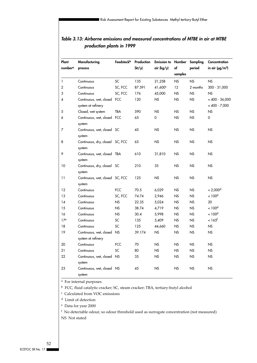| Plant                   | Manufacturing                                 | Feedstock <sup>b</sup> | Production | <b>Emission to</b>  | Number    | Sampling  | Concentration                       |
|-------------------------|-----------------------------------------------|------------------------|------------|---------------------|-----------|-----------|-------------------------------------|
| number <sup>a</sup>     | process                                       |                        | (kt/y)     | air (kg/y)          | of        | period    | in air $(\mu g/m^3)$                |
|                         |                                               |                        |            |                     | samples   |           |                                     |
| 1                       | Continuous                                    | <b>SC</b>              | 135        | 21,258              | <b>NS</b> | <b>NS</b> | <b>NS</b>                           |
| $\overline{\mathbf{c}}$ | Continuous                                    | SC, FCC                | 87.591     | 41,600 <sup>c</sup> | 12        | 2 months  | 300 - 31,000                        |
| 3                       | Continuous                                    | SC, FCC                | 176        | 45,000              | <b>NS</b> | <b>NS</b> | <b>NS</b>                           |
| 4                       | Continuous, wet, closed<br>system at refinery | <b>FCC</b>             | 120        | <b>NS</b>           | NS        | <b>NS</b> | $< 400 - 36,000$<br>$< 400 - 7,000$ |
| 5                       | Closed, wet system                            | TBA                    | 590        | <b>NS</b>           | <b>NS</b> | NS.       | <b>NS</b>                           |
| 6                       | Continuous, wet, closed<br>system             | <b>FCC</b>             | 65         | 0                   | <b>NS</b> | NS.       | 0                                   |
| 7                       | Continuous, wet, closed SC<br>system          |                        | 45         | NS                  | <b>NS</b> | NS.       | NS.                                 |
| 8                       | Continuous, dry, closed SC, FCC<br>system     |                        | 65         | NS                  | <b>NS</b> | <b>NS</b> | <b>NS</b>                           |
| 9                       | Continuous, wet, closed TBA<br>system         |                        | 610        | 31,810              | <b>NS</b> | <b>NS</b> | <b>NS</b>                           |
| 10                      | Continuous, dry, closed SC<br>system          |                        | 210        | 35                  | <b>NS</b> | <b>NS</b> | <b>NS</b>                           |
| 11                      | Continuous, wet, closed SC, FCC<br>system     |                        | 125        | NS                  | <b>NS</b> | <b>NS</b> | <b>NS</b>                           |
| 12                      | Continuous                                    | <b>FCC</b>             | 70.5       | 6,029               | <b>NS</b> | <b>NS</b> | < 2,000 <sup>d</sup>                |
| 13                      | Continuous                                    | SC, FCC                | 74.74      | 2,946               | <b>NS</b> | <b>NS</b> | < 100 <sup>d</sup>                  |
| 14                      | Continuous                                    | <b>NS</b>              | 22.35      | 5,024               | <b>NS</b> | <b>NS</b> | 20                                  |
| 15                      | Continuous                                    | <b>NS</b>              | 38.74      | 4,719               | NS        | <b>NS</b> | < 100 <sup>d</sup>                  |
| 16                      | Continuous                                    | <b>NS</b>              | 30.4       | 5,998               | <b>NS</b> | <b>NS</b> | < 100 <sup>d</sup>                  |
| 17 <sup>e</sup>         | Continuous                                    | SC                     | 135        | 5,409               | <b>NS</b> | <b>NS</b> | $< 165$ <sup>f</sup>                |
| 18                      | Continuous                                    | SC                     | 125        | 44,660              | <b>NS</b> | <b>NS</b> | <b>NS</b>                           |
| 19                      | Continuous, wet, closed                       | <b>NS</b>              | 39.174     | <b>NS</b>           | <b>NS</b> | <b>NS</b> | <b>NS</b>                           |
|                         | system at refinery                            |                        |            |                     |           |           |                                     |
| 20                      | Continuous                                    | <b>FCC</b>             | 70         | <b>NS</b>           | <b>NS</b> | <b>NS</b> | <b>NS</b>                           |
| 21                      | Continuous                                    | SC                     | 80         | <b>NS</b>           | <b>NS</b> | <b>NS</b> | <b>NS</b>                           |
| 22                      | Continuous, wet, closed<br>system             | <b>NS</b>              | 35         | <b>NS</b>           | <b>NS</b> | <b>NS</b> | <b>NS</b>                           |
| 23                      | Continuous, wet, closed<br>system             | <b>NS</b>              | 45         | <b>NS</b>           | <b>NS</b> | <b>NS</b> | <b>NS</b>                           |

# **Table 3.13: Airborne emissions and measured concentrations of MTBE in air at MTBE production plants in 1999**

<sup>a</sup> For internal purposes

<sup>b</sup> FCC, fluid catalytic cracker; SC, steam cracker; TBA, tertiary-butyl alcohol

<sup>c</sup> Calculated from VOC emissions

<sup>d</sup> Limit of detection

<sup>e</sup> Data for year 2000

<sup>f</sup> No detectable odour, so odour threshold used as surrogate concentration (not measured) NS Not stated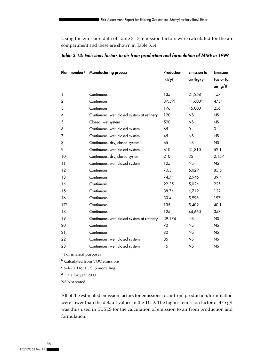Using the emission data of Table 3.13, emission factors were calculated for the air compartment and these are shown in Table 3.14.

| Plant number <sup>a</sup> | <b>Manufacturing process</b>               | Production<br>(kt/y) | <b>Emission to</b><br>air (kg/y) | <b>Emission</b><br><b>Factor for</b><br>air (g/t) |
|---------------------------|--------------------------------------------|----------------------|----------------------------------|---------------------------------------------------|
| $\mathbf{1}$              | Continuous                                 | 135                  | 21,258                           | 157                                               |
| $\mathbf{2}$              | Continuous                                 | 87.591               | 41,600 <sup>b</sup>              | 475c                                              |
| 3                         | Continuous                                 | 176                  | 45,000                           | 256                                               |
| 4                         | Continuous, wet, closed system at refinery | 120                  | <b>NS</b>                        | <b>NS</b>                                         |
| 5                         | Closed, wet system                         | 590                  | <b>NS</b>                        | <b>NS</b>                                         |
| 6                         | Continuous, wet, closed system             | 65                   | $\Omega$                         | $\Omega$                                          |
| 7                         | Continuous, wet, closed system             | 45                   | <b>NS</b>                        | NS.                                               |
| 8                         | Continuous, dry, closed system             | 65                   | <b>NS</b>                        | <b>NS</b>                                         |
| 9                         | Continuous, wet, closed system             | 610                  | 31,810                           | 52.1                                              |
| 10                        | Continuous, dry, closed system             | 210                  | 35                               | 0.157                                             |
| 11                        | Continuous, wet, closed system             | 125                  | <b>NS</b>                        | <b>NS</b>                                         |
| 12                        | Continuous                                 | 70.5                 | 6,029                            | 85.5                                              |
| 13                        | Continuous                                 | 74.74                | 2,946                            | 39.4                                              |
| 14                        | Continuous                                 | 22.35                | 5,024                            | 225                                               |
| 15                        | Continuous                                 | 38.74                | 4,719                            | 122                                               |
| 16                        | Continuous                                 | 30.4                 | 5,998                            | 197                                               |
| 17 <sup>d</sup>           | Continuous                                 | 135                  | 5,409                            | 40.1                                              |
| 18                        | Continuous                                 | 125                  | 44,660                           | 357                                               |
| 19                        | Continuous, wet, closed system at refinery | 39.174               | <b>NS</b>                        | <b>NS</b>                                         |
| 20                        | Continuous                                 | 70                   | <b>NS</b>                        | <b>NS</b>                                         |
| 21                        | Continuous                                 | 80                   | <b>NS</b>                        | NS.                                               |
| 22                        | Continuous, wet, closed system             | 35                   | <b>NS</b>                        | <b>NS</b>                                         |
| 23                        | Continuous, wet, closed system             | 45                   | <b>NS</b>                        | <b>NS</b>                                         |

# **Table 3.14: Emissions factors to air from production and formulation of MTBE in 1999**

a For internal purposes

b Calculated from VOC emissions

c Selected for EUSES modelling

d Data for year 2000

NS Not stated

All of the estimated emission factors for emissions to air from production/formulation were lower than the default values in the TGD. The highest emission factor of 475 g/t was thus used in EUSES for the calculation of emission to air from production and formulation.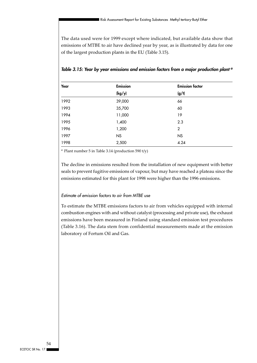The data used were for 1999 except where indicated, but available data show that emissions of MTBE to air have declined year by year, as is illustrated by data for one of the largest production plants in the EU (Table 3.15).

| Year | <b>Emission</b> | <b>Emission factor</b> |  |
|------|-----------------|------------------------|--|
|      | (kg/y)          | (g/t)                  |  |
| 1992 | 39,000          | 66                     |  |
| 1993 | 35,700          | 60                     |  |
| 1994 | 11,000          | 19                     |  |
| 1995 | 1,400           | 2.3                    |  |
| 1996 | 1,200           | $\overline{2}$         |  |
| 1997 | <b>NS</b>       | <b>NS</b>              |  |
| 1998 | 2,500           | 4.24                   |  |

**Table 3.15: Year by year emissions and emission factors from a major production plant <sup>a</sup>**

<sup>a</sup> Plant number 5 in Table 3.14 (production 590  $t/y$ )

The decline in emissions resulted from the installation of new equipment with better seals to prevent fugitive emissions of vapour, but may have reached a plateau since the emissions estimated for this plant for 1998 were higher than the 1996 emissions.

### Estimate of emission factors to air from MTBE use

To estimate the MTBE emissions factors to air from vehicles equipped with internal combustion engines with and without catalyst (processing and private use), the exhaust emissions have been measured in Finland using standard emission test procedures (Table 3.16). The data stem from confidential measurements made at the emission laboratory of Fortum Oil and Gas.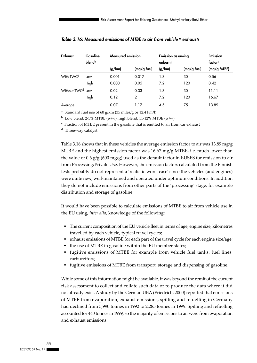| Exhaust                      | Gasoline<br>blend <sup>b</sup> | <b>Measured emission</b> |               | <b>Emission assuming</b><br>unburnt |               | <b>Emission</b><br>factor <sup>c</sup> |
|------------------------------|--------------------------------|--------------------------|---------------|-------------------------------------|---------------|----------------------------------------|
|                              |                                | (g/km)                   | $(mg/g$ fuel) | (g/km)                              | $(mg/g$ fuel) | (mg/g MTBE)                            |
| With TWC <sup>d</sup>        | Low                            | 0.001                    | 0.017         | 1.8                                 | 30            | 0.56                                   |
|                              | High                           | 0.003                    | 0.05          | 7.2                                 | 120           | 0.42                                   |
| Without TWC <sup>d</sup> Low |                                | 0.02                     | 0.33          | 1.8                                 | 30            | 11.11                                  |
|                              | High                           | 0.12                     | 2             | 7.2                                 | 120           | 16.67                                  |
| Average                      |                                | 0.07                     | 1.17          | 4.5                                 | 75            | 13.89                                  |

### **Table 3.16: Measured emissions of MTBE to air from vehicle <sup>a</sup> exhausts**

<sup>a</sup> Standard fuel use of 60 g/km (35 miles/g or 12.4 km/l)

 $<sup>b</sup>$  Low blend, 2-3% MTBE (w/w); high blend, 11-12% MTBE (w/w)</sup>

 $c$  Fraction of MTBE present in the gasoline that is emitted to air from car exhaust

<sup>d</sup> Three-way catalyst

Table 3.16 shows that in these vehicles the average emission factor to air was 13.89 mg/g MTBE and the highest emission factor was  $16.67$  mg/g MTBE, i.e. much lower than the value of 0.6  $g/g$  (600 mg/g) used as the default factor in EUSES for emission to air from Processing/Private Use. However, the emission factors calculated from the Finnish tests probably do not represent a 'realistic worst case' since the vehicles (and engines) were quite new, well-maintained and operated under optimum conditions. In addition they do not include emissions from other parts of the 'processing' stage, for example distribution and storage of gasoline.

It would have been possible to calculate emissions of MTBE to air from vehicle use in the EU using, *inter alia*, knowledge of the following:

- The current composition of the EU vehicle fleet in terms of age, engine size, kilometres travelled by each vehicle, typical travel cycles;
- exhaust emissions of MTBE for each part of the travel cycle for each engine size/age;
- the use of MTBE in gasoline within the EU member states;
- fugitive emissions of MTBE for example from vehicle fuel tanks, fuel lines, carburettors;
- fugitive emissions of MTBE from transport, storage and dispensing of gasoline.

While some of this information might be available, it was beyond the remit of the current risk assessment to collect and collate such data or to produce the data where it did not already exist. A study by the German UBA (Friedrich, 2000) reported that emissions of MTBE from evaporation, exhaust emissions, spilling and refuelling in Germany had declined from 5,990 tonnes in 1992 to 2,285 tonnes in 1999. Spilling and refuelling accounted for 440 tonnes in 1999, so the majority of emissions to air were from evaporation and exhaust emissions.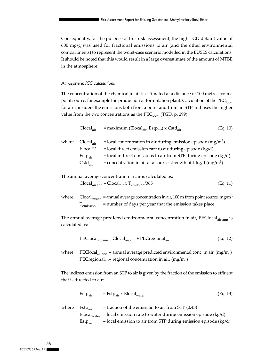Consequently, for the purpose of this risk assessment, the high TGD default value of  $600 \text{ mg/g}$  was used for fractional emissions to air (and the other environmental compartments) to represent the worst-case scenario modelled in the EUSES calculations. It should be noted that this would result in a large overestimate of the amount of MTBE in the atmosphere.

### Atmospheric PEC calculations

The concentration of the chemical in air is estimated at a distance of 100 metres from a point source, for example the production or formulation plant. Calculation of the  $PEC<sub>local</sub>$ for air considers the emissions both from a point and from an STP and uses the higher value from the two concentrations as the  $PEC<sub>local</sub>$  (TGD, p. 299):

$$
Clocal_{air} = maximum (Elocal_{air} Estp_{air}) \times Cstd_{air}
$$
 (Eq. 10)

| where Clocal <sub>air</sub> | = local concentration in air during emission episode (mg/m <sup>3</sup> )  |
|-----------------------------|----------------------------------------------------------------------------|
| Elocalair                   | $=$ local direct emission rate to air during episode (kg/d)                |
| $Estp_{\text{air}}$         | $=$ local indirect emissions to air from STP during episode (kg/d)         |
| $Cstd_{\text{air}}$         | = concentration in air at a source strength of 1 kg/d (mg/m <sup>3</sup> ) |

The annual average concentration in air is calculated as:

$$
Clocal_{air,ann} = Clocal_{air} \times T_{emission}/365
$$
 (Eq. 11)

where Clocal<sub>air,ann</sub> = annual average concentration in air, 100 m from point source, mg/m<sup>3</sup>  $T_{\text{emission}}$  = number of days per year that the emission takes place

The annual average predicted environmental concentration in air,  $PEClock_{air,ann}$  is calculated as:

$$
PEClosedair,ann = Clocalair,ann + PEC regionalair
$$
 (Eq. 12)

where PEClocal<sub>air ann</sub> = annual average predicted environmental conc. in air, (mg/m<sup>3</sup>) PECregional<sub>air</sub>= regional concentration in air, (mg/m<sup>3</sup>)

The indirect emission from an STP to air is given by the fraction of the emission to effluent that is directed to air:

$$
Estp_{air} = Fstp_{air} \times Elocal_{water}
$$
 (Eq. 13)

| where $Fstp_{\text{air}}$ |              | $=$ fraction of the emission to air from STP (0.43)                                   |
|---------------------------|--------------|---------------------------------------------------------------------------------------|
|                           |              | Elocal <sub>water</sub> = local emission rate to water during emission episode (kg/d) |
|                           | $Estp_{air}$ | $=$ local emission to air from STP during emission episode (kg/d)                     |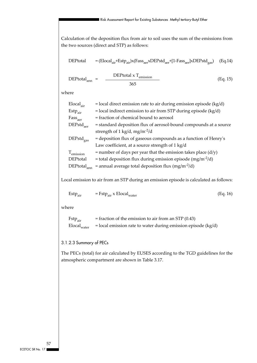Calculation of the deposition flux from air to soil uses the sum of the emissions from the two sources (direct and STP) as follows:

$$
DEPtotal = (Elocal_{air} + Estp_{air}) \times (Fass_{aer} \times DEPstd_{aer} + [1 - Fass_{aer}] \times DEPstd_{gas})
$$
 (Eq.14)

$$
DEPtotal_{ann} = \frac{DEPtotal \times T_{emission}}{365}
$$
 (Eq. 15)

where

| Elocal <sub>air</sub> | $=$ local direct emission rate to air during emission episode (kg/d)    |
|-----------------------|-------------------------------------------------------------------------|
| $Estp_{air}$          | $=$ local indirect emission to air from STP during episode (kg/d)       |
| Fass <sub>aer</sub>   | = fraction of chemical bound to aerosol                                 |
| DEPstd <sub>aer</sub> | = standard deposition flux of aerosol-bound compounds at a source       |
|                       | strength of 1 kg/d, mg/m <sup>-2</sup> /d                               |
| $DEPstd_{gas}$        | = deposition flux of gaseous compounds as a function of Henry's         |
|                       | Law coefficient, at a source strength of 1 kg/d                         |
| $T_{emission}$        | = number of days per year that the emission takes place $(d/y)$         |
| <b>DEPtotal</b>       | = total deposition flux during emission episode (mg/m <sup>-2</sup> /d) |
| $DEPtotal_{ann}$      | = annual average total deposition flux (mg/m <sup>-2</sup> /d)          |

Local emission to air from an STP during an emission episode is calculated as follows:

$$
Estp_{air} = Fstp_{air} \times Elocal_{water}
$$
 (Eq. 16)

where

| $Fstp_{\text{air}}$ | $=$ fraction of the emission to air from an STP (0.43)                                |
|---------------------|---------------------------------------------------------------------------------------|
|                     | Elocal <sub>water</sub> = local emission rate to water during emission episode (kg/d) |

### 3.1.2.3 Summary of PECs

The PECs (total) for air calculated by EUSES according to the TGD guidelines for the atmospheric compartment are shown in Table 3.17.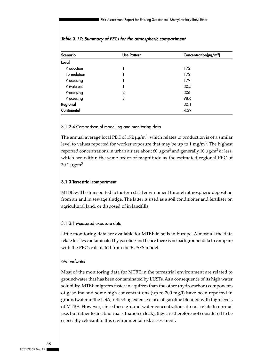| <b>Scenario</b>    | <b>Use Pattern</b> | Concentration( $\mu$ g/m <sup>3</sup> ) |
|--------------------|--------------------|-----------------------------------------|
| Local              |                    |                                         |
| Production         |                    | 172                                     |
| Formulation        |                    | 172                                     |
| Processing         |                    | 179                                     |
| Private use        |                    | 30.5                                    |
| Processing         | 2                  | 306                                     |
| Processing         | 3                  | 98.6                                    |
| Regional           |                    | 30.1                                    |
| <b>Continental</b> |                    | 4.39                                    |

## **Table 3.17: Summary of PECs for the atmospheric compartment**

3.1.2.4 Comparison of modelling and monitoring data

The annual average local PEC of 172  $\mu$ g/m<sup>3</sup>, which relates to production is of a similar level to values reported for worker exposure that may be up to 1 mg/m<sup>3</sup>. The highest reported concentrations in urban air are about 60  $\mu$ g/m<sup>3</sup> and generally 10  $\mu$ g/m<sup>3</sup> or less, which are within the same order of magnitude as the estimated regional PEC of  $30.1 \mu g/m^3$ .

### **3.1.3 Terrestrial compartment**

MTBE will be transported to the terrestrial environment through atmospheric deposition from air and in sewage sludge. The latter is used as a soil conditioner and fertiliser on agricultural land, or disposed of in landfills.

### 3.1.3.1 Measured exposure data

Little monitoring data are available for MTBE in soils in Europe. Almost all the data relate to sites contaminated by gasoline and hence there is no background data to compare with the PECs calculated from the EUSES model.

### Groundwater

Most of the monitoring data for MTBE in the terrestrial environment are related to groundwater that has been contaminated by LUSTs. As a consequence of its high water solubility, MTBE migrates faster in aquifers than the other (hydrocarbon) components of gasoline and some high concentrations (up to 200 mg/l) have been reported in groundwater in the USA, reflecting extensive use of gasoline blended with high levels of MTBE. However, since these ground water concentrations do not relate to normal use, but rather to an abnormal situation (a leak), they are therefore not considered to be especially relevant to this environmental risk assessment.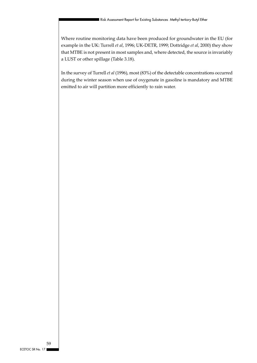Where routine monitoring data have been produced for groundwater in the EU (for example in the UK: Turrell *et al*, 1996; UK-DETR, 1999; Dottridge *et al*, 2000) they show that MTBE is not present in most samples and, where detected, the source is invariably a LUST or other spillage (Table 3.18).

In the survey of Turrell *et al* (1996), most (83%) of the detectable concentrations occurred during the winter season when use of oxygenate in gasoline is mandatory and MTBE emitted to air will partition more efficiently to rain water.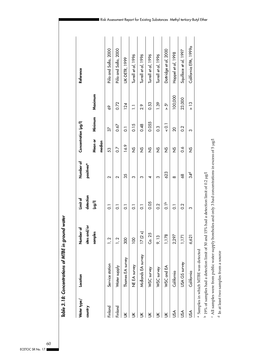| Water type/ | Location                             | Number of      | Limit of           | Number of              | Concentration (µg/l) |                  |               | Reference             |
|-------------|--------------------------------------|----------------|--------------------|------------------------|----------------------|------------------|---------------|-----------------------|
| country     |                                      | sites and/or   | detection          | positives <sup>a</sup> |                      |                  |               |                       |
|             |                                      | samples        | (lug/l             |                        | Mean or              | Minimum          | Maximum       |                       |
|             |                                      |                |                    |                        | median               |                  |               |                       |
| Finland     | Service station                      | $\frac{2}{1}$  | $\overline{\circ}$ | $\mathbf{\sim}$        | 53                   | 57               | \$9           | Pilo and Salla, 2000  |
| Finland     | Water supply                         | $\frac{2}{1}$  | $\overline{\circ}$ | $\mathbf{\sim}$        | $\overline{0}$       | 0.67             | 0.72          | Pilo and Salla, 2000  |
| š           | Thames EA survey                     | 88             | $\overline{\circ}$ | 35                     | 16.9                 | $\overline{C}$   | 124           | UK-DETR, 1999         |
| š           | NE EA survey                         | $\overline{5}$ | $\overline{C}$     | ო                      | $\frac{5}{2}$        | 0.15             | $\Xi$         | Turrell et al, 1996   |
| š           | Midlands EA survey                   | 17(2 x)        | $\overline{c}$     | ო                      | $\frac{5}{2}$        | 0.48             | 2.9           | Turrell et al, 1996   |
| š           | WSC survey                           | Ca. 25         | 0.05               | 4                      | $\frac{6}{2}$        | 0.055            | 0.53          | Turrell et al, 1996   |
| š           | WSC survey                           | 9, 13          | 0.2                | Ω                      | $\frac{5}{2}$        | $0.\overline{3}$ | 1.39          | Turrell et al, 1996   |
| š           | WSC and EA                           | 1,178          | $\frac{1}{0}$      | 623                    | ž                    | $\overline{0}$ . | ა<br>ა        | Dottridge et al, 2000 |
| USA         | California                           | 2,297          | $\overline{\circ}$ | $\infty$               | $\frac{8}{2}$        | 20               | 100,000       | Happel et al, 1998    |
| ΑŠΠ         | USA GS survey                        | 1,171          | $\frac{2}{3}$      | 89                     | $\frac{6}{10}$       | 0.2              | 23,000        | Squillace et al, 1997 |
| USA         | California                           | 6,621          | ო                  | 34 <sup>d</sup>        | $\frac{5}{2}$        | ო                | $\frac{3}{2}$ | California EPA, 1999a |
|             | a Samples in which MTBE was detected |                |                    |                        |                      |                  |               |                       |

Table 3.18: Concentrations of MTBE in ground water **Table 3.18: Concentrations of MTBE in ground water**

 Samples in which MTBE was detected Ļ <sup>b</sup> 19% of samples had a detection limit of 50 and 15% had a detection limit of 0.2 µg/l b 19% of samples had a detection limit of 50 and 15% had a detection limit of 0.2 µg/l ". All samples were from public water supply boreholes and only 3 had concentrations in excess of 5 µg/l c All samples were from public water supply boreholes and only 3 had concentrations in excess of 5 µg/l

 $^{\rm d}$  In at least two samples from a source d In at least two samples from a source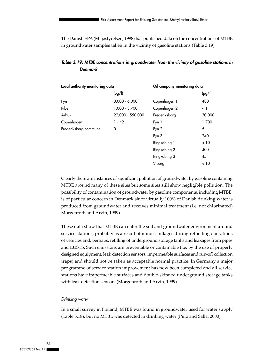The Danish EPA (Miljøstyrelsen, 1998) has published data on the concentrations of MTBE in groundwater samples taken in the vicinity of gasoline stations (Table 3.19).

| Local authority monitoring data |                  | Oil company monitoring data |             |  |
|---------------------------------|------------------|-----------------------------|-------------|--|
|                                 | $(\mu g/l)$      |                             | $(\mu g/l)$ |  |
| Fyn                             | $3,000 - 6,000$  | Copenhagen 1                | 480         |  |
| Ribe                            | 1,000 - 3,700    | Copenhagen 2                | $\leq$ 1    |  |
| Arhus                           | 22,000 - 550,000 | Frederiksborg               | 30,000      |  |
| Copenhagen                      | $1 - 42$         | Fyn 1                       | 1,700       |  |
| Frederiksberg commune           | 0                | Fyn 2                       | 5           |  |
|                                 |                  | Fyn 3                       | 240         |  |
|                                 |                  | Ringkobing 1                | < 10        |  |
|                                 |                  | Ringkobing 2                | 400         |  |
|                                 |                  | Ringkobing 3                | 45          |  |
|                                 |                  | Viborg                      | < 10        |  |

**Table 3.19: MTBE concentrations in groundwater from the vicinity of gasoline stations in Denmark**

Clearly there are instances of significant pollution of groundwater by gasoline containing MTBE around many of these sites but some sites still show negligible pollution. The possibility of contamination of groundwater by gasoline components, including MTBE, is of particular concern in Denmark since virtually 100% of Danish drinking water is produced from groundwater and receives minimal treatment (i.e. not chlorinated) Morgenroth and Arvin, 1999).

These data show that MTBE can enter the soil and groundwater environment around service stations, probably as a result of minor spillages during refuelling operations of vehicles and, perhaps, refilling of underground storage tanks and leakages from pipes and LUSTS. Such emissions are preventable or containable (i.e. by the use of properly designed equipment, leak detection sensors, impermeable surfaces and run-off collection traps) and should not be taken as acceptable normal practice. In Germany a major programme of service station improvement has now been completed and all service stations have impermeable surfaces and double-skinned underground storage tanks with leak detection sensors (Morgenroth and Arvin, 1999).

### Drinking water

In a small survey in Finland, MTBE was found in groundwater used for water supply (Table 3.18), but no MTBE was detected in drinking water (Piilo and Salla, 2000).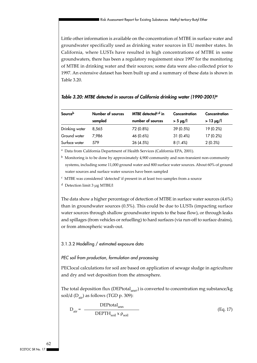Little other information is available on the concentration of MTBE in surface water and groundwater specifically used as drinking water sources in EU member states. In California, where LUSTs have resulted in high concentrations of MTBE in some groundwaters, there has been a regulatory requirement since 1997 for the monitoring of MTBE in drinking water and their sources; some data were also collected prior to 1997. An extensive dataset has been built up and a summary of these data is shown in Table 3.20.

| Sourceb        | Number of sources | MTBE detected <sup>c,d</sup> in | Concentration   | Concentration  |
|----------------|-------------------|---------------------------------|-----------------|----------------|
|                | sampled           | number of sources               | $>$ 5 $\mu$ g/l | $> 13 \mu g/l$ |
| Drinking water | 8,565             | 72 (0.8%)                       | 39 (0.5%)       | 19 (0.2%)      |
| Ground water   | 7.986             | 46 (0.6%)                       | 31(0.4%)        | 17(0.2%)       |
| Surface water  | 579               | 26 (4.5%)                       | $8(1.4\%)$      | 2(0.3%)        |

**Table 3.20: MTBE detected in sources of California drinking water (1990-2001)<sup>a</sup>**

<sup>a</sup> Data from California Department of Health Services (California EPA, 2001).

<sup>b</sup> Monitoring is to be done by approximately 4,900 community and non-transient non-community systems, including some 11,000 ground water and 800 surface water sources. About 60% of ground water sources and surface water sources have been sampled

<sup>c</sup> MTBE was considered 'detected' if present in at least two samples from a source

 $d$  Detection limit 3 µg MTBE/l

The data show a higher percentage of detection of MTBE in surface water sources (4.6%) than in groundwater sources (0.5%). This could be due to LUSTs (impacting surface water sources through shallow groundwater inputs to the base flow), or through leaks and spillages (from vehicles or refuelling) to hard surfaces (via run-off to surface drains), or from atmospheric wash-out.

### 3.1.3.2 Modelling / estimated exposure data

### PEC soil from production, formulation and processing

PEClocal calculations for soil are based on application of sewage sludge in agriculture and dry and wet deposition from the atmosphere.

The total deposition flux (DEPtotal<sub>ann</sub>,) is converted to concentration mg substance/kg soil/d  $(D_{\text{air}})$  as follows (TGD p. 309):

$$
D_{air} = \frac{DEPtotal_{ann}}{DEPTH_{soil} \times \rho_{soil}}
$$
 (Eq. 17)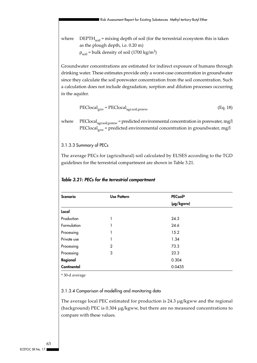where DEPTH<sub>soil</sub> = mixing depth of soil (for the terrestrial ecosystem this is taken as the plough depth, i.e. 0.20 m)  $p_{\text{soil}}$  = bulk density of soil (1700 kg/m<sup>3</sup>)

Groundwater concentrations are estimated for indirect exposure of humans through drinking water. These estimates provide only a worst-case concentration in groundwater since they calculate the soil porewater concentration from the soil concentration. Such a calculation does not include degradation, sorption and dilution processes occurring in the aquifer.

$$
PECloud_{\text{grw}} = PEClocal_{\text{agrsoil},\text{porew}} \tag{Eq. 18}
$$

where PEClocal<sub>agr.soil.porew</sub> = predicted environmental concentration in porewater, mg/l PEClocal<sub>grw</sub> = predicted environmental concentration in groundwater, mg/l

3.1.3.3 Summary of PECs

The average PECs for (agricultural) soil calculated by EUSES according to the TGD guidelines for the terrestrial compartment are shown in Table 3.21.

| <b>Scenario</b> | <b>Use Pattern</b> | <b>PECsoila</b><br>(µg/kgww) |  |
|-----------------|--------------------|------------------------------|--|
|                 |                    |                              |  |
| Local           |                    |                              |  |
| Production      |                    | 24.3                         |  |
| Formulation     | 1                  | 24.6                         |  |
| Processing      | 1                  | 15.2                         |  |
| Private use     | 1                  | 1.34                         |  |
| Processing      | 2                  | 73.3                         |  |
| Processing      | 3                  | 23.3                         |  |
| Regional        |                    | 0.304                        |  |
| Continental     |                    | 0.0435                       |  |

#### **Table 3.21: PECs for the terrestrial compartment**

<sup>a</sup> 30-d average

3.1.3.4 Comparison of modelling and monitoring data

The average local PEC estimated for production is 24.3 µg/kgww and the regional (background) PEC is 0.304 µg/kgww, but there are no measured concentrations to compare with these values.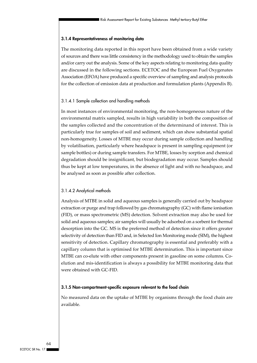#### **3.1.4 Representativeness of monitoring data**

The monitoring data reported in this report have been obtained from a wide variety of sources and there was little consistency in the methodology used to obtain the samples and/or carry out the analysis. Some of the key aspects relating to monitoring data quality are discussed in the following sections. ECETOC and the European Fuel Oxygenates Association (EFOA) have produced a specific overview of sampling and analysis protocols for the collection of emission data at production and formulation plants (Appendix B).

### 3.1.4.1 Sample collection and handling methods

In most instances of environmental monitoring, the non-homogeneous nature of the environmental matrix sampled, results in high variability in both the composition of the samples collected and the concentration of the determinand of interest. This is particularly true for samples of soil and sediment, which can show substantial spatial non-homogeneity. Losses of MTBE may occur during sample collection and handling by volatilisation, particularly where headspace is present in sampling equipment (or sample bottles) or during sample transfers. For MTBE, losses by sorption and chemical degradation should be insignificant, but biodegradation may occur. Samples should thus be kept at low temperatures, in the absence of light and with no headspace, and be analysed as soon as possible after collection.

### 3.1.4.2 Analytical methods

Analysis of MTBE in solid and aqueous samples is generally carried out by headspace extraction or purge and trap followed by gas chromatography (GC) with flame ionisation (FID), or mass spectrometric (MS) detection. Solvent extraction may also be used for solid and aqueous samples; air samples will usually be adsorbed on a sorbent for thermal desorption into the GC. MS is the preferred method of detection since it offers greater selectivity of detection than FID and, in Selected Ion Monitoring mode (SIM), the highest sensitivity of detection. Capillary chromatography is essential and preferably with a capillary column that is optimised for MTBE determination. This is important since MTBE can co-elute with other components present in gasoline on some columns. Coelution and mis-identification is always a possibility for MTBE monitoring data that were obtained with GC-FID.

#### **3.1.5 Non-compartment-specific exposure relevant to the food chain**

No measured data on the uptake of MTBE by organisms through the food chain are available.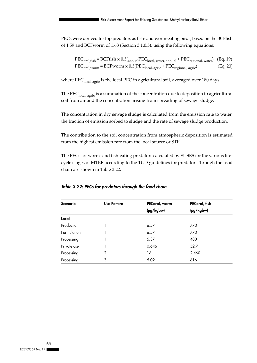PECs were derived for top predators as fish- and worm-eating birds, based on the BCFfish of 1.59 and BCFworm of 1.63 (Section 3.1.0.5), using the following equations:

 $\text{PEC}_{\text{oral,fish}} = \text{BCFfish} \times 0.5 (_{\text{annual}} \text{PEC}_{\text{local, water, annual}} + \text{PEC}_{\text{regional, water}}) \text{ (Eq. 19)}$  $PEC_{\text{oral,worm}} = BCFworm \times 0.5(PEC_{\text{local, agric}} + PEC_{\text{regional, agric}})$  (Eq. 20)

where  $PEC_{local, \, aeric}$  is the local PEC in agricultural soil, averaged over 180 days.

The  $PEC_{local, agric}$  is a summation of the concentration due to deposition to agricultural soil from air and the concentration arising from spreading of sewage sludge.

The concentration in dry sewage sludge is calculated from the emission rate to water, the fraction of emission sorbed to sludge and the rate of sewage sludge production.

The contribution to the soil concentration from atmospheric deposition is estimated from the highest emission rate from the local source or STP.

The PECs for worm- and fish-eating predators calculated by EUSES for the various lifecycle stages of MTBE according to the TGD guidelines for predators through the food chain are shown in Table 3.22.

| <b>Scenario</b> | <b>Use Pattern</b> | PECoral, worm | PECoral, fish |
|-----------------|--------------------|---------------|---------------|
|                 |                    | (µg/kgbw)     | (µg/kgbw)     |
| Local           |                    |               |               |
| Production      |                    | 6.57          | 773           |
| Formulation     |                    | 6.57          | 773           |
| Processing      |                    | 5.37          | 480           |
| Private use     |                    | 0.646         | 52.7          |
| Processing      | 2                  | 16            | 2,460         |
| Processing      | 3                  | 5.02          | 616           |

## **Table 3.22: PECs for predators through the food chain**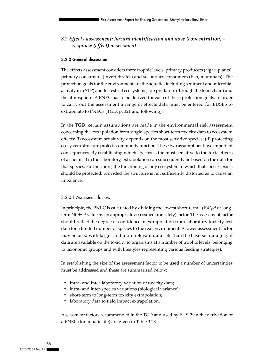## *3.2 Effects assessment: hazard identification and dose (concentration) response (effect) assessment*

### **3.2.0 General discussion**

The effects assessment considers three trophic levels: primary producers (algae, plants), primary consumers (invertebrates) and secondary consumers (fish, mammals). The protection goals for the environment are the aquatic (including sediment and microbial activity in a STP) and terrestrial ecosystems, top predators (through the food chain) and the atmosphere. A PNEC has to be derived for each of these protection goals. In order to carry out the assessment a range of effects data must be entered for EUSES to extrapolate to PNECs (TGD, p. 321 and following).

In the TGD, certain assumptions are made in the environmental risk assessment concerning the extrapolation from single-species short-term toxicity data to ecosystem effects: (i) ecosystem sensitivity depends on the most sensitive species; (ii) protecting ecosystem structure protects community function. These two assumptions have important consequences. By establishing which species is the most sensitive to the toxic effects of a chemical in the laboratory, extrapolation can subsequently be based on the data for that species. Furthermore, the functioning of any ecosystem in which that species exists should be protected, provided the structure is not sufficiently distorted as to cause an imbalance.

### 3.2.0.1 Assessment factors

In principle, the PNEC is calculated by dividing the lowest short-term  $L(E)C_{50}^{\text{a}}$  or longterm  $NOEC<sup>a</sup>$  value by an appropriate assessment (or safety) factor. The assessment factor should reflect the degree of confidence in extrapolation from laboratory toxicity-test data for a limited number of species to the real environment. A lower assessment factor may be used with larger and more relevant data sets than the base-set data (e.g. if data are available on the toxicity to organisms at a number of trophic levels, belonging to taxonomic groups and with lifestyles representing various feeding strategies).

In establishing the size of the assessment factor to be used a number of uncertainties must be addressed and these are summarised below:

- Intra- and inter-laboratory variation of toxicity data;
- intra- and inter-species variations (biological variance);
- short-term to long-term toxicity extrapolation;
- laboratory data to field impact extrapolation.

Assessment factors recommended in the TGD and used by EUSES in the derivation of a PNEC (for aquatic life) are given in Table 3.23.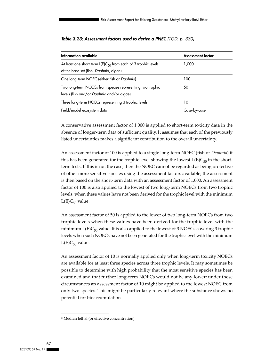| Information available                                              | <b>Assessment factor</b> |
|--------------------------------------------------------------------|--------------------------|
| At least one short-term $L(E)C_{50}$ from each of 3 trophic levels | 1,000                    |
| of the base-set (fish, Daphnia, algae)                             |                          |
| One long-term NOEC (either fish or Daphnia)                        | 100                      |
| Two long-term NOECs from species representing two trophic          | 50                       |
| levels (fish and/or Daphnia and/or algae)                          |                          |
| Three long-term NOECs representing 3 trophic levels                | 10                       |
| Field/model ecosystem data                                         | Case-by-case             |

### **Table 3.23: Assessment factors used to derive a PNEC** (TGD, p. 330)

A conservative assessment factor of 1,000 is applied to short-term toxicity data in the absence of longer-term data of sufficient quality. It assumes that each of the previously listed uncertainties makes a significant contribution to the overall uncertainty.

An assessment factor of 100 is applied to a single long-term NOEC (fish or *Daphnia*) if this has been generated for the trophic level showing the lowest  $L(E)C_{50}$  in the shortterm tests. If this is not the case, then the NOEC cannot be regarded as being protective of other more sensitive species using the assessment factors available; the assessment is then based on the short-term data with an assessment factor of 1,000. An assessment factor of 100 is also applied to the lowest of two long-term NOECs from two trophic levels, when these values have not been derived for the trophic level with the minimum  $L(E)C_{50}$  value.

An assessment factor of 50 is applied to the lower of two long-term NOECs from two trophic levels when these values have been derived for the trophic level with the minimum  $L(E)C_{50}$  value. It is also applied to the lowest of 3 NOECs covering 3 trophic levels when such NOECs have not been generated for the trophic level with the minimum  $L(E)C_{50}$  value.

An assessment factor of 10 is normally applied only when long-term toxicity NOECs are available for at least three species across three trophic levels. It may sometimes be possible to determine with high probability that the most sensitive species has been examined and that further long-term NOECs would not be any lower; under these circumstances an assessment factor of 10 might be applied to the lowest NOEC from only two species. This might be particularly relevant where the substance shows no potential for bioaccumulation.

<sup>a</sup> Median lethal (or effective concentration)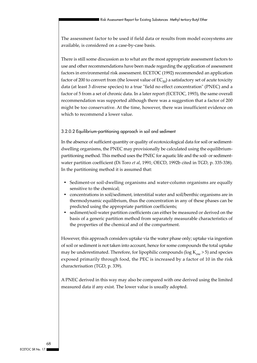The assessment factor to be used if field data or results from model ecosystems are available, is considered on a case-by-case basis.

There is still some discussion as to what are the most appropriate assessment factors to use and other recommendations have been made regarding the application of assessment factors in environmental risk assessment. ECETOC (1992) recommended an application factor of 200 to convert from (the lowest value of  $EC_{50}$ ) a satisfactory set of acute toxicity data (at least 3 diverse species) to a true "field no effect concentration" (PNEC) and a factor of 5 from a set of chronic data. In a later report (ECETOC, 1993), the same overall recommendation was supported although there was a suggestion that a factor of 200 might be too conservative. At the time, however, there was insufficient evidence on which to recommend a lower value.

### 3.2.0.2 Equilibrium-partitioning approach in soil and sediment

In the absence of sufficient quantity or quality of ecotoxicological data for soil or sedimentdwelling organisms, the PNEC may provisionally be calculated using the equilibriumpartitioning method. This method uses the PNEC for aquatic life and the soil- or sedimentwater partition coefficient (Di Toro *et al*, 1991; OECD, 1992b cited in TGD, p. 335-338). In the partitioning method it is assumed that:

- Sediment-or soil-dwelling organisms and water-column organisms are equally sensitive to the chemical;
- concentrations in soil/sediment, interstitial water and soil/benthic organisms are in thermodynamic equilibrium, thus the concentration in any of these phases can be predicted using the appropriate partition coefficients;
- sediment/soil-water partition coefficients can either be measured or derived on the basis of a generic partition method from separately measurable characteristics of the properties of the chemical and of the compartment.

However, this approach considers uptake via the water phase only; uptake via ingestion of soil or sediment is not taken into account, hence for some compounds the total uptake may be underestimated. Therefore, for lipophilic compounds ( $\log K_{ow}$  > 5) and species exposed primarily through food, the PEC is increased by a factor of 10 in the risk characterisation (TGD, p. 339).

A PNEC derived in this way may also be compared with one derived using the limited measured data if any exist. The lower value is usually adopted.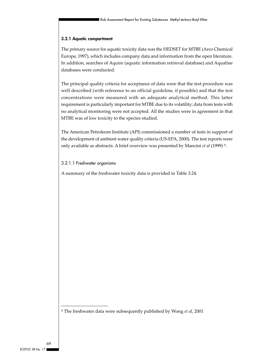### **3.2.1 Aquatic compartment**

The primary source for aquatic toxicity data was the HEDSET for MTBE (Arco Chemical Europe, 1997), which includes company data and information from the open literature. In addition, searches of Aquire (aquatic information retrieval database) and Aqualine databases were conducted.

The principal quality criteria for acceptance of data were that the test procedure was well described (with reference to an official guideline, if possible) and that the test concentrations were measured with an adequate analytical method. This latter requirement is particularly important for MTBE due to its volatility; data from tests with no analytical monitoring were not accepted. All the studies were in agreement in that MTBE was of low toxicity to the species studied.

The American Petroleum Institute (API) commissioned a number of tests in support of the development of ambient water quality criteria (US-EPA, 2000). The test reports were only available as abstracts. A brief overview was presented by Mancini *et al* (1999) a.

3.2.1.1 Freshwater organisms

A summary of the freshwater toxicity data is provided in Table 3.24.

<sup>a</sup> The freshwater data were subsequently published by Wong *et al*, 2001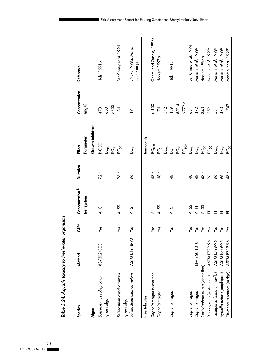| Species                                | Method              | GLP¤ | Concentration b,                              | Duration | Effect                  | Concentration | Reference                        |
|----------------------------------------|---------------------|------|-----------------------------------------------|----------|-------------------------|---------------|----------------------------------|
|                                        |                     |      | test system <sup>c</sup>                      |          | Parameter               | $\sqrt{m}$    |                                  |
| Algae                                  |                     |      |                                               |          | Growth inhibition       |               |                                  |
| Scenedesmus subspicatus                | 88/302/EEC          | yes  | $\lambda$ C                                   | 72h      | NOEC                    | 470           | Hüls, 1991b                      |
| (green alga)                           |                     |      |                                               |          |                         | 650           |                                  |
|                                        |                     |      |                                               |          | ្ម<br>សូ <sub>ទ្ធ</sub> | $-800$        |                                  |
| Selenastrum capricornutum <sup>d</sup> |                     | Yes  | $A$ , SS                                      | 96 h     | EC <sub>50</sub>        | 184           | BenKinney et al, 1994            |
| (green alga)                           |                     |      |                                               |          |                         |               |                                  |
| Selenastrum capricornutum              | ASTM E1218-90       | Yes  | $\lambda$ , S                                 | 96 h     | EC <sub>50</sub>        | 491           | ENSR, 1999a; Mancini             |
|                                        |                     |      |                                               |          |                         |               | et al, 1999 <sup>e</sup>         |
| Invertebrates                          |                     |      |                                               |          | Immobility              |               |                                  |
| Daphnia magna (water flea)             |                     | yes  | ⋖                                             | 48 h     | EC <sub>100</sub>       |               | Gnemi and Zanolo, 1996b          |
| Daphnia magna                          |                     | Yes  | $A$ , SS                                      | 48 h     | ပ္မွာ                   |               | Hockett, 1997a                   |
|                                        |                     |      |                                               |          |                         |               |                                  |
| Daphnia magna                          |                     | Yes  | $\overline{A}$ , C                            | 48 h     | ូ<br>បូបូបូបូបូបូបូ     |               | Hüls, 1991c                      |
|                                        |                     |      |                                               |          |                         |               |                                  |
|                                        |                     |      |                                               |          |                         |               |                                  |
| Daphnia magna                          |                     | Yes  |                                               | 48 h     |                         |               | BenKinney et al, 1994            |
| Daphnia magna                          | EPA 850.1010        | Yes  | $\begin{array}{c} 4, 55 \\ 4, 67 \end{array}$ | 48 h     |                         |               | Mancini et al, 1999e             |
| Ceriodaphnia dubia (water flea)        |                     | Yes  | A, SS                                         | 48 h     |                         |               | Hockett, 1997b                   |
| Physa gyrina (water snail)             | ASTM E729-96        | Yes  | 匠                                             | 96 h     | EC <sub>50</sub>        |               | Mancini et al, 1999 <sup>e</sup> |
| Hexagenia limbata (mayfly)             | ASTM E729-96        | Yes  | 눈                                             | 96 h     | EC <sub>50</sub>        |               | Mancini et al, 1999e             |
| Hyalella azteca (amphipod)             | <b>ASTM E729-96</b> | Yes  | 됴                                             | 96 h     | $EC_{50}$               | 473           | Mancini et al, 1999e             |
| Chironomus tentans (midge)             | <b>ASTM E729-96</b> | Yes  | 됴                                             | 48h      | $EC_{50}$               | 1/742         | Mancini et al, 1999e             |

Table 3.24: Aquatic toxicity to freshwater organisms **Table 3.24: Aquatic toxicity to freshwater organisms**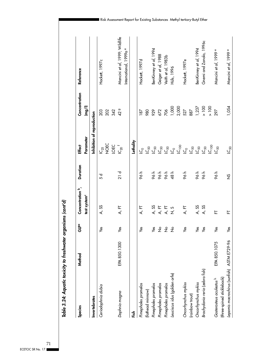| Table 3.24: Aquatic toxicity to freshwater organisms (cont'd) |              |               |                          |                          |                                                              |                                     |                               |
|---------------------------------------------------------------|--------------|---------------|--------------------------|--------------------------|--------------------------------------------------------------|-------------------------------------|-------------------------------|
| <b>Species</b>                                                | Method       | GLP¤          | Concentration b,         | Duration                 | <b>Effect</b>                                                | Concentration                       | Reference                     |
|                                                               |              |               | test system <sup>c</sup> |                          | Parameter                                                    | $\sqrt{m}$                          |                               |
| Invertebrates                                                 |              |               |                          |                          | Inhibition of reproduction                                   |                                     |                               |
| Ceriodaphnia dubia                                            |              | Yes           | A, SS                    | 5 d                      | $IC_{25}$                                                    | 203                                 | Hockett, 1997c                |
|                                                               |              |               |                          |                          | NOEC                                                         | 202                                 |                               |
|                                                               |              |               |                          |                          |                                                              | 342                                 |                               |
| Daphnia magna                                                 | EPA 850.1300 | Yes           | にく                       | $\frac{d}{2}$            | $\frac{100}{10}$                                             | 429                                 | Mancini et al, 1999; Wildlife |
|                                                               |              |               |                          |                          |                                                              |                                     | International, 1999a          |
| Fish                                                          |              |               |                          |                          | Lethality                                                    |                                     |                               |
| Pimephales promelas                                           |              | yes           | A, FT                    | 96 h                     | ပုိ                                                          | 187                                 | Hockett, 1997d                |
| (fathead minnow)                                              |              |               |                          |                          |                                                              | 980                                 |                               |
| Pimephales promelas                                           |              | Yes           | $A,$ SS                  | 96 h                     |                                                              |                                     | BenKinney et al, 1994         |
| Pimephales promelas                                           |              | $\frac{1}{2}$ | 匠<br>$\vec{\mathbf{r}}$  | 96 h                     |                                                              |                                     | Geiger et al, 1988            |
| Pimephales promelas                                           |              | $\frac{1}{2}$ | 됴<br>$\vec{A}$           | 96 h                     |                                                              |                                     | Veith et al, 1983b            |
| Leuciscus idus (golden orfe)                                  |              | $\frac{9}{2}$ | S<br>z                   | 48 h                     |                                                              | 929<br>672<br>1,000<br>2,000<br>527 | Hüls, 1996                    |
|                                                               |              |               |                          |                          |                                                              |                                     |                               |
| Oncorhynchus mykiss                                           |              | yes           | A, FT                    | 96 h                     |                                                              |                                     | Hockett, 1997e                |
| (rainbow trout)                                               |              |               |                          |                          |                                                              | 887                                 |                               |
| Oncorhynchus mykiss                                           |              | Yes           | $A$ , SS                 | 96 h                     |                                                              |                                     | BenKinney et al, 1994         |
| Brachydanio rerio (zebra fish)                                |              | Yes           | SS<br>$\vec{A}$          | 96 h                     | ូ<br>បាំក្មួត ៥ ០ ១ ១ ១ ១ ១ ១ ១ ១<br>ក្មួត ១ ១ ១ ១ ១ ១ ១ ១ ១ | $\frac{1,237}{00}$                  | Gnemi and Zanolo, 1996c       |
|                                                               |              |               |                          |                          |                                                              |                                     |                               |
| Gasterosteus aculeatus h                                      | EPA 850.1075 | yes           | 岀                        | 96 h                     | $C_{50}$                                                     | 297                                 | Mancini et al, 1999 e         |
| (three-spined stickleback)                                    |              |               |                          |                          |                                                              |                                     |                               |
| Lepomis macrochirus (sunfish) ASTM E729-96                    |              | Yes           | 는                        | $\widetilde{\mathbf{z}}$ | ى<br>مى                                                      | 1,054                               | Mancini et al, 1999 e         |

Tablo 3 24: Acuatic toxicity to freshumter organisms (cont/d)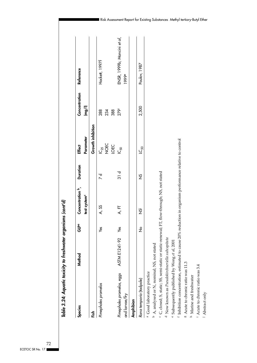| Table 3.24: Aquatic toxicity to freshwater organisms (cont'd)                                                                                                                                                                                                                                         |                   |         |                                              |               |                                |                         |                                      |
|-------------------------------------------------------------------------------------------------------------------------------------------------------------------------------------------------------------------------------------------------------------------------------------------------------|-------------------|---------|----------------------------------------------|---------------|--------------------------------|-------------------------|--------------------------------------|
| <b>Species</b>                                                                                                                                                                                                                                                                                        | Method            | Å,<br>ಠ | Concentration b,<br>test system <sup>c</sup> | Duration      | Parameter<br><b>Effect</b>     | Concentration<br>(mg/l) | Reference                            |
| E                                                                                                                                                                                                                                                                                                     |                   |         |                                              |               | Growth inhibition              |                         |                                      |
| Pimephales promelas                                                                                                                                                                                                                                                                                   |                   | yes     | A, SS                                        | 7 d           | $\frac{IC_{25}}{NOEC}$<br>LOEC | 388<br>288<br>234       | Hockett, 1997f                       |
| Pimephales promelas, eggs<br>and larvae/fry                                                                                                                                                                                                                                                           | ASTM E1241-92 Yes |         | A, FT                                        | ರ<br>ನ        | $C_{50}$                       | 279i                    | ENSR, 1999b; Mancini et al,<br>1999e |
| Amphibian                                                                                                                                                                                                                                                                                             |                   |         |                                              |               |                                |                         |                                      |
| Rana temporia (tadpole)                                                                                                                                                                                                                                                                               |                   | ž       | ž                                            | $\frac{5}{2}$ | $LC_{50}$                      | 2,500                   | Paulov, 1987                         |
| <sup>c</sup> C, closed; S, static; SS, semi-static or static-renewal; FT, flow-through; NS, not stated<br>d Now known as Pseudokirchneriella subcapitata<br><sup>b</sup> A, analysed or N, nominal; NS, not stated<br>a Good laboratory practice                                                      |                   |         |                                              |               |                                |                         |                                      |
| <sup>f</sup> Inhibition concentration, estimated to cause 20% reduction in organism performance relative to control<br>e Subsequently published by Wong et al, 2001<br>8 Acute to chronic ratio was 11.3<br><sup>1</sup> Acute to chronic ratio was 3.4<br>h Marine and freshwater<br>j Abstract only |                   |         |                                              |               |                                |                         |                                      |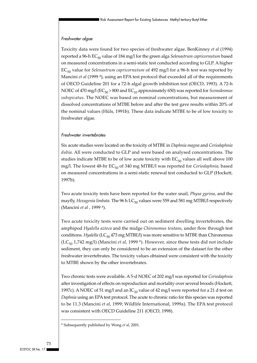### Freshwater algae

Toxicity data were found for two species of freshwater algae. BenKinney *et al* (1994) reported a 96-h EC<sub>50</sub> value of 184 mg/l for the green alga *Selenastrum capricornutum* based on measured concentrations in a semi-static test conducted according to GLP. A higher EC50 value for *Selenastrum capricornutum* of 492 mg/l for a 96-h test was reported by Mancini *et al* (1999<sup>a</sup>), using an EPA test protocol that exceeded all of the requirements of OECD Guideline 201 for a 72-h algal growth inhibition test (OECD, 1993). A 72-h NOEC of 470 mg/l (EC<sub>50</sub> > 800 and EC<sub>10</sub> approximately 650) was reported for *Scenedesmus subspicatus*. The NOEC was based on nominal concentrations, but measurement of dissolved concentrations of MTBE before and after the test gave results within 20% of the nominal values (Hüls, 1991b). These data indicate MTBE to be of low toxicity to freshwater algae.

### Freshwater invertebrates

Six acute studies were located on the toxicity of MTBE in *Daphnia magna* and *Ceriodaphnia dubia*. All were conducted to GLP and were based on analysed concentrations. The studies indicate MTBE to be of low acute toxicity with  $EC_{50}$  values all well above 100 mg/l. The lowest 48-hr EC<sub>50</sub> of 340 mg MTBE/l was reported for *Ceriodaphnia*, based on measured concentrations in a semi-static renewal test conducted to GLP (Hockett, 1997b).

Two acute toxicity tests have been reported for the water snail, *Physa gyrina*, and the mayfly, *Hexagenia limbata*. The 96 h LC<sub>50</sub> values were 559 and 581 mg MTBE/l respectively (Mancini *et al* , 1999 a).

Two acute toxicity tests were carried out on sediment dwelling invertebrates, the amphipod *Hyalella azteca* and the midge *Chironomus tentans*, under flow through test conditions. *Hyalella* (LC<sub>50</sub> 473 mg MTBE/l) was more sensitive to MTBE than Chironomus (LC<sub>50</sub> 1,742 mg/l) (Mancini *et al*, 1999<sup>a</sup>). However, since these tests did not include sediment, they can only be considered to be an extension of the dataset for the other freshwater invertebrates. The toxicity values obtained were consistent with the toxicity to MTBE shown by the other invertebrates.

Two chronic tests were available. A 5-d NOEC of 202 mg/l was reported for *Ceriodaphnia* after investigation of effects on reproduction and mortality over several broods (Hockett, 1997c). A NOEC of 51 mg/l and an  $IC_{20}$  value of 42 mg/l were reported for a 21 d test on *Daphnia* using an EPA test protocol. The acute to chronic ratio for this species was reported to be 11.3 (Mancini *et al*, 1999; Wildlife International, 1999a). The EPA test protocol was consistent with OECD Guideline 211 (OECD, 1998).

<sup>a</sup> Subsequently published by Wong *et al*, 2001.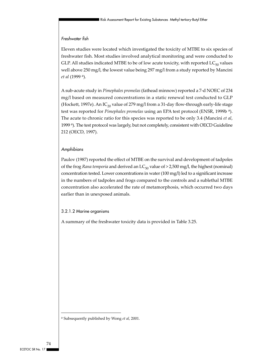### Freshwater fish

Eleven studies were located which investigated the toxicity of MTBE to six species of freshwater fish. Most studies involved analytical monitoring and were conducted to GLP. All studies indicated MTBE to be of low acute toxicity, with reported  $LC_{50}$  values well above 250 mg/l, the lowest value being 297 mg/l from a study reported by Mancini *et al* (1999 a).

A sub-acute study in *Pimephales promelas* (fathead minnow) reported a 7-d NOEC of 234 mg/l based on measured concentrations in a static renewal test conducted to GLP (Hockett, 1997e). An I $C_{20}$  value of 279 mg/l from a 31-day flow-through early-life stage test was reported for *Pimephales promelas* using an EPA test protocol (ENSR, 1999b a). The acute to chronic ratio for this species was reported to be only 3.4 (Mancini *et al*, 1999 a). The test protocol was largely, but not completely, consistent with OECD Guideline 212 (OECD, 1997).

### **Amphibians**

Paulov (1987) reported the effect of MTBE on the survival and development of tadpoles of the frog *Rana temporia* and derived an LC<sub>50</sub> value of > 2,500 mg/l, the highest (nominal) concentration tested. Lower concentrations in water (100 mg/l) led to a significant increase in the numbers of tadpoles and frogs compared to the controls and a sublethal MTBE concentration also accelerated the rate of metamorphosis, which occurred two days earlier than in unexposed animals.

#### 3.2.1.2 Marine organisms

A summary of the freshwater toxicity data is provided in Table 3.25.

<sup>a</sup> Subsequently published by Wong *et al*, 2001.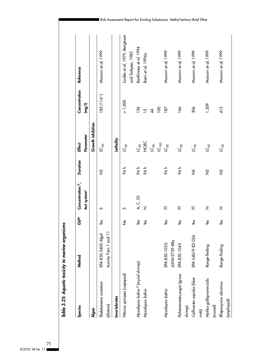| <b>Species</b>                               | Method                  | GLPa          | Concentration b,         | Duration      | <b>Effect</b>     | Concentration    | Reference                     |
|----------------------------------------------|-------------------------|---------------|--------------------------|---------------|-------------------|------------------|-------------------------------|
|                                              |                         |               | test system <sup>c</sup> |               | Parameter         | $\sqrt{m}$       |                               |
| Algae                                        |                         |               |                          |               | Growth inhibition |                  |                               |
| Skeletonema costatum                         | EPA 850.5400 Algal      | Yes           | ഗ                        | $\frac{5}{2}$ | $EC_{50}$         | 185(1149)        | Mancini et al, 1999           |
| (diatom)                                     | toxicity Tiers 1 and 11 |               |                          |               |                   |                  |                               |
| Invertebrates                                |                         |               |                          |               | Lethality         |                  |                               |
| Nitocra spinipes (copepod)                   |                         | $\frac{1}{2}$ | S                        | 96 h          | $L_{50}$          | > 1,000          | Lindén et al, 1979; Bengtsson |
|                                              |                         |               |                          |               |                   |                  | and Tarkpea, 1983             |
| Mysidopsis bahia <sup>d</sup> (mysid shrimp) |                         | Yes           | A, C, SS                 | 96 h          | LC <sub>50</sub>  | 136              | BenKinney et al, 1994         |
| Mysidopsis bahia                             |                         | Yes           | Z                        | 96 h          | NOEC              | $\overline{5}$   | Boeri et al, 1994a            |
|                                              |                         |               |                          |               | $LC_{50}$         | $\overline{4}$   |                               |
|                                              |                         |               |                          |               | $LC_{100}$        | $\overline{100}$ |                               |
| Mysidopsis bahia                             | EPA 850.1035;           | $Y$ ês        | 눈                        | 96 h          | $LC_{50}$         | 187              | Mancini et al, 1999           |
|                                              | ASTM E729-88a           |               |                          |               |                   |                  |                               |
| Palaemonetes pugio (grass                    | EPA 850.1045            | Yes           | 됴                        | 96 h          | LC <sub>50</sub>  | 166              | Mancini et al, 1999           |
| shrimp)                                      |                         |               |                          |               |                   |                  |                               |
| Callinectes sapidus (blue                    | EPA 540/9-82-024        | $Y$ es        | 노                        | $\frac{5}{2}$ | $L_{50}$          | 306              | Mancini et al, 1999           |
| crab)                                        |                         |               |                          |               |                   |                  |                               |
| Mytilus galloprovincialis                    | Range-finding           | Yes           | Z                        | $\frac{5}{2}$ | $L_{50}$          | 1,309            | Mancini et al, 1999           |
| (mussel)                                     |                         |               |                          |               |                   |                  |                               |
| Rhepoxynius abronius                         | Range-finding           | Yes           | Z                        | $\frac{8}{2}$ | <b>ر</b> ج        | 412              | Mancini et al, 1999           |
| (amphipod)                                   |                         |               |                          |               |                   |                  |                               |

Table 3.25: Aquatic toxicity to marine organisms **Table 3.25: Aquatic toxicity to marine organisms**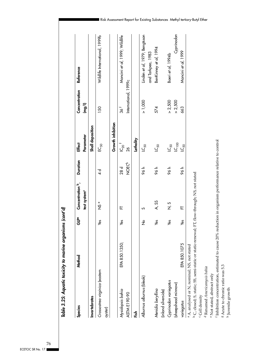| Species                                                                                                                                                                 | Method        | GLPa          | Concentration b,         | Duration    | <b>Effect</b>                | Concentration        | <b>Reference</b>                                   |
|-------------------------------------------------------------------------------------------------------------------------------------------------------------------------|---------------|---------------|--------------------------|-------------|------------------------------|----------------------|----------------------------------------------------|
|                                                                                                                                                                         |               |               | test system <sup>c</sup> |             | Parameter                    | (ng/l                |                                                    |
| Invertebrates                                                                                                                                                           |               |               |                          |             | Shell deposition             |                      |                                                    |
| Crassostrea virginica (eastern                                                                                                                                          |               | Yes           | ° sk                     | उ<br>प      | EC <sub>50</sub>             | $\frac{50}{50}$      | Wildlife International, 1999b                      |
| oyster)                                                                                                                                                                 |               |               |                          |             |                              |                      |                                                    |
|                                                                                                                                                                         |               |               |                          |             | Growth inhibition            |                      |                                                    |
| Mysidopsis bahia                                                                                                                                                        | EPA 850.1350; | Yes           | ᄂ                        | 28 d        | $\overline{C_{20}}^+$        | $36+$                | Mancini et al, 1999; Wildlife                      |
| ASTM E190-90                                                                                                                                                            |               |               |                          | <b>NOEC</b> | 26                           | International, 1999c |                                                    |
| Fish                                                                                                                                                                    |               |               |                          |             | Lethality                    |                      |                                                    |
| Alburnus alburnus (bleak)                                                                                                                                               |               | $\frac{1}{2}$ | ഗ                        | 96 h        | LC <sub>50</sub>             | > 1,000              | Lindén et al, 1979; Bengtsson<br>and Tarkpea, 1983 |
| Menidia beryllina<br>(inland silverside)                                                                                                                                |               | Yes           | A, SS                    | 96 h        | LC <sub>50</sub>             | 574                  | BenKinney et al, 1994                              |
| Cyprinodon variegatus<br>(sheepshead minnow)                                                                                                                            |               | Yes           | $\frac{5}{2}$            | 96 h        | $L_{100}$<br>0 <sub>50</sub> | > 2,500<br>> 2,500   | Cyprinodon<br>Boeri et al, 1994b                   |
| variegatus                                                                                                                                                              | EPA 850.1075  | yes           | 匸                        | 96 h        | وي<br>م                      | 663                  | Mancini et al, 1999                                |
| <sup>b</sup> C, closed; S, static; SS, semi-static or static-renewal; FT, flow-through; NS, not stated<br>a A, analysed or N, nominal; NS, not stated<br>c Cell density |               |               |                          |             |                              |                      |                                                    |

<sup>d</sup> Renamed Americamysis bahia Renamed *Americamysis bahia*

e Not stated, abstract only Not stated, abstract only

<sup>f</sup> Inhibition concentration, estimated to cause 20% reduction in organism performance relative to control Inhibition concentration, estimated to cause 20% reduction in organism performance relative to control

<sup>g</sup> Acute to chronic ratio was 5.3 Acute to chronic ratio was 5.3

 $^{\rm h}$  Juvenile growth Juvenile growth

**Table 3.25: Aquatic toxicity to marine organisms (cont'd)**

Table 3.25: Aquatic toxicity to marine organisms (cont'd)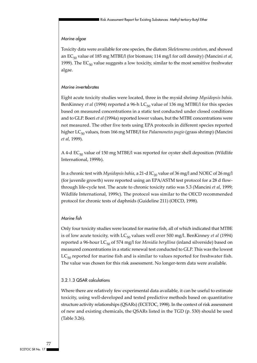### Marine algae

Toxicity data were available for one species, the diatom *Skeletonema costatum*, and showed an EC<sub>50</sub> value of 185 mg MTBE/l (for biomass; 114 mg/l for cell density) (Mancini *et al*, 1999). The  $EC_{50}$  value suggests a low toxicity, similar to the most sensitive freshwater algae.

### Marine invertebrates

Eight acute toxicity studies were located, three in the mysid shrimp *Mysidopsis bahia*. BenKinney *et al* (1994) reported a 96-h LC<sub>50</sub> value of 136 mg MTBE/l for this species based on measured concentrations in a static test conducted under closed conditions and to GLP. Boeri *et al* (1994a) reported lower values, but the MTBE concentrations were not measured. The other five tests using EPA protocols in different species reported higher LC<sub>50</sub> values, from 166 mg MTBE/l for *Palaemonetes pugio* (grass shrimp) (Mancini *et al*, 1999).

A 4-d  $EC_{50}$  value of 150 mg MTBE/l was reported for oyster shell deposition (Wildlife International, 1999b).

In a chronic test with *Mysidopsis bahia*, a 21-d IC<sub>20</sub> value of 36 mg/l and NOEC of 26 mg/l (for juvenile growth) were reported using an EPA/ASTM test protocol for a 28 d flowthrough life-cycle test. The acute to chronic toxicity ratio was 5.3 (Mancini *et al*, 1999; Wildlife International, 1999c). The protocol was similar to the OECD recommended protocol for chronic tests of daphnids (Guideline 211) (OECD, 1998).

### Marine fish

Only four toxicity studies were located for marine fish, all of which indicated that MTBE is of low acute toxicity, with  $LC_{50}$  values well over 500 mg/l. BenKinney *et al* (1994) reported a 96-hour LC<sub>50</sub> of 574 mg/l for *Menidia beryllina* (inland silverside) based on measured concentrations in a static renewal test conducted to GLP. This was the lowest  $LC_{50}$  reported for marine fish and is similar to values reported for freshwater fish. The value was chosen for this risk assessment. No longer-term data were available.

#### 3.2.1.3 QSAR calculations

Where there are relatively few experimental data available, it can be useful to estimate toxicity, using well-developed and tested predictive methods based on quantitative structure activity relationships (QSARs) (ECETOC, 1998). In the context of risk assessment of new and existing chemicals, the QSARs listed in the TGD (p. 530) should be used (Table 3.26).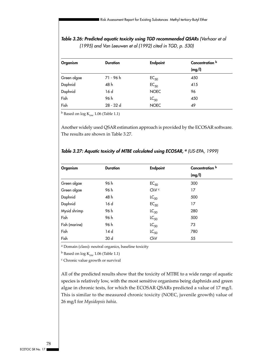**Table 3.26: Predicted aquatic toxicity using TGD recommended QSARs** (Verhaar et al (1995) and Van Leeuwen et al (1992) cited in TGD, p. 530)

| Organism    | <b>Duration</b> | <b>Endpoint</b> | Concentration b |
|-------------|-----------------|-----------------|-----------------|
|             |                 |                 | (mg/l)          |
| Green algae | 71 - 96 h       | $EC_{50}$       | 450             |
| Daphnid     | 48 h            | $EC_{50}$       | 415             |
| Daphnid     | 16 d            | <b>NOEC</b>     | 96              |
| Fish        | 96 h            | $LC_{50}$       | 450             |
| Fish        | 28 - 32 d       | <b>NOEC</b>     | 49              |

 $b$  Based on log  $K_{ow}$  1.06 (Table 1.1)

Another widely used QSAR estimation approach is provided by the ECOSAR software. The results are shown in Table 3.27.

| Organism      | <b>Duration</b> | <b>Endpoint</b> | Concentration b |
|---------------|-----------------|-----------------|-----------------|
|               |                 |                 | (mg/l)          |
| Green algae   | 96 h            | $EC_{50}$       | 300             |
| Green algae   | 96 h            | ChV             | 17              |
| Daphnid       | 48 h            | $LC_{50}$       | 500             |
| Daphnid       | 16 d            | $EC_{50}$       | 17              |
| Mysid shrimp  | 96 h            | $LC_{50}$       | 280             |
| Fish          | 96 h            | $LC_{50}$       | 500             |
| Fish (marine) | 96 h            | $LC_{50}$       | 73              |
| Fish          | 14d             | $LC_{50}$       | 780             |
| Fish          | 30 d            | ChV             | 55              |

**Table 3.27: Aquatic toxicity of MTBE calculated using ECOSAR, <sup>a</sup>** (US-EPA, 1999)

<sup>a</sup> Domain (class): neutral organics, baseline toxicity

 $b$  Based on  $log K_{ow}$  1.06 (Table 1.1)

<sup>c</sup> Chronic value growth or survival

All of the predicted results show that the toxicity of MTBE to a wide range of aquatic species is relatively low, with the most sensitive organisms being daphnids and green algae in chronic tests, for which the ECOSAR QSARs predicted a value of 17 mg/l. This is similar to the measured chronic toxicity (NOEC, juvenile growth) value of 26 mg/l for *Mysidopsis bahia*.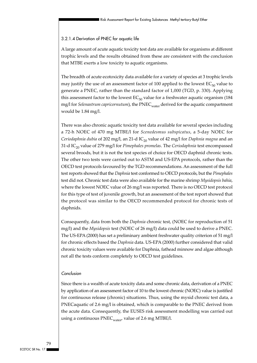#### 3.2.1.4 Derivation of PNEC for aquatic life

A large amount of acute aquatic toxicity test data are available for organisms at different trophic levels and the results obtained from these are consistent with the conclusion that MTBE exerts a low toxicity to aquatic organisms.

The breadth of acute ecotoxicity data available for a variety of species at 3 trophic levels may justify the use of an assessment factor of 100 applied to the lowest  $EC_{50}$  value to generate a PNEC, rather than the standard factor of 1,000 (TGD, p. 330). Applying this assessment factor to the lowest  $EC_{50}$  value for a freshwater aquatic organism (184 mg/l for *Selenastrum capricornutum*), the PNEC<sub>water</sub> derived for the aquatic compartment would be 1.84 mg/l.

There was also chronic aquatic toxicity test data available for several species including a 72-h NOEC of 470 mg MTBE/l for *Scenedesmus subspicatus*, a 5-day NOEC for *Ceriodaphnia dubia* of 202 mg/l, an 21-d IC<sub>20</sub> value of 42 mg/l for *Daphnia magna* and an 31-d IC20 value of 279 mg/l for *Pimephales promelas*. The *Ceriodaphnia* test encompassed several broods, but it is not the test species of choice for OECD daphnid chronic tests. The other two tests were carried out to ASTM and US-EPA protocols, rather than the OECD test protocols favoured by the TGD recommendations. An assessment of the full test reports showed that the *Daphnia* test conformed to OECD protocols, but the *Pimephales* test did not. Chronic test data were also available for the marine shrimp *Mysidopsis bahia*, where the lowest NOEC value of 26 mg/l was reported. There is no OECD test protocol for this type of test of juvenile growth, but an assessment of the test report showed that the protocol was similar to the OECD recommended protocol for chronic tests of daphnids.

Consequently, data from both the *Daphnia* chronic test, (NOEC for reproduction of 51 mg/l) and the *Mysidopsis* test (NOEC of 26 mg/l) data could be used to derive a PNEC. The US-EPA (2000) has set a preliminary ambient freshwater quality criterion of 51 mg/l for chronic effects based the *Daphnia* data. US-EPA (2000) further considered that valid chronic toxicity values were available for Daphnia, fathead minnow and algae although not all the tests conform completely to OECD test guidelines.

### Conclusion

Since there is a wealth of acute toxicity data and some chronic data, derivation of a PNEC by application of an assessment factor of 10 to the lowest chronic (NOEC) value is justified for continuous release (chronic) situations. Thus, using the mysid chronic test data, a PNECaquatic of 2.6 mg/l is obtained, which is comparable to the PNEC derived from the acute data. Consequently, the EUSES risk assessment modelling was carried out using a continuous  $\text{PNEC}_{water}$  value of 2.6 mg MTBE/l.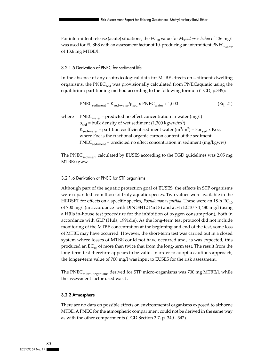For intermittent release (acute) situations, the EC<sub>50</sub> value for *Mysidopsis bahia* of 136 mg/l was used for EUSES with an assessment factor of 10, producing an intermittent  $\text{PNEC}_{water}$ of 13.6 mg MTBE/l.

#### 3.2.1.5 Derivation of PNEC for sediment life

In the absence of any ecotoxicological data for MTBE effects on sediment-dwelling organisms, the PNEC<sub>sed</sub> was provisionally calculated from PNECaquatic using the equilibrium partitioning method according to the following formula (TGD, p.335):

$$
PNEC_{\text{sediment}} = K_{\text{sed-water}} / \rho_{\text{sed}} \times PNEC_{\text{water}} \times 1,000 \tag{Eq. 21}
$$

where  $PNEC_{water}$  = predicted no effect concentration in water (mg/l)

 $\rho_{\rm sed}$  = bulk density of wet sediment (1,300 kgww/m<sup>3</sup>)  $K_{\text{sed-water}}$  = partition coefficient sediment water  $(m^3/m^3)$  = Foc<sub>sed</sub> x Koc, where Foc is the fractional organic carbon content of the sediment  $\text{PNEC}_{\text{sediment}}$  = predicted no effect concentration in sediment (mg/kgww)

The PNEC<sub>sediment</sub> calculated by EUSES according to the TGD guidelines was 2.05 mg MTBE/kgww.

#### 3.2.1.6 Derivation of PNEC for STP organisms

Although part of the aquatic protection goal of EUSES, the effects in STP organisms were separated from those of truly aquatic species. Two values were available in the HEDSET for effects on a specific species, *Pseudomonas putida*. These were an 18-h  $EC_{10}$ of 700 mg/l (in accordance with DIN 38412 Part 8) and a 5-h EC10 > 1,480 mg/l (using a Hüls in-house test procedure for the inhibition of oxygen consumption), both in accordance with GLP (Hüls, 1991d,e). As the long-term test protocol did not include monitoring of the MTBE concentration at the beginning and end of the test, some loss of MTBE may have occurred. However, the short-term test was carried out in a closed system where losses of MTBE could not have occurred and, as was expected, this produced an  $EC_{10}$  of more than twice that from the long-term test. The result from the long-term test therefore appears to be valid. In order to adopt a cautious approach, the longer-term value of 700 mg/l was input to EUSES for the risk assessment.

The PNEC<sub>micro-organisms</sub> derived for STP micro-organisms was 700 mg MTBE/l, while the assessment factor used was 1.

#### **3.2.2 Atmosphere**

There are no data on possible effects on environmental organisms exposed to airborne MTBE. A PNEC for the atmospheric compartment could not be derived in the same way as with the other compartments (TGD Section 3.7, p. 340 - 342).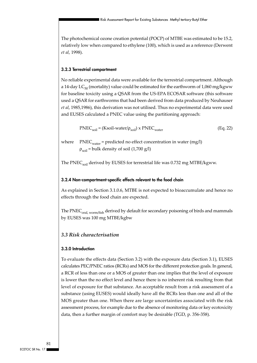The photochemical ozone creation potential (POCP) of MTBE was estimated to be 15.2, relatively low when compared to ethylene (100), which is used as a reference (Derwent *et al*, 1998).

#### **3.2.3 Terrestrial compartment**

No reliable experimental data were available for the terrestrial compartment. Although a 14-day  $LC_{50}$  (mortality) value could be estimated for the earthworm of 1,060 mg/kgww for baseline toxicity using a QSAR from the US-EPA ECOSAR software (this software used a QSAR for earthworms that had been derived from data produced by Neuhauser *et al*, 1985,1986), this derivation was not utilised. Thus no experimental data were used and EUSES calculated a PNEC value using the partitioning approach:

$$
PNEC_{\text{soil}} = (Ksoil-water/\rho_{\text{soil}}) \times PNEC_{\text{water}}
$$
 (Eq. 22)

where  $PNEC_{water}$  = predicted no effect concentration in water (mg/l)  $p_{\text{solid}}$  = bulk density of soil (1,700 g/l)

The PNEC<sub>soil</sub> derived by EUSES for terrestrial life was 0.732 mg MTBE/kgww.

### **3.2.4 Non-compartment-specific effects relevant to the food chain**

As explained in Section 3.1.0.6, MTBE is not expected to bioaccumulate and hence no effects through the food chain are expected.

The PNEC<sub>oral, worm/fish</sub> derived by default for secondary poisoning of birds and mammals by EUSES was 100 mg MTBE/kgbw

## *3.3 Risk characterisation*

### **3.3.0 Introduction**

To evaluate the effects data (Section 3.2) with the exposure data (Section 3.1), EUSES calculates PEC/PNEC ratios (RCRs) and MOS for the different protection goals. In general, a RCR of less than one or a MOS of greater than one implies that the level of exposure is lower than the no effect level and hence there is no inherent risk resulting from that level of exposure for that substance. An acceptable result from a risk assessment of a substance (using EUSES) would ideally have all the RCRs less than one and all of the MOS greater than one. When there are large uncertainties associated with the risk assessment process, for example due to the absence of monitoring data or key ecotoxicity data, then a further margin of comfort may be desirable (TGD, p. 356-358).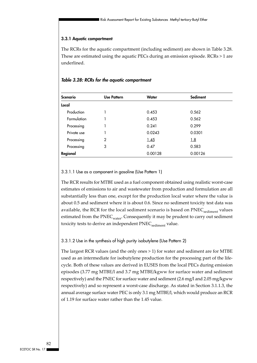#### **3.3.1 Aquatic compartment**

The RCRs for the aquatic compartment (including sediment) are shown in Table 3.28. These are estimated using the aquatic PECs during an emission episode. RCRs > 1 are underlined.

#### **Table 3.28: RCRs for the aquatic compartment**

| <b>Scenario</b> | <b>Use Pattern</b> | <b>Water</b> | Sediment |  |
|-----------------|--------------------|--------------|----------|--|
| Local           |                    |              |          |  |
| Production      |                    | 0.453        | 0.562    |  |
| Formulation     |                    | 0.453        | 0.562    |  |
| Processing      |                    | 0.241        | 0.299    |  |
| Private use     |                    | 0.0243       | 0.0301   |  |
| Processing      | 2                  | 1.45         | 1.8      |  |
| Processing      | 3                  | 0.47         | 0.583    |  |
| Regional        |                    | 0.00128      | 0.00126  |  |
|                 |                    |              |          |  |

#### 3.3.1.1 Use as a component in gasoline (Use Pattern 1)

The RCR results for MTBE used as a fuel component obtained using realistic worst-case estimates of emissions to air and wastewater from production and formulation are all substantially less than one, except for the production local water where the value is about 0.5 and sediment where it is about 0.6. Since no sediment toxicity test data was available, the RCR for the local sediment scenario is based on PNEC<sub>sediment</sub> values estimated from the PNEC<sub>water</sub>. Consequently it may be prudent to carry out sediment toxicity tests to derive an independent PNEC<sub>sediment</sub> value.

#### 3.3.1.2 Use in the synthesis of high purity isobutylene (Use Pattern 2)

The largest RCR values (and the only ones  $> 1$ ) for water and sediment are for MTBE used as an intermediate for isobutylene production for the processing part of the lifecycle. Both of these values are derived in EUSES from the local PECs during emission episodes (3.77 mg MTBE/l and 3.7 mg MTBE/kgww for surface water and sediment respectively) and the PNEC for surface water and sediment (2.6 mg/l and 2.05 mg/kgww respectively) and so represent a worst-case discharge. As stated in Section 3.1.1.3, the annual average surface water PEC is only 3.1 mg MTBE/l, which would produce an RCR of 1.19 for surface water rather than the 1.45 value.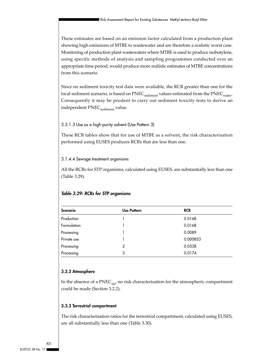These estimates are based on an emission factor calculated from a production plant showing high emissions of MTBE to wastewater and are therefore a realistic worst case. Monitoring of production plant wastewaters where MTBE is used to produce isobutylene, using specific methods of analysis and sampling programmes conducted over an appropriate time period, would produce more realistic estimates of MTBE concentrations from this scenario.

Since no sediment toxicity test data were available, the RCR greater than one for the local sediment scenario, is based on PNEC<sub>sediment</sub> values estimated from the PNEC<sub>water</sub>. Consequently it may be prudent to carry out sediment toxicity tests to derive an independent PNEC<sub>sediment</sub> value.

### 3.3.1.3 Use as a high-purity solvent (Use Pattern 3)

These RCR tables show that for use of MTBE as a solvent, the risk characterisation performed using EUSES produces RCRs that are less than one.

#### 3.1.4.4 Sewage treatment organisms

All the RCRs for STP organisms, calculated using EUSES, are substantially less than one (Table 3.29).

| <b>Scenario</b> | <b>Use Pattern</b> | <b>RCR</b> |
|-----------------|--------------------|------------|
| Production      |                    | 0.0168     |
| Formulation     |                    | 0.0168     |
| Processing      |                    | 0.0089     |
| Private use     |                    | 0.000853   |
| Processing      | 2                  | 0.0538     |
| Processing      | 3                  | 0.0174     |

#### **Table 3.29: RCRs for STP organisms**

#### **3.3.2 Atmosphere**

In the absence of a  $\text{PNEC}_{\text{air}}$ , no risk characterisation for the atmospheric compartment could be made (Section 3.2.2).

#### **3.3.3 Terrestrial compartment**

The risk characterisation ratios for the terrestrial compartment, calculated using EUSES, are all substantially less than one (Table 3.30).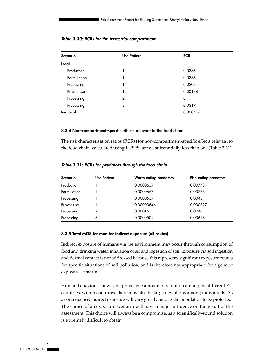| <b>Scenario</b> | <b>Use Pattern</b> | <b>RCR</b> |  |
|-----------------|--------------------|------------|--|
| Local           |                    |            |  |
| Production      |                    | 0.0336     |  |
| Formulation     |                    | 0.0336     |  |
| Processing      |                    | 0.0208     |  |
| Private use     |                    | 0.00184    |  |
| Processing      | 2                  | 0.1        |  |
| Processing      | 3                  | 0.0319     |  |
| Regional        |                    | 0.000416   |  |

### **Table 3.30: RCRs for the terrestrial compartment**

### **3.3.4 Non-compartment-specific effects relevant to the food chain**

The risk characterisation ratios (RCRs) for non-compartment-specific effects relevant to the food chain, calculated using EUSES, are all substantially less than one (Table 3.31).

|  | Table 3.31: RCRs for predators through the food chain |  |  |  |  |  |  |  |
|--|-------------------------------------------------------|--|--|--|--|--|--|--|
|--|-------------------------------------------------------|--|--|--|--|--|--|--|

| <b>Scenario</b> | <b>Use Pattern</b> | <b>Worm-eating predators</b> | <b>Fish-eating predators</b> |
|-----------------|--------------------|------------------------------|------------------------------|
| Production      |                    | 0.0000657                    | 0.00773                      |
| Formulation     |                    | 0.0000657                    | 0.00773                      |
| Processing      |                    | 0.0000537                    | 0.0048                       |
| Private use     |                    | 0.00000646                   | 0.000527                     |
| Processing      | 2                  | 0.00016                      | 0.0246                       |
| Processing      | 3                  | 0.0000502                    | 0.00616                      |

### **3.3.5 Total MOS for man for indirect exposure (all routes)**

Indirect exposure of humans via the environment may occur through consumption of food and drinking water, inhalation of air and ingestion of soil. Exposure via soil ingestion and dermal contact is not addressed because this represents significant exposure routes for specific situations of soil pollution, and is therefore not appropriate for a generic exposure scenario.

Human behaviour shows an appreciable amount of variation among the different EU countries; within countries, there may also be large deviations among individuals. As a consequence, indirect exposure will vary greatly among the population to be protected. The choice of an exposure scenario will have a major influence on the result of the assessment. This choice will always be a compromise, as a scientifically-sound solution is extremely difficult to obtain.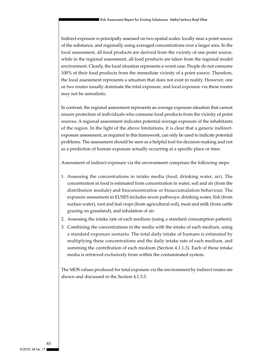Indirect exposure is principally assessed on two spatial scales: locally near a point source of the substance, and regionally using averaged concentrations over a larger area. In the local assessment, all food products are derived from the vicinity of one point source, while in the regional assessment, all food products are taken from the regional model environment. Clearly, the local situation represents a worst case. People do not consume 100% of their food products from the immediate vicinity of a point source. Therefore, the local assessment represents a situation that does not exist in reality. However, one or two routes usually dominate the total exposure, and local exposure via these routes may not be unrealistic.

In contrast, the regional assessment represents an average exposure situation that cannot ensure protection of individuals who consume food products from the vicinity of point sources. A regional assessment indicates potential average exposure of the inhabitants of the region. In the light of the above limitations, it is clear that a generic indirectexposure assessment, as required in this framework, can only be used to indicate potential problems. The assessment should be seen as a helpful tool for decision-making and not as a prediction of human exposure actually occurring at a specific place or time.

Assessment of indirect exposure via the environment comprises the following steps:

- 1. Assessing the concentrations in intake media (food, drinking water, air). The concentration in food is estimated from concentration in water, soil and air (from the distribution module) and bioconcentration or bioaccumulation behaviour. The exposure assessment in EUSES includes seven pathways: drinking water, fish (from surface water), root and leaf crops (from agricultural soil), meat and milk (from cattle grazing on grassland), and inhalation of air.
- 2. Assessing the intake rate of each medium (using a standard consumption pattern).
- 3. Combining the concentrations in the media with the intake of each medium, using a standard exposure scenario. The total daily intake of humans is estimated by multiplying these concentrations and the daily intake rate of each medium, and summing the contribution of each medium (Section 4.1.1.3). Each of these intake media is retrieved exclusively from within the contaminated system.

The MOS values produced for total exposure via the environment by indirect routes are shown and discussed in the Section 4.1.3.3.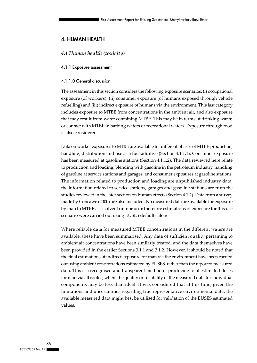## **4. HUMAN HEALTH**

### *4.1 Human health (toxicity)*

#### **4.1.1 Exposure assessment**

#### 4.1.1.0 General discussion

The assessment in this section considers the following exposure scenarios: (i) occupational exposure (of workers), (ii) consumer exposure (of humans exposed through vehicle refuelling) and (iii) indirect exposure of humans via the environment. This last category includes exposure to MTBE from concentrations in the ambient air, and also exposure that may result from water containing MTBE. This may be in terms of drinking water, or contact with MTBE in bathing waters or recreational waters. Exposure through food is also considered.

Data on worker exposures to MTBE are available for different phases of MTBE production, handling, distribution and use as a fuel additive (Section 4.1.1.1). Consumer exposure has been measured at gasoline stations (Section 4.1.1.2). The data reviewed here relate to production and loading, blending with gasoline in the petroleum industry, handling of gasoline at service stations and garages, and consumer exposures at gasoline stations. The information related to production and loading are unpublished industry data, the information related to service stations, garages and gasoline stations are from the studies reviewed in the later section on human effects (Section 4.1.2). Data from a survey made by Concawe (2000) are also included. No measured data are available for exposure by man to MTBE as a solvent (minor use); therefore estimations of exposure for this use scenario were carried out using EUSES defaults alone.

Where reliable data for measured MTBE concentrations in the different waters are available, these have been summarised. Any data of sufficient quality pertaining to ambient air concentrations have been similarly treated, and the data themselves have been provided in the earlier Sections 3.1.1 and 3.1.2. However, it should be noted that the final estimations of indirect exposure for man via the environment have been carried out using ambient concentrations estimated by EUSES, rather than the reported measured data. This is a recognised and transparent method of producing total estimated doses for man via all routes, where the quality or reliability of the measured data for individual components may be less than ideal. It was considered that at this time, given the limitations and uncertainties regarding true representative environmental data, the available measured data might best be utilised for validation of the EUSES estimated values.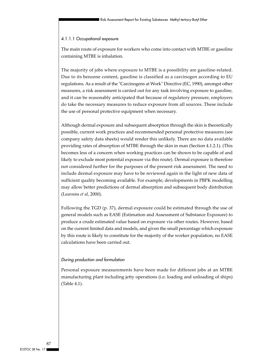#### 4.1.1.1 Occupational exposure

The main route of exposure for workers who come into contact with MTBE or gasoline containing MTBE is inhalation.

The majority of jobs where exposure to MTBE is a possibility are gasoline-related. Due to its benzene content, gasoline is classified as a carcinogen according to EU regulations. As a result of the "Carcinogens at Work" Directive (EC, 1990), amongst other measures, a risk assessment is carried out for any task involving exposure to gasoline, and it can be reasonably anticipated that because of regulatory pressure, employers do take the necessary measures to reduce exposure from all sources. These include the use of personal protective equipment when necessary.

Although dermal exposure and subsequent absorption through the skin is theoretically possible, current work practices and recommended personal protective measures (see company safety data sheets) would render this unlikely. There are no data available providing rates of absorption of MTBE through the skin in man (Section 4.1.2.1). (This becomes less of a concern when working practices can be shown to be capable of and likely to exclude most potential exposure via this route). Dermal exposure is therefore not considered further for the purposes of the present risk assessment. The need to include dermal exposure may have to be reviewed again in the light of new data of sufficient quality becoming available. For example, developments in PBPK modelling may allow better predictions of dermal absorption and subsequent body distribution (Leavens *et al*, 2000).

Following the TGD (p. 37), dermal exposure could be estimated through the use of general models such as EASE (Estimation and Assessment of Substance Exposure) to produce a crude estimated value based on exposure via other routes. However, based on the current limited data and models, and given the small percentage which exposure by this route is likely to constitute for the majority of the worker population, no EASE calculations have been carried out.

### During production and formulation

Personal exposure measurements have been made for different jobs at an MTBE manufacturing plant including jetty operations (i.e. loading and unloading of ships) (Table 4.1).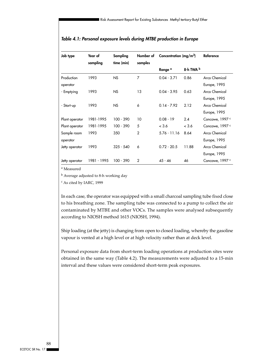| Job type       | Year of<br>sampling | Sampling<br>time (min) | Number of<br>samples | Concentration $(mg/m3)$ |           | Reference                  |
|----------------|---------------------|------------------------|----------------------|-------------------------|-----------|----------------------------|
|                |                     |                        |                      | Range <sup>a</sup>      | 8-h TWA b |                            |
| Production     | 1993                | <b>NS</b>              | 7                    | $0.04 - 3.71$           | 0.86      | Arco Chemical              |
| operator       |                     |                        |                      |                         |           | Europe, 1995               |
| - Emptying     | 1993                | <b>NS</b>              | 13                   | $0.04 - 3.95$           | 0.63      | Arco Chemical              |
|                |                     |                        |                      |                         |           | Europe, 1995               |
| - Start-up     | 1993                | <b>NS</b>              | 6                    | $0.14 - 7.92$           | 2.12      | Arco Chemical              |
|                |                     |                        |                      |                         |           | Europe, 1995               |
| Plant operator | 1981-1995           | 100 - 390              | 10                   | $0.08 - 19$             | 2.4       | Concawe, 1997 <sup>c</sup> |
| Plant operator | 1981-1995           | 100 - 390              | 5                    | < 3.6                   | < 3.6     | Concawe, 1997 <sup>c</sup> |
| Sample room    | 1993                | 350                    | $\overline{2}$       | $5.76 - 11.16$          | 8.64      | Arco Chemical              |
| operator       |                     |                        |                      |                         |           | Europe, 1995               |
| Jetty operator | 1993                | $325 - 540$            | 6                    | $0.72 - 20.5$           | 11.88     | Arco Chemical              |
|                |                     |                        |                      |                         |           | Europe, 1995               |
| Jetty operator | 1981 - 1995         | 100 - 390              | $\overline{2}$       | $45 - 46$               | 46        | Concawe, 1997 <sup>c</sup> |

## **Table 4.1: Personal exposure levels during MTBE production in Europe**

<sup>a</sup> Measured

<sup>b</sup> Average adjusted to 8-h working day

<sup>c</sup> As cited by IARC, 1999

In each case, the operator was equipped with a small charcoal sampling tube fixed close to his breathing zone. The sampling tube was connected to a pump to collect the air contaminated by MTBE and other VOCs. The samples were analysed subsequently according to NIOSH method 1615 (NIOSH, 1994).

Ship loading (at the jetty) is changing from open to closed loading, whereby the gasoline vapour is vented at a high level or at high velocity rather than at deck level.

Personal exposure data from short-term loading operations at production sites were obtained in the same way (Table 4.2). The measurements were adjusted to a 15-min interval and these values were considered short-term peak exposures.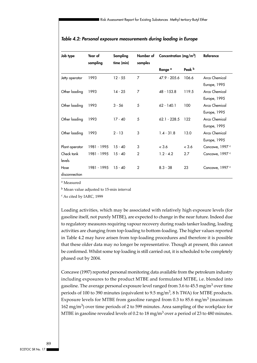| Job type       | Year of<br>sampling | Sampling<br>time (min) | Number of<br>samples | Concentration $(mg/m3)$ |        | Reference                  |  |
|----------------|---------------------|------------------------|----------------------|-------------------------|--------|----------------------------|--|
|                |                     |                        |                      | Range <sup>a</sup>      | Peak b |                            |  |
| Jetty operator | 1993                | $12 - 55$              | 7                    | 47.9 - 205.6            | 106.6  | Arco Chemical              |  |
|                |                     |                        |                      |                         |        | Europe, 1995               |  |
| Other loading  | 1993                | $14 - 25$              | 7                    | 48 - 153.8              | 119.5  | Arco Chemical              |  |
|                |                     |                        |                      |                         |        | Europe, 1995               |  |
| Other loading  | 1993                | $3 - 56$               | 5                    | $62 - 140.1$            | 100    | Arco Chemical              |  |
|                |                     |                        |                      |                         |        | Europe, 1995               |  |
| Other loading  | 1993                | $17 - 40$              | 5                    | $62.1 - 228.5$          | 122    | Arco Chemical              |  |
|                |                     |                        |                      |                         |        | Europe, 1995               |  |
| Other loading  | 1993                | $2 - 13$               | 3                    | $1.4 - 31.8$            | 13.0   | Arco Chemical              |  |
|                |                     |                        |                      |                         |        | Europe, 1995               |  |
| Plant operator | 1981 - 1995         | $15 - 40$              | 3                    | < 3.6                   | < 3.6  | Concawe, 1997 <sup>c</sup> |  |
| Check tank     | 1981 - 1995         | $15 - 40$              | $\overline{2}$       | $1.2 - 4.2$             | 2.7    | Concawe, 1997 <sup>c</sup> |  |
| levels         |                     |                        |                      |                         |        |                            |  |
| Hose           | 1981 - 1995         | $15 - 40$              | $\overline{2}$       | $8.3 - 38$              | 23     | Concawe, 1997 <sup>c</sup> |  |
| disconnection  |                     |                        |                      |                         |        |                            |  |

### **Table 4.2: Personal exposure measurements during loading in Europe**

<sup>a</sup> Measured

<sup>b</sup> Mean value adjusted to 15-min interval

<sup>c</sup> As cited by IARC, 1999

Loading activities, which may be associated with relatively high exposure levels (for gasoline itself, not purely MTBE), are expected to change in the near future. Indeed due to regulatory measures requiring vapour recovery during roads tanker loading, loading activities are changing from top-loading to bottom-loading. The higher values reported in Table 4.2 may have arisen from top-loading procedures and therefore it is possible that these older data may no longer be representative. Though at present, this cannot be confirmed. Whilst some top loading is still carried out, it is scheduled to be completely phased out by 2004.

Concawe (1997) reported personal monitoring data available from the petroleum industry including exposures to the product MTBE and formulated MTBE, i.e. blended into gasoline. The average personal exposure level ranged from 3.6 to  $45.5 \text{ mg/m}^3$  over time periods of 100 to 390 minutes (equivalent to 9.5 mg/m3, 8 h TWA) for MTBE products. Exposure levels for MTBE from gasoline ranged from 0.3 to 85.6 mg/m<sup>3</sup> (maximum 162 mg/m3) over time periods of 2 to 599 minutes. Area sampling of the workplace for MTBE in gasoline revealed levels of 0.2 to 18 mg/m<sup>3</sup> over a period of 23 to 480 minutes.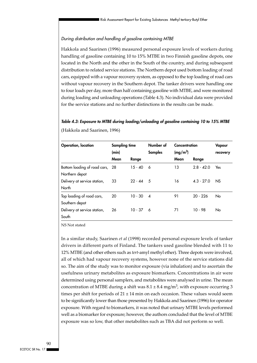### During distribution and handling of gasoline containing MTBE

Hakkola and Saarinen (1996) measured personal exposure levels of workers during handling of gasoline containing 10 to 15% MTBE in two Finnish gasoline depots, one located in the North and the other in the South of the country, and during subsequent distribution to related service stations. The Northern depot used bottom loading of road cars, equipped with a vapour recovery system, as opposed to the top loading of road cars without vapour recovery in the Southern depot. The tanker drivers were handling one to four loads per day, more than half containing gasoline with MTBE, and were monitored during loading and unloading operations (Table 4.3). No individual data were provided for the service stations and no further distinctions in the results can be made.

### **Table 4.3: Exposure to MTBE during loading/unloading of gasoline containing 10 to 15% MTBE**

| Operation, location             | <b>Sampling time</b> |               | Number of      | Concentration        |              | Vapour   |
|---------------------------------|----------------------|---------------|----------------|----------------------|--------------|----------|
|                                 | (min)                |               | <b>Samples</b> | (mg/m <sup>3</sup> ) |              | recovery |
|                                 | Mean                 | Range         |                | Mean                 | Range        |          |
| Bottom loading of road cars, 28 |                      | $15 - 40 = 6$ |                | 13                   | $2.8 - 42.0$ | Yes      |
| Northern depot                  |                      |               |                |                      |              |          |
| Delivery at service station,    | 33                   | $22 - 44$ 5   |                | 16                   | $4.3 - 27.0$ | NS.      |
| <b>North</b>                    |                      |               |                |                      |              |          |
| Top loading of road cars,       | 20                   | $10 - 30 = 4$ |                | 91                   | $20 - 226$   | No       |
| Southern depot                  |                      |               |                |                      |              |          |
| Delivery at service station,    | 26                   | $10 - 37 = 6$ |                | 71                   | $10 - 98$    | No       |
| South                           |                      |               |                |                      |              |          |

(Hakkola and Saarinen, 1996)

NS Not stated

In a similar study, Saarinen *et al* (1998) recorded personal exposure levels of tanker drivers in different parts of Finland. The tankers used gasoline blended with 11 to 12% MTBE (and other ethers such as *tert*-amyl methyl ether). Three depots were involved, all of which had vapour recovery systems, however none of the service stations did so. The aim of the study was to monitor exposure (via inhalation) and to ascertain the usefulness urinary metabolites as exposure biomarkers. Concentrations in air were determined using personal samplers, and metabolites were analysed in urine. The mean concentration of MTBE during a shift was  $8.1 \pm 8.4$  mg/m<sup>3</sup>, with exposure occurring 3 times per shift for periods of  $21 \pm 14$  min on each occasion. These values would seem to be significantly lower than those presented by Hakkola and Saarinen (1996) for operator exposure. With regard to biomarkers, it was noted that urinary MTBE levels performed well as a biomarker for exposure; however, the authors concluded that the level of MTBE exposure was so low, that other metabolites such as TBA did not perform so well.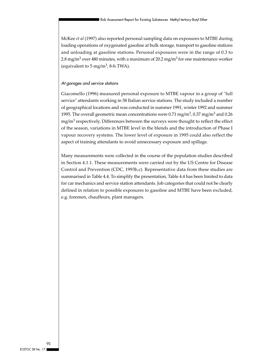McKee *et al* (1997) also reported personal sampling data on exposures to MTBE during loading operations of oxygenated gasoline at bulk storage, transport to gasoline stations and unloading at gasoline stations. Personal exposures were in the range of 0.3 to 2.8 mg/m<sup>3</sup> over 480 minutes, with a maximum of 20.2 mg/m<sup>3</sup> for one maintenance worker (equivalent to  $5 \text{ mg/m}^3$ , 8-h TWA).

### At garages and service stations

Giacomello (1996) measured personal exposure to MTBE vapour in a group of "full service" attendants working in 58 Italian service stations. The study included a number of geographical locations and was conducted in summer 1991, winter 1992 and summer 1995. The overall geometric mean concentrations were 0.71 mg/m<sup>3</sup>, 0.37 mg/m<sup>3</sup> and 0.26  $mg/m<sup>3</sup>$  respectively. Differences between the surveys were thought to reflect the effect of the season, variations in MTBE level in the blends and the introduction of Phase I vapour recovery systems. The lower level of exposure in 1995 could also reflect the aspect of training attendants to avoid unnecessary exposure and spillage.

Many measurements were collected in the course of the population studies described in Section 4.1.1. These measurements were carried out by the US Centre for Disease Control and Prevention (CDC, 1993b,c). Representative data from these studies are summarised in Table 4.4. To simplify the presentation, Table 4.4 has been limited to data for car mechanics and service station attendants. Job categories that could not be clearly defined in relation to possible exposures to gasoline and MTBE have been excluded, e.g. foremen, chauffeurs, plant managers.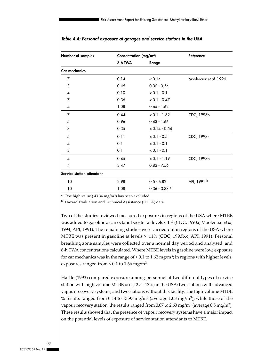| Number of samples         | Concentration (mg/m <sup>3</sup> ) |                            | <b>Reference</b>      |
|---------------------------|------------------------------------|----------------------------|-----------------------|
|                           | 8-h TWA                            | Range                      |                       |
| Car mechanics             |                                    |                            |                       |
| 7                         | 0.14                               | < 0.14                     | Moolenaar et al, 1994 |
| 3                         | 0.45                               | $0.36 - 0.54$              |                       |
| 4                         | 0.10                               | $< 0.1 - 0.1$              |                       |
| 7                         | 0.36                               | $< 0.1 - 0.47$             |                       |
| 4                         | 1.08                               | $0.65 - 1.62$              |                       |
| 7                         | 0.44                               | $< 0.1 - 1.62$             | CDC, 1993b            |
| 5                         | 0.96                               | $0.43 - 1.66$              |                       |
| 3                         | 0.35                               | $< 0.14 - 0.54$            |                       |
| 5                         | 0.11                               | $< 0.1 - 0.5$              | CDC, 1993c            |
| 4                         | 0.1                                | $< 0.1 - 0.1$              |                       |
| 3                         | 0.1                                | $< 0.1 - 0.1$              |                       |
| $\boldsymbol{\Lambda}$    | 0.45                               | $< 0.1 - 1.19$             | CDC, 1993b            |
| 4                         | 3.47                               | $0.83 - 7.56$              |                       |
| Service station attendant |                                    |                            |                       |
| 10                        | 2.98                               | $0.5 - 6.82$               | API, 1991 b           |
| 10                        | 1.08                               | $0.36 - 3.38$ <sup>a</sup> |                       |

### **Table 4.4: Personal exposure at garages and service stations in the USA**

<sup>a</sup> One high value ( $43.34$  mg/m<sup>3</sup>) has been excluded

<sup>b</sup> Hazard Evaluation and Technical Assistance (HETA) data

Two of the studies reviewed measured exposures in regions of the USA where MTBE was added to gasoline as an octane booster at levels < 1% (CDC, 1993a; Moolenaar *et al*, 1994; API, 1991). The remaining studies were carried out in regions of the USA where MTBE was present in gasoline at levels > 11% (CDC, 1993b,c; API, 1991). Personal breathing zone samples were collected over a normal day period and analysed, and 8-h TWA concentrations calculated. Where MTBE levels in gasoline were low, exposure for car mechanics was in the range of  $\leq 0.1$  to 1.62 mg/m<sup>3</sup>; in regions with higher levels, exposures ranged from  $\leq 0.1$  to 1.66 mg/m<sup>3</sup>.

Hartle (1993) compared exposure among personnel at two different types of service station with high volume MTBE use (12.5 - 13%) in the USA: two stations with advanced vapour recovery systems, and two stations without this facility. The high volume MTBE % results ranged from 0.14 to 13.97 mg/m<sup>3</sup> (average 1.08 mg/m<sup>3</sup>), while those of the vapour recovery station, the results ranged from 0.07 to 2.63 mg/m<sup>3</sup> (average 0.5 mg/m<sup>3</sup>). These results showed that the presence of vapour recovery systems have a major impact on the potential levels of exposure of service station attendants to MTBE.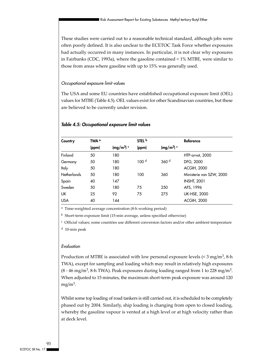These studies were carried out to a reasonable technical standard, although jobs were often poorly defined. It is also unclear to the ECETOC Task Force whether exposures had actually occurred in many instances. In particular, it is not clear why exposures in Fairbanks (CDC, 1993a), where the gasoline contained < 1% MTBE, were similar to those from areas where gasoline with up to 15% was generally used.

#### Occupational exposure limit values

The USA and some EU countries have established occupational exposure limit (OEL) values for MTBE (Table 4.5). OEL values exist for other Scandinavian countries, but these are believed to be currently under revision.

### **Table 4.5: Occupational exposure limit values**

| Country            | TWA <sup>a</sup> |            | STEL <sup>b</sup> |                  | <b>Reference</b>         |
|--------------------|------------------|------------|-------------------|------------------|--------------------------|
|                    | (ppm)            | $(mg/m^3)$ | (ppm)             | $(mg/m^3)$       |                          |
| Finland            | 50               | 180        |                   |                  | HTP-arvot, 2000          |
| Germany            | 50               | 180        | 100 <sup>d</sup>  | 360 <sup>d</sup> | DFG, 2000                |
| <b>Italy</b>       | 50               | 180        |                   |                  | <b>ACGIH, 2000</b>       |
| <b>Netherlands</b> | 50               | 180        | 100               | 360              | Ministerie van SZW, 2000 |
| Spain              | 40               | 147        |                   |                  | <b>INSHT, 2001</b>       |
| Sweden             | 50               | 180        | 75                | 250              | AFS, 1996                |
| <b>UK</b>          | 25               | 92         | 75                | 275              | <b>UK-HSE, 2000</b>      |
| <b>USA</b>         | 40               | 144        |                   |                  | <b>ACGIH, 2000</b>       |

<sup>a</sup> Time-weighted average concentration (8-h working period)

<sup>b</sup> Short-term exposure limit (15-min average, unless specified otherwise)

 $\cdot$  Official values; some countries use different conversion factors and/or other ambient temperature <sup>d</sup> 10-min peak

# Evaluation

Production of MTBE is associated with low personal exposure levels  $\left($  < 3 mg/m<sup>3</sup>, 8-h TWA), except for sampling and loading which may result in relatively high exposures  $(8 - 46 \text{ mg/m}^3, 8 - h \text{ TWA})$ . Peak exposures during loading ranged from 1 to 228 mg/m<sup>3</sup>. When adjusted to 15 minutes, the maximum short-term peak exposure was around 120  $mg/m<sup>3</sup>$ .

Whilst some top loading of road tankers is still carried out, it is scheduled to be completely phased out by 2004. Similarly, ship loading is changing from open to closed loading, whereby the gasoline vapour is vented at a high level or at high velocity rather than at deck level.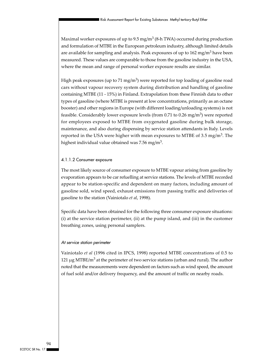Maximal worker exposures of up to 9.5 mg/m<sup>3</sup> (8-h TWA) occurred during production and formulation of MTBE in the European petroleum industry, although limited details are available for sampling and analysis. Peak exposures of up to  $162 \text{ mg/m}^3$  have been measured. These values are comparable to those from the gasoline industry in the USA, where the mean and range of personal worker exposure results are similar.

High peak exposures (up to 71 mg/m<sup>3</sup>) were reported for top loading of gasoline road cars without vapour recovery system during distribution and handling of gasoline containing MTBE (11 - 15%) in Finland. Extrapolation from these Finnish data to other types of gasoline (where MTBE is present at low concentrations, primarily as an octane booster) and other regions in Europe (with different loading/unloading systems) is not feasible. Considerably lower exposure levels (from 0.71 to 0.26 mg/m<sup>3</sup>) were reported for employees exposed to MTBE from oxygenated gasoline during bulk storage, maintenance, and also during dispensing by service station attendants in Italy. Levels reported in the USA were higher with mean exposures to MTBE of 3.5 mg/m<sup>3</sup>. The highest individual value obtained was 7.56 mg/m<sup>3</sup>.

#### 4.1.1.2 Consumer exposure

The most likely source of consumer exposure to MTBE vapour arising from gasoline by evaporation appears to be car refuelling at service stations. The levels of MTBE recorded appear to be station-specific and dependent on many factors, including amount of gasoline sold, wind speed, exhaust emissions from passing traffic and deliveries of gasoline to the station (Vainiotalo *et al*, 1998).

Specific data have been obtained for the following three consumer exposure situations: (i) at the service station perimeter, (ii) at the pump island, and (iii) in the customer breathing zones, using personal samplers.

#### At service station perimeter

Vainiotalo *et al* (1996 cited in IPCS, 1998) reported MTBE concentrations of 0.5 to 121  $\mu$ g MTBE/m<sup>3</sup> at the perimeter of two service stations (urban and rural). The author noted that the measurements were dependent on factors such as wind speed, the amount of fuel sold and/or delivery frequency, and the amount of traffic on nearby roads.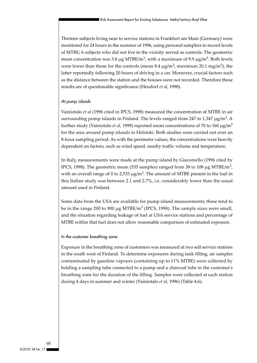Thirteen subjects living near to service stations in Frankfurt am Main (Germany) were monitored for 24 hours in the summer of 1996, using personal samplers to record levels of MTBE; 6 subjects who did not live in the vicinity served as controls. The geometric mean concentration was 3.8  $\mu$ g MTBE/m<sup>3</sup>, with a maximum of 9.9  $\mu$ g/m<sup>3</sup>. Both levels were lower than those for the controls (mean 8.4  $\mu$ g/m<sup>3</sup>, maximum 20.1 mg/m<sup>3</sup>), the latter reportedly following 20 hours of driving in a car. Moreover, crucial factors such as the distance between the station and the houses were not recorded. Therefore these results are of questionable significance (Heudorf *et al*, 1998).

### At pump islands

Vainiotalo *et al* (1996 cited in IPCS, 1998) measured the concentration of MTBE in air surrounding pump islands in Finland. The levels ranged from 247 to 1,347  $\mu$ g/m<sup>3</sup>. A further study (Vainiotalo *et al*, 1999) reported mean concentrations of 70 to 160  $\mu$ g/m<sup>3</sup> for the area around pump islands in Helsinki. Both studies were carried out over an 8-hour sampling period. As with the perimeter values, the concentrations were heavily dependent on factors, such as wind speed, nearby traffic volume and temperature.

In Italy, measurements were made at the pump island by Giacomello (1996 cited by IPCS, 1998). The geometric mean (535 samples) ranged from 38 to 108  $\mu$ g MTBE/m<sup>3</sup>, with an overall range of 0 to 2,533  $\mu$ g/m<sup>3</sup>. The amount of MTBE present in the fuel in this Italian study was between 2.1 and 2.7%, i.e. considerably lower than the usual amount used in Finland.

Some data from the USA are available for pump island measurements; these tend to be in the range 200 to 900  $\mu$ g MTBE/m<sup>3</sup> (IPCS, 1998). The sample sizes were small, and the situation regarding leakage of fuel at USA service stations and percentage of MTBE within that fuel does not allow reasonable comparison of estimated exposure.

#### In the customer breathing zone

Exposure in the breathing zone of customers was measured at two self service stations in the south west of Finland. To determine exposures during tank filling, air samples contaminated by gasoline vapours (containing up to 11% MTBE) were collected by holding a sampling tube connected to a pump and a charcoal tube in the customer's breathing zone for the duration of the filling. Samples were collected at each station during 4 days in summer and winter (Vainiotalo *et al*, 1996) (Table 4.6).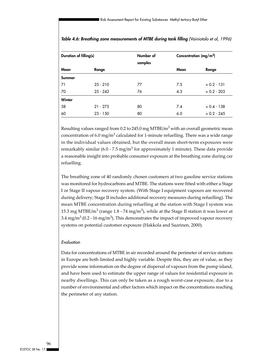| Duration of filling(s) |            | Number of<br>samples | Concentration $(mg/m3)$ |               |  |
|------------------------|------------|----------------------|-------------------------|---------------|--|
| Mean                   | Range      |                      | Mean                    | Range         |  |
| <b>Summer</b>          |            |                      |                         |               |  |
| 71                     | $25 - 210$ | 77                   | 7.5                     | $< 0.2 - 131$ |  |
| 70                     | $25 - 242$ | 76                   | 4.3                     | $< 0.2 - 203$ |  |
| <b>Winter</b>          |            |                      |                         |               |  |
| 58                     | $21 - 275$ | 80                   | 7.4                     | $< 0.4 - 138$ |  |
| 60                     | $23 - 150$ | 80                   | 6.0                     | $< 0.2 - 245$ |  |

**Table 4.6: Breathing zone measurements of MTBE during tank filling** (Vainiotalo et al, 1996)

Resulting values ranged from 0.2 to 245.0 mg MTBE/m<sup>3</sup> with an overall geometric mean concentration of 6.0 mg/m<sup>3</sup> calculated for 1-minute refuelling. There was a wide range in the individual values obtained, but the overall mean short-term exposures were remarkably similar (6.0 - 7.5 mg/m<sup>3</sup> for approximately 1 minute). These data provide a reasonable insight into probable consumer exposure at the breathing zone during car refuelling.

The breathing zone of 40 randomly chosen customers at two gasoline service stations was monitored for hydrocarbons and MTBE. The stations were fitted with either a Stage I or Stage II vapour recovery system. (With Stage I equipment vapours are recovered during delivery; Stage II includes additional recovery measures during refuelling). The mean MTBE concentration during refuelling at the station with Stage I system was 15.3 mg MTBE/m<sup>3</sup> (range 1.8 - 74 mg/m<sup>3</sup>), while at the Stage II station it was lower at 3.4 mg/m<sup>3</sup> (0.2 - 16 mg/m<sup>3</sup>). This demonstrates the impact of improved vapour recovery systems on potential customer exposure (Hakkola and Saarinen, 2000).

#### Evaluation

Data for concentrations of MTBE in air recorded around the perimeter of service stations in Europe are both limited and highly variable. Despite this, they are of value, as they provide some information on the degree of dispersal of vapours from the pump island, and have been used to estimate the upper range of values for residential exposure in nearby dwellings. This can only be taken as a rough worst-case exposure, due to a number of environmental and other factors which impact on the concentrations reaching the perimeter of any station.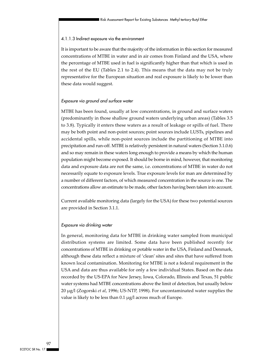#### 4.1.1.3 Indirect exposure via the environment

It is important to be aware that the majority of the information in this section for measured concentrations of MTBE in water and in air comes from Finland and the USA, where the percentage of MTBE used in fuel is significantly higher than that which is used in the rest of the EU (Tables 2.1 to 2.4). This means that the data may not be truly representative for the European situation and real exposure is likely to be lower than these data would suggest.

#### Exposure via ground and surface water

MTBE has been found, usually at low concentrations, in ground and surface waters (predominantly in those shallow ground waters underlying urban areas) (Tables 3.5 to 3.8). Typically it enters these waters as a result of leakage or spills of fuel. There may be both point and non-point sources; point sources include LUSTs, pipelines and accidental spills, while non-point sources include the partitioning of MTBE into precipitation and run-off. MTBE is relatively persistent in natural waters (Section 3.1.0.6) and so may remain in these waters long enough to provide a means by which the human population might become exposed. It should be borne in mind, however, that monitoring data and exposure data are not the same, i.e. concentrations of MTBE in water do not necessarily equate to exposure levels. True exposure levels for man are determined by a number of different factors, of which measured concentration in the source is one. The concentrations allow an estimate to be made, other factors having been taken into account.

Current available monitoring data (largely for the USA) for these two potential sources are provided in Section 3.1.1.

### Exposure via drinking water

In general, monitoring data for MTBE in drinking water sampled from municipal distribution systems are limited. Some data have been published recently for concentrations of MTBE in drinking or potable water in the USA, Finland and Denmark, although these data reflect a mixture of 'clean' sites and sites that have suffered from known local contamination. Monitoring for MTBE is not a federal requirement in the USA and data are thus available for only a few individual States. Based on the data recorded by the US-EPA for New Jersey, Iowa, Colorado, Illinois and Texas, 51 public water systems had MTBE concentrations above the limit of detection, but usually below 20 µg/l (Zogorski *et al*, 1996; US-NTP, 1998). For uncontaminated water supplies the value is likely to be less than 0.1 µg/l across much of Europe.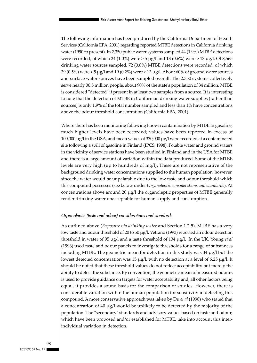The following information has been produced by the California Department of Health Services (California EPA, 2001) regarding reported MTBE detections in California drinking water (1990 to present). In 2,350 public water systems sampled 44 (1.9%) MTBE detections were recorded, of which 24 (1.0%) were  $> 5 \mu g/l$  and 13 (0.6%) were  $> 13 \mu g/l$ . Of 8,565 drinking water sources sampled, 72 (0.8%) MTBE detections were recorded, of which 39 (0.5%) were > 5 µg/l and 19 (0.2%) were > 13 µg/l. About 60% of ground water sources and surface water sources have been sampled overall. The 2,350 systems collectively serve nearly 30.5 million people, about 90% of the state's population of 34 million. MTBE is considered "detected" if present in at least two samples from a source. It is interesting to note that the detection of MTBE in Californian drinking water supplies (rather than sources) is only 1.9% of the total number sampled and less than 1% have concentrations above the odour threshold concentration (California EPA, 2001).

Where there has been monitoring following known contamination by MTBE in gasoline, much higher levels have been recorded; values have been reported in excess of 100,000 µg/l in the USA, and mean values of 330,000 µg/l were recorded at a contaminated site following a spill of gasoline in Finland (IPCS, 1998). Potable water and ground waters in the vicinity of service stations have been studied in Finland and in the USA for MTBE and there is a large amount of variation within the data produced. Some of the MTBE levels are very high (up to hundreds of mg/l). These are not representative of the background drinking water concentrations supplied to the human population, however, since the water would be unpalatable due to the low taste and odour threshold which this compound possesses (see below under *Organoleptic considerations and standards*). At concentrations above around 20 µg/l the organoleptic properties of MTBE generally render drinking water unacceptable for human supply and consumption.

### Organoleptic (taste and odour) considerations and standards

As outlined above (*Exposure via drinking water* and Section 1.2.5), MTBE has a very low taste and odour threshold of 20 to 50 µg/l. Vetrano (1993) reported an odour detection threshold in water of 95 µg/l and a taste threshold of 134 µg/l. In the UK, Young *et al* (1996) used taste and odour panels to investigate thresholds for a range of substances including MTBE. The geometric mean for detection in this study was 34 µg/l but the lowest detected concentration was 15 µg/l, with no detection at a level of 6.25 µg/l. It should be noted that these threshold values do not reflect acceptability but merely the ability to detect the substance. By convention, the geometric mean of measured odours is used to provide guidance on targets for water acceptability and, all other factors being equal, it provides a sound basis for the comparison of studies. However, there is considerable variation within the human population for sensitivity in detecting this compound. A more conservative approach was taken by Du *et al* (1998) who stated that a concentration of 40 µg/l would be unlikely to be detected by the majority of the population. The "secondary" standards and advisory values based on taste and odour, which have been proposed and/or established for MTBE, take into account this interindividual variation in detection.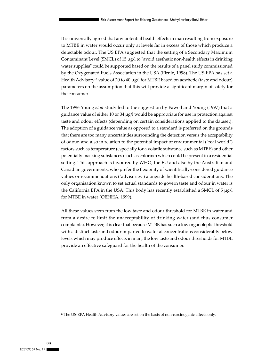It is universally agreed that any potential health effects in man resulting from exposure to MTBE in water would occur only at levels far in excess of those which produce a detectable odour. The US EPA suggested that the setting of a Secondary Maximum Contaminant Level (SMCL) of 15  $\mu$ g/l to "avoid aesthetic non-health effects in drinking water supplies" could be supported based on the results of a panel study commissioned by the Oxygenated Fuels Association in the USA (Pirnie, 1998). The US-EPA has set a Health Advisory<sup>a</sup> value of 20 to 40  $\mu$ g/l for MTBE based on aesthetic (taste and odour) parameters on the assumption that this will provide a significant margin of safety for the consumer.

The 1996 Young *et al* study led to the suggestion by Fawell and Young (1997) that a guidance value of either 10 or 34 µg/l would be appropriate for use in protection against taste and odour effects (depending on certain considerations applied to the dataset). The adoption of a guidance value as opposed to a standard is preferred on the grounds that there are too many uncertainties surrounding the detection versus the acceptability of odour, and also in relation to the potential impact of environmental ("real world") factors such as temperature (especially for a volatile substance such as MTBE) and other potentially masking substances (such as chlorine) which could be present in a residential setting. This approach is favoured by WHO, the EU and also by the Australian and Canadian governments, who prefer the flexibility of scientifically-considered guidance values or recommendations ("advisories") alongside health-based considerations. The only organisation known to set actual standards to govern taste and odour in water is the California EPA in the USA. This body has recently established a SMCL of  $5 \mu g/l$ for MTBE in water (OEHHA, 1999).

All these values stem from the low taste and odour threshold for MTBE in water and from a desire to limit the unacceptability of drinking water (and thus consumer complaints). However, it is clear that because MTBE has such a low organoleptic threshold with a distinct taste and odour imparted to water at concentrations considerably below levels which may produce effects in man, the low taste and odour thresholds for MTBE provide an effective safeguard for the health of the consumer.

<sup>&</sup>lt;sup>a</sup> The US-EPA Health Advisory values are set on the basis of non-carcinogenic effects only.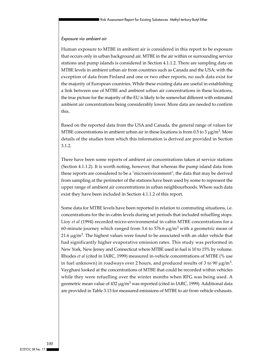#### Exposure via ambient air

Human exposure to MTBE in ambient air is considered in this report to be exposure that occurs only in urban background air. MTBE in the air within or surrounding service stations and pump islands is considered in Section 4.1.1.2. There are sampling data on MTBE levels in ambient urban air from countries such as Canada and the USA; with the exception of data from Finland and one or two other reports, no such data exist for the majority of European countries. While these existing data are useful in establishing a link between use of MTBE and ambient urban air concentrations in these locations, the true picture for the majority of the EU is likely to be somewhat different with estimated ambient air concentrations being considerably lower. More data are needed to confirm this.

Based on the reported data from the USA and Canada, the general range of values for MTBE concentrations in ambient urban air in these locations is from 0.5 to 3  $\mu$ g/m<sup>3</sup>. More details of the studies from which this information is derived are provided in Section 3.1.2.

There have been some reports of ambient air concentrations taken at service stations (Section 4.1.1.2). It is worth noting, however, that whereas the pump island data from these reports are considered to be a "microenvironment", the data that may be derived from sampling at the perimeter of the stations have been used by some to represent the upper range of ambient air concentrations in urban neighbourhoods. Where such data exist they have been included in Section 4.1.1.2 of this report.

Some data for MTBE levels have been reported in relation to commuting situations, i.e. concentrations for the in-cabin levels during set periods that included refuelling stops. Lioy *et al* (1994) recorded micro-environmental in-cabin MTBE concentrations for a 60-minute journey which ranged from 3.6 to 576.6  $\mu$ g/m<sup>3</sup> with a geometric mean of 21.6  $\mu$ g/m<sup>3</sup>. The highest values were found to be associated with an older vehicle that had significantly higher evaporative emission rates. This study was performed in New York, New Jersey and Connecticut where MTBE used in fuel is 10 to 15% by volume. Rhodes *et al* (cited in IARC, 1999) measured in-vehicle concentrations of MTBE (% use in fuel unknown) in roadways over 2 hours, and produced results of 3 to 90  $\mu$ g/m<sup>3</sup>. Vayghani looked at the concentrations of MTBE that could be recorded within vehicles while they were refuelling over the winter months when RFG was being used. A geometric mean value of  $432 \mu g/m^3$  was reported (cited in IARC, 1999). Additional data are provided in Table 3.13 for measured emissions of MTBE to air from vehicle exhausts.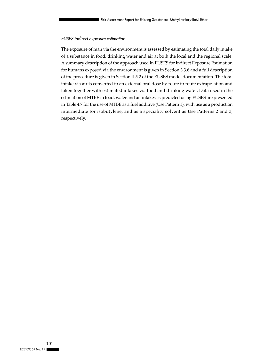#### EUSES indirect exposure estimation

The exposure of man via the environment is assessed by estimating the total daily intake of a substance in food, drinking water and air at both the local and the regional scale. A summary description of the approach used in EUSES for Indirect Exposure Estimation for humans exposed via the environment is given in Section 3.3.6 and a full description of the procedure is given in Section II 5.2 of the EUSES model documentation. The total intake via air is converted to an external oral dose by route to route extrapolation and taken together with estimated intakes via food and drinking water. Data used in the estimation of MTBE in food, water and air intakes as predicted using EUSES are presented in Table 4.7 for the use of MTBE as a fuel additive (Use Pattern 1), with use as a production intermediate for isobutylene, and as a speciality solvent as Use Patterns 2 and 3, respectively.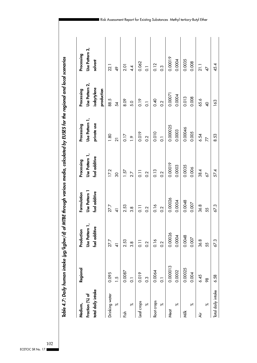| Medium,                               | Regional           | Production                   | Formulation                  | Processing                      | Processing                    | Processing                    | Processing                |
|---------------------------------------|--------------------|------------------------------|------------------------------|---------------------------------|-------------------------------|-------------------------------|---------------------------|
| total daily intake<br>Fraction (%) of |                    | fuel additive<br>Use Pattern | fuel additive<br>Use Pattern | Use Pattern 1,<br>fuel additive | Use Pattern 1,<br>private use | Use Pattern 2,<br>isobytylene | Use Pattern 3,<br>solvent |
|                                       |                    |                              |                              |                                 |                               | production                    |                           |
| Drinking water                        | 0.095              | 27.7                         | 27.7                         | 17.2                            | 1.80                          | 88.5                          | 22.1                      |
| 9g                                    | $-1.5$             | $\frac{4}{5}$                | $\overline{r}$               | 80                              | $\overline{2}$                | 54                            | $\frac{1}{2}$             |
| Fish                                  | 0.0087             | 2.53                         | 2.53                         | 1.57                            | 0.17                          | 8.09                          | <b>2.01</b>               |
| <sub>96</sub>                         | $\overline{\circ}$ | 3.8                          | $3.\overline{8}$             | 2.7                             | $\frac{6}{1}$                 | 5.0                           | 4.4                       |
| Leaf crops                            | 0.019              | $\overline{a}$               | $\overline{0}$ .             | $\frac{1}{2}$                   | 0.019                         | 0.19                          | 0.062                     |
| 9g                                    | $\frac{3}{2}$      | 0.2                          | 0.2                          | $\overline{0.2}$                | 0.2                           | $\overline{0}$                | $\overline{\circ}$        |
| Root crops                            | 0.0064             | 0.16                         | 0.16                         | 0.13                            | 0.010                         | 0.40                          | 0.12                      |
| %                                     | $\overline{\circ}$ | 0.2                          | 0.2                          | 0.2                             | $\overline{\circ}$            | 0.2                           | $\frac{3}{2}$             |
| Meat                                  | 0.000013           | 0.00026                      | 0.00026                      | 0.00019                         | 0.000025                      | 0.00071                       | 0.00019                   |
| 9g                                    | 0.0002             | 0.0004                       | 0.0004                       | 0.0003                          | 0.0003                        | 0.0004                        | 0.0004                    |
| 当<br>文                                | 0.00025            | 0.0048                       | 0.0048                       | 0.0035                          | 0.00046                       | 0.013                         | 0.0035                    |
| $\aleph$                              | 0.004              | 0.007                        | 0.007                        | 0.006                           | 0.005                         | 0.008                         | 0.008                     |
| ۸ì                                    | 6.45               | 36.8                         | 36.8                         | 38.4                            | 6.54                          | 65.6                          | 21.1                      |
| 9g                                    | $\frac{8}{2}$      | 55                           | 55                           | 5                               | $\overline{z}$                | $\overline{Q}$                | $\vec{P}$                 |
| Total daily intake                    | 6.58               | 67.3                         | 67.3                         | 57.4                            | 8.53                          | 163                           | 45.4                      |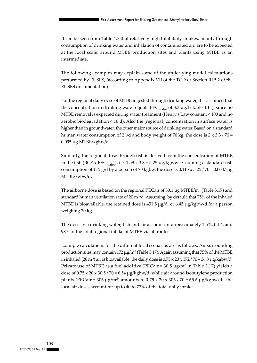It can be seen from Table 4.7 that relatively high total daily intakes, mainly through consumption of drinking water and inhalation of contaminated air, are to be expected at the local scale, around MTBE production sites and plants using MTBE as an intermediate.

The following examples may explain some of the underlying model calculations performed by EUSES, (according to Appendix VII of the TGD or Section III.5.2 of the EUSES documentation).

For the regional daily dose of MTBE ingested through drinking water, it is assumed that the concentration in drinking water equals  $\text{PEC}_{\text{water}}$  of 3.3 µg/l (Table 3.11), since no MTBE removal is expected during water treatment (Henry's Law constant < 100 and no aerobic biodegradation < 10 d). Also the (regional) concentration in surface water is higher than in groundwater, the other major source of drinking water. Based on a standard human water consumption of 2 l/d and body weight of 70 kg, the dose is  $2 \times 3.3 / 70 =$ 0.095 µg MTBE/kgbw/d.

Similarly, the regional dose through fish is derived from the concentration of MTBE in the fish (BCF x PEC<sub>water</sub>), i.e. 1.59 x 3.3 = 5.25 µg/kgww. Assuming a standard fish consumption of 115 g/d by a person of 70 kgbw, the dose is  $0.115 \times 5.25 / 70 = 0.0087 \mu g$ MTBE/kgbw/d.

The airborne dose is based on the regional PECair of 30.1  $\mu$ g MTBE/m<sup>3</sup> (Table 3.17) and standard human ventilation rate of 20  $m^3/d$ . Assuming, by default, that 75% of the inhaled MTBE is bioavailable, the retained dose is 451.5 µg/d, or 6.45 µg/kgbw/d for a person weighing 70 kg.

The doses via drinking water, fish and air account for approximately 1.5%, 0.1% and 98% of the total regional intake of MTBE via all routes.

Example calculations for the different local scenarios are as follows. Air surrounding production sites may contain 172  $\mu$ g/m<sup>3</sup> (Table 3.17). Again assuming that 75% of the MTBE in inhaled (20 m<sup>3</sup>) air is bioavailable, the daily dose is  $0.75 \times 20 \times 172$  / 70 = 36.8 µg/kgbw/d. Private use of MTBE as a fuel additive (PECair =  $30.5 \mu$ g/m<sup>3</sup> in Table 3.17) yields a dose of  $0.75 \times 20 \times 30.5 / 70 = 6.54 \mu g/kgb$ w/d, while air around isobutylene production plants (PECair = 306  $\mu$ g/m<sup>3</sup>) amounts to 0.75 x 20 x 306 / 70 = 65.6  $\mu$ g/kgbw/d. The local air doses account for up to 40 to 77% of the total daily intake.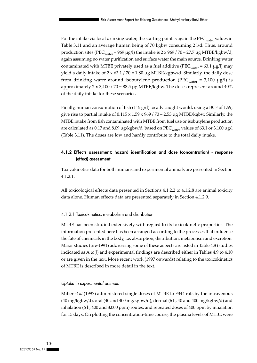For the intake via local drinking water, the starting point is again the  $PEC_{water}$  values in Table 3.11 and an average human being of 70 kgbw consuming 2 l/d. Thus, around production sites (PEC<sub>water</sub> = 969 µg/l) the intake is  $2 \times 969 / 70 = 27.7$  µg MTBE/kgbw/d, again assuming no water purification and surface water the main source. Drinking water contaminated with MTBE privately used as a fuel additive (PEC<sub>water</sub> = 63.1  $\mu$ g/l) may yield a daily intake of  $2 \times 63.1 / 70 = 1.80 \mu g M TBE/kg bw/d.$  Similarly, the daily dose from drinking water around isobutylene production (PEC<sub>water</sub> = 3,100 µg/l) is approximately 2 x 3,100 / 70 = 88.5 µg MTBE/kgbw. The doses represent around 40% of the daily intake for these scenarios.

Finally, human consumption of fish  $(115 \text{ g/d})$  locally caught would, using a BCF of 1.59, give rise to partial intake of  $0.115 \times 1.59 \times 969 / 70 = 2.53 \mu g$  MTBE/kgbw. Similarly, the MTBE intake from fish contaminated with MTBE from fuel use or isobutylene production are calculated as 0.17 and 8.09  $\mu$ g/kgbw/d, based on PEC<sub>water</sub> values of 63.1 or 3,100  $\mu$ g/l (Table 3.11). The doses are low and hardly contribute to the total daily intake.

# **4.1.2 Effects assessment: hazard identification and dose (concentration) - response (effect) assessment**

Toxicokinetics data for both humans and experimental animals are presented in Section 4.1.2.1.

All toxicological effects data presented in Sections 4.1.2.2 to 4.1.2.8 are animal toxicity data alone. Human effects data are presented separately in Section 4.1.2.9.

## 4.1.2.1 Toxicokinetics, metabolism and distribution

MTBE has been studied extensively with regard to its toxicokinetic properties. The information presented here has been arranged according to the processes that influence the fate of chemicals in the body, i.e. absorption, distribution, metabolism and excretion. Major studies (pre-1991) addressing some of these aspects are listed in Table 4.8 (studies indicated as A to J) and experimental findings are described either in Tables 4.9 to 4.10 or are given in the text. More recent work (1997 onwards) relating to the toxicokinetics of MTBE is described in more detail in the text.

## Uptake in experimental animals

Miller *et al* (1997) administered single doses of MTBE to F344 rats by the intravenous (40 mg/kgbw/d), oral (40 and 400 mg/kgbw/d), dermal (6 h, 40 and 400 mg/kgbw/d) and inhalation (6 h, 400 and 8,000 ppm) routes, and repeated doses of 400 ppm by inhalation for 15 days. On plotting the concentration-time course, the plasma levels of MTBE were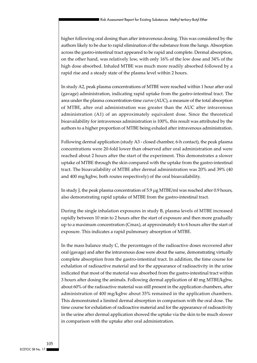higher following oral dosing than after intravenous dosing. This was considered by the authors likely to be due to rapid elimination of the substance from the lungs. Absorption across the gastro-intestinal tract appeared to be rapid and complete. Dermal absorption, on the other hand, was relatively low, with only 16% of the low dose and 34% of the high dose absorbed. Inhaled MTBE was much more readily absorbed followed by a rapid rise and a steady state of the plasma level within 2 hours.

In study A2, peak plasma concentrations of MTBE were reached within 1 hour after oral (gavage) administration, indicating rapid uptake from the gastro-intestinal tract. The area under the plasma concentration-time curve (AUC), a measure of the total absorption of MTBE, after oral administration was greater than the AUC after intravenous administration (A1) of an approximately equivalent dose. Since the theoretical bioavailability for intravenous administration is 100%, this result was attributed by the authors to a higher proportion of MTBE being exhaled after intravenous administration.

Following dermal application (study A3 - closed chamber, 6-h contact), the peak plasma concentrations were 20-fold lower than observed after oral administration and were reached about 2 hours after the start of the experiment. This demonstrates a slower uptake of MTBE through the skin compared with the uptake from the gastro-intestinal tract. The bioavailability of MTBE after dermal administration was 20% and 39% (40 and 400 mg/kgbw, both routes respectively) of the oral bioavailability.

In study J, the peak plasma concentration of 5.9 µg MTBE/ml was reached after 0.9 hours, also demonstrating rapid uptake of MTBE from the gastro-intestinal tract.

During the single inhalation exposures in study B, plasma levels of MTBE increased rapidly between 10 min to 2 hours after the start of exposure and then more gradually up to a maximum concentration (Cmax), at approximately 4 to 6 hours after the start of exposure. This indicates a rapid pulmonary absorption of MTBE.

In the mass balance study C, the percentages of the radioactive doses recovered after oral (gavage) and after the intravenous dose were about the same, demonstrating virtually complete absorption from the gastro-intestinal tract. In addition, the time course for exhalation of radioactive material and for the appearance of radioactivity in the urine indicated that most of the material was absorbed from the gastro-intestinal tract within 3 hours after dosing the animals. Following dermal application of 40 mg MTBE/kgbw, about 60% of the radioactive material was still present in the application chambers, after administration of 400 mg/kgbw about 35% remained in the application chambers. This demonstrated a limited dermal absorption in comparison with the oral dose. The time course for exhalation of radioactive material and for the appearance of radioactivity in the urine after dermal application showed the uptake via the skin to be much slower in comparison with the uptake after oral administration.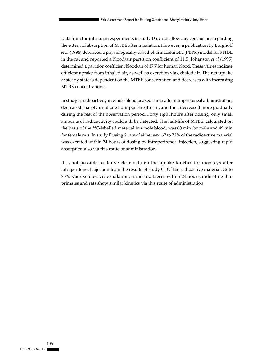Data from the inhalation experiments in study D do not allow any conclusions regarding the extent of absorption of MTBE after inhalation. However, a publication by Borghoff *et al* (1996) described a physiologically-based pharmacokinetic (PBPK) model for MTBE in the rat and reported a blood/air partition coefficient of 11.5. Johanson *et al* (1995) determined a partition coefficient blood/air of 17.7 for human blood. These values indicate efficient uptake from inhaled air, as well as excretion via exhaled air. The net uptake at steady state is dependent on the MTBE concentration and decreases with increasing MTBE concentrations.

In study E, radioactivity in whole blood peaked 5 min after intraperitoneal administration, decreased sharply until one hour post-treatment, and then decreased more gradually during the rest of the observation period. Forty eight hours after dosing, only small amounts of radioactivity could still be detected. The half-life of MTBE, calculated on the basis of the 14C-labelled material in whole blood, was 60 min for male and 49 min for female rats. In study F using 2 rats of either sex, 67 to 72% of the radioactive material was excreted within 24 hours of dosing by intraperitoneal injection, suggesting rapid absorption also via this route of administration.

It is not possible to derive clear data on the uptake kinetics for monkeys after intraperitoneal injection from the results of study G. Of the radioactive material, 72 to 75% was excreted via exhalation, urine and faeces within 24 hours, indicating that primates and rats show similar kinetics via this route of administration.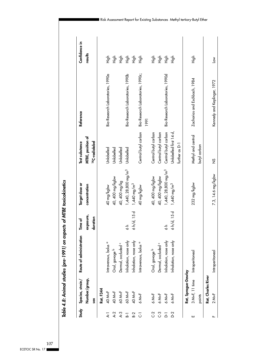| Study          | Species, strain/<br>Number/group,<br>sex | Route of administration         | exposure,<br>duration<br>Time of | Target dose or<br>concentration  | MTBE, position of<br><sup>14</sup> C-radiolabel<br>Test substance | Reference                                 | Confidence in<br>results |
|----------------|------------------------------------------|---------------------------------|----------------------------------|----------------------------------|-------------------------------------------------------------------|-------------------------------------------|--------------------------|
|                | Rat, F344                                |                                 |                                  |                                  |                                                                   |                                           |                          |
| $\overline{a}$ | 40 M+F                                   | Intravenous, bolus <sup>a</sup> |                                  | 40 mg/kgbw                       | Unlabelled                                                        | Bio-Research Laboratories, 1990a          | 소<br>도                   |
| $A-2$          | 40 M+F                                   | Oral, gavage b                  |                                  | 40, 400 mg/kgbw                  | Unlabelled                                                        |                                           | ー<br>上<br>エ              |
| $A-3$          | 60 M+F                                   | Dermal, occluded c              |                                  | 40, 400 mg/kg                    | Unlabelled                                                        |                                           | ー<br>上<br>エ              |
| $\overline{a}$ | 60 M+F                                   | Inhalation, nose only           | $\frac{4}{6}$                    | 1,440, 28,800 mg/m <sup>3</sup>  | Unlabelled                                                        | Bio-Research Laboratories, 1990b          | -<br>figh                |
| $B-2$          | 40 M+F                                   | Inhalation, nose only           | /d, 15 d<br>$\sim 6$             | $1,440$ mg/m <sup>3</sup>        |                                                                   |                                           | -<br>도한                  |
| $\overline{C}$ | $6$ M+F                                  | Intravenous, bolus <sup>a</sup> |                                  | 40 mg/kgbw                       | Central butyl carbon                                              | Bio-Research Laboratories, 1990c;<br>1991 | -<br>도구<br>도구            |
|                |                                          |                                 |                                  |                                  |                                                                   |                                           |                          |
| $C-2$          | $6$ M+F                                  | Oral, gavage b                  |                                  | 40, 400 mg/kgbw                  | Central butyl carbon                                              |                                           | -<br>도                   |
| $C-3$          | $6$ M+F                                  | Dermal, occluded c              |                                  | 40, 400 mg/kgbw                  | Central butyl carbon                                              |                                           | ー<br>上<br>エ              |
| $\bar{\Delta}$ | 6 M+F                                    | Inhalation, nose only           | $\frac{4}{6}$                    | $1,440,28,800$ mg/m <sup>3</sup> | Central butyl carbon                                              | Bio-Research Laboratories, 1990d          | -<br>도                   |
| $D-2$          | $6$ M+F                                  | Inhalation, nose only           | 6 h/d, 15 d                      | $1,440$ mg/m <sup>3</sup>        | Unlabelled first 14 d,                                            |                                           | -<br>도한                  |
|                |                                          |                                 |                                  |                                  | further as D-1                                                    |                                           |                          |
|                | Rat, Sprague-Dawley                      |                                 |                                  |                                  |                                                                   |                                           |                          |
| ш              | 3 M+F, 11 time                           | Intraperitoneal                 |                                  | 232 mg/kgbw                      | Methyl and central                                                | Zacharias and Eschbach, 1984              | -<br>도한                  |
|                | points                                   |                                 |                                  |                                  | butyl carbon                                                      |                                           |                          |
|                | Rat, Charles River                       |                                 |                                  |                                  |                                                                   |                                           |                          |
|                | $2 M + F$                                | Intraperitoneal                 |                                  | 7.3, 14.6 mg/kgbw                | $\frac{5}{2}$                                                     | Kennedy and Keplinger, 1972               | $\sum_{i=1}^{\infty}$    |

Table 4.8: Animal studies (pre-1991) on aspects of MTBE toxicokinetics **Table 4.8: Animal studies (pre-1991) on aspects of MTBE toxicokinetics**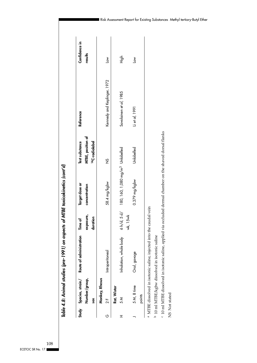|   | Study Species, strain/ | Route of administration | Time of               | Target dose or                                                    | Test substance                                  | Reference                   | Confidence in |
|---|------------------------|-------------------------|-----------------------|-------------------------------------------------------------------|-------------------------------------------------|-----------------------------|---------------|
|   | Number/group,<br>sex   |                         | exposure,<br>duration | concentration                                                     | MTBE, position of<br><sup>14</sup> C-radiolabel |                             | results       |
|   | Monkey, Rhesus         |                         |                       |                                                                   |                                                 |                             |               |
| O | $\frac{1}{2}$          | Intraperitoneal         |                       | 58.4 mg/kgbw                                                      | $\frac{8}{2}$                                   | Kennedy and Keplinger, 1972 | $\frac{8}{3}$ |
|   | Rat, Wistar            |                         |                       |                                                                   |                                                 |                             |               |
| ェ | $\frac{8}{2}$          | Inhalation, whole body  | $\overline{\circ}$    | $\frac{1}{4}$ , 5 d/ 180, 160, 1,080 mg/m <sup>3</sup> Unlabelled |                                                 | Savolainen et al, 1985      | -<br>도<br>도   |
|   |                        |                         | wk, 15wk              |                                                                   |                                                 |                             |               |
|   | 5 M, 8 time            | Oral, gavage            |                       | $0.379$ mg/kgbw                                                   | Unlabelled                                      | Li et al, 1991              | $\mathsf{S}$  |
|   | points                 |                         |                       |                                                                   |                                                 |                             |               |

b 10 ml MTBE/kgbw dissolved in isotonic saline ין בא c 10 ml MTBE dissolved in isotonic saline, applied via occluded dermal chamber on the shaved dorsal flanks 10 ml MTBE dissolved in isotonic saline, applied via occluded dermal chamber on the shaved dorsal flanks NS Not stated NS Not stated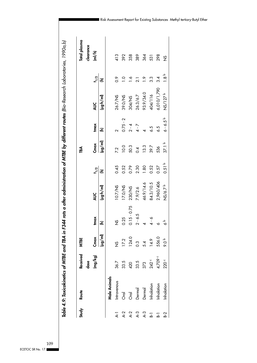|                | Table 4.9: Toxicokinetics of MTBE and TBA in F344 rats a after administration of MTBE by different routes (Bio-Research Laboratories, 1990a,b) |                  |               |               |                     |                   |                     |             |                     |                  |               |
|----------------|------------------------------------------------------------------------------------------------------------------------------------------------|------------------|---------------|---------------|---------------------|-------------------|---------------------|-------------|---------------------|------------------|---------------|
| Study          | Route                                                                                                                                          | <b>Received</b>  | <b>MTBE</b>   |               |                     |                   | TBA                 |             |                     |                  | Total plasma  |
|                |                                                                                                                                                | $\frac{1}{2}$    |               |               |                     |                   |                     |             |                     |                  | clearance     |
|                |                                                                                                                                                | $\frac{mg}{kg}$  | $C$ max       | <b>tmax</b>   | <b>AUC</b>          | $t_{1/2}$         | Cmax                | <b>tmax</b> | AUC                 | $t_{1/2}$        | (m)/h         |
|                |                                                                                                                                                |                  | lug/ml        | Ξ             | (hg·h/ml)           | Ξ                 | $(\mu g/\text{ml})$ | Ξ           | (µg·h/ml)           | €                |               |
|                | Male Animals                                                                                                                                   |                  |               |               |                     |                   |                     |             |                     |                  |               |
| $\overline{a}$ | Intravenous                                                                                                                                    | 36.7             | $\frac{8}{2}$ | $\frac{8}{2}$ | 10.7/NS             | 0.45              | 7.2                 |             | 26.7/NS             | $\frac{8}{10}$   | 413           |
| $A-2$          | $rac{1}{2}$                                                                                                                                    | 33.5             | 17.2          | 0.25          | 17.0/NS             | 0.52              | 10.0                | $0.75 - 2$  | 39.0/NS             |                  | 392           |
| $A-2$          | Oral                                                                                                                                           | 420              | 124.0         | $0.15 - 0.75$ | 230/NS              | 0.79              | 50.3                | $2 - 4$     | 304/NS              | $\frac{8}{1}$    | 358           |
| $A-3$          | Dermal                                                                                                                                         |                  |               | $2 - 6.5$     | 7.9/2.6             | 2.30              | 0.4                 | $4 - 7$     | 26.3/6.7            | $\overline{2.1}$ | 389           |
| $A-3$          | Dermal                                                                                                                                         | 33.5<br>373      | $0.3$<br>5.4  |               | 46.9/14.6           | $\frac{80}{1}$    | 13.3                |             | 93.9/34.0           | $\frac{6}{1}$    | 364           |
| $\overline{5}$ | Inhalation                                                                                                                                     | 242              | 14.9          | $4 - 6$       | 84.3/10.5           | 0.52              | 39.7                | δ.δ         | 404/116             | 3.3              | 531           |
| $\overline{5}$ | nhalation                                                                                                                                      | 4,709 c          | 556.0         |               | 2,960/406           | 0.57              | 536                 | 6.5         | 6,010/1,790         | ર<br>ડ           | 298           |
| $B-2$          | Inhalation                                                                                                                                     | 220 <sup>c</sup> | 9.0 b         | ە<br>ق        | NS/6.7 <sup>b</sup> | 0.51 <sup>b</sup> | 37.1 <sub>b</sub>   | $6 - 6.5^b$ | NS/127 <sup>b</sup> | $\frac{a}{1.8}$  | $\frac{8}{2}$ |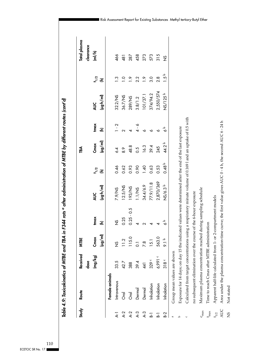| <br> <br> <br> |
|----------------|
|                |
|                |
|                |
|                |
|                |
|                |
|                |
|                |
|                |
|                |
|                |
|                |
|                |
|                |
| $\frac{1}{2}$  |
|                |
|                |
|                |
|                |
| ;<br>;         |
|                |
|                |
|                |
|                |
|                |
|                |
|                |
|                |
|                |
|                |
|                |
|                |
|                |
|                |
|                |
|                |
|                |
|                |
|                |
|                |
|                |
|                |
|                |
|                |
|                |
|                |
| I              |

| Study          | Route                                                                                                   | <b>Received</b><br>dose | <b>MTBE</b>        |               |                                                                  |                      | TBA                 |             |                     |                             | Total plasma<br>clearance |
|----------------|---------------------------------------------------------------------------------------------------------|-------------------------|--------------------|---------------|------------------------------------------------------------------|----------------------|---------------------|-------------|---------------------|-----------------------------|---------------------------|
|                |                                                                                                         | $\frac{mg}{kg}$         | Cmax               | <b>tmax</b>   | <b>AUC</b>                                                       | $t_{1/2}$            | $C_{\text{max}}$    | <b>tmax</b> | AUC                 | $\frac{1}{2}$ $\frac{2}{5}$ | (m/h)                     |
|                |                                                                                                         |                         | $\frac{1}{2}$      | Ξ             | $(\mu g \cdot h / ml)$                                           | $\widehat{\epsilon}$ | $(\mu g/\text{ml})$ | Ξ           | (hg·h/ml            |                             |                           |
|                | Female animals                                                                                          |                         |                    |               |                                                                  |                      |                     |             |                     |                             |                           |
| $\overline{A}$ | Intravenous                                                                                             | 33.5                    | $\frac{8}{2}$      | $\frac{8}{2}$ | 7.9/NS                                                           | 0.46                 | 6.4                 | $1 - 2$     | 32.2/NS             | $\ddot{ }$ .                | 466                       |
| $A-2$          | Oral                                                                                                    | 42.7                    | 11.2               | 0.25          | 12.5/NS                                                          | 0.62                 | $\frac{8}{3}$       |             | 36.7/NS             | $\supseteq$                 | 481                       |
| $A-2$          | $\overline{O}$                                                                                          | 388                     | 115.0              | $0.25 - 0.5$  | 193/NS                                                           | 0.93                 | 48.8                |             | 289/NS              | $\tilde{=}$                 | 287                       |
| $A-3$          | Dermal                                                                                                  | 39.4                    | $\overline{\circ}$ |               | 1.1/M5                                                           | 0.90                 | 0.5                 | $4 - 6$     | 3.8/1.2             | 2.2                         | 458                       |
| $A-3$          | Dermal                                                                                                  | $\overline{4}$          | 7.8                | ∾             | 34.4/6.9                                                         | 0.40                 | 16.3                | ٥           | 101/37.1            | $\frac{8}{1}$               | 273                       |
| $\overline{5}$ | Inhalation                                                                                              | 329 c                   | 15.1               |               | 77.9/11.8                                                        | 0.63                 | 39.4                |             | 374/94.2            | $\frac{0}{3}$               | 573                       |
| $\overline{b}$ | Inhalation                                                                                              | 6,991 c                 | 563.0              |               | 2,870/369                                                        | 0.53                 | 245                 |             | 2,550/574           | 2.8                         | 315                       |
| $B-2$          | Inhalation                                                                                              | 318 <sup>c</sup>        | $\frac{1}{2}$      | ە<br>ق        | NS/6.3 <sup>b</sup>                                              | 0.48 <sup>b</sup>    | 44.2 b              |             | NS/125 <sup>b</sup> | ە<br>1.5                    | $\frac{6}{2}$             |
| a              | Group mean values are shown                                                                             |                         |                    |               |                                                                  |                      |                     |             |                     |                             |                           |
| م              | Exposure for 14 days; on day 15 the indicated values were determined after the end of the last exposure |                         |                    |               |                                                                  |                      |                     |             |                     |                             |                           |
| U              | Calculated from target concentrations using                                                             |                         |                    |               | a respiratory minute volume of 0.169 l and an uptake of 0.5 with |                      |                     |             |                     |                             |                           |
|                |                                                                                                         |                         | ì                  |               |                                                                  |                      |                     |             |                     |                             |                           |

no subsequent elimination over the course of the 6-hour exposure no subsequent elimination over the course of the 6-hour exposure

Maximum plasma concentration reached during sampling schedule  $\alpha_{\rm max}$  Maximum plasma concentration reached during sampling schedule  $C_{\rm max}$ 

Time to reach Cmax after MTBE administration  $t_{\rm max}$  Time to reach Cmax after MTBE administration  $t_{\rm max}$ 

Apparent half-life calculated from 1- or 2-compartment models  $t_{1/2}$  Apparent half-life calculated from 1- or 2-compartment models  $t_{1/2}$ 

Area under the plasma concentration-time curve; the first value gives AUC 0 - 4 h, the second AUC 6 - 24 h AUC Area under the plasma concentration-time curve; the first value gives AUC 0 - 4 h, the second AUC 6 - 24 h AUC

Not stated NS Not stated  $\overline{S}$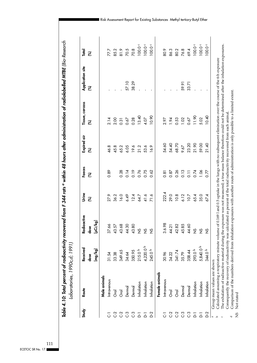| ֧֧ׅ֧֧֧֧֧֧֧֧֚֚֚֚֚֚֚֚֚֚֚֚֚֚֚֚֚֚֚֚֚֚֚֚֬֝֘֝֬֝֓֝֬֝֓֝֬֝֓֝֬֝֓֝֬֝֬<br>Š<br>r ragi | ;<br>;<br>;<br>ג מססו<br>Laboratories, I |
|---------------------------------------------------------------------------|------------------------------------------|
| Table 4.10: Total percent of                                              |                                          |

| Study               | Route                                                                                                                                                                                                                                                                 | Received                                    | Radioactive                     | Urine | Faeces                     | Expired air | Tissue, carcass            | Application site                                                                                         | Total           |
|---------------------|-----------------------------------------------------------------------------------------------------------------------------------------------------------------------------------------------------------------------------------------------------------------------|---------------------------------------------|---------------------------------|-------|----------------------------|-------------|----------------------------|----------------------------------------------------------------------------------------------------------|-----------------|
|                     |                                                                                                                                                                                                                                                                       | $\lceil \text{mg}/\text{kg} \rceil$<br>dose | ley/<br>dose<br>일               | ષ્ટિ  | ષ્ટિ                       | SQ)         | <u>ର</u>                   | 8                                                                                                        | 図               |
|                     | Male animals                                                                                                                                                                                                                                                          |                                             |                                 |       |                            |             |                            |                                                                                                          |                 |
| $\overline{C}$      | Intravenous                                                                                                                                                                                                                                                           | 31.54                                       | 37.66                           | 27.9  | 0.89                       | 46.8        |                            |                                                                                                          | 77.7            |
| C-2                 | $\overline{\overline{C}}$                                                                                                                                                                                                                                             | 33.38                                       | 43.57                           | 36.2  |                            | 45.8        | $2.30$<br>$2.00$<br>$0.31$ |                                                                                                          | 85.2            |
| C-2                 | ੋ<br>ਹ                                                                                                                                                                                                                                                                | 349.65                                      | 43.68                           | 16.0  | 0.28                       | 65.2        |                            |                                                                                                          |                 |
|                     | Dermal                                                                                                                                                                                                                                                                | 34.64                                       | 44.30                           | 6.49  |                            | 6.05        | 0.67                       | 57.10                                                                                                    | 81.9<br>70.5    |
| ာ ၁<br>၁ ၁          | Dermal                                                                                                                                                                                                                                                                | 350.95                                      | 43.80                           | 12.4  | 0.19<br>0.19<br>0.76       | 19.6        | 0.28                       | 38.29                                                                                                    | 70.8            |
| $\overline{\Delta}$ | Inhalation                                                                                                                                                                                                                                                            | 215.0 <sup>b</sup>                          | $\widetilde{\mathsf{z}}$        | 64.7  |                            | 21.2        | 13.40                      |                                                                                                          | 100.0           |
| $\overline{\Delta}$ | Inhalation                                                                                                                                                                                                                                                            |                                             | $\frac{\mathrm{C}}{\mathrm{C}}$ | 41.6  | 0.75                       | 53.6        | 4.07                       |                                                                                                          | 100.0           |
| $D-2$               | Inhalation                                                                                                                                                                                                                                                            | $4,220.0b$<br>245.0 <sup>b</sup>            | $\frac{8}{2}$                   | 71.6  | 0.62                       | 16.9        | 10.90                      |                                                                                                          | U<br>100.0      |
|                     | Female animals                                                                                                                                                                                                                                                        |                                             |                                 |       |                            |             |                            |                                                                                                          |                 |
| J                   | Intravenous                                                                                                                                                                                                                                                           | 30.96                                       | $\overline{8}$<br>3.6.          | 222.4 | 0.81                       | 54.60       | 2.97                       |                                                                                                          | 80.9            |
| C-2                 | ੋ<br>ਹ                                                                                                                                                                                                                                                                | 34.22                                       | 44.21                           | 29.0  | 0.87                       | 54.40       | 1.94                       |                                                                                                          | 86.3            |
| C-2                 | $\overline{\overline{C}}$                                                                                                                                                                                                                                             | 341.74                                      | 42.82                           | 10.8  |                            | 68.70       | 0.53                       |                                                                                                          | 80.2            |
| ိ                   | Dermal                                                                                                                                                                                                                                                                | 35.79                                       | 45.85                           | 6.12  | $0.26$<br>$0.13$<br>$0.11$ | 9.67        | 1.02                       | 59.91                                                                                                    | 76.8            |
| ိ                   | Dermal                                                                                                                                                                                                                                                                | 358.44                                      | 44.60                           | 10.7  |                            | 23.20       | 0.67                       | 33.71                                                                                                    | 69.4            |
| $\overline{\Delta}$ | Inhalation                                                                                                                                                                                                                                                            | 293.0b                                      | $\frac{\mathrm{S}}{\mathrm{S}}$ | 65.4  | 0.74                       | 21.90       | 11.90                      |                                                                                                          | $100.0$ $\circ$ |
| $\overline{a}$      | Inhalation                                                                                                                                                                                                                                                            | 5,840.0 b                                   | $\frac{\infty}{2}$              | 35.0  | 1.06                       | 59.00       | 5.02                       |                                                                                                          | 100.0           |
| $D-2$               | Inhalation                                                                                                                                                                                                                                                            | 344.0b                                      | $\frac{8}{2}$                   | 67.4  | 0.77                       | 21.40       | 10.40                      |                                                                                                          | 0.001           |
|                     | Group mean values are shown                                                                                                                                                                                                                                           |                                             |                                 |       |                            |             |                            |                                                                                                          |                 |
| $\Delta$            | Calculated assuming a respiratory minute volume                                                                                                                                                                                                                       |                                             |                                 |       |                            |             |                            | of 0.1691 and 0.5 uptake in the lungs with no subsequent elimination over the course of the 6-h exposure |                 |
|                     | The exhalation of radioactive material during the exposure was not measured; a true mass balance therefore could not be determined after the inhalation exposures.                                                                                                    |                                             |                                 |       |                            |             |                            |                                                                                                          |                 |
|                     | Comparison of the numbers derived from inhalation exposures with another route of administration is only possible to a limited extent.<br>Consequently the recovery of radioactivity was calculated as percent of the total radioactivity recovered from each animal. |                                             |                                 |       |                            |             |                            |                                                                                                          |                 |
| $_{\rm NS}$         | Not stated                                                                                                                                                                                                                                                            |                                             |                                 |       |                            |             |                            |                                                                                                          |                 |

111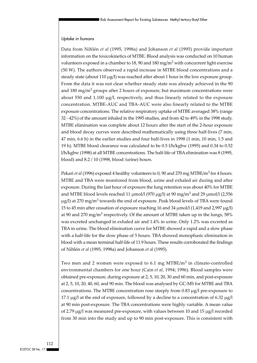#### Uptake in humans

Data from Nihlén *et al* (1995, 1998a) and Johanson *et al* (1995) provide important information on the toxicokinetics of MTBE. Blood analysis was conducted on 10 human volunteers exposed in a chamber to 18, 90 and 180 mg/m<sup>3</sup> with concurrent light exercise (50 W). The authors observed a rapid increase in MTBE blood concentrations and a steady state (about 110 µg/l) was reached after about 1 hour in the low exposure group. From the data it was not clear whether steady state was already achieved in the 90 and  $180 \text{ mg/m}^3$  groups after 2 hours of exposure, but maximum concentrations were about 550 and 1,100 µg/l, respectively, and thus linearly related to the exposure concentration. MTBE-AUC and TBA-AUC were also linearly related to the MTBE exposure concentrations. The relative respiratory uptake of MTBE averaged 38% (range 32 - 42%) of the amount inhaled in the 1995 studies, and from 42 to 49% in the 1998 study. MTBE elimination was complete about 12 hours after the start of the 2-hour exposure and blood decay curves were described mathematically using three half-lives (7 min, 47 min, 6.6 h) in the earlier studies and four half-lives in 1998 (1 min, 10 min, 1.5 and 19 h). MTBE blood clearance was calculated to be 0.5 l/h/kgbw (1995) and 0.34 to 0.52 l/h/kgbw (1998) at all MTBE concentrations. The half-life of TBA elimination was 8 (1995, blood) and 8.2 / 10 (1998, blood /urine) hours.

Pekari *et al* (1996) exposed 4 healthy volunteers to 0, 90 and 270 mg MTBE/m<sup>3</sup> for 4 hours. MTBE and TBA were monitored from blood, urine and exhaled air during and after exposure. During the last hour of exposure the lung retention was about 40% for MTBE and MTBE blood levels reached 11  $\mu$ mol/l (970  $\mu$ g/l) at 90 mg/m<sup>3</sup> and 29  $\mu$ mol/l (2,556  $\mu$ g/l) at 270 mg/m<sup>3</sup> towards the end of exposure. Peak blood levels of TBA were found 15 to 45 min after cessation of exposure reaching 16 and 34  $\mu$ mol/l (1,419 and 2,997  $\mu$ g/l) at 90 and 270 mg/m<sup>3</sup> respectively. Of the amount of MTBE taken up in the lungs,  $58\%$ was excreted unchanged in exhaled air and 1.4% in urine. Only 1.2% was excreted as TBA in urine. The blood elimination curve for MTBE showed a rapid and a slow phase with a half-life for the slow phase of 5 hours. TBA showed monophasic elimination in blood with a mean terminal half-life of 11.9 hours. These results corroborated the findings of Nihlén *et al* (1995, 1998a) and Johanson *et al* (1995).

Two men and 2 women were exposed to  $6.1 \text{ mg MTBE/m}^3$  in climate-controlled environmental chambers for one hour (Cain *et al*, 1994; 1996). Blood samples were obtained pre-exposure, during exposure at 2, 5, 10, 20, 30 and 60 min, and post-exposure at 2, 5, 10, 20, 40, 60, and 90 min. The blood was analysed by GC-MS for MTBE and TBA concentrations. The MTBE concentration rose steeply from 0.83 µg/l pre-exposure to 17.1  $\mu$ g/l at the end of exposure, followed by a decline to a concentration of 6.32  $\mu$ g/l at 90 min post-exposure. The TBA concentrations were highly variable. A mean value of 2.79 µg/l was measured pre-exposure, with values between 10 and 15 µg/l recorded from 30 min into the study and up to 90 min post-exposure. This is consistent with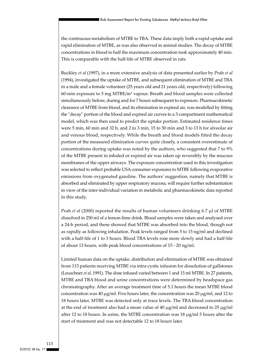the continuous metabolism of MTBE to TBA. These data imply both a rapid uptake and rapid elimination of MTBE, as was also observed in animal studies. The decay of MTBE concentrations in blood to half the maximum concentration took approximately 40 min. This is comparable with the half-life of MTBE observed in rats.

Buckley *et al* (1997), in a more extensive analysis of data presented earlier by Prah *et al* (1994), investigated the uptake of MTBE, and subsequent elimination of MTBE and TBA in a male and a female volunteer (25 years old and 21 years old, respectively) following 60-min exposure to 5 mg MTBE/ $m<sup>3</sup>$  vapour. Breath and blood samples were collected simultaneously before, during and for 7 hours subsequent to exposure. Pharmacokinetic clearance of MTBE from blood, and its elimination in expired air, was modelled by fitting the "decay" portion of the blood and expired air curves to a 3 compartment mathematical model, which was then used to predict the uptake portion. Estimated residence times were 5 min, 60 min and 32 h, and 2 to 3 min, 15 to 50 min and 3 to 13 h for alveolar air and venous blood, respectively. While the breath and blood models fitted the decay portion of the measured elimination curves quite closely, a consistent overestimate of concentrations during uptake was noted by the authors, who suggested that 7 to 9% of the MTBE present in inhaled or expired air was taken up reversibly by the mucous membranes of the upper airways. The exposure concentration used in this investigation was selected to reflect probable USA consumer exposures to MTBE following evaporative emissions from oxygenated gasoline. The authors' suggestion, namely that MTBE is absorbed and eliminated by upper respiratory mucosa, will require further substantiation in view of the inter-individual variation in metabolic and pharmacokinetic data reported in this study.

Prah *et al* (2000) reported the results of human volunteers drinking 6.7 µl of MTBE dissolved in 250 ml of a lemon-lime drink. Blood samples were taken and analysed over a 24-h period, and these showed that MTBE was absorbed into the blood, though not as rapidly as following inhalation. Peak levels ranged from 5 to 15 ng/ml and declined with a half-life of 1 to 3 hours. Blood TBA levels rose more slowly and had a half-life of about 13 hours, with peak blood concentrations of 15 - 20 ng/ml.

Limited human data on the uptake, distribution and elimination of MTBE was obtained from 113 patients receiving MTBE via intra-cystic infusion for dissolution of gallstones (Leuschner *et al*, 1991). The dose infused varied between 1 and 15 ml MTBE. In 27 patients, MTBE and TBA blood and urine concentrations were determined by headspace gas chromatography. After an average treatment time of 5.1 hours the mean MTBE blood concentration was 40  $\mu$ g/ml. Five hours later, the concentration was 20  $\mu$ g/ml, and 12 to 18 hours later, MTBE was detected only at trace levels. The TBA blood concentration at the end of treatment also had a mean value of 40  $\mu$ g/ml and decreased to 25  $\mu$ g/ml after 12 to 18 hours. In urine, the MTBE concentration was 18  $\mu$ g/ml 5 hours after the start of treatment and was not detectable 12 to 18 hours later.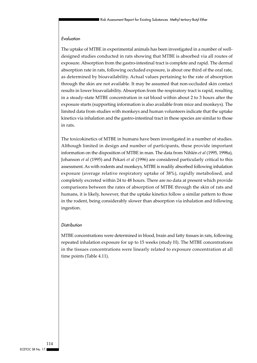### Evaluation

The uptake of MTBE in experimental animals has been investigated in a number of welldesigned studies conducted in rats showing that MTBE is absorbed via all routes of exposure. Absorption from the gastro-intestinal tract is complete and rapid. The dermal absorption rate in rats, following occluded exposure, is about one third of the oral rate, as determined by bioavailability. Actual values pertaining to the rate of absorption through the skin are not available. It may be assumed that non-occluded skin contact results in lower bioavailability. Absorption from the respiratory tract is rapid, resulting in a steady-state MTBE concentration in rat blood within about 2 to 3 hours after the exposure starts (supporting information is also available from mice and monkeys). The limited data from studies with monkeys and human volunteers indicate that the uptake kinetics via inhalation and the gastro-intestinal tract in these species are similar to those in rats.

The toxicokinetics of MTBE in humans have been investigated in a number of studies. Although limited in design and number of participants, these provide important information on the disposition of MTBE in man. The data from Nihlén *et al* (1995, 1998a), Johanson *et al* (1995) and Pekari *et al* (1996) are considered particularly critical to this assessment. As with rodents and monkeys, MTBE is readily absorbed following inhalation exposure (average relative respiratory uptake of 38%), rapidly metabolised, and completely excreted within 24 to 48 hours. There are no data at present which provide comparisons between the rates of absorption of MTBE through the skin of rats and humans, it is likely, however, that the uptake kinetics follow a similar pattern to those in the rodent, being considerably slower than absorption via inhalation and following ingestion.

### Distribution

MTBE concentrations were determined in blood, brain and fatty tissues in rats, following repeated inhalation exposure for up to 15 weeks (study H). The MTBE concentrations in the tissues concentrations were linearly related to exposure concentration at all time points (Table 4.11).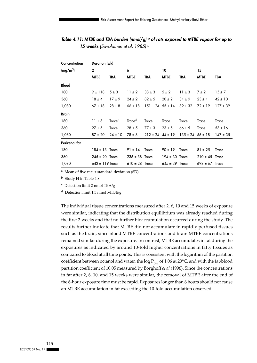| Concentration        | Duration (wk)       |                          |                    |                          |                    |                          |                    |              |
|----------------------|---------------------|--------------------------|--------------------|--------------------------|--------------------|--------------------------|--------------------|--------------|
| (mg/m <sup>3</sup> ) | $\mathbf{2}$        |                          | 6                  |                          | 10                 |                          | 15                 |              |
|                      | <b>MTBE</b>         | TBA                      | <b>MTBE</b>        | <b>TBA</b>               | <b>MTBE</b>        | <b>TBA</b>               | <b>MTBE</b>        | TBA          |
| <b>Blood</b>         |                     |                          |                    |                          |                    |                          |                    |              |
| 180                  | $9 \pm 118$         | $5 \pm 3$                | $11 \pm 2$         | $38 \pm 3$               | $5 \pm 2$          | $11 \pm 3$               | $7 \pm 2$          | $15 \pm 7$   |
| 360                  | $18 \pm 4$          | $17 \pm 9$               | $24 \pm 2$         | $82 \pm 5$               | $20 \pm 2$         | $34 \pm 9$               | $23 \pm 4$         | $42 \pm 10$  |
| 1,080                | $67 \pm 18$         | $28 \pm 8$               | $66 \pm 18$        | $151 \pm 24$ 55 $\pm$ 14 |                    | $89 \pm 32$              | $72 \pm 19$        | $127 \pm 39$ |
| <b>Brain</b>         |                     |                          |                    |                          |                    |                          |                    |              |
| 180                  | $11 \pm 3$          | <b>Trace<sup>c</sup></b> | <b>Traced</b>      | Trace                    | Trace              | Trace                    | Trace              | Trace        |
| 360                  | $27 \pm 5$          | Trace                    | $28 \pm 5$         | $77 \pm 3$               | $23 \pm 5$         | $66 \pm 5$               | Trace              | $53 \pm 16$  |
| 1,080                | $87 \pm 20$         | $24 \pm 10$              | $78 \pm 8$         | $212 \pm 24$ 44 $\pm$ 19 |                    | $135 \pm 24$ 56 $\pm 18$ |                    | $147 \pm 35$ |
| Perirenal fat        |                     |                          |                    |                          |                    |                          |                    |              |
| 180                  | $184 \pm 13$ Trace  |                          | $91 \pm 14$        | Trace                    | $90 \pm 19$        | Trace                    | $81 \pm 25$        | Trace        |
| 360                  | $245 \pm 20$ Trace  |                          | $236 \pm 38$ Trace |                          | $194 \pm 30$ Trace |                          | $210 \pm 45$ Trace |              |
| 1,080                | $642 \pm 119$ Trace |                          | $610 \pm 28$ Trace |                          | $645 \pm 39$ Trace |                          | $698 \pm 67$ Trace |              |

**Table 4.11: MTBE and TBA burden (nmol/g) <sup>a</sup> of rats exposed to MTBE vapour for up to** 15 weeks (Savolainen et al, 1985) b

<sup>a</sup> Mean of five rats  $\pm$  standard deviation (SD)

<sup>b</sup> Study H in Table 4.8

<sup>c</sup> Detection limit 2 nmol TBA/g

<sup>d</sup> Detection limit 1.5 nmol MTBE/g

The individual tissue concentrations measured after 2, 6, 10 and 15 weeks of exposure were similar, indicating that the distribution equilibrium was already reached during the first 2 weeks and that no further bioaccumulation occurred during the study. The results further indicate that MTBE did not accumulate in rapidly perfused tissues such as the brain, since blood MTBE concentrations and brain MTBE concentrations remained similar during the exposure. In contrast, MTBE accumulates in fat during the exposures as indicated by around 10-fold higher concentrations in fatty tissues as compared to blood at all time points. This is consistent with the logarithm of the partition coefficient between octanol and water, the  $\log P_{ow}$  of 1.06 at 23°C, and with the fat/blood partition coefficient of 10.05 measured by Borghoff *et al* (1996). Since the concentrations in fat after 2, 6, 10, and 15 weeks were similar, the removal of MTBE after the end of the 6-hour exposure time must be rapid. Exposures longer than 6 hours should not cause an MTBE accumulation in fat exceeding the 10-fold accumulation observed.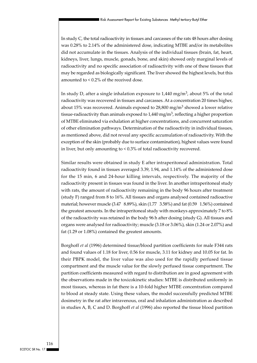In study C, the total radioactivity in tissues and carcasses of the rats 48 hours after dosing was 0.28% to 2.14% of the administered dose, indicating MTBE and/or its metabolites did not accumulate in the tissues. Analysis of the individual tissues (brain, fat, heart, kidneys, liver, lungs, muscle, gonads, bone, and skin) showed only marginal levels of radioactivity and no specific association of radioactivity with one of these tissues that may be regarded as biologically significant. The liver showed the highest levels, but this amounted to < 0.2% of the received dose.

In study D, after a single inhalation exposure to  $1,440$  mg/m<sup>3</sup>, about 5% of the total radioactivity was recovered in tissues and carcasses. At a concentration 20 times higher, about 15% was recovered. Animals exposed to  $28,800$  mg/m<sup>3</sup> showed a lower relative tissue-radioactivity than animals exposed to  $1,440$  mg/m<sup>3</sup>, reflecting a higher proportion of MTBE eliminated via exhalation at higher concentrations, and concurrent saturation of other elimination pathways. Determination of the radioactivity in individual tissues, as mentioned above, did not reveal any specific accumulation of radioactivity. With the exception of the skin (probably due to surface contamination), highest values were found in liver, but only amounting to < 0.3% of total radioactivity recovered.

Similar results were obtained in study E after intraperitoneal administration. Total radioactivity found in tissues averaged 3.39, 1.94, and 1.14% of the administered dose for the 15 min, 6 and 24-hour killing intervals, respectively. The majority of the radioactivity present in tissues was found in the liver. In another intraperitoneal study with rats, the amount of radioactivity remaining in the body 96 hours after treatment (study F) ranged from 8 to 16%. All tissues and organs analysed contained radioactive material; however muscle (3.47 8.89%), skin (1.77 3.58%) and fat (0.59 1.56%) contained the greatest amounts. In the intraperitoneal study with monkeys approximately 7 to 8% of the radioactivity was retained in the body 96 h after dosing (study G). All tissues and organs were analysed for radioactivity; muscle (3.18 or 3.06%), skin (1.24 or 2.07%) and fat (1.29 or 1.08%) contained the greatest amounts.

Borghoff *et al* (1996) determined tissue/blood partition coefficients for male F344 rats and found values of 1.18 for liver, 0.56 for muscle, 3.11 for kidney and 10.05 for fat. In their PBPK model, the liver value was also used for the rapidly perfused tissue compartment and the muscle value for the slowly perfused tissue compartment. The partition coefficients measured with regard to distribution are in good agreement with the observations made in the toxicokinetic studies: MTBE is distributed uniformly in most tissues, whereas in fat there is a 10-fold higher MTBE concentration compared to blood at steady state. Using these values, the model successfully predicted MTBE dosimetry in the rat after intravenous, oral and inhalation administration as described in studies A, B, C and D. Borghoff *et al* (1996) also reported the tissue blood partition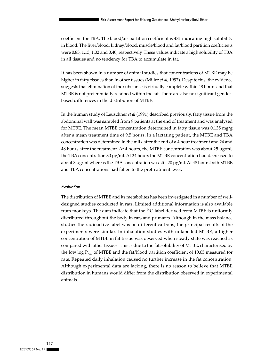coefficient for TBA. The blood/air partition coefficient is 481 indicating high solubility in blood. The liver/blood, kidney/blood, muscle/blood and fat/blood partition coefficients were 0.83, 1.13, 1.02 and 0.40, respectively. These values indicate a high solubility of TBA in all tissues and no tendency for TBA to accumulate in fat.

It has been shown in a number of animal studies that concentrations of MTBE may be higher in fatty tissues than in other tissues (Miller *et al*, 1997). Despite this, the evidence suggests that elimination of the substance is virtually complete within 48 hours and that MTBE is not preferentially retained within the fat. There are also no significant genderbased differences in the distribution of MTBE.

In the human study of Leuschner *et al* (1991) described previously, fatty tissue from the abdominal wall was sampled from 9 patients at the end of treatment and was analysed for MTBE. The mean MTBE concentration determined in fatty tissue was 0.135 mg/g after a mean treatment time of 9.5 hours. In a lactating patient, the MTBE and TBA concentration was determined in the milk after the end of a 4 hour treatment and 24 and 48 hours after the treatment. At 4 hours, the MTBE concentration was about 25  $\mu$ g/ml, the TBA concentration 30 µg/ml. At 24 hours the MTBE concentration had decreased to about 3  $\mu$ g/ml whereas the TBA concentration was still 20  $\mu$ g/ml. At 48 hours both MTBE and TBA concentrations had fallen to the pretreatment level.

### Evaluation

The distribution of MTBE and its metabolites has been investigated in a number of welldesigned studies conducted in rats. Limited additional information is also available from monkeys. The data indicate that the 14C-label derived from MTBE is uniformly distributed throughout the body in rats and primates. Although in the mass balance studies the radioactive label was on different carbons, the principal results of the experiments were similar. In inhalation studies with unlabelled MTBE, a higher concentration of MTBE in fat tissue was observed when steady state was reached as compared with other tissues. This is due to the fat solubility of MTBE, characterised by the low log  $P_{\text{ow}}$  of MTBE and the fat/blood partition coefficient of 10.05 measured for rats. Repeated daily inhalation caused no further increase in the fat concentration. Although experimental data are lacking, there is no reason to believe that MTBE distribution in humans would differ from the distribution observed in experimental animals.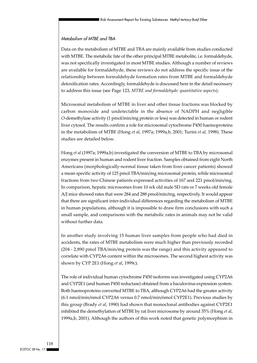### Metabolism of MTBE and TBA

Data on the metabolism of MTBE and TBA are mainly available from studies conducted with MTBE. The metabolic fate of the other principal MTBE metabolite, i.e. formaldehyde, was not specifically investigated in most MTBE studies. Although a number of reviews are available for formaldehyde, these reviews do not address the specific issue of the relationship between formaldehyde formation rates from MTBE and formaldehyde detoxification rates. Accordingly, formaldehyde is discussed here in the detail necessary to address this issue (see Page 123, *MTBE and formaldehyde: quantitative aspects*).

Microsomal metabolism of MTBE in liver and other tissue fractions was blocked by carbon monoxide and undetectable in the absence of NADPH and negligible *O*-demethylase activity (1 pmol/min/mg protein or less) was detected in human or rodent liver cytosol. The results confirm a role for microsomal cytochrome P450 haemoproteins in the metabolism of MTBE (Hong *et al*, 1997a; 1999a,b, 2001; Turini *et al*, 1998). These studies are detailed below.

Hong *et al* (1997a; 1999a,b) investigated the conversion of MTBE to TBA by microsomal enzymes present in human and rodent liver fraction. Samples obtained from eight North Americans (morphologically-normal tissue taken from liver cancer patients) showed a mean specific activity of 125 pmol TBA/min/mg microsomal protein, while microsomal fractions from two Chinese patients expressed activities of 167 and 221 pmol/min/mg. In comparison, hepatic microsomes from 10 wk old male SD rats or 7 weeks old female A/J mice showed rates that were 284 and 288 pmol/min/mg, respectively. It would appear that there are significant inter-individual differences regarding the metabolism of MTBE in human populations, although it is impossible to draw firm conclusions with such a small sample, and comparisons with the metabolic rates in animals may not be valid without further data.

In another study involving 15 human liver samples from people who had died in accidents, the rates of MTBE metabolism were much higher than previously recorded (204 - 2,890 pmol TBA/min/mg protein was the range) and this activity appeared to correlate with CYP2A6 content within the microsomes. The second highest activity was shown by CYP 2E1 (Hong *et al*, 1999c).

The role of individual human cytochrome P450 isoforms was investigated using CYP2A6 and CYP2E1 (and human P450 reductase) obtained from a baculovirus expression system. Both haemoproteins converted MTBE to TBA, although CYP2A6 had the greater activity (6.1 nmol/min/nmol CYP2A6 versus 0.7 nmol/min/nmol CYP2E1). Previous studies by this group (Brady *et al*, 1990) had shown that monoclonal antibodies against CYP2E1 inhibited the demethylation of MTBE by rat liver microsome by around 35% (Hong *et al*, 1999a,b, 2001). Although the authors of this work noted that genetic polymorphism in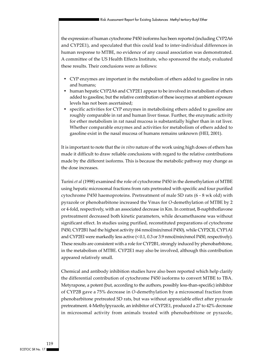the expression of human cytochrome P450 isoforms has been reported (including CYP2A6 and CYP2E1), and speculated that this could lead to inter-individual differences in human response to MTBE, no evidence of any causal association was demonstrated. A committee of the US Health Effects Institute, who sponsored the study, evaluated these results. Their conclusions were as follows:

- CYP enzymes are important in the metabolism of ethers added to gasoline in rats and humans;
- human hepatic CYP2A6 and CYP2E1 appear to be involved in metabolism of ethers added to gasoline, but the relative contribution of these isozymes at ambient exposure levels has not been ascertained;
- specific activities for CYP enzymes in metabolising ethers added to gasoline are roughly comparable in rat and human liver tissue. Further, the enzymatic activity for ether metabolism in rat nasal mucosa is substantially higher than in rat liver. Whether comparable enzymes and activities for metabolism of ethers added to gasoline exist in the nasal mucosa of humans remains unknown (HEI, 2001).

It is important to note that the *in vitro* nature of the work using high doses of ethers has made it difficult to draw reliable conclusions with regard to the relative contributions made by the different isoforms. This is because the metabolic pathway may change as the dose increases.

Turini *et al* (1998) examined the role of cytochrome P450 in the demethylation of MTBE using hepatic microsomal fractions from rats pretreated with specific and four purified cytochrome P450 haemoproteins. Pretreatment of male SD rats (6 - 8 wk old) with pyrazole or phenobarbitone increased the Vmax for *O*-demethylation of MTBE by 2 or 4-fold, respectively, with an associated decrease in Km. In contrast, B-naphthoflavone pretreatment decreased both kinetic parameters, while dexamethasone was without significant effect. In studies using purified, reconstituted preparations of cytochrome P450, CYP2B1 had the highest activity (64 nmol/min/nmol P450), while CYP2CII, CYP1AI and CYP2EI were markedly less active (< 0.1, 0.3 or 3.9 nmol/min/nmol P450, respectively). These results are consistent with a role for CYP2B1, strongly induced by phenobarbitone, in the metabolism of MTBE. CYP2E1 may also be involved, although this contribution appeared relatively small.

Chemical and antibody inhibition studies have also been reported which help clarify the differential contribution of cytochrome P450 isoforms to convert MTBE to TBA. Metyrapone, a potent (but, according to the authors, possibly less-than-specific) inhibitor of CYP2B gave a 75% decrease in *O*-demethylation by a microsomal fraction from phenobarbitone pretreated SD rats, but was without appreciable effect after pyrazole pretreatment. 4-Methylpyrazole, an inhibitor of CYP2E1, produced a 27 to 42% decrease in microsomal activity from animals treated with phenobarbitone or pyrazole,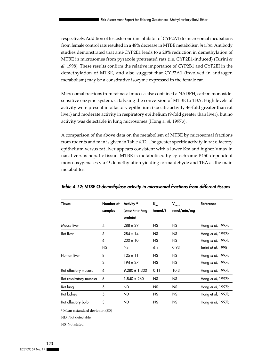respectively. Addition of testosterone (an inhibitor of CYP2A1) to microsomal incubations from female control rats resulted in a 48% decrease in MTBE metabolism *in vitro*. Antibody studies demonstrated that anti-CYP2E1 leads to a 28% reduction in demethylation of MTBE in microsomes from pyrazole pretreated rats (i.e. CYP2E1-induced) (Turini *et al*, 1998). These results confirm the relative importance of CYP2B1 and CYP2EI in the demethylation of MTBE, and also suggest that CYP2A1 (involved in androgen metabolism) may be a constitutive isozyme expressed in the female rat.

Microsomal fractions from rat nasal mucosa also contained a NADPH, carbon monoxidesensitive enzyme system, catalysing the conversion of MTBE to TBA. High levels of activity were present in olfactory epithelium (specific activity 46-fold greater than rat liver) and moderate activity in respiratory epithelium (9-fold greater than liver), but no activity was detectable in lung microsomes (Hong *et al*, 1997b).

A comparison of the above data on the metabolism of MTBE by microsomal fractions from rodents and man is given in Table 4.12. The greater specific activity in rat olfactory epithelium versus rat liver appears consistent with a lower Km and higher Vmax in nasal versus hepatic tissue. MTBE is metabolised by cytochrome P450-dependent mono-oxygenases via *O*-demethylation yielding formaldehyde and TBA as the main metabolites.

| <b>Tissue</b>          | Number of<br>samples   | Activity <sup>a</sup><br>(pmol/min/mg)<br>protein) | $K_{m}$<br>(mmol) | $V_{\text{max}}$<br>nmol/min/mg | Reference                 |
|------------------------|------------------------|----------------------------------------------------|-------------------|---------------------------------|---------------------------|
| Mouse liver            | $\boldsymbol{\Lambda}$ | $288 \pm 29$                                       | <b>NS</b>         | NS                              | Hong et al, 1997a         |
| Rat liver              | 5                      | $284 \pm 14$                                       | <b>NS</b>         | <b>NS</b>                       | Hong et al, 1997a         |
|                        | 6                      | $200 \pm 10$                                       | <b>NS</b>         | NS                              | Hong et al, 1997b         |
|                        | NS                     | NS.                                                | 6.3               | 0.93                            | Turini <i>et al,</i> 1998 |
| Human liver            | 8                      | $125 \pm 11$                                       | <b>NS</b>         | NS                              | Hong et al, 1997a         |
|                        | $\overline{2}$         | $194 \pm 27$                                       | <b>NS</b>         | NS.                             | Hong et al, 1997a         |
| Rat olfactory mucosa   | 6                      | $9,280 \pm 1,330$                                  | 0.11              | 10.3                            | Hong et al, 1997b         |
| Rat respiratory mucosa | 6                      | $1,840 \pm 260$                                    | <b>NS</b>         | NS                              | Hong et al, 1997b         |
| Rat lung               | 5                      | ND                                                 | <b>NS</b>         | NS                              | Hong et al, 1997b         |
| Rat kidney             | 5                      | <b>ND</b>                                          | <b>NS</b>         | <b>NS</b>                       | Hong et al, 1997b         |
| Rat olfactory bulb     | 3                      | <b>ND</b>                                          | <b>NS</b>         | <b>NS</b>                       | Hong et al, 1997b         |

## **Table 4.12: MTBE O-demethylase activity in microsomal fractions from different tissues**

<sup>a</sup> Mean ± standard deviation (SD)

ND Not detectable

NS Not stated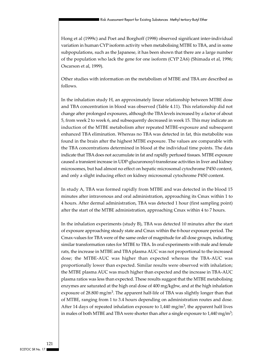Hong et al (1999c) and Poet and Borghoff (1998) observed significant inter-individual variation in human CYP isoform activity when metabolising MTBE to TBA, and in some subpopulations, such as the Japanese, it has been shown that there are a large number of the population who lack the gene for one isoform (CYP 2A6) (Shimada et al, 1996; Oscarson et al, 1999).

Other studies with information on the metabolism of MTBE and TBA are described as follows.

In the inhalation study H, an approximately linear relationship between MTBE dose and TBA concentration in blood was observed (Table 4.11). This relationship did not change after prolonged exposures, although the TBA levels increased by a factor of about 5, from week 2 to week 6, and subsequently decreased in week 15. This may indicate an induction of the MTBE metabolism after repeated MTBE-exposure and subsequent enhanced TBA elimination. Whereas no TBA was detected in fat, this metabolite was found in the brain after the highest MTBE exposure. The values are comparable with the TBA concentrations determined in blood at the individual time points. The data indicate that TBA does not accumulate in fat and rapidly perfused tissues. MTBE exposure caused a transient increase in UDP-glucuronosyl-transferase activities in liver and kidney microsomes, but had almost no effect on hepatic microsomal cytochrome P450 content, and only a slight inducing effect on kidney microsomal cytochrome P450 content.

In study A, TBA was formed rapidly from MTBE and was detected in the blood 15 minutes after intravenous and oral administration, approaching its Cmax within 1 to 4 hours. After dermal administration, TBA was detected 1 hour (first sampling point) after the start of the MTBE administration, approaching Cmax within 4 to 7 hours.

In the inhalation experiments (study B), TBA was detected 10 minutes after the start of exposure approaching steady state and Cmax within the 6-hour exposure period. The Cmax-values for TBA were of the same order of magnitude for all dose groups, indicating similar transformation rates for MTBE to TBA. In oral experiments with male and female rats, the increase in MTBE and TBA plasma AUC was not proportional to the increased dose; the MTBE-AUC was higher than expected whereas the TBA-AUC was proportionally lower than expected. Similar results were observed with inhalation; the MTBE plasma AUC was much higher than expected and the increase in TBA-AUC plasma ratios was less than expected. These results suggest that the MTBE metabolising enzymes are saturated at the high oral dose of 400 mg/kgbw, and at the high inhalation exposure of 28.800 mg/m<sup>3</sup>. The apparent half-life of TBA was slightly longer than that of MTBE, ranging from 1 to 3.4 hours depending on administration routes and dose. After 14 days of repeated inhalation exposure to  $1,440$  mg/m<sup>3</sup>, the apparent half lives in males of both MTBE and TBA were shorter than after a single exposure to  $1,440 \text{ mg/m}^3$ ;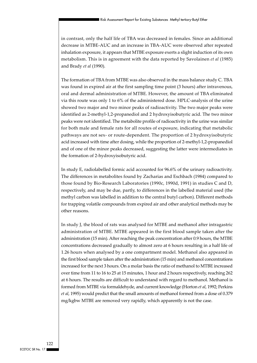in contrast, only the half life of TBA was decreased in females. Since an additional decrease in MTBE-AUC and an increase in TBA-AUC were observed after repeated inhalation exposure, it appears that MTBE exposure exerts a slight induction of its own metabolism. This is in agreement with the data reported by Savolainen *et al* (1985) and Brady *et al* (1990).

The formation of TBA from MTBE was also observed in the mass balance study C. TBA was found in expired air at the first sampling time point (3 hours) after intravenous, oral and dermal administration of MTBE. However, the amount of TBA eliminated via this route was only 1 to 6% of the administered dose. HPLC-analysis of the urine showed two major and two minor peaks of radioactivity. The two major peaks were identified as 2-methyl-1,2-propanediol and 2 hydroxyisobutyric acid. The two minor peaks were not identified. The metabolite profile of radioactivity in the urine was similar for both male and female rats for all routes of exposure, indicating that metabolic pathways are not sex- or route-dependent. The proportion of 2 hydroxyisobutyric acid increased with time after dosing, while the proportion of 2-methyl-1,2-propanediol and of one of the minor peaks decreased, suggesting the latter were intermediates in the formation of 2-hydroxyisobutyric acid.

In study E, radiolabelled formic acid accounted for 96.6% of the urinary radioactivity. The differences in metabolites found by Zacharias and Eschbach (1984) compared to those found by Bio-Research Laboratories (1990c, 1990d, 1991) in studies C and D, respectively, and may be due, partly, to differences in the labelled material used (the methyl carbon was labelled in addition to the central butyl carbon). Different methods for trapping volatile compounds from expired air and other analytical methods may be other reasons.

In study J, the blood of rats was analysed for MTBE and methanol after intragastric administration of MTBE. MTBE appeared in the first blood sample taken after the administration (15 min). After reaching the peak concentration after 0.9 hours, the MTBE concentrations decreased gradually to almost zero at 6 hours resulting in a half life of 1.26 hours when analysed by a one compartment model. Methanol also appeared in the first blood sample taken after the administration (15 min) and methanol concentrations increased for the next 3 hours. On a molar basis the ratio of methanol to MTBE increased over time from 11 to 16 to 25 at 15 minutes, 1 hour and 2 hours respectively, reaching 262 at 6 hours. The results are difficult to understand with regard to methanol. Methanol is formed from MTBE via formaldehyde, and current knowledge (Horton *et al*, 1992; Perkins *et al*, 1995) would predict that the small amounts of methanol formed from a dose of 0.379 mg/kgbw MTBE are removed very rapidly, which apparently is not the case.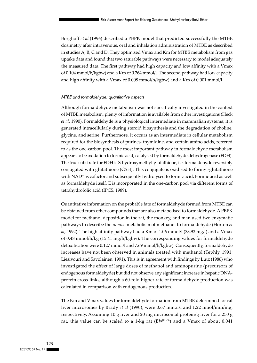Borghoff *et al* (1996) described a PBPK model that predicted successfully the MTBE dosimetry after intravenous, oral and inhalation administration of MTBE as described in studies A, B, C and D. They optimised Vmax and Km for MTBE metabolism from gas uptake data and found that two saturable pathways were necessary to model adequately the measured data. The first pathway had high capacity and low affinity with a Vmax of 0.104 mmol/h/kgbw) and a Km of 0.264 mmol/l. The second pathway had low capacity and high affinity with a Vmax of 0.008 mmol/h/kgbw) and a Km of 0.001 mmol/l.

### MTBE and formaldehyde: quantitative aspects

Although formaldehyde metabolism was not specifically investigated in the context of MTBE metabolism, plenty of information is available from other investigations (Heck *et al*, 1990). Formaldehyde is a physiological intermediate in mammalian systems; it is generated intracellularly during steroid biosynthesis and the degradation of choline, glycine, and serine. Furthermore, it occurs as an intermediate in cellular metabolism required for the biosynthesis of purines, thymidine, and certain amino acids, referred to as the one-carbon pool. The most important pathway in formaldehyde metabolism appears to be oxidation to formic acid, catalysed by formaldehyde dehydrogenase (FDH). The true substrate for FDH is S-hydroxymethyl-glutathione, i.e. formaldehyde reversibly conjugated with glutathione (GSH). This conjugate is oxidised to formyl-glutathione with NAD<sup>+</sup> as cofactor and subsequently hydrolysed to formic acid. Formic acid as well as formaldehyde itself, E is incorporated in the one-carbon pool via different forms of tetrahydrofolic acid (IPCS, 1989).

Quantitative information on the probable fate of formaldehyde formed from MTBE can be obtained from other compounds that are also metabolised to formaldehyde. A PBPK model for methanol deposition in the rat, the monkey, and man used two enzymatic pathways to describe the *in vivo* metabolism of methanol to formaldehyde (Horton *et al*, 1992). The high affinity pathway had a Km of 1.06 mmol/l (33.92 mg/l) and a Vmax of 0.48 mmol/h/kg (15.41 mg/h/kgbw). The corresponding values for formaldehyde detoxification were 0.127 mmol/l and 7.69 mmol/h/kgbw). Consequently, formaldehyde increases have not been observed in animals treated with methanol (Tephly, 1991; Liesivouri and Savolainen, 1991). This is in agreement with findings by Lutz (1986) who investigated the effect of large doses of methanol and aminopurine (precursors of endogenous formaldehyde) but did not observe any significant increase in hepatic DNAprotein cross-links, although a 60-fold higher rate of formaldehyde production was calculated in comparison with endogenous production.

The Km and Vmax values for formaldehyde formation from MTBE determined for rat liver microsomes by Brady *et al* (1990), were 0.67 mmol/l and 1.22 nmol/min/mg, respectively. Assuming 10 g liver and 20 mg microsomal protein/g liver for a 250 g rat, this value can be scaled to a 1-kg rat  $(BW^{0.74})$  and a Vmax of about 0.041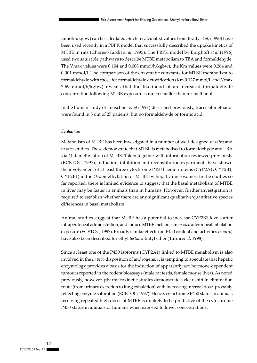mmol/h/kgbw) can be calculated. Such recalculated values from Brady *et al*, (1990) have been used recently in a PBPK model that successfully described the uptake kinetics of MTBE in rats (Charest-Tardif *et al*, 1995). The PBPK model by Borghoff *et al* (1996) used two saturable pathways to describe MTBE metabolism to TBA and formaldehyde. The Vmax values were 0.104 and 0.008 mmol/h/kgbw), the Km values were 0.264 and 0.001 mmol/l. The comparison of the enzymatic constants for MTBE metabolism to formaldehyde with those for formaldehyde detoxification (Km 0.127 mmol/L and Vmax 7.69 mmol/h/kgbw) reveals that the likelihood of an increased formaldehyde concentration following MTBE exposure is much smaller than for methanol.

In the human study of Leuschner *et al* (1991) described previously, traces of methanol were found in 3 out of 27 patients, but no formaldehyde or formic acid.

#### Evaluation

Metabolism of MTBE has been investigated in a number of well-designed *in vitro* and *in vivo* studies. These demonstrate that MTBE is metabolised to formaldehyde and TBA via *O*-demethylation of MTBE. Taken together with information reviewed previously (ECETOC, 1997), induction, inhibition and reconstitution experiments have shown the involvement of at least three cytochrome P450 haemoproteins (CYP2A1, CYP2B1, CYP2E1) in the *O*-demethylation of MTBE by hepatic microsomes. In the studies so far reported, there is limited evidence to suggest that the basal metabolism of MTBE in liver may be faster in animals than in humans. However, further investigation is required to establish whether there are any significant qualitative/quantitative species differences in basal metabolism.

Animal studies suggest that MTBE has a potential to increase CYP2B1 levels after intraperitoneal administration, and induce MTBE metabolism *in vivo* after repeat inhalation exposure (ECETOC, 1997). Broadly similar effects (on P450 content and activities *in vitro*) have also been described for ethyl *tertiary-*butyl ether (Turini *et al*, 1998).

Since at least one of the P450 isoforms (CYP2A1) linked to MTBE metabolism is also involved in the *in vivo* disposition of androgens, it is tempting to speculate that hepatic enzymology provides a basis for the induction of apparently sex hormone-dependent tumours reported in the rodent bioassays (male rat testis, female mouse liver). As noted previously, however, pharmacokinetic studies demonstrate a clear shift in elimination route (from urinary excretion to lung exhalation) with increasing internal dose, probably reflecting enzyme saturation (ECETOC, 1997). Hence, cytochrome P450 status in animals receiving repeated high doses of MTBE is unlikely to be predictive of the cytochrome P450 status in animals or humans when exposed to lower concentrations.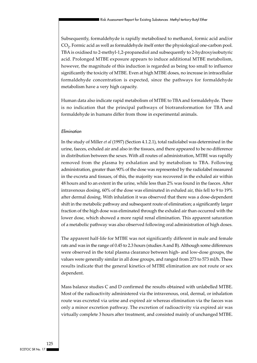Subsequently, formaldehyde is rapidly metabolised to methanol, formic acid and/or  $CO<sub>2</sub>$ . Formic acid as well as formaldehyde itself enter the physiological one-carbon pool. TBA is oxidised to 2-methyl-1,2-propanediol and subsequently to 2-hydroxyisobutyric acid. Prolonged MTBE exposure appears to induce additional MTBE metabolism, however, the magnitude of this induction is regarded as being too small to influence significantly the toxicity of MTBE. Even at high MTBE doses, no increase in intracellular formaldehyde concentration is expected, since the pathways for formaldehyde metabolism have a very high capacity.

Human data also indicate rapid metabolism of MTBE to TBA and formaldehyde. There is no indication that the principal pathways of biotransformation for TBA and formaldehyde in humans differ from those in experimental animals.

#### Elimination

In the study of Miller *et al* (1997) (Section 4.1.2.1), total radiolabel was determined in the urine, faeces, exhaled air and also in the tissues, and there appeared to be no difference in distribution between the sexes. With all routes of administration, MTBE was rapidly removed from the plasma by exhalation and by metabolism to TBA. Following administration, greater than 90% of the dose was represented by the radiolabel measured in the excreta and tissues, of this, the majority was recovered in the exhaled air within 48 hours and to an extent in the urine, while less than 2% was found in the faeces. After intravenous dosing, 60% of the dose was eliminated in exhaled air, this fell to 9 to 19% after dermal dosing. With inhalation it was observed that there was a dose-dependent shift in the metabolic pathway and subsequent route of elimination; a significantly larger fraction of the high dose was eliminated through the exhaled air than occurred with the lower dose, which showed a more rapid renal elimination. This apparent saturation of a metabolic pathway was also observed following oral administration of high doses.

The apparent half-life for MTBE was not significantly different in male and female rats and was in the range of 0.45 to 2.3 hours (studies A and B). Although some differences were observed in the total plasma clearance between high- and low-dose groups, the values were generally similar in all dose groups, and ranged from 273 to 573 ml/h. These results indicate that the general kinetics of MTBE elimination are not route or sex dependent.

Mass balance studies C and D confirmed the results obtained with unlabelled MTBE. Most of the radioactivity administered via the intravenous, oral, dermal, or inhalation route was excreted via urine and expired air whereas elimination via the faeces was only a minor excretion pathway. The excretion of radioactivity via expired air was virtually complete 3 hours after treatment, and consisted mainly of unchanged MTBE.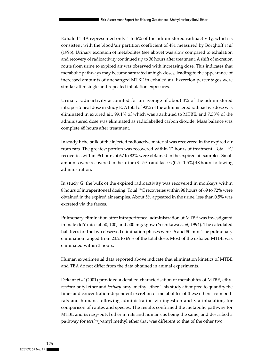Exhaled TBA represented only 1 to 6% of the administered radioactivity, which is consistent with the blood/air partition coefficient of 481 measured by Borghoff *et al* (1996). Urinary excretion of metabolites (see above) was slow compared to exhalation and recovery of radioactivity continued up to 36 hours after treatment. A shift of excretion route from urine to expired air was observed with increasing dose. This indicates that metabolic pathways may become saturated at high-doses, leading to the appearance of increased amounts of unchanged MTBE in exhaled air. Excretion percentages were similar after single and repeated inhalation exposures.

Urinary radioactivity accounted for an average of about 3% of the administered intraperitoneal dose in study E. A total of 92% of the administered radioactive dose was eliminated in expired air, 99.1% of which was attributed to MTBE, and 7.38% of the administered dose was eliminated as radiolabelled carbon dioxide. Mass balance was complete 48 hours after treatment.

In study F the bulk of the injected radioactive material was recovered in the expired air from rats. The greatest portion was recovered within 12 hours of treatment. Total 14C recoveries within 96 hours of 67 to 82% were obtained in the expired air samples. Small amounts were recovered in the urine (3 - 5%) and faeces (0.5 - 1.5%) 48 hours following administration.

In study G, the bulk of the expired radioactivity was recovered in monkeys within 8 hours of intraperitoneal dosing. Total 14C recoveries within 96 hours of 69 to 72% were obtained in the expired air samples. About 5% appeared in the urine, less than 0.5% was excreted via the faeces.

Pulmonary elimination after intraperitoneal administration of MTBE was investigated in male ddY mice at 50, 100, and 500 mg/kgbw (Yoshikawa *et al*, 1994). The calculated half lives for the two observed elimination phases were 45 and 80 min. The pulmonary elimination ranged from 23.2 to 69% of the total dose. Most of the exhaled MTBE was eliminated within 3 hours.

Human experimental data reported above indicate that elimination kinetics of MTBE and TBA do not differ from the data obtained in animal experiments.

Dekant *et al* (2001) provided a detailed characterisation of metabolites of MTBE, ethyl *tertiary*-butyl ether and *tertiary*-amyl methyl ether. This study attempted to quantify the time- and concentration-dependent excretion of metabolites of these ethers from both rats and humans following administration via ingestion and via inhalation, for comparison of routes and species. The results confirmed the metabolic pathway for MTBE and *tertiary*-butyl ether in rats and humans as being the same, and described a pathway for *tertiary*-amyl methyl ether that was different to that of the other two.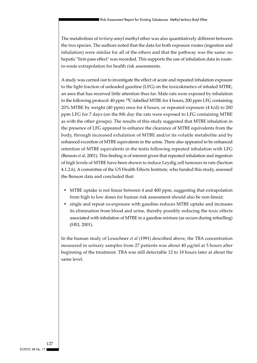The metabolism of *tertiary*-amyl methyl ether was also quantitatively different between the two species. The authors noted that the data for both exposure routes (ingestion and inhalation) were similar for all of the ethers and that the pathway was the same: no hepatic "first-pass effect" was recorded. This supports the use of inhalation data in routeto-route extrapolation for health risk assessments.

A study was carried out to investigate the effect of acute and repeated inhalation exposure to the light fraction of unleaded gasoline (LFG) on the toxicokinetics of inhaled MTBE, an area that has received little attention thus far. Male rats were exposed by inhalation to the following protocol: 40 ppm 14C-labelled MTBE for 4 hours, 200 ppm LFG containing 20% MTBE by weight (40 ppm) once for 4 hours, or repeated exposure (4 h/d) to 200 ppm LFG for 7 days (on the 8th day the rats were exposed to LFG containing MTBE as with the other groups). The results of this study suggested that MTBE inhalation in the presence of LFG appeared to enhance the clearance of MTBE equivalents from the body, through increased exhalation of MTBE and/or its volatile metabolite and by enhanced excretion of MTBE equivalents in the urine. There also appeared to be enhanced retention of MTBE equivalents in the testis following repeated inhalation with LFG (Benson *et al*, 2001). This finding is of interest given that repeated inhalation and ingestion of high levels of MTBE have been shown to induce Leydig cell tumours in rats (Section 4.1.2.6). A committee of the US Health Effects Institute, who funded this study, assessed the Benson data and concluded that:

- MTBE uptake is not linear between 4 and 400 ppm, suggesting that extrapolation from high to low doses for human risk assessment should also be non-linear;
- single and repeat co-exposure with gasoline reduces MTBE uptake and increases its elimination from blood and urine, thereby possibly reducing the toxic effects associated with inhalation of MTBE in a gasoline mixture (as occurs during refuelling) (HEI, 2001).

In the human study of Leuschner *et al* (1991) described above, the TBA concentration measured in urinary samples from 27 patients was about 40 µg/ml at 5 hours after beginning of the treatment. TBA was still detectable 12 to 18 hours later at about the same level.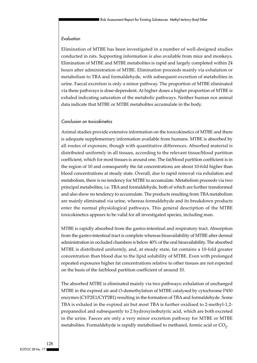#### Evaluation

Elimination of MTBE has been investigated in a number of well-designed studies conducted in rats. Supporting information is also available from mice and monkeys. Elimination of MTBE and MTBE metabolites is rapid and largely completed within 24 hours after administration of MTBE. Elimination proceeds mainly via exhalation or metabolism to TBA and formaldehyde, with subsequent excretion of metabolites in urine. Faecal excretion is only a minor pathway. The proportion of MTBE eliminated via these pathways is dose-dependent. At higher doses a higher proportion of MTBE is exhaled indicating saturation of the metabolic pathways. Neither human nor animal data indicate that MTBE or MTBE metabolites accumulate in the body.

#### Conclusion on toxicokinetics

Animal studies provide extensive information on the toxicokinetics of MTBE and there is adequate supplementary information available from humans. MTBE is absorbed by all routes of exposure, though with quantitative differences. Absorbed material is distributed uniformly in all tissues, according to the relevant tissue/blood partition coefficient, which for most tissues is around one. The fat/blood partition coefficient is in the region of 10 and consequently the fat concentrations are about 10-fold higher than blood concentrations at steady state. Overall, due to rapid removal via exhalation and metabolism, there is no tendency for MTBE to accumulate. Metabolism proceeds via two principal metabolites, i.e. TBA and formaldehyde, both of which are further transformed and also show no tendency to accumulate. The products resulting from TBA metabolism are mainly eliminated via urine, whereas formaldehyde and its breakdown products enter the normal physiological pathways. This general description of the MTBE toxicokinetics appears to be valid for all investigated species, including man.

MTBE is rapidly absorbed from the gastro-intestinal and respiratory tract. Absorption from the gastro-intestinal tract is complete whereas bioavailability of MTBE after dermal administration in occluded chambers is below 40% of the oral bioavailability. The absorbed MTBE is distributed uniformly, and, at steady state, fat contains a 10-fold greater concentration than blood due to the lipid solubility of MTBE. Even with prolonged repeated exposures higher fat concentrations relative to other tissues are not expected on the basis of the fat/blood partition coefficient of around 10.

The absorbed MTBE is eliminated mainly via two pathways: exhalation of unchanged MTBE in the expired air and *O*-demethylation of MTBE catalysed by cytochrome P450 enzymes (CYP2E1/CYP2B1) resulting in the formation of TBA and formaldehyde. Some TBA is exhaled in the expired air but most TBA is further oxidised to 2-methyl-1,2 propanediol and subsequently to 2 hydroxyisobutyric acid, which are both excreted in the urine. Faeces are only a very minor excretion pathway for MTBE or MTBE metabolites. Formaldehyde is rapidly metabolised to methanol, formic acid or CO<sub>2</sub>.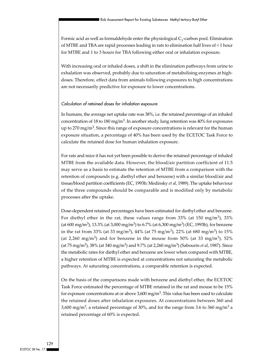Formic acid as well as formaldehyde enter the physiological  $C_1$ -carbon pool. Elimination of MTBE and TBA are rapid processes leading in rats to elimination half lives of < 1 hour for MTBE and 1 to 3 hours for TBA following either oral or inhalation exposure.

With increasing oral or inhaled doses, a shift in the elimination pathways from urine to exhalation was observed, probably due to saturation of metabolising enzymes at highdoses. Therefore, effect data from animals following exposures to high concentrations are not necessarily predictive for exposure to lower concentrations.

## Calculation of retained doses for inhalation exposure

In humans, the average net uptake rate was 38%, i.e. the retained percentage of an inhaled concentration of 18 to 180 mg/m<sup>3</sup>. In another study, lung retention was 40% for exposures up to 270 mg/m<sup>3</sup>. Since this range of exposure concentrations is relevant for the human exposure situation, a percentage of 40% has been used by the ECETOC Task Force to calculate the retained dose for human inhalation exposure.

For rats and mice it has not yet been possible to derive the retained percentage of inhaled MTBE from the available data. However, the blood/air partition coefficient of 11.5 may serve as a basis to estimate the retention of MTBE from a comparison with the retention of compounds (e.g. diethyl ether and benzene) with a similar blood/air and tissue/blood partition coefficients (EC, 1993b; Medinsky *et al*, 1989). The uptake behaviour of the three compounds should be comparable and is modified only by metabolic processes after the uptake.

Dose-dependent retained percentages have been estimated for diethyl ether and benzene. For diethyl ether in the rat, these values range from  $33\%$  (at  $150 \text{ mg/m}^3$ ),  $33\%$ (at 600 mg/m<sup>3</sup>), 13.3% (at 3,000 mg/m<sup>3</sup>) to 6.7% (at 6,300 mg/m<sup>3</sup>) (EC, 1993b), for benzene in the rat from 33% (at 33 mg/m<sup>3</sup>), 44% (at 75 mg/m<sup>3</sup>), 22% (at 680 mg/m<sup>3</sup>) to 15% (at 2,260 mg/m<sup>3</sup>) and for benzene in the mouse from 50% (at 33 mg/m<sup>3</sup>), 52% (at 75 mg/m3), 38% (at 340 mg/m3) and 9.7% (at 2,260 mg/m3) (Sabourin *et al*, 1987). Since the metabolic rates for diethyl ether and benzene are lower when compared with MTBE, a higher retention of MTBE is expected at concentrations not saturating the metabolic pathways. At saturating concentrations, a comparable retention is expected.

On the basis of the comparisons made with benzene and diethyl ether, the ECETOC Task Force estimated the percentage of MTBE retained in the rat and mouse to be 15% for exposure concentrations at or above  $3,600$  mg/m<sup>3</sup>. This value has been used to calculate the retained doses after inhalation exposures. At concentrations between 360 and 3,600 mg/m<sup>3</sup>, a retained percentage of 30%, and for the range from 3.6 to 360 mg/m<sup>3</sup> a retained percentage of 60% is expected.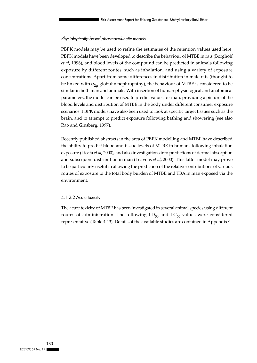#### Physiologically-based pharmacokinetic models

PBPK models may be used to refine the estimates of the retention values used here. PBPK models have been developed to describe the behaviour of MTBE in rats (Borghoff *et al*, 1996), and blood levels of the compound can be predicted in animals following exposure by different routes, such as inhalation, and using a variety of exposure concentrations. Apart from some differences in distribution in male rats (thought to be linked with  $\alpha_{21}$ -globulin nephropathy), the behaviour of MTBE is considered to be similar in both man and animals. With insertion of human physiological and anatomical parameters, the model can be used to predict values for man, providing a picture of the blood levels and distribution of MTBE in the body under different consumer exposure scenarios. PBPK models have also been used to look at specific target tissues such as the brain, and to attempt to predict exposure following bathing and showering (see also Rao and Ginsberg, 1997).

Recently published abstracts in the area of PBPK modelling and MTBE have described the ability to predict blood and tissue levels of MTBE in humans following inhalation exposure (Licata *et al*, 2000), and also investigations into predictions of dermal absorption and subsequent distribution in man (Leavens *et al*, 2000). This latter model may prove to be particularly useful in allowing the prediction of the relative contributions of various routes of exposure to the total body burden of MTBE and TBA in man exposed via the environment.

#### 4.1.2.2 Acute toxicity

The acute toxicity of MTBE has been investigated in several animal species using different routes of administration. The following  $LD_{50}$  and  $LC_{50}$  values were considered representative (Table 4.13). Details of the available studies are contained in Appendix C.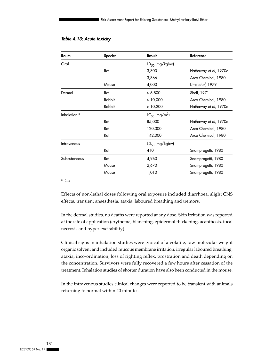| Route                   | <b>Species</b> | Result                         | Reference             |
|-------------------------|----------------|--------------------------------|-----------------------|
| Oral                    |                | $LD_{50}$ (mg/kgbw)            |                       |
|                         | Rat            | 3,800                          | Hathaway et al, 1970a |
|                         |                | 3,866                          | Arco Chemical, 1980   |
|                         | Mouse          | 4,000                          | Little et al, 1979    |
| Dermal                  | Rat            | > 6,800                        | Shell, 1971           |
|                         | Rabbit         | >10,000                        | Arco Chemical, 1980   |
|                         | Rabbit         | >10,200                        | Hathaway et al, 1970a |
| Inhalation <sup>a</sup> |                | $LC_{50}$ (mg/m <sup>3</sup> ) |                       |
|                         | Rat            | 85,000                         | Hathaway et al, 1970a |
|                         | Rat            | 120,300                        | Arco Chemical, 1980   |
|                         | Rat            | 142,000                        | Arco Chemical, 1980   |
| Intravenous             |                | $LD_{50}$ (mg/kgbw)            |                       |
|                         | Rat            | 410                            | Snamprogetti, 1980    |
| Subcutaneous            | Rat            | 4,960                          | Snamprogetti, 1980    |
|                         | Mouse          | 2,670                          | Snamprogetti, 1980    |
|                         | Mouse          | 1,010                          | Snamprogetti, 1980    |

## **Table 4.13: Acute toxicity**

 $a_4 h$ 

Effects of non-lethal doses following oral exposure included diarrhoea, slight CNS effects, transient anaesthesia, ataxia, laboured breathing and tremors.

In the dermal studies, no deaths were reported at any dose. Skin irritation was reported at the site of application (erythema, blanching, epidermal thickening, acanthosis, focal necrosis and hyper-excitability).

Clinical signs in inhalation studies were typical of a volatile, low molecular weight organic solvent and included mucous membrane irritation, irregular laboured breathing, ataxia, inco-ordination, loss of righting reflex, prostration and death depending on the concentration. Survivors were fully recovered a few hours after cessation of the treatment. Inhalation studies of shorter duration have also been conducted in the mouse.

In the intravenous studies clinical changes were reported to be transient with animals returning to normal within 20 minutes.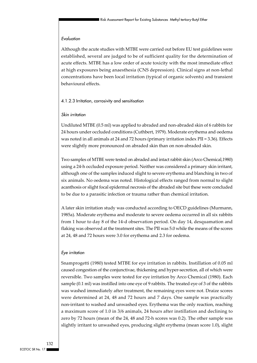#### Evaluation

Although the acute studies with MTBE were carried out before EU test guidelines were established, several are judged to be of sufficient quality for the determination of acute effects. MTBE has a low order of acute toxicity with the most immediate effect at high exposures being anaesthesia (CNS depression). Clinical signs at non-lethal concentrations have been local irritation (typical of organic solvents) and transient behavioural effects.

4.1.2.3 Irritation, corrosivity and sensitisation

#### Skin irritation

Undiluted MTBE (0.5 ml) was applied to abraded and non-abraded skin of 6 rabbits for 24 hours under occluded conditions (Cuthbert, 1979). Moderate erythema and oedema was noted in all animals at 24 and 72 hours (primary irritation index PII = 3.36). Effects were slightly more pronounced on abraded skin than on non-abraded skin.

Two samples of MTBE were tested on abraded and intact rabbit skin (Arco Chemical,1980) using a 24-h occluded exposure period. Neither was considered a primary skin irritant, although one of the samples induced slight to severe erythema and blanching in two of six animals. No oedema was noted. Histological effects ranged from normal to slight acanthosis or slight focal epidermal necrosis of the abraded site but these were concluded to be due to a parasitic infection or trauma rather than chemical irritation.

A later skin irritation study was conducted according to OECD guidelines (Murmann, 1985a). Moderate erythema and moderate to severe oedema occurred in all six rabbits from 1 hour to day 8 of the 14-d observation period. On day 14, desquamation and flaking was observed at the treatment sites. The PII was 5.0 while the means of the scores at 24, 48 and 72 hours were 3.0 for erythema and 2.3 for oedema.

#### Eye irritation

Snamprogetti (1980) tested MTBE for eye irritation in rabbits. Instillation of 0.05 ml caused congestion of the conjunctivae, thickening and hyper-secretion, all of which were reversible. Two samples were tested for eye irritation by Arco Chemical (1980). Each sample (0.1 ml) was instilled into one eye of 9 rabbits. The treated eye of 3 of the rabbits was washed immediately after treatment, the remaining eyes were not. Draize scores were determined at 24, 48 and 72 hours and 7 days. One sample was practically non-irritant to washed and unwashed eyes. Erythema was the only reaction, reaching a maximum score of 1.0 in 3/6 animals, 24 hours after instillation and declining to zero by 72 hours (mean of the 24, 48 and 72-h scores was 0.2). The other sample was slightly irritant to unwashed eyes, producing slight erythema (mean score 1.0), slight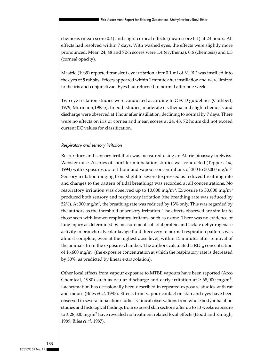chemosis (mean score 0.4) and slight corneal effects (mean score 0.1) at 24 hours. All effects had resolved within 7 days. With washed eyes, the effects were slightly more pronounced. Mean 24, 48 and 72-h scores were 1.4 (erythema), 0.6 (chemosis) and 0.3 (corneal opacity).

Mastrie (1969) reported transient eye irritation after 0.1 ml of MTBE was instilled into the eyes of 5 rabbits. Effects appeared within 1 minute after instillation and were limited to the iris and conjunctivae. Eyes had returned to normal after one week.

Two eye irritation studies were conducted according to OECD guidelines (Cuthbert, 1979; Murmann,1985b). In both studies, moderate erythema and slight chemosis and discharge were observed at 1 hour after instillation, declining to normal by 7 days. There were no effects on iris or cornea and mean scores at 24, 48, 72 hours did not exceed current EC values for classification.

### Respiratory and sensory irritation

Respiratory and sensory irritation was measured using an Alarie bioassay in Swiss-Webster mice. A series of short-term inhalation studies was conducted (Tepper *et al*, 1994) with exposures up to 1 hour and vapour concentrations of 300 to 30,000 mg/m<sup>3</sup>. Sensory irritation ranging from slight to severe (expressed as reduced breathing rate and changes to the pattern of tidal breathing) was recorded at all concentrations. No respiratory irritation was observed up to 10,000 mg/m<sup>3</sup>. Exposure to 30,000 mg/m<sup>3</sup> produced both sensory and respiratory irritation (the breathing rate was reduced by 52%). At 300 mg/m<sup>3</sup>, the breathing rate was reduced by 13% only. This was regarded by the authors as the threshold of sensory irritation. The effects observed are similar to those seen with known respiratory irritants, such as ozone. There was no evidence of lung injury as determined by measurements of total protein and lactate dehydrogenase activity in broncho-alveolar lavage fluid. Recovery to normal respiration patterns was almost complete, even at the highest dose level, within 15 minutes after removal of the animals from the exposure chamber. The authors calculated a  $RD_{50}$  concentration of  $16,600$  mg/m<sup>3</sup> (the exposure concentration at which the respiratory rate is decreased by 50%, as predicted by linear extrapolation).

Other local effects from vapour exposure to MTBE vapours have been reported (Arco Chemical, 1980) such as ocular discharge and early irritation at  $\geq 68,000 \text{ mg/m}^3$ . Lachrymation has occasionally been described in repeated exposure studies with rat and mouse (Biles *et al*, 1987). Effects from vapour contact on skin and eyes have been observed in several inhalation studies. Clinical observations from whole body inhalation studies and histological findings from exposed skin sections after up to 13 weeks exposure to  $\geq$  28,800 mg/m<sup>3</sup> have revealed no treatment related local effects (Dodd and Kintigh, 1989; Biles *et al*, 1987).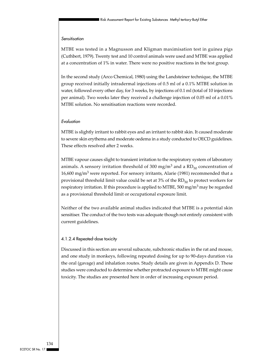#### **Sensitisation**

MTBE was tested in a Magnusson and Kligman maximisation test in guinea pigs (Cuthbert, 1979). Twenty test and 10 control animals were used and MTBE was applied at a concentration of 1% in water. There were no positive reactions in the test group.

In the second study (Arco Chemical, 1980) using the Landsteiner technique, the MTBE group received initially intradermal injections of 0.5 ml of a 0.1% MTBE solution in water, followed every other day, for 3 weeks, by injections of 0.1 ml (total of 10 injections per animal). Two weeks later they received a challenge injection of 0.05 ml of a 0.01% MTBE solution. No sensitisation reactions were recorded.

### Evaluation

MTBE is slightly irritant to rabbit eyes and an irritant to rabbit skin. It caused moderate to severe skin erythema and moderate oedema in a study conducted to OECD guidelines. These effects resolved after 2 weeks.

MTBE vapour causes slight to transient irritation to the respiratory system of laboratory animals. A sensory irritation threshold of 300 mg/m<sup>3</sup> and a  $RD_{50}$  concentration of 16,600 mg/m<sup>3</sup> were reported. For sensory irritants, Alarie (1981) recommended that a provisional threshold limit value could be set at 3% of the  $RD_{50}$  to protect workers for respiratory irritation. If this procedure is applied to MTBE, 500 mg/m<sup>3</sup> may be regarded as a provisional threshold limit or occupational exposure limit.

Neither of the two available animal studies indicated that MTBE is a potential skin sensitiser. The conduct of the two tests was adequate though not entirely consistent with current guidelines.

#### 4.1.2.4 Repeated-dose toxicity

Discussed in this section are several subacute, subchronic studies in the rat and mouse, and one study in monkeys, following repeated dosing for up to 90-days duration via the oral (gavage) and inhalation routes. Study details are given in Appendix D. These studies were conducted to determine whether protracted exposure to MTBE might cause toxicity. The studies are presented here in order of increasing exposure period.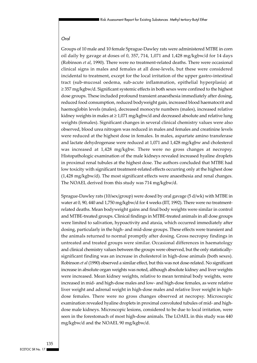#### Oral

Groups of 10 male and 10 female Sprague-Dawley rats were administered MTBE in corn oil daily by gavage at doses of 0, 357, 714, 1,071 and 1,428 mg/kgbw/d for 14 days (Robinson *et al*, 1990). There were no treatment-related deaths. There were occasional clinical signs in males and females at all dose-levels, but these were considered incidental to treatment, except for the local irritation of the upper gastro-intestinal tract (sub-mucosal oedema, sub-acute inflammation, epithelial hyperplasia) at ≥ 357 mg/kgbw/d. Significant systemic effects in both sexes were confined to the highest dose groups. These included profound transient anaesthesia immediately after dosing, reduced food consumption, reduced bodyweight gain, increased blood haematocrit and haemoglobin levels (males), decreased monocyte numbers (males), increased relative kidney weights in males at  $\geq 1.071$  mg/kgbw/d and decreased absolute and relative lung weights (females). Significant changes in several clinical chemistry values were also observed, blood urea nitrogen was reduced in males and females and creatinine levels were reduced at the highest dose in females. In males, aspartate amino transferase and lactate dehydrogenase were reduced at 1,071 and 1,428 mg/kgbw and cholesterol was increased at 1,428 mg/kgbw. There were no gross changes at necropsy. Histopathologic examination of the male kidneys revealed increased hyaline droplets in proximal renal tubules at the highest dose. The authors concluded that MTBE had low toxicity with significant treatment-related effects occurring only at the highest dose (1,428 mg/kgbw/d). The most significant effects were anaesthesia and renal changes. The NOAEL derived from this study was 714 mg/kgbw/d.

Sprague-Dawley rats (10/sex/group) were dosed by oral gavage (5 d/wk) with MTBE in water at 0, 90, 440 and 1,750 mg/kgbw/d for 4 weeks (IIT, 1992). There were no treatmentrelated deaths. Mean bodyweight gains and final body weights were similar in control and MTBE-treated groups. Clinical findings in MTBE-treated animals in all dose groups were limited to salivation, hypoactivity and ataxia, which occurred immediately after dosing, particularly in the high- and mid-dose groups. These effects were transient and the animals returned to normal promptly after dosing. Gross necropsy findings in untreated and treated groups were similar. Occasional differences in haematology and clinical chemistry values between the groups were observed, but the only statisticallysignificant finding was an increase in cholesterol in high-dose animals (both sexes). Robinson *et al* (1990) observed a similar effect, but this was not dose-related. No significant increase in absolute organ weights was noted, although absolute kidney and liver weights were increased. Mean kidney weights, relative to mean terminal body weights, were increased in mid- and high-dose males and low- and high-dose females, as were relative liver weight and adrenal weight in high-dose males and relative liver weight in highdose females. There were no gross changes observed at necropsy. Microscopic examination revealed hyaline droplets in proximal convoluted tubules of mid- and highdose male kidneys. Microscopic lesions, considered to be due to local irritation, were seen in the forestomach of most high-dose animals. The LOAEL in this study was 440 mg/kgbw/d and the NOAEL 90 mg/kgbw/d.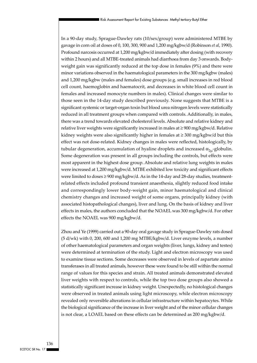In a 90-day study, Sprague-Dawley rats (10/sex/group) were administered MTBE by gavage in corn oil at doses of 0, 100, 300, 900 and 1,200 mg/kgbw/d (Robinson *et al*, 1990). Profound narcosis occurred at 1,200 mg/kgbw/d immediately after dosing (with recovery within 2 hours) and all MTBE-treated animals had diarrhoea from day 3 onwards. Bodyweight gain was significantly reduced at the top dose in females (9%) and there were minor variations observed in the haematological parameters in the 300 mg/kgbw (males) and 1,200 mg/kgbw (males and females) dose groups (e.g. small increases in red blood cell count, haemoglobin and haematocrit, and decreases in white blood cell count in females and increased monocyte numbers in males). Clinical changes were similar to those seen in the 14-day study described previously. None suggests that MTBE is a significant systemic or target-organ toxin but blood urea nitrogen levels were statistically reduced in all treatment groups when compared with controls. Additionally, in males, there was a trend towards elevated cholesterol levels. Absolute and relative kidney and relative liver weights were significantly increased in males at  $\geq$  900 mg/kgbw/d. Relative kidney weights were also significantly higher in females at  $\geq 300 \text{ mg/kg}$ bw/d but this effect was not dose-related. Kidney changes in males were reflected, histologically, by tubular degeneration, accumulation of hyaline droplets and increased  $\alpha_{2u}$ -globulin. Some degeneration was present in all groups including the controls, but effects were most apparent in the highest dose group. Absolute and relative lung weights in males were increased at 1,200 mg/kgbw/d. MTBE exhibited low toxicity and significant effects were limited to doses ≥ 900 mg/kgbw/d. As in the 14-day and 28-day studies, treatmentrelated effects included profound transient anaesthesia, slightly reduced food intake and correspondingly lower body-weight gain, minor haematological and clinical chemistry changes and increased weight of some organs, principally kidney (with associated histopathological changes), liver and lung. On the basis of kidney and liver effects in males, the authors concluded that the NOAEL was 300 mg/kgbw/d. For other effects the NOAEL was 900 mg/kgbw/d.

Zhou and Ye (1999) carried out a 90-day oral gavage study in Sprague-Dawley rats dosed (5 d/wk) with 0, 200, 600 and 1,200 mg MTBE/kgbw/d. Liver enzyme levels, a number of other haematological parameters and organ weights (liver, lungs, kidney and testes) were determined at termination of the study. Light and electron microscopy was used to examine tissue sections. Some decreases were observed in levels of aspartate amino transferases in all treated animals, however these were found to be still within the normal range of values for this species and strain. All treated animals demonstrated elevated liver weights with respect to controls, while the top two dose groups also showed a statistically significant increase in kidney weight. Unexpectedly, no histological changes were observed in treated animals using light microscopy, while electron microscopy revealed only reversible alterations in cellular infrastructure within hepatocytes. While the biological significance of the increase in liver weight and of the minor cellular changes is not clear, a LOAEL based on these effects can be determined as 200 mg/kgbw/d.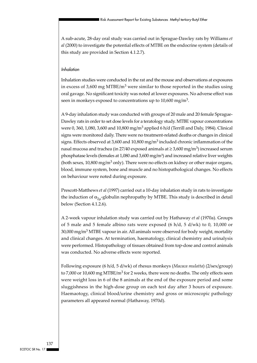A sub-acute, 28-day oral study was carried out in Sprague-Dawley rats by Williams *et al* (2000) to investigate the potential effects of MTBE on the endocrine system (details of this study are provided in Section 4.1.2.7).

### Inhalation

Inhalation studies were conducted in the rat and the mouse and observations at exposures in excess of 3,600 mg MTBE/m<sup>3</sup> were similar to those reported in the studies using oral gavage. No significant toxicity was noted at lower exposures. No adverse effect was seen in monkeys exposed to concentrations up to  $10,600$  mg/m<sup>3</sup>.

A 9-day inhalation study was conducted with groups of 20 male and 20 female Sprague-Dawley rats in order to set dose levels for a teratology study. MTBE vapour concentrations were 0, 360, 1,080, 3,600 and 10,800 mg/m3 applied 6 h/d (Terrill and Daly, 1984). Clinical signs were monitored daily. There were no treatment-related deaths or changes in clinical signs. Effects observed at 3,600 and 10,800 mg/m<sup>3</sup> included chronic inflammation of the nasal mucosa and trachea (in 27/40 exposed animals at  $\geq 3,600$  mg/m<sup>3</sup>) increased serum phosphatase levels (females at 1,080 and 3,600 mg/m<sup>3</sup>) and increased relative liver weights (both sexes,  $10,800$  mg/m<sup>3</sup> only). There were no effects on kidney or other major organs, blood, immune system, bone and muscle and no histopathological changes. No effects on behaviour were noted during exposure.

Prescott-Matthews *et al* (1997) carried out a 10-day inhalation study in rats to investigate the induction of  $\alpha_{2u}$ -globulin nephropathy by MTBE. This study is described in detail below (Section 4.1.2.6).

A 2-week vapour inhalation study was carried out by Hathaway *et al* (1970a). Groups of 5 male and 5 female albino rats were exposed (6 h/d, 5 d/wk) to 0, 10,000 or  $30,000$  mg/m<sup>3</sup> MTBE vapour in air. All animals were observed for body weight, mortality and clinical changes. At termination, haematology, clinical chemistry and urinalysis were performed. Histopathology of tissues obtained from top-dose and control animals was conducted. No adverse effects were reported.

Following exposure (6 h/d, 5 d/wk) of rhesus monkeys (*Macaca mulatta*) (2/sex/group) to 7,000 or 10,600 mg MTBE/ $m<sup>3</sup>$  for 2 weeks, there were no deaths. The only effects seen were weight loss in 6 of the 8 animals at the end of the exposure period and some sluggishness in the high-dose group on each test day after 3 hours of exposure. Haemaotogy, clinical blood/urine chemistry and gross or microscopic pathology parameters all appeared normal (Hathaway, 1970d).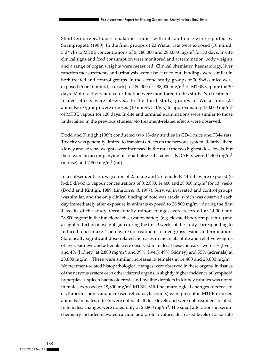Short-term, repeat-dose inhalation studies with rats and mice were reported by Snamprogetti (1980). In the first, groups of 20 Wistar rats were exposed (10 min/d, 5 d/wk) to MTBE concentrations of 0, 180,000 and 288,000 mg/m<sup>3</sup> for 30 days. In-life clinical signs and food consumption were monitored and at termination, body weights and a range of organ weights were measured. Clinical chemistry, haematology, liver function measurements and urinalysis were also carried out. Findings were similar in both treated and control groups. In the second study, groups of 30 Swiss mice were exposed (5 or 10 min/d, 5 d/wk) to 180,000 or 288,000 mg/m<sup>3</sup> of MTBE vapour for 30 days. Motor activity and co-ordination were monitored in this study. No treatmentrelated effects were observed. In the third study, groups of Wistar rats (25 animals/sex/group) were exposed (10 min/d, 5 d/wk) to approximately 180,000 mg/m<sup>3</sup> of MTBE vapour for 120 days. In-life and terminal examinations were similar to those undertaken in the previous studies. No treatment-related effects were observed.

Dodd and Kintigh (1989) conducted two 13-day studies in CD-1 mice and F344 rats. Toxicity was generally limited to transient effects on the nervous system. Relative liver, kidney and adrenal weights were increased in the rat at the two highest dose levels, but there were no accompanying histopathological changes. NOAELs were  $14,400$  mg/m<sup>3</sup> (mouse) and  $7,800$  mg/m<sup>3</sup> (rat).

In a subsequent study, groups of 25 male and 25 female F344 rats were exposed (6 h/d, 5 d/wk) to vapour concentrations of 0, 2,880, 14,400 and 28,800 mg/m<sup>3</sup> for 13 weeks (Dodd and Kintigh, 1989; Lington *et al*, 1997). Survival in treated and control groups was similar, and the only clinical finding of note was ataxia, which was observed each day immediately after exposure in animals exposed to  $28,800 \text{ mg/m}^3$ , during the first 4 weeks of the study. Occasionally minor changes were recorded at 14,000 and 28,800 mg/m<sup>3</sup> in the functional observation battery (e.g. elevated body temperature) and a slight reduction in weight gain during the first 3 weeks of the study, corresponding to reduced food intake. There were no treatment-related gross lesions at termination. Statistically significant dose-related increases in mean absolute and relative weights of liver, kidneys and adrenals were observed in males. These increases were 8% (liver) and  $4\%$  (kidney) at 2,880 mg/m<sup>3</sup>, and 39% (liver),  $49\%$  (kidney) and 55% (adrenals) at 28,800 mg/m<sup>3</sup>. There were similar increases in females at  $14,400$  and  $28,800$  mg/m<sup>3</sup>. No treatment-related histopathological changes were observed in these organs, in tissues of the nervous system or in other visceral organs. A slightly higher incidence of lymphoid hyperplasia, spleen haemosiderosis and hyaline droplets in kidney tubules was noted in males exposed to 28,800 mg/m<sup>3</sup> MTBE. Mild haematological changes (decreased erythrocyte counts and increased reticulocyte counts) were present in MTBE-exposed animals. In males, effects were noted at all dose levels and were not treatment-related. In females, changes were noted only at  $28,800$  mg/m<sup>3</sup>. The small alterations in serum chemistry included elevated calcium and protein values, decreased levels of aspartate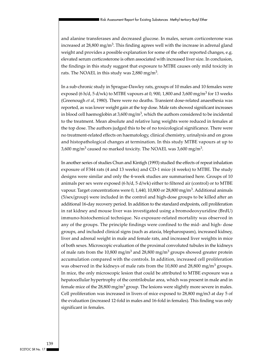and alanine transferases and decreased glucose. In males, serum corticosterone was increased at  $28,800 \text{ mg/m}^3$ . This finding agrees well with the increase in adrenal gland weight and provides a possible explanation for some of the other reported changes, e.g. elevated serum corticosterone is often associated with increased liver size. In conclusion, the findings in this study suggest that exposure to MTBE causes only mild toxicity in rats. The NOAEL in this study was  $2,880$  mg/m<sup>3</sup>.

In a sub-chronic study in Sprague-Dawley rats, groups of 10 males and 10 females were exposed (6 h/d, 5 d/wk) to MTBE vapours at 0, 900, 1,800 and 3,600 mg/m<sup>3</sup> for 13 weeks (Greenough *et al*, 1980). There were no deaths. Transient dose-related anaesthesia was reported, as was lower weight gain at the top dose. Male rats showed significant increases in blood cell haemoglobin at  $3,600$  mg/m<sup>3</sup>, which the authors considered to be incidental to the treatment. Mean absolute and relative lung weights were reduced in females at the top dose. The authors judged this to be of no toxicological significance. There were no treatment-related effects on haematology, clinical chemistry, urinalysis and on gross and histopathological changes at termination. In this study MTBE vapours at up to 3,600 mg/m<sup>3</sup> caused no marked toxicity. The NOAEL was  $3,600$  mg/m<sup>3</sup>.

In another series of studies Chun and Kintigh (1993) studied the effects of repeat inhalation exposure of F344 rats (4 and 13 weeks) and CD-1 mice (4 weeks) to MTBE. The study designs were similar and only the 4-week studies are summarised here. Groups of 10 animals per sex were exposed (6 h/d, 5 d/wk) either to filtered air (control) or to MTBE vapour. Target concentrations were 0, 1,440, 10,800 or 28,800 mg/m<sup>3</sup>. Additional animals (5/sex/group) were included in the control and high-dose groups to be killed after an additional 16-day recovery period. In addition to the standard endpoints, cell proliferation in rat kidney and mouse liver was investigated using a bromodeoxyuridine (BrdU) immuno-histochemical technique. No exposure-related mortality was observed in any of the groups. The principle findings were confined to the mid- and high- dose groups, and included clinical signs (such as ataxia, blepharospasm), increased kidney, liver and adrenal weight in male and female rats, and increased liver weights in mice of both sexes. Microscopic evaluation of the proximal convoluted tubules in the kidneys of male rats from the 10,800 mg/m<sup>3</sup> and 28,800 mg/m<sup>3</sup> groups showed greater protein accumulation compared with the controls. In addition, increased cell proliferation was observed in the kidneys of male rats from the 10,800 and 28,800 mg/m<sup>3</sup> groups. In mice, the only microscopic lesion that could be attributed to MTBE exposure was a hepatocellular hypertrophy of the centrilobular area, which was present in male and in female mice of the  $28,800$  mg/m<sup>3</sup> group. The lesions were slightly more severe in males. Cell proliferation was increased in livers of mice exposed to 28,800 mg/m3 at day 5 of the evaluation (increased 12-fold in males and 16-fold in females). This finding was only significant in females.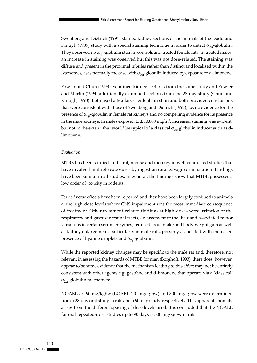Swenberg and Dietrich (1991) stained kidney sections of the animals of the Dodd and Kintigh (1989) study with a special staining technique in order to detect  $\alpha_{21}$ -globulin. They observed no  $\alpha_{2u}$ -globulin stain in controls and treated female rats. In treated males, an increase in staining was observed but this was not dose-related. The staining was diffuse and present in the proximal tubules rather than distinct and localised within the lysosomes, as is normally the case with  $\alpha_{21}$ -globulin induced by exposure to d-limonene.

Fowler and Chun (1993) examined kidney sections from the same study and Fowler and Martin (1994) additionally examined sections from the 28-day study (Chun and Kintigh, 1993). Both used a Mallary-Heidenhain stain and both provided conclusions that were consistent with those of Swenberg and Dietrich (1991), i.e. no evidence for the presence of  $\alpha_{21}$ -globulin in female rat kidneys and no compelling evidence for its presence in the male kidneys. In males exposed to  $\geq 10,800$  mg/m<sup>3</sup>, increased staining was evident, but not to the extent, that would be typical of a classical  $\alpha_{2\mu}$  globulin inducer such as dlimonene.

### Evaluation

MTBE has been studied in the rat, mouse and monkey in well-conducted studies that have involved multiple exposures by ingestion (oral gavage) or inhalation. Findings have been similar in all studies. In general, the findings show that MTBE possesses a low order of toxicity in rodents.

Few adverse effects have been reported and they have been largely confined to animals at the high-dose levels where CNS impairment was the most immediate consequence of treatment. Other treatment-related findings at high-doses were irritation of the respiratory and gastro-intestinal tracts, enlargement of the liver and associated minor variations in certain serum enzymes, reduced food intake and body-weight gain as well as kidney enlargement, particularly in male rats, possibly associated with increased presence of hyaline droplets and  $\alpha_{2\mu}$ -globulin.

While the reported kidney changes may be specific to the male rat and, therefore, not relevant in assessing the hazards of MTBE for man (Borghoff, 1993), there does, however, appear to be some evidence that the mechanism leading to this effect may not be entirely consistent with other agents e.g. gasoline and d-limonene that operate via a 'classical'  $\alpha_{2\mu}$ -globulin mechanism.

NOAELs of 90 mg/kgbw (LOAEL 440 mg/kgbw) and 300 mg/kgbw were determined from a 28-day oral study in rats and a 90-day study, respectively. This apparent anomaly arises from the different spacing of dose levels used. It is concluded that the NOAEL for oral repeated-dose studies up to 90 days is 300 mg/kgbw in rats.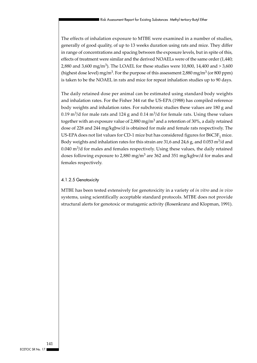The effects of inhalation exposure to MTBE were examined in a number of studies, generally of good quality, of up to 13 weeks duration using rats and mice. They differ in range of concentrations and spacing between the exposure levels, but in spite of this, effects of treatment were similar and the derived NOAELs were of the same order (1,440; 2,880 and 3,600 mg/m3). The LOAEL for these studies were 10,800, 14,400 and > 3,600 (highest dose level) mg/m<sup>3</sup>. For the purpose of this assessment 2,880 mg/m<sup>3</sup> (or 800 ppm) is taken to be the NOAEL in rats and mice for repeat inhalation studies up to 90 days.

The daily retained dose per animal can be estimated using standard body weights and inhalation rates. For the Fisher 344 rat the US-EPA (1988) has compiled reference body weights and inhalation rates. For subchronic studies these values are 180 g and 0.19 m<sup>3</sup>/d for male rats and 124 g and 0.14 m<sup>3</sup>/d for female rats. Using these values together with an exposure value of  $2,880$  mg/m<sup>3</sup> and a retention of 30%, a daily retained dose of 228 and 244 mg/kgbw/d is obtained for male and female rats respectively. The US-EPA does not list values for CD-1 mice but has considered figures for  $B6C3F<sub>1</sub>$  mice. Body weights and inhalation rates for this strain are 31,6 and 24,6 g, and 0.053 m<sup>3</sup>/d and  $0.040 \text{ m}^3$ /d for males and females respectively. Using these values, the daily retained doses following exposure to 2,880 mg/m<sup>3</sup> are 362 and 351 mg/kgbw/d for males and females respectively.

### 4.1.2.5 Genotoxicity

MTBE has been tested extensively for genotoxicity in a variety of *in vitro* and *in vivo* systems, using scientifically acceptable standard protocols. MTBE does not provide structural alerts for genotoxic or mutagenic activity (Rosenkranz and Klopman, 1991).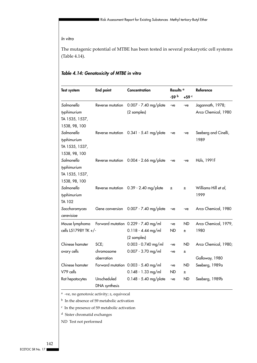# In vitro

The mutagenic potential of MTBE has been tested in several prokaryotic cell systems (Table 4.14).

# **Table 4.14: Genotoxicity of MTBE in vitro**

| <b>Test system</b>   | <b>End point</b> | Concentration                          | Results <sup>a</sup> |           | <b>Reference</b>     |  |
|----------------------|------------------|----------------------------------------|----------------------|-----------|----------------------|--|
|                      |                  |                                        | -S9 b                | $+59c$    |                      |  |
| Salmonella           | Reverse mutation | 0.007 - 7.40 mg/plate                  | -ve                  | -ve       | Jagannath, 1978;     |  |
| typhimurium          |                  | (2 samples)                            |                      |           | Arco Chemical, 1980  |  |
| TA 1535, 1537,       |                  |                                        |                      |           |                      |  |
| 1538, 98, 100        |                  |                                        |                      |           |                      |  |
| Salmonella           |                  | Reverse mutation 0.341 - 5.41 mg/plate | -ve                  | -ve       | Seeberg and Cinelli, |  |
| typhimurium          |                  |                                        |                      |           | 1989                 |  |
| TA 1535, 1537,       |                  |                                        |                      |           |                      |  |
| 1538, 98, 100        |                  |                                        |                      |           |                      |  |
| Salmonella           |                  | Reverse mutation 0.004 - 2.66 mg/plate | $-ve$                | -ve       | Hüls, 1991f          |  |
| typhimurium          |                  |                                        |                      |           |                      |  |
| TA 1535, 1537,       |                  |                                        |                      |           |                      |  |
| 1538, 98, 100        |                  |                                        |                      |           |                      |  |
| Salmonella           | Reverse mutation | 0.39 - 2.40 mg/plate                   | Ŧ                    | 土         | Williams-Hill et al, |  |
| typhimurium          |                  |                                        |                      |           | 1999                 |  |
| TA 102               |                  |                                        |                      |           |                      |  |
| Saccharomyces        | Gene conversion  | 0.007 - 7.40 mg/plate                  | $-ve$                | -ve       | Arco Chemical, 1980  |  |
| cerevisiae           |                  |                                        |                      |           |                      |  |
| Mouse lymphoma       |                  | Forward mutation 0.229 - 7.40 mg/ml    | -ve                  | <b>ND</b> | Arco Chemical, 1979, |  |
| cells L51798Y TK +/- |                  | $0.118 - 4.44$ mg/ml                   | <b>ND</b>            | 土         | 1980                 |  |
|                      |                  | (2 samples)                            |                      |           |                      |  |
| Chinese hamster      | SCE;             | $0.003 - 0.740$ mg/ml                  | -ve                  | <b>ND</b> | Arco Chemical, 1980; |  |
| ovary cells          | chromosome       | 0.007 - 3.70 mg/ml                     | -ve                  | 土         |                      |  |
|                      | aberration       |                                        |                      |           | Galloway, 1980       |  |
| Chinese hamster      |                  | Forward mutation 0.003 - 5.40 mg/ml    | -ve                  | <b>ND</b> | Seeberg, 1989a       |  |
| V79 cells            |                  | 0.148 - 1.33 mg/ml                     | <b>ND</b>            | 土         |                      |  |
| Rat hepatocytes      | Unscheduled      | 0.148 - 5.40 mg/plate                  | -ve                  | <b>ND</b> | Seeberg, 1989b       |  |
|                      | DNA synthesis    |                                        |                      |           |                      |  |

<sup>a</sup> -ve, no genotoxic activity; ±, equivocal

<sup>b</sup> In the absence of S9 metabolic activation

<sup>c</sup> In the presence of S9 metabolic activation

<sup>d</sup> Sister chromatid exchanges

ND Test not performed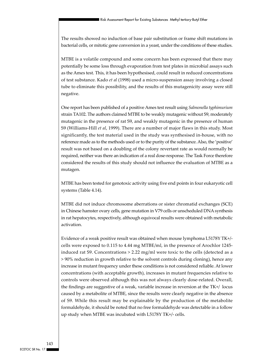The results showed no induction of base pair substitution or frame shift mutations in bacterial cells, or mitotic gene conversion in a yeast, under the conditions of these studies.

MTBE is a volatile compound and some concern has been expressed that there may potentially be some loss through evaporation from test plates in microbial assays such as the Ames test. This, it has been hypothesised, could result in reduced concentrations of test substance. Kado *et al* (1998) used a micro-suspension assay involving a closed tube to eliminate this possibility, and the results of this mutagenicity assay were still negative.

One report has been published of a positive Ames test result using *Salmonella typhimurium* strain TA102. The authors claimed MTBE to be weakly mutagenic without S9, moderately mutagenic in the presence of rat S9, and weakly mutagenic in the presence of human S9 (Williams-Hill *et al*, 1999). There are a number of major flaws in this study. Most significantly, the test material used in the study was synthesised in-house, with no reference made as to the methods used or to the purity of the substance. Also, the 'positive' result was not based on a doubling of the colony revertant rate as would normally be required, neither was there an indication of a real dose-response. The Task Force therefore considered the results of this study should not influence the evaluation of MTBE as a mutagen.

MTBE has been tested for genotoxic activity using five end points in four eukaryotic cell systems (Table 4.14).

MTBE did not induce chromosome aberrations or sister chromatid exchanges (SCE) in Chinese hamster ovary cells, gene mutation in V79 cells or unscheduled DNA synthesis in rat hepatocytes, respectively, although equivocal results were obtained with metabolic activation.

Evidence of a weak positive result was obtained when mouse lymphoma L5178Y TK+/ cells were exposed to 0.115 to 4.44 mg MTBE/ml, in the presence of Arochlor 1245 induced rat S9. Concentrations  $> 2.22$  mg/ml were toxic to the cells (detected as a > 90% reduction in growth relative to the solvent controls during cloning), hence any increase in mutant frequency under these conditions is not considered reliable. At lower concentrations (with acceptable growth), increases in mutant frequencies relative to controls were observed although this was not always clearly dose-related. Overall, the findings are suggestive of a weak, variable increase in reversion at the TK+/ locus caused by a metabolite of MTBE, since the results were clearly negative in the absence of S9. While this result may be explainable by the production of the metabolite formaldehyde, it should be noted that no free formaldehyde was detectable in a follow up study when MTBE was incubated with L5178Y TK+/- cells.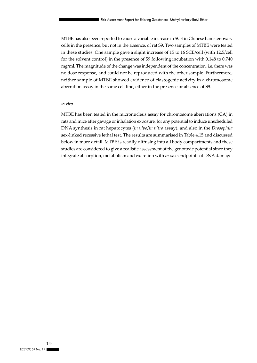MTBE has also been reported to cause a variable increase in SCE in Chinese hamster ovary cells in the presence, but not in the absence, of rat S9. Two samples of MTBE were tested in these studies. One sample gave a slight increase of 15 to 16 SCE/cell (with 12.5/cell for the solvent control) in the presence of S9 following incubation with 0.148 to 0.740 mg/ml. The magnitude of the change was independent of the concentration, i.e. there was no dose response, and could not be reproduced with the other sample. Furthermore, neither sample of MTBE showed evidence of clastogenic activity in a chromosome aberration assay in the same cell line, either in the presence or absence of S9.

#### In vivo

MTBE has been tested in the micronucleus assay for chromosome aberrations (CA) in rats and mice after gavage or inhalation exposure, for any potential to induce unscheduled DNA synthesis in rat hepatocytes (*in vivo*/*in vitro* assay), and also in the *Drosophila* sex-linked recessive lethal test. The results are summarised in Table 4.15 and discussed below in more detail. MTBE is readily diffusing into all body compartments and these studies are considered to give a realistic assessment of the genotoxic potential since they integrate absorption, metabolism and excretion with *in vivo* endpoints of DNA damage.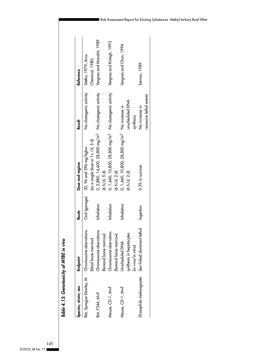| Species, strain, sex    | Endpoint                                         | <b>Route</b>  | Dose and regime                                                                    | Result                                                 | Reference                             |
|-------------------------|--------------------------------------------------|---------------|------------------------------------------------------------------------------------|--------------------------------------------------------|---------------------------------------|
| Rat, Sprague-Dawley, M  | Chromosome aberrations<br>(tibial bone marrow)   | Oral (gavage) | (as a single dose or 1x/d, 5 d)<br>30, 96 and 296 mg/kgbw                          | No clastogenic activity                                | Stetka, 1979; Arco<br>Chemical, 1980; |
| Rat, F344, M+F          | Chromosome aberrations<br>(femoral bone marrow)  | Inhalation    | 0, 2,880, 14,400, 28,800 mg/m <sup>3</sup> No clastogenic activity<br>(6 h/d, 5 d) |                                                        | Vergnes and Morabit, 1989             |
| Mouse, CD-1, M+F        | Chromosome aberration<br>(femoral bone marrow)   | Inhalation    | 0, 1,440, 10,800 mg/m <sup>3</sup> No dastogenic activity<br>(6 h/d, 2 d)          |                                                        | Vergnes and Kintigh, 1993             |
| Mouse, CD-1, M+F        | synthesis in hepatocytes<br>Unscheduled DNA      | Inhalation    | 0, 1,440, 10,800, 28,800 mg/m <sup>3</sup><br>(6 h/d, 2 d)                         | unscheduled DNA<br>No increase in                      | Vergnes and Chun, 1994                |
| Drosophila melanogaster | Sex-linked dominant lethal<br>(in vivo/in vitro) | Ingestion     | 0.3% in sucrose                                                                    | recessive lethal events<br>No increase in<br>synthesis | Sernau, 1989                          |

| ž<br>ż<br>Ξ |
|-------------|
| ā           |
| ١<br>t      |
|             |
|             |
|             |
|             |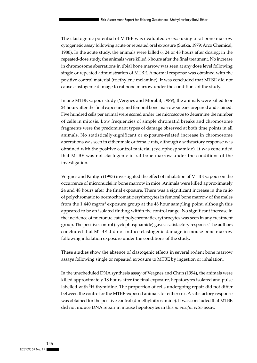The clastogenic potential of MTBE was evaluated *in vivo* using a rat bone marrow cytogenetic assay following acute or repeated oral exposure (Stetka, 1979; Arco Chemical, 1980). In the acute study, the animals were killed 6, 24 or 48 hours after dosing; in the repeated-dose study, the animals were killed 6 hours after the final treatment. No increase in chromosome aberrations in tibial bone marrow was seen at any dose level following single or repeated administration of MTBE. A normal response was obtained with the positive control material (triethylene melamine). It was concluded that MTBE did not cause clastogenic damage to rat bone marrow under the conditions of the study.

In one MTBE vapour study (Vergnes and Morabit, 1989), the animals were killed 6 or 24 hours after the final exposure, and femoral bone marrow smears prepared and stained. Five hundred cells per animal were scored under the microscope to determine the number of cells in mitosis. Low frequencies of simple chromatid breaks and chromosome fragments were the predominant types of damage observed at both time points in all animals. No statistically-significant or exposure-related increase in chromosome aberrations was seen in either male or female rats, although a satisfactory response was obtained with the positive control material (cyclophosphamide). It was concluded that MTBE was not clastogenic in rat bone marrow under the conditions of the investigation.

Vergnes and Kintigh (1993) investigated the effect of inhalation of MTBE vapour on the occurrence of micronuclei in bone marrow in mice. Animals were killed approximately 24 and 48 hours after the final exposure. There was a significant increase in the ratio of polychromatic to normochromatic erythrocytes in femoral bone marrow of the males from the 1,440 mg/m<sup>3</sup> exposure group at the 48 hour sampling point, although this appeared to be an isolated finding within the control range. No significant increase in the incidence of micronucleated polychromatic erythrocytes was seen in any treatment group. The positive control (cyclophosphamide) gave a satisfactory response. The authors concluded that MTBE did not induce clastogenic damage in mouse bone marrow following inhalation exposure under the conditions of the study.

These studies show the absence of clastogenic effects in several rodent bone marrow assays following single or repeated exposure to MTBE by ingestion or inhalation.

In the unscheduled DNA synthesis assay of Vergnes and Chun (1994), the animals were killed approximately 18 hours after the final exposure, hepatocytes isolated and pulse labelled with  ${}^{3}H$  thymidine. The proportion of cells undergoing repair did not differ between the control or the MTBE-exposed animals for either sex. A satisfactory response was obtained for the positive control (dimethylnitrosamine). It was concluded that MTBE did not induce DNA repair in mouse hepatocytes in this *in vivo*/*in vitro* assay.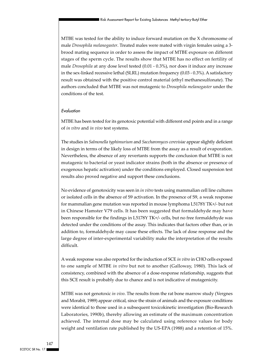MTBE was tested for the ability to induce forward mutation on the X chromosome of male *Drosophila melanogaster*. Treated males were mated with virgin females using a 3 brood mating sequence in order to assess the impact of MTBE exposure on different stages of the sperm cycle. The results show that MTBE has no effect on fertility of male *Drosophila* at any dose level tested (0.01 - 0.3%), nor does it induce any increase in the sex-linked recessive lethal (SLRL) mutation frequency (0.03 - 0.3%). A satisfactory result was obtained with the positive control material (ethyl methanesulfonate). The authors concluded that MTBE was not mutagenic to *Drosophila melanogaster* under the conditions of the test.

# **Evaluation**

MTBE has been tested for its genotoxic potential with different end points and in a range of *in vitro* and *in vivo* test systems.

The studies in *Salmonella typhimurium* and *Saccharomyces cerevisiae* appear slightly deficient in design in terms of the likely loss of MTBE from the assay as a result of evaporation. Nevertheless, the absence of any revertants supports the conclusion that MTBE is not mutagenic to bacterial or yeast indicator strains (both in the absence or presence of exogenous hepatic activation) under the conditions employed. Closed suspension test results also proved negative and support these conclusions.

No evidence of genotoxicity was seen in *in vitro* tests using mammalian cell line cultures or isolated cells in the absence of S9 activation. In the presence of S9, a weak response for mammalian gene mutation was reported in mouse lymphoma L5178Y TK+/- but not in Chinese Hamster V79 cells. It has been suggested that formaldehyde may have been responsible for the findings in L5178Y TK+/- cells, but no free formaldehyde was detected under the conditions of the assay. This indicates that factors other than, or in addition to, formaldehyde may cause these effects. The lack of dose response and the large degree of inter-experimental variability make the interpretation of the results difficult.

A weak response was also reported for the induction of SCE *in vitro* in CHO cells exposed to one sample of MTBE *in vitro* but not to another (Galloway, 1980). This lack of consistency, combined with the absence of a dose-response relationship, suggests that this SCE result is probably due to chance and is not indicative of mutagenicity.

MTBE was not genotoxic *in vivo*. The results from the rat bone marrow study (Vergnes and Morabit, 1989) appear critical, since the strain of animals and the exposure conditions were identical to those used in a subsequent toxicokinetic investigation (Bio-Research Laboratories, 1990b), thereby allowing an estimate of the maximum concentration achieved. The internal dose may be calculated using reference values for body weight and ventilation rate published by the US-EPA (1988) and a retention of 15%.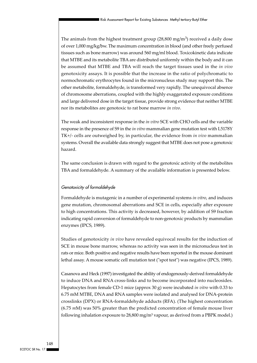The animals from the highest treatment group  $(28,800 \text{ mg/m}^3)$  received a daily dose of over 1,000 mg/kg/bw. The maximum concentration in blood (and other freely perfused tissues such as bone marrow) was around 560 mg/ml blood. Toxicokinetic data indicate that MTBE and its metabolite TBA are distributed uniformly within the body and it can be assumed that MTBE and TBA will reach the target tissues used in the *in vivo* genotoxicity assays. It is possible that the increase in the ratio of polychromatic to normochromatic erythrocytes found in the micronucleus study may support this. The other metabolite, formaldehyde, is transformed very rapidly. The unequivocal absence of chromosome aberrations, coupled with the highly exaggerated exposure conditions and large delivered dose in the target tissue, provide strong evidence that neither MTBE nor its metabolites are genotoxic to rat bone marrow *in vivo*.

The weak and inconsistent response in the *in vitro* SCE with CHO cells and the variable response in the presence of S9 in the *in vitro* mammalian gene mutation test with L5178Y TK+/- cells are outweighed by, in particular, the evidence from *in vivo* mammalian systems. Overall the available data strongly suggest that MTBE does not pose a genotoxic hazard.

The same conclusion is drawn with regard to the genotoxic activity of the metabolites TBA and formaldehyde. A summary of the available information is presented below.

# Genotoxicity of formaldehyde

Formaldehyde is mutagenic in a number of experimental systems *in vitro*, and induces gene mutation, chromosomal aberrations and SCE in cells, especially after exposure to high concentrations. This activity is decreased, however, by addition of S9 fraction indicating rapid conversion of formaldehyde to non-genotoxic products by mammalian enzymes (IPCS, 1989).

Studies of genotoxicity *in vivo* have revealed equivocal results for the induction of SCE in mouse bone marrow, whereas no activity was seen in the micronucleus test in rats or mice. Both positive and negative results have been reported in the mouse dominant lethal assay. A mouse somatic cell mutation test ("spot test") was negative (IPCS, 1989).

Casanova and Heck (1997) investigated the ability of endogenously-derived formaldehyde to induce DNA and RNA cross-links and to become incorporated into nucleosides. Hepatocytes from female CD-1 mice (approx 30 g) were incubated *in vitro* with 0.33 to 6.75 mM MTBE, DNA and RNA samples were isolated and analysed for DNA-protein crosslinks (DPX) or RNA-formaldehyde adducts (RFA). (The highest concentration (6.75 *m*M) was 50% greater than the predicted concentration of female mouse liver following inhalation exposure to  $28,800$  mg/m<sup>3</sup> vapour, as derived from a PBPK model.)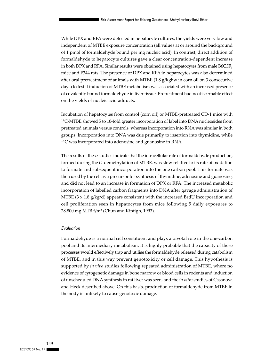While DPX and RFA were detected in hepatocyte cultures, the yields were very low and independent of MTBE exposure concentration (all values at or around the background of 1 pmol of formaldehyde bound per mg nucleic acid). In contrast, direct addition of formaldehyde to hepatocyte cultures gave a clear concentration-dependent increase in both DPX and RFA. Similar results were obtained using hepatocytes from male  $B6C3F<sub>1</sub>$ mice and F344 rats. The presence of DPX and RFA in hepatocytes was also determined after oral pretreatment of animals with MTBE (1.8 g/kgbw in corn oil on 3 consecutive days) to test if induction of MTBE metabolism was associated with an increased presence of covalently bound formaldehyde in liver tissue. Pretreatment had no discernable effect on the yields of nucleic acid adducts.

Incubation of hepatocytes from control (corn oil) or MTBE-pretreated CD-1 mice with <sup>14</sup>C-MTBE showed 5 to 10-fold greater incorporation of label into DNA nucleosides from pretreated animals versus controls, whereas incorporation into RNA was similar in both groups. Incorporation into DNA was due primarily to insertion into thymidine, while  $14C$  was incorporated into adenosine and guanosine in RNA.

The results of these studies indicate that the intracellular rate of formaldehyde production, formed during the *O*-demethylation of MTBE, was slow relative to its rate of oxidation to formate and subsequent incorporation into the one carbon pool. This formate was then used by the cell as a precursor for synthesis of thymidine, adenosine and guanosine, and did not lead to an increase in formation of DPX or RFA. The increased metabolic incorporation of labelled carbon fragments into DNA after gavage administration of MTBE (3 x 1.8 g/kg/d) appears consistent with the increased BrdU incorporation and cell proliferation seen in hepatocytes from mice following 5 daily exposures to  $28,800$  mg MTBE/m<sup>3</sup> (Chun and Kintigh, 1993).

### Evaluation

Formaldehyde is a normal cell constituent and plays a pivotal role in the one-carbon pool and its intermediary metabolism. It is highly probable that the capacity of these processes would effectively trap and utilise the formaldehyde released during catabolism of MTBE, and in this way prevent genotoxicity or cell damage. This hypothesis is supported by *in vivo* studies following repeated administration of MTBE, where no evidence of cytogenetic damage in bone marrow or blood cells in rodents and induction of unscheduled DNA synthesis in rat liver was seen, and the *in vitro* studies of Casanova and Heck described above. On this basis, production of formaldehyde from MTBE in the body is unlikely to cause genotoxic damage.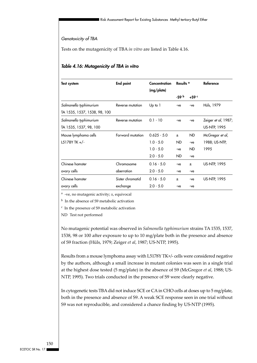### Genotoxicity of TBA

Tests on the mutagenicity of TBA *in vitro* are listed in Table 4.16.

## **Table 4.16: Mutagenicity of TBA in vitro**

| Test system                                            | <b>End point</b> | Concentration<br>(mg/plate) | Results <sup>a</sup> |        | Reference                           |  |
|--------------------------------------------------------|------------------|-----------------------------|----------------------|--------|-------------------------------------|--|
|                                                        |                  |                             | -S9 $b$              | $+59c$ |                                     |  |
| Salmonella typhimurium<br>TA 1535, 1537, 1538, 98, 100 | Reverse mutation | Up to $1$                   | -ve                  | -ve    | Hüls, 1979                          |  |
| Salmonella typhimurium<br>TA 1535, 1537, 98, 100       | Reverse mutation | $0.1 - 10$                  | -ve                  | -ve    | Zeiger et al, 1987;<br>US-NTP, 1995 |  |
| Mouse lymphoma cells                                   | Forward mutation | $0.625 - 5.0$               | 士                    | ND     | McGregor et al,                     |  |
| L5178Y TK $+/-$                                        |                  | $1.0 - 5.0$                 | ND.                  | -ve    | 1988; US-NTP,                       |  |
|                                                        |                  | $1.0 - 5.0$                 | $-ve$                | ND.    | 1995                                |  |
|                                                        |                  | $2.0 - 5.0$                 | ND.                  | -ve    |                                     |  |
| Chinese hamster                                        | Chromosome       | $0.16 - 5.0$                | -ve                  | 士      | <b>US-NTP, 1995</b>                 |  |
| ovary cells                                            | aberration       | $2.0 - 5.0$                 | -ve                  | -ve    |                                     |  |
| Chinese hamster                                        | Sister chromatid | $0.16 - 5.0$                | Ŧ                    | -ve    | <b>US-NTP, 1995</b>                 |  |
| ovary cells                                            | exchange         | $2.0 - 5.0$                 | -ve                  | -ve    |                                     |  |

 $a$  -ve, no mutagenic activity;  $\pm$ , equivocal

<sup>b</sup> In the absence of S9 metabolic activation

<sup>c</sup> In the presence of S9 metabolic activation

ND Test not performed

No mutagenic potential was observed in *Salmonella typhimurium* strains TA 1535, 1537, 1538, 98 or 100 after exposure to up to 10 mg/plate both in the presence and absence of S9 fraction (Hüls, 1979; Zeiger *et al*, 1987; US-NTP, 1995).

Results from a mouse lymphoma assay with L5178Y TK+/- cells were considered negative by the authors, although a small increase in mutant colonies was seen in a single trial at the highest dose tested (5 mg/plate) in the absence of S9 (McGregor *et al*, 1988; US-NTP, 1995). Two trials conducted in the presence of S9 were clearly negative.

In cytogenetic tests TBA did not induce SCE or CA in CHO cells at doses up to 5 mg/plate, both in the presence and absence of S9. A weak SCE response seen in one trial without S9 was not reproducible, and considered a chance finding by US-NTP (1995).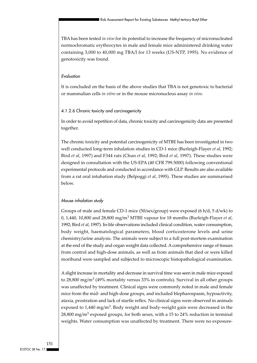TBA has been tested *in vivo* for its potential to increase the frequency of micronucleated normochromatic erythrocytes in male and female mice administered drinking water containing 3,000 to 40,000 mg TBA/l for 13 weeks (US-NTP, 1995). No evidence of genotoxicity was found.

### Evaluation

It is concluded on the basis of the above studies that TBA is not genotoxic to bacterial or mammalian cells *in vitro* or in the mouse micronucleus assay *in vivo.*

### 4.1.2.6 Chronic toxicity and carcinogenicity

In order to avoid repetition of data, chronic toxicity and carcinogenicity data are presented together.

The chronic toxicity and potential carcinogenicity of MTBE has been investigated in two well conducted long-term inhalation studies in CD-1 mice (Burleigh-Flayer *et al*, 1992; Bird *et al*, 1997) and F344 rats (Chun *et al*, 1992; Bird *et al*, 1997). These studies were designed in consultation with the US-EPA (40 CFR 799.5000) following conventional experimental protocols and conducted in accordance with GLP. Results are also available from a rat oral intubation study (Belpoggi *et al*, 1995). These studies are summarised below.

### Mouse inhalation study

Groups of male and female CD-1 mice (50/sex/group) were exposed (6 h/d, 5 d/wk) to 0, 1,440, 10,800 and 28,800 mg/m<sup>3</sup> MTBE vapour for 18 months (Burleigh-Flayer *et al*, 1992; Bird *et al*, 1997). In-life observations included clinical condition, water consumption, body weight, haematological parameters, blood corticosterone levels and urine chemistry/urine analysis. The animals were subject to a full post-mortem examination at the end of the study and organ weight data collected. A comprehensive range of tissues from control and high-dose animals, as well as from animals that died or were killed moribund were sampled and subjected to microscopic histopathological examination.

A slight increase in mortality and decrease in survival time was seen in male mice exposed to 28,800 mg/m<sup>3</sup> (49% mortality versus 33% in controls). Survival in all other groups was unaffected by treatment. Clinical signs were commonly noted in male and female mice from the mid- and high-dose groups, and included blepharospasm, hypoactivity, ataxia, prostration and lack of startle reflex. No clinical signs were observed in animals exposed to  $1,440 \text{ mg/m}^3$ . Body weight and body-weight gain were decreased in the  $28,800 \text{ mg/m}^3$  exposed groups, for both sexes, with a 15 to 24% reduction in terminal weights. Water consumption was unaffected by treatment. There were no exposure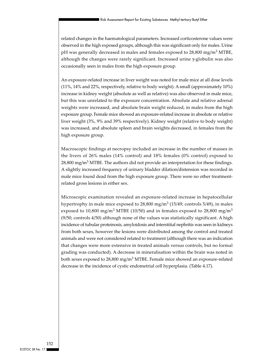related changes in the haematological parameters. Increased corticosterone values were observed in the high exposed groups, although this was significant only for males. Urine pH was generally decreased in males and females exposed to  $28,800$  mg/m<sup>3</sup> MTBE, although the changes were rarely significant. Increased urine γ-globulin was also occasionally seen in males from the high exposure group.

An exposure-related increase in liver weight was noted for male mice at all dose levels (11%, 14% and 22%, respectively, relative to body weight). A small (approximately 10%) increase in kidney weight (absolute as well as relative) was also observed in male mice, but this was unrelated to the exposure concentration. Absolute and relative adrenal weights were increased, and absolute brain weight reduced, in males from the high exposure group. Female mice showed an exposure-related increase in absolute or relative liver weight (3%, 9% and 39% respectively). Kidney weight (relative to body weight) was increased, and absolute spleen and brain weights decreased, in females from the high exposure group.

Macroscopic findings at necropsy included an increase in the number of masses in the livers of 26% males (14% control) and 18% females (0% control) exposed to  $28,800 \text{ mg/m}^3$  MTBE. The authors did not provide an interpretation for these findings. A slightly increased frequency of urinary bladder dilation/distension was recorded in male mice found dead from the high exposure group. There were no other treatmentrelated gross lesions in either sex.

Microscopic examination revealed an exposure-related increase in hepatocellular hypertrophy in male mice exposed to  $28,800 \text{ mg/m}^3$  (15/49; controls 5/49), in males exposed to 10,800 mg/m<sup>3</sup> MTBE (10/50) and in females exposed to 28,800 mg/m<sup>3</sup> (9/50; controls 4/50) although none of the values was statistically significant. A high incidence of tubular proteinosis, amyloidosis and interstitial nephritis was seen in kidneys from both sexes, however the lesions were distributed among the control and treated animals and were not considered related to treatment (although there was an indication that changes were more extensive in treated animals versus controls, but no formal grading was conducted). A decrease in mineralisation within the brain was noted in both sexes exposed to 28,800 mg/m<sup>3</sup> MTBE. Female mice showed an exposure-related decrease in the incidence of cystic endometrial cell hyperplasia. (Table 4.17).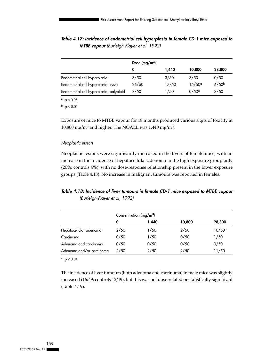| Table 4.17: Incidence of endometrial cell hyperplasia in female CD-1 mice exposed to |  |  |  |  |
|--------------------------------------------------------------------------------------|--|--|--|--|
| <b>MTBE vapour</b> (Burleigh-Flayer et al, 1992)                                     |  |  |  |  |

|                                         | Dose $(mg/m3)$ |       |                 |            |
|-----------------------------------------|----------------|-------|-----------------|------------|
|                                         | 0              | 1,440 | 10,800          | 28,800     |
| Endometrial cell hyperplasia            | 3/50           | 3/50  | 3/50            | 0/50       |
| Endometrial cell hyperplasia, cystic    | 26/50          | 17/50 | $15/50^{\circ}$ | $6/50^{b}$ |
| Endometrial cell hyperplasia, polyploid | 7/50           | 1/50  | $0/50^{\circ}$  | 3/50       |

 $a$  p < 0.05

 $b$  p < 0.01

Exposure of mice to MTBE vapour for 18 months produced various signs of toxicity at 10,800 mg/m<sup>3</sup> and higher. The NOAEL was 1,440 mg/m<sup>3</sup>.

### Neoplastic effects

Neoplastic lesions were significantly increased in the livers of female mice, with an increase in the incidence of hepatocellular adenoma in the high exposure group only (20%; controls 4%), with no dose-response relationship present in the lower exposure groups (Table 4.18). No increase in malignant tumours was reported in females.

# **Table 4.18: Incidence of liver tumours in female CD-1 mice exposed to MTBE vapour** (Burleigh-Flayer et al, 1992)

|                          | Concentration $(mg/m3)$ |       |        |                 |  |  |  |
|--------------------------|-------------------------|-------|--------|-----------------|--|--|--|
|                          | 0                       | 1,440 | 10,800 | 28,800          |  |  |  |
| Hepatocellular adenoma   | 2/50                    | 1/50  | 2/50   | $10/50^{\circ}$ |  |  |  |
| Carcinoma                | 0/50                    | 1/50  | 0/50   | 1/50            |  |  |  |
| Adenoma and carcinoma    | 0/50                    | 0/50  | 0/50   | 0/50            |  |  |  |
| Adenoma and/or carcinoma | 2/50                    | 2/50  | 2/50   | 11/50           |  |  |  |

 $a$   $p < 0.01$ 

The incidence of liver tumours (both adenoma and carcinoma) in male mice was slightly increased (16/49; controls 12/49), but this was not dose-related or statistically significant (Table 4.19).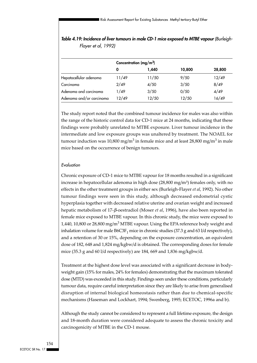|                          | Concentration $(mg/m3)$ |       |        |        |  |  |  |
|--------------------------|-------------------------|-------|--------|--------|--|--|--|
|                          | 0                       | 1,440 | 10,800 | 28,800 |  |  |  |
| Hepatocellular adenoma   | 11/49                   | 11/50 | 9/50   | 12/49  |  |  |  |
| Carcinoma                | 2/49                    | 4/50  | 3/50   | 8/49   |  |  |  |
| Adenoma and carcinoma    | 1/49                    | 3/50  | 0/50   | 4/49   |  |  |  |
| Adenoma and/or carcinoma | 12/49                   | 12/50 | 12/50  | 16/49  |  |  |  |

**Table 4.19: Incidence of liver tumours in male CD-1 mice exposed to MTBE vapour** (Burleigh-Flayer et al, 1992)

The study report noted that the combined tumour incidence for males was also within the range of the historic control data for CD-1 mice at 24 months, indicating that these findings were probably unrelated to MTBE exposure. Liver tumour incidence in the intermediate and low exposure groups was unaltered by treatment. The NOAEL for tumour induction was 10,800 mg/m<sup>3</sup> in female mice and at least 28,800 mg/m<sup>3</sup> in male mice based on the occurrence of benign tumours.

### Evaluation

Chronic exposure of CD-1 mice to MTBE vapour for 18 months resulted in a significant increase in hepatocellular adenoma in high dose  $(28,800 \text{ mg/m}^3)$  females only, with no effects in the other treatment groups in either sex (Burleigh-Flayer *et al*, 1992). No other tumour findings were seen in this study, although decreased endometrial cystic hyperplasia together with decreased relative uterine and ovarian weight and increased hepatic metabolism of 17-β-oestradiol (Moser *et al*, 1996), have also been reported in female mice exposed to MTBE vapour. In this chronic study, the mice were exposed to 1,440, 10,800 or 28,800 mg/m<sup>3</sup> MTBE vapour. Using the EPA reference body weight and inhalation volume for male  $B6C3F_1$  mice in chronic studies (37.3 g and 63 l/d respectively), and a retention of 30 or 15%, depending on the exposure concentration, an equivalent dose of 182, 648 and 1,824 mg/kgbw/d is obtained. The corresponding doses for female mice (35.3 g and 60 l/d respectively) are 184, 669 and 1,836 mg/kgbw/d.

Treatment at the highest dose level was associated with a significant decrease in bodyweight gain (15% for males, 24% for females) demonstrating that the maximum tolerated dose (MTD) was exceeded in this study. Findings seen under these conditions, particularly tumour data, require careful interpretation since they are likely to arise from generalised disruption of internal biological homeostasis rather than due to chemical-specific mechanisms (Haseman and Lockhart, 1994; Swenberg, 1995; ECETOC, 1996a and b).

Although the study cannot be considered to represent a full lifetime exposure, the design and 18-month duration were considered adequate to assess the chronic toxicity and carcinogenicity of MTBE in the CD-1 mouse.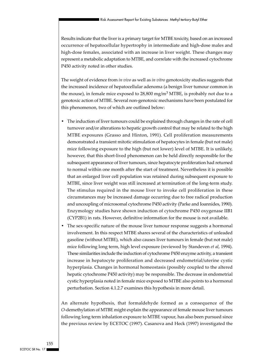Results indicate that the liver is a primary target for MTBE toxicity, based on an increased occurrence of hepatocellular hypertrophy in intermediate and high-dose males and high-dose females, associated with an increase in liver weight. These changes may represent a metabolic adaptation to MTBE, and correlate with the increased cytochrome P450 activity noted in other studies.

The weight of evidence from *in vivo* as well as *in vitro* genotoxicity studies suggests that the increased incidence of hepatocellular adenoma (a benign liver tumour common in the mouse), in female mice exposed to 28,800 mg/m<sup>3</sup> MTBE, is probably not due to a genotoxic action of MTBE. Several non-genotoxic mechanisms have been postulated for this phenomenon, two of which are outlined below:

- The induction of liver tumours could be explained through changes in the rate of cell turnover and/or alterations to hepatic growth control that may be related to the high MTBE exposures (Grasso and Hinton, 1991). Cell proliferation measurements demonstrated a transient mitotic stimulation of hepatocytes in female (but not male) mice following exposure to the high (but not lower) level of MTBE. It is unlikely, however, that this short-lived phenomenon can be held directly responsible for the subsequent appearance of liver tumours, since hepatocyte proliferation had returned to normal within one month after the start of treatment. Nevertheless it is possible that an enlarged liver cell population was retained during subsequent exposure to MTBE, since liver weight was still increased at termination of the long-term study. The stimulus required in the mouse liver to invoke cell proliferation in these circumstances may be increased damage occurring due to free radical production and uncoupling of microsomal cytochrome P450 activity (Parke and Ioannides, 1990). Enzymology studies have shown induction of cytochrome P450 oxygenase IIB1 (CYP2B1) in rats. However, definitive information for the mouse is not available.
- The sex-specific nature of the mouse liver tumour response suggests a hormonal involvement. In this respect MTBE shares several of the characteristics of unleaded gasoline (without MTBE), which also causes liver tumours in female (but not male) mice following long term, high level exposure (reviewed by Standeven *et al*, 1994). These similarities include the induction of cytochrome P450 enzyme activity, a transient increase in hepatocyte proliferation and decreased endometrial/uterine cystic hyperplasia. Changes in hormonal homeostasis (possibly coupled to the altered hepatic cytochrome P450 activity) may be responsible. The decrease in endometrial cystic hyperplasia noted in female mice exposed to MTBE also points to a hormonal perturbation. Section 4.1.2.7 examines this hypothesis in more detail.

An alternate hypothesis, that formaldehyde formed as a consequence of the *O*-demethylation of MTBE might explain the appearance of female mouse liver tumours following long term inhalation exposure to MTBE vapour, has also been pursued since the previous review by ECETOC (1997). Casanova and Heck (1997) investigated the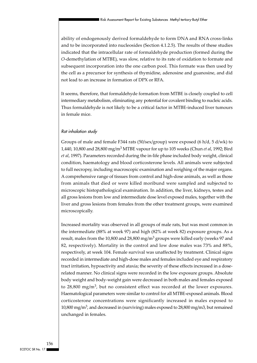ability of endogenously derived formaldehyde to form DNA and RNA cross-links and to be incorporated into nucleosides (Section 4.1.2.5). The results of these studies indicated that the intracellular rate of formaldehyde production (formed during the *O*-demethylation of MTBE), was slow, relative to its rate of oxidation to formate and subsequent incorporation into the one carbon pool. This formate was then used by the cell as a precursor for synthesis of thymidine, adenosine and guanosine, and did not lead to an increase in formation of DPX or RFA.

It seems, therefore, that formaldehyde formation from MTBE is closely coupled to cell intermediary metabolism, eliminating any potential for covalent binding to nucleic acids. Thus formaldehyde is not likely to be a critical factor in MTBE-induced liver tumours in female mice.

### Rat inhalation study

Groups of male and female F344 rats (50/sex/group) were exposed (6 h/d, 5 d/wk) to 1,440, 10,800 and 28,800 mg/m3 MTBE vapour for up to 105 weeks (Chun *et al*, 1992; Bird *et al*, 1997). Parameters recorded during the in-life phase included body weight, clinical condition, haematology and blood corticosterone levels. All animals were subjected to full necropsy, including macroscopic examination and weighing of the major organs. A comprehensive range of tissues from control and high-dose animals, as well as those from animals that died or were killed moribund were sampled and subjected to microscopic histopathological examination. In addition, the liver, kidneys, testes and all gross lesions from low and intermediate dose level exposed males, together with the liver and gross lesions from females from the other treatment groups, were examined microscopically.

Increased mortality was observed in all groups of male rats, but was most common in the intermediate (88% at week 97) and high (82% at week 82) exposure groups. As a result, males from the 10,800 and 28,800 mg/m<sup>3</sup> groups were killed early (weeks 97 and 82, respectively). Mortality in the control and low dose males was 73% and 88%, respectively, at week 104. Female survival was unaffected by treatment. Clinical signs recorded in intermediate and high-dose males and females included eye and respiratory tract irritation, hypoactivity and ataxia; the severity of these effects increased in a doserelated manner. No clinical signs were recorded in the low exposure groups. Absolute body weight and body-weight gain were decreased in both males and females exposed to 28,800 mg/m3, but no consistent effect was recorded at the lower exposures. Haematological parameters were similar to control for all MTBE-exposed animals. Blood corticosterone concentrations were significantly increased in males exposed to 10,800 mg/m3, and decreased in (surviving) males exposed to 28,800 mg/m3, but remained unchanged in females.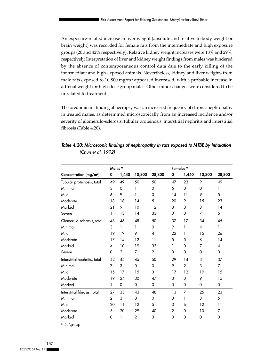An exposure-related increase in liver weight (absolute and relative to body weight or brain weight) was recorded for female rats from the intermediate and high exposure groups (20 and 42% respectively). Relative kidney weight increases were 18% and 29%, respectively. Interpretation of liver and kidney weight findings from males was hindered by the absence of contemporaneous control data due to the early killing of the intermediate and high-exposed animals. Nevertheless, kidney and liver weights from male rats exposed to  $10,800$  mg/m<sup>3</sup> appeared increased, with a probable increase in adrenal weight for high-dose group males. Other minor changes were considered to be unrelated to treatment.

The predominant finding at necropsy was an increased frequency of chronic nephropathy in treated males, as determined microscopically from an increased incidence and/or severity of glomerulo-sclerosis, tubular proteinosis, interstitial nephritis and interstitial fibrosis (Table 4.20).

| Table 4.20: Microscopic findings of nephropathy in rats exposed to MTBE by inhalation |  |  |
|---------------------------------------------------------------------------------------|--|--|
| (Chun et al, 1992)                                                                    |  |  |

|                                     | Males <sup>a</sup> |                |                |                         | Females <sup>a</sup> |                |                         |        |
|-------------------------------------|--------------------|----------------|----------------|-------------------------|----------------------|----------------|-------------------------|--------|
| Concentration (mg/m <sup>3</sup> ): | 0                  | 1,440          | 10,800         | 28,800                  | $\mathbf 0$          | 1,440          | 10,800                  | 28,800 |
| Tubular proteinosis, total          | 49                 | 49             | 50             | 50                      | 47                   | 23             | 9                       | 49     |
| Minimal                             | 3                  | 0              | 1              | 0                       | 5                    | 0              | 0                       | 1      |
| Mild                                | 6                  | 9              | 1              | 0                       | 14                   | 11             | 9                       | 5      |
| Moderate                            | 18                 | 18             | 14             | 5                       | 20                   | 9              | 15                      | 23     |
| Marked                              | 21                 | 9              | 10             | 12                      | 8                    | 3              | 8                       | 14     |
| Severe                              | 1                  | 13             | 14             | 33                      | 0                    | 0              | 7                       | 6      |
| Glomerulo-sclerosis, total          | 43                 | 46             | 48             | 50                      | 37                   | 17             | 34                      | 45     |
| Minimal                             | 3                  | 1              | 1              | 0                       | 9                    | 1              | $\overline{\mathbf{A}}$ | 1      |
| Mild                                | 19                 | 19             | 9              | $\overline{\mathbf{A}}$ | 22                   | 11             | 15                      | 26     |
| Moderate                            | 17                 | 14             | 12             | 11                      | 5                    | 5              | 8                       | 14     |
| Marked                              | 4                  | 10             | 19             | 33                      | 1                    | 0              | 7                       | 4      |
| Severe                              | 0                  | $\overline{c}$ | 7              | $\overline{c}$          | 0                    | 0              | 0                       | 0      |
| Interstitial nephritis, total       | 42                 | 44             | 45             | 50                      | 29                   | 14             | 31                      | 37     |
| Minimal                             | 7                  | 3              | 0              | 0                       | 9                    | $\overline{2}$ | 3                       | 7      |
| Mild                                | 15                 | 17             | 15             | 3                       | 17                   | 12             | 19                      | 15     |
| Moderate                            | 19                 | 24             | 30             | 47                      | 3                    | 0              | 9                       | 15     |
| Marked                              | 1                  | 0              | 0              | 0                       | 0                    | 0              | 0                       | 0      |
| Interstitial fibrosis, total        | 27                 | 35             | 43             | 48                      | 13                   | 7              | 25                      | 23     |
| Minimal                             | $\overline{2}$     | 3              | $\mathbf 0$    | 0                       | 8                    | 1              | 3                       | 5      |
| Mild                                | 20                 | 11             | 12             | 5                       | 3                    | 6              | 12                      | 11     |
| Moderate                            | 5                  | 20             | 29             | 40                      | $\overline{2}$       | 0              | 10                      | 7      |
| Marked                              | 0                  | 1              | $\overline{2}$ | 3                       | 0                    | 0              | 0                       | 0      |

<sup>a</sup> 50/group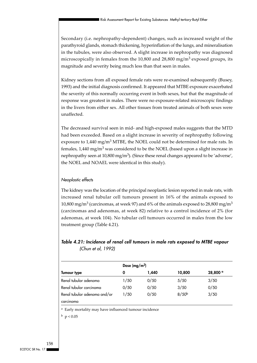Secondary (i.e. nephropathy-dependent) changes, such as increased weight of the parathyroid glands, stomach thickening, hyperinflation of the lungs, and mineralisation in the tubules, were also observed. A slight increase in nephropathy was diagnosed microscopically in females from the 10,800 and  $28,800 \text{ mg/m}^3$  exposed groups, its magnitude and severity being much less than that seen in males.

Kidney sections from all exposed female rats were re-examined subsequently (Busey, 1993) and the initial diagnosis confirmed. It appeared that MTBE exposure exacerbated the severity of this normally occurring event in both sexes, but that the magnitude of response was greatest in males. There were no exposure-related microscopic findings in the livers from either sex. All other tissues from treated animals of both sexes were unaffected.

The decreased survival seen in mid- and high-exposed males suggests that the MTD had been exceeded. Based on a slight increase in severity of nephropathy following exposure to  $1,440$  mg/m<sup>3</sup> MTBE, the NOEL could not be determined for male rats. In females,  $1,440 \text{ mg/m}^3$  was considered to be the NOEL (based upon a slight increase in nephropathy seen at 10,800 mg/m3). (Since these renal changes appeared to be 'adverse', the NOEL and NOAEL were identical in this study).

### Neoplastic effects

The kidney was the location of the principal neoplastic lesion reported in male rats, with increased renal tubular cell tumours present in 16% of the animals exposed to 10,800 mg/m<sup>3</sup> (carcinomas, at week 97) and 6% of the animals exposed to 28,800 mg/m<sup>3</sup> (carcinomas and adenomas, at week 82) relative to a control incidence of 2% (for adenomas, at week 104). No tubular cell tumours occurred in males from the low treatment group (Table 4.21).

# **Table 4.21: Incidence of renal cell tumours in male rats exposed to MTBE vapour**  (Chun et al, 1992)

|                              | Dose $(mg/m3)$ |       |                   |          |  |  |  |
|------------------------------|----------------|-------|-------------------|----------|--|--|--|
| Tumour type                  | 0              | 1,440 | 10,800            | 28,800 a |  |  |  |
| Renal tubular adenoma        | 1/50           | 0/50  | 5/50              | 3/50     |  |  |  |
| Renal tubular carcinoma      | 0/50           | 0/50  | 3/50              | 0/50     |  |  |  |
| Renal tubular adenoma and/or | 1/50           | 0/50  | 8/50 <sup>b</sup> | 3/50     |  |  |  |
| carcinoma                    |                |       |                   |          |  |  |  |

<sup>a</sup> Early mortality may have influenced tumour incidence

 $b$  p < 0.05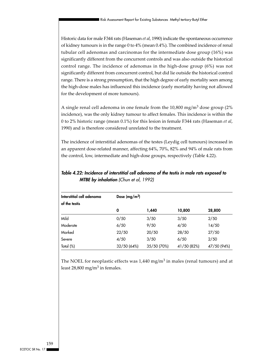Historic data for male F344 rats (Haseman *et al*, 1990) indicate the spontaneous occurrence of kidney tumours is in the range 0 to 4% (mean 0.4%). The combined incidence of renal tubular cell adenomas and carcinomas for the intermediate dose group (16%) was significantly different from the concurrent controls and was also outside the historical control range. The incidence of adenomas in the high-dose group (6%) was not significantly different from concurrent control, but did lie outside the historical control range. There is a strong presumption, that the high degree of early mortality seen among the high-dose males has influenced this incidence (early mortality having not allowed for the development of more tumours).

A single renal cell adenoma in one female from the 10,800 mg/m<sup>3</sup> dose group (2% incidence), was the only kidney tumour to affect females. This incidence is within the 0 to 2% historic range (mean 0.1%) for this lesion in female F344 rats (Haseman *et al*, 1990) and is therefore considered unrelated to the treatment.

The incidence of interstitial adenomas of the testes (Leydig cell tumours) increased in an apparent dose-related manner, affecting 64%, 70%, 82% and 94% of male rats from the control, low, intermediate and high-dose groups, respectively (Table 4.22).

| Interstitial cell adenoma<br>of the testis | Dose $(mg/m3)$ |             |             |             |
|--------------------------------------------|----------------|-------------|-------------|-------------|
|                                            | 0              | 1,440       | 10,800      | 28,800      |
| Mild                                       | 0/50           | 3/50        | 3/50        | 2/50        |
| Moderate                                   | 6/50           | 9/50        | 4/50        | 14/50       |
| Marked                                     | 22/50          | 20/50       | 28/50       | 27/50       |
| Severe                                     | 4/50           | 3/50        | 6/50        | 2/50        |
| Total (%)                                  | 32/50 (64%)    | 35/50 (70%) | 41/50 (82%) | 47/50 (94%) |

**Table 4.22: Incidence of interstitial cell adenoma of the testis in male rats exposed to MTBE by inhalation** (Chun et al, 1992)

The NOEL for neoplastic effects was  $1,440$  mg/m<sup>3</sup> in males (renal tumours) and at least 28,800 mg/m<sup>3</sup> in females.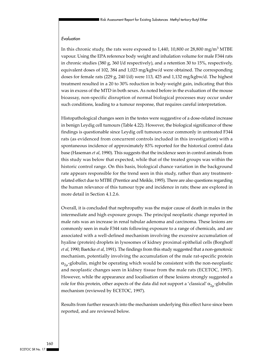#### Evaluation

In this chronic study, the rats were exposed to  $1,440$ ,  $10,800$  or  $28,800$  mg/m<sup>3</sup> MTBE vapour. Using the EPA reference body weight and inhalation volume for male F344 rats in chronic studies (380 g, 360 l/d respectively), and a retention 30 to 15%, respectively, equivalent doses of 102, 384 and 1,023 mg/kgbw/d were obtained. The corresponding doses for female rats (229 g, 240 l/d) were 113, 425 and 1,132 mg/kgbw/d. The highest treatment resulted in a 20 to 30% reduction in body-weight gain, indicating that this was in excess of the MTD in both sexes. As noted before in the evaluation of the mouse bioassay, non-specific disruption of normal biological processes may occur under such conditions, leading to a tumour response, that requires careful interpretation.

Histopathological changes seen in the testes were suggestive of a dose-related increase in benign Leydig cell tumours (Table 4.22). However, the biological significance of these findings is questionable since Leydig cell tumours occur commonly in untreated F344 rats (as evidenced from concurrent controls included in this investigation) with a spontaneous incidence of approximately 83% reported for the historical control data base (Haseman *et al*, 1990). This suggests that the incidence seen in control animals from this study was below that expected, while that of the treated groups was within the historic control range. On this basis, biological chance variation in the background rate appears responsible for the trend seen in this study, rather than any treatmentrelated effect due to MTBE (Prentice and Meikle, 1995). There are also questions regarding the human relevance of this tumour type and incidence in rats; these are explored in more detail in Section 4.1.2.6.

Overall, it is concluded that nephropathy was the major cause of death in males in the intermediate and high exposure groups. The principal neoplastic change reported in male rats was an increase in renal tubular adenoma and carcinoma. These lesions are commonly seen in male F344 rats following exposure to a range of chemicals, and are associated with a well-defined mechanism involving the excessive accumulation of hyaline (protein) droplets in lysosomes of kidney proximal epithelial cells (Borghoff *et al*, 1990; Baetcke *et al*, 1991). The findings from this study suggested that a non-genotoxic mechanism, potentially involving the accumulation of the male rat-specific protein  $\alpha_{2u}$ -globulin, might be operating which would be consistent with the non-neoplastic and neoplastic changes seen in kidney tissue from the male rats (ECETOC, 1997). However, while the appearance and localisation of these lesions strongly suggested a role for this protein, other aspects of the data did not support a 'classical'  $\alpha_{2\mu}$ -globulin mechanism (reviewed by ECETOC, 1997).

Results from further research into the mechanism underlying this effect have since been reported, and are reviewed below.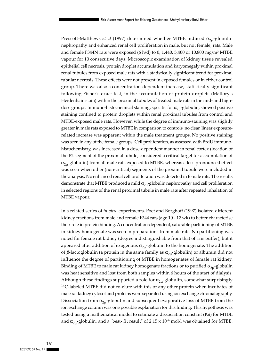Prescott-Matthews *et al* (1997) determined whether MTBE induced α<sub>2μ</sub>-globulin nephropathy and enhanced renal cell proliferation in male, but not female, rats. Male and female F344N rats were exposed (6 h/d) to 0, 1,440, 5,400 or 10,800 mg/m<sup>3</sup> MTBE vapour for 10 consecutive days. Microscopic examination of kidney tissue revealed epithelial cell necrosis, protein droplet accumulation and karyomegaly within proximal renal tubules from exposed male rats with a statistically significant trend for proximal tubular necrosis. These effects were not present in exposed females or in either control group. There was also a concentration-dependent increase, statistically significant following Fisher's exact test, in the accumulation of protein droplets (Mallory's Heidenhain stain) within the proximal tubules of treated male rats in the mid- and highdose groups. Immuno-histochemical staining, specific for  $\alpha_{2\mu}$ -globulin, showed positive staining confined to protein droplets within renal proximal tubules from control and MTBE-exposed male rats. However, while the degree of immuno-staining was slightly greater in male rats exposed to MTBE in comparison to controls, no clear, linear exposurerelated increase was apparent within the male treatment groups. No positive staining was seen in any of the female groups. Cell proliferation, as assessed with BrdU immunohistochemistry, was increased in a dose-dependent manner in renal cortex (location of the P2 segment of the proximal tubule, considered a critical target for accumulation of  $\alpha_{21}$ -globulin) from all male rats exposed to MTBE, whereas a less pronounced effect was seen when other (non-critical) segments of the proximal tubule were included in the analysis. No enhanced renal cell proliferation was detected in female rats. The results demonstrate that MTBE produced a mild  $\alpha_{2u}$ -globulin nephropathy and cell proliferation in selected regions of the renal proximal tubule in male rats after repeated inhalation of MTBE vapour.

In a related series of *in vitro* experiments, Poet and Borghoff (1997) isolated different kidney fractions from male and female F344 rats (age 10 - 12 wk) to better characterise their role in protein binding. A concentration-dependent, saturable partitioning of MTBE in kidney homogenate was seen in preparations from male rats. No partitioning was noted for female rat kidney (degree indistinguishable from that of Tris buffer), but it appeared after addition of exogenous  $\alpha_{2\mu}$ -globulin to the homogenate. The addition of β-lactoglobulin (a protein in the same family as  $\alpha_{2\mu}$ -globulin) or albumin did not influence the degree of partitioning of MTBE in homogenates of female rat kidney. Binding of MTBE to male rat kidney homogenate fractions or to purified  $\alpha_{2}$ -globulin was heat sensitive and lost from both samples within 6 hours of the start of dialysis. Although these findings supported a role for  $\alpha_{2u}$ -globulin, somewhat surprisingly  $<sup>14</sup>C$ -labeled MTBE did not co-elute with this or any other protein when incubates of</sup> male rat kidney cytosol and proteins were separated using ion exchange chromatography. Dissociation from  $\alpha_{2u}$ -globulin and subsequent evaporative loss of MTBE from the ion exchange column was one possible explanation for this finding. This hypothesis was tested using a mathematical model to estimate a dissociation constant (K*d*) for MTBE and  $\alpha_{2u}$ -globulin, and a "best- fit result" of 2.15 x 10<sup>-4</sup> mol/l was obtained for MTBE.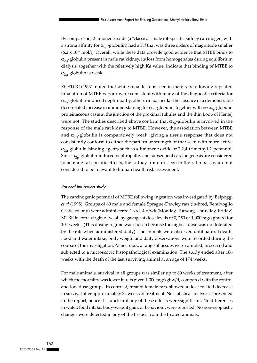By comparison, *d*-limonene oxide (a "classical" male rat-specific kidney carcinogen, with a strong affinity for  $\alpha_{21}$ -globulin) had a Kd that was three orders of magnitude smaller  $(6.2 \times 10^{-7} \text{ mol/l})$ . Overall, while these data provide good evidence that MTBE binds to  $\alpha_{21}$ -globulin present in male rat kidney, its loss from homogenates during equilibrium dialysis, together with the relatively high K*d* value, indicate that binding of MTBE to  $\alpha_{2}$ -globulin is weak.

ECETOC (1997) noted that while renal lesions seen in male rats following repeated inhalation of MTBE vapour were consistent with many of the diagnostic criteria for  $\alpha_{21}$ -globulin-induced nephropathy, others (in particular the absence of a demonstrable dose-related increase in immuno-staining for  $\alpha_{2\mu}$ -globulin, together with no  $\alpha_{2\mu}$  globulin proteinaceous casts at the junction of the proximal tubules and the thin Loop of Henle) were not. The studies described above confirm that  $\alpha_{21}$ -globulin is involved in the response of the male rat kidney to MTBE. However, the association between MTBE and  $\alpha_{2}$ -globulin is comparatively weak, giving a tissue response that does not consistently conform to either the pattern or strength of that seen with more active  $\alpha_{2\mu}$ -globulin-binding agents such as *d*-limonene oxide or 2,2,4-trimethyl-2-pentanol. Since  $\alpha_{2\mu}$ -globulin-induced nephropathy and subsequent carcinogenesis are considered to be male rat specific effects, the kidney tumours seen in the rat bioassay are not considered to be relevant to human health risk assessment.

## Rat oral intubation study

The carcinogenic potential of MTBE following ingestion was investigated by Belpoggi *et al* (1995). Groups of 60 male and female Sprague-Dawley rats (in-bred, Bentivoglio Castle colony) were administered 1 x/d, 4 d/wk (Monday, Tuesday, Thursday, Friday) MTBE in extra virgin olive oil by gavage at dose levels of 0, 250 or 1,000 mg/kgbw/d for 104 weeks. (This dosing regime was chosen because the highest dose was not tolerated by the rats when administered daily). The animals were observed until natural death. Food and water intake, body weight and daily observations were recorded during the course of the investigation. At necropsy, a range of tissues were sampled, processed and subjected to a microscopic histopathological examination. The study ended after 166 weeks with the death of the last surviving animal at an age of 174 weeks.

For male animals, survival in all groups was similar up to 80 weeks of treatment, after which the mortality was lower in rats given 1,000 mg/kgbw/d, compared with the control and low dose groups. In contrast, treated female rats, showed a dose-related decrease in survival after approximately 32 weeks of treatment. No statistical analysis is presented in the report, hence it is unclear if any of these effects were significant. No differences in water, food intake, body-weight gain, or behaviour, were reported. No non-neoplastic changes were detected in any of the tissues from the treated animals.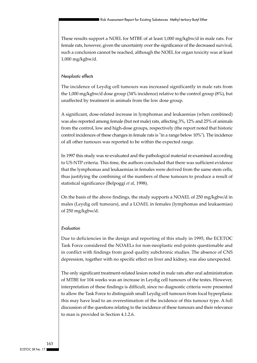These results support a NOEL for MTBE of at least 1,000 mg/kgbw/d in male rats. For female rats, however, given the uncertainty over the significance of the decreased survival, such a conclusion cannot be reached, although the NOEL for organ toxicity was at least 1,000 mg/kgbw/d.

## Neoplastic effects

The incidence of Leydig cell tumours was increased significantly in male rats from the 1,000 mg/kgbw/d dose group (34% incidence) relative to the control group (8%), but unaffected by treatment in animals from the low dose group.

A significant, dose-related increase in lymphomas and leukaemias (when combined) was also reported among female (but not male) rats, affecting 3%, 12% and 25% of animals from the control, low and high-dose groups, respectively (the report noted that historic control incidences of these changes in female rats is "in a range below 10%"). The incidence of all other tumours was reported to be within the expected range.

In 1997 this study was re-evaluated and the pathological material re-examined according to US-NTP criteria. This time, the authors concluded that there was sufficient evidence that the lymphomas and leukaemias in females were derived from the same stem cells, thus justifying the combining of the numbers of these tumours to produce a result of statistical significance (Belpoggi *et al*, 1998).

On the basis of the above findings, the study supports a NOAEL of 250 mg/kgbw/d in males (Leydig cell tumours), and a LOAEL in females (lymphomas and leukaemias) of 250 mg/kgbw/d.

# Evaluation

Due to deficiencies in the design and reporting of this study in 1995, the ECETOC Task Force considered the NOAELs for non-neoplastic end-points questionable and in conflict with findings from good quality subchronic studies. The absence of CNS depression, together with no specific effect on liver and kidney, was also unexpected.

The only significant treatment-related lesion noted in male rats after oral administration of MTBE for 104 weeks was an increase in Leydig cell tumours of the testes. However, interpretation of these findings is difficult, since no diagnostic criteria were presented to allow the Task Force to distinguish small Leydig cell tumours from focal hyperplasia: this may have lead to an overestimation of the incidence of this tumour type. A full discussion of the questions relating to the incidence of these tumours and their relevance to man is provided in Section 4.1.2.6.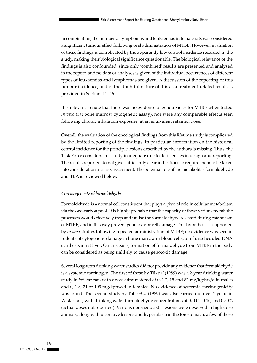In combination, the number of lymphomas and leukaemias in female rats was considered a significant tumour effect following oral administration of MTBE. However, evaluation of these findings is complicated by the apparently low control incidence recorded in the study, making their biological significance questionable. The biological relevance of the findings is also confounded, since only 'combined' results are presented and analysed in the report, and no data or analyses is given of the individual occurrences of different types of leukaemias and lymphomas are given. A discussion of the reporting of this tumour incidence, and of the doubtful nature of this as a treatment-related result, is provided in Section 4.1.2.6.

It is relevant to note that there was no evidence of genotoxicity for MTBE when tested *in vivo* (rat bone marrow cytogenetic assay), nor were any comparable effects seen following chronic inhalation exposure, at an equivalent retained dose.

Overall, the evaluation of the oncological findings from this lifetime study is complicated by the limited reporting of the findings. In particular, information on the historical control incidence for the principle lesions described by the authors is missing. Thus, the Task Force considers this study inadequate due to deficiencies in design and reporting. The results reported do not give sufficiently clear indications to require them to be taken into consideration in a risk assessment. The potential role of the metabolites formaldehyde and TBA is reviewed below.

### Carcinogenicity of formaldehyde

Formaldehyde is a normal cell constituent that plays a pivotal role in cellular metabolism via the one-carbon pool. It is highly probable that the capacity of these various metabolic processes would effectively trap and utilise the formaldehyde released during catabolism of MTBE, and in this way prevent genotoxic or cell damage. This hypothesis is supported by *in vivo* studies following repeated administration of MTBE; no evidence was seen in rodents of cytogenetic damage in bone marrow or blood cells, or of unscheduled DNA synthesis in rat liver. On this basis, formation of formaldehyde from MTBE in the body can be considered as being unlikely to cause genotoxic damage.

Several long-term drinking water studies did not provide any evidence that formaldehyde is a systemic carcinogen. The first of these by Til *et al* (1989) was a 2-year drinking water study in Wistar rats with doses administered of 0, 1.2, 15 and 82 mg/kg/bw/d in males and 0, 1.8, 21 or 109 mg/kgbw/d in females. No evidence of systemic carcinogenicity was found. The second study by Tobe *et al* (1989) was also carried out over 2 years in Wistar rats, with drinking water formaldehyde concentrations of 0, 0.02, 0.10, and 0.50% (actual doses not reported). Various non-neoplastic lesions were observed in high dose animals, along with ulcerative lesions and hyperplasia in the forestomach; a few of these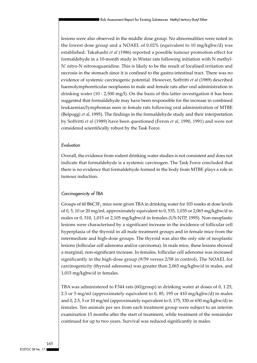lesions were also observed in the middle dose group. No abnormalities were noted in the lowest dose group and a NOAEL of 0.02% (equivalent to 10 mg/kgbw/d) was established. Takahashi *et al* (1986) reported a possible tumour promotion effect for formaldehyde in a 10-month study in Wistar rats following initiation with N methyl-N' nitro-N nitrosoguanidine. This is likely to be the result of localised irritation and necrosis in the stomach since it is confined to the gastro-intestinal tract. There was no evidence of systemic carcinogenic potential. However, Soffritti *et al* (1989) described haemolymphoreticular neoplasms in male and female rats after oral administration in drinking water (10 - 2,500 mg/l). On the basis of this latter investigation it has been suggested that formaldehyde may have been responsible for the increase in combined leukaemias/lymphomas seen in female rats following oral administration of MTBE (Belpoggi *et al*, 1995). The findings in the formaldehyde study and their interpretation by Soffritti *et al* (1989) have been questioned (Feron *et al*, 1990, 1991) and were not considered scientifically robust by the Task Force.

### Evaluation

Overall, the evidence from rodent drinking water studies is not consistent and does not indicate that formaldehyde is a systemic carcinogen. The Task Force concluded that there is no evidence that formaldehyde formed in the body from MTBE plays a role in tumour induction.

# Carcinogenicity of TBA

Groups of 60  $B6C3F<sub>1</sub>$  mice were given TBA in drinking water for 103 weeks at dose levels of 0, 5, 10 or 20 mg/ml, approximately equivalent to 0, 535, 1,035 or 2,065 mg/kgbw/d in males or 0, 510, 1,015 or 2,105 mg/kgbw/d in females (US-NTP, 1995). Non-neoplastic lesions were characterised by a significant increase in the incidence of follicular cell hyperplasia of the thyroid in all male treatment groups and in female mice from the intermediate and high-dose groups. The thyroid was also the only site of neoplastic lesions (follicular cell adenoma and/or carcinoma). In male mice, these lesions showed a marginal, non-significant increase. In females, follicular cell adenoma was increased significantly in the high-dose group (9/59 versus 2/58 in control). The NOAEL for carcinogenicity (thyroid adenoma) was greater than 2,065 mg/kgbw/d in males, and 1,015 mg/kgbw/d in females.

TBA was administered to F344 rats (60/group) in drinking water at doses of 0, 1.25, 2.5 or 5 mg/ml (approximately equivalent to 0, 85, 195 or 410 mg/kgbw/d) in males and 0, 2.5, 5 or 10 mg/ml (approximately equivalent to 0, 175, 330 or 650 mg/kgbw/d) in females. Ten animals per sex from each treatment group were subject to an interim examination 15 months after the start of treatment, while treatment of the remainder continued for up to two years. Survival was reduced significantly in males.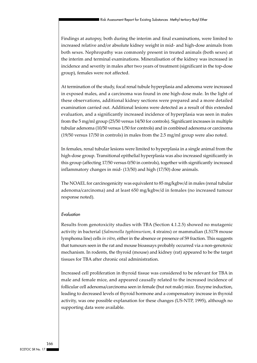Findings at autopsy, both during the interim and final examinations, were limited to increased relative and/or absolute kidney weight in mid- and high-dose animals from both sexes. Nephropathy was commonly present in treated animals (both sexes) at the interim and terminal examinations. Mineralisation of the kidney was increased in incidence and severity in males after two years of treatment (significant in the top-dose group), females were not affected.

At termination of the study, focal renal tubule hyperplasia and adenoma were increased in exposed males, and a carcinoma was found in one high-dose male. In the light of these observations, additional kidney sections were prepared and a more detailed examination carried out. Additional lesions were detected as a result of this extended evaluation, and a significantly increased incidence of hyperplasia was seen in males from the 5 mg/ml group (25/50 versus 14/50 for controls). Significant increases in multiple tubular adenoma (10/50 versus 1/50 for controls) and in combined adenoma or carcinoma (19/50 versus 17/50 in controls) in males from the 2.5 mg/ml group were also noted.

In females, renal tubular lesions were limited to hyperplasia in a single animal from the high-dose group. Transitional epithelial hyperplasia was also increased significantly in this group (affecting 17/50 versus 0/50 in controls), together with significantly increased inflammatory changes in mid- (13/50) and high (17/50) dose animals.

The NOAEL for carcinogenicity was equivalent to 85 mg/kgbw/d in males (renal tubular adenoma/carcinoma) and at least 650 mg/kgbw/d in females (no increased tumour response noted).

# Evaluation

Results from genotoxicity studies with TBA (Section 4.1.2.5) showed no mutagenic activity in bacterial (*Salmonella typhimurium*, 4 strains) or mammalian (L5178 mouse lymphoma line) cells *in vitro*, either in the absence or presence of S9 fraction. This suggests that tumours seen in the rat and mouse bioassays probably occurred via a non-genotoxic mechanism. In rodents, the thyroid (mouse) and kidney (rat) appeared to be the target tissues for TBA after chronic oral administration.

Increased cell proliferation in thyroid tissue was considered to be relevant for TBA in male and female mice, and appeared causally related to the increased incidence of follicular cell adenoma/carcinoma seen in female (but not male) mice. Enzyme induction, leading to decreased levels of thyroid hormone and a compensatory increase in thyroid activity, was one possible explanation for these changes (US-NTP, 1995), although no supporting data were available.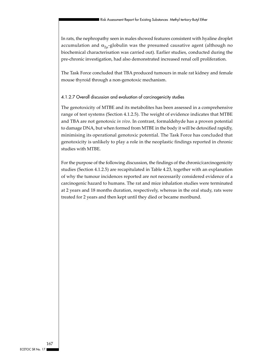In rats, the nephropathy seen in males showed features consistent with hyaline droplet accumulation and  $\alpha_{2u}$ -globulin was the presumed causative agent (although no biochemical characterisation was carried out). Earlier studies, conducted during the pre-chronic investigation, had also demonstrated increased renal cell proliferation.

The Task Force concluded that TBA produced tumours in male rat kidney and female mouse thyroid through a non-genotoxic mechanism.

# 4.1.2.7 Overall discussion and evaluation of carcinogenicity studies

The genotoxicity of MTBE and its metabolites has been assessed in a comprehensive range of test systems (Section 4.1.2.5). The weight of evidence indicates that MTBE and TBA are not genotoxic *in vivo*. In contrast, formaldehyde has a proven potential to damage DNA, but when formed from MTBE in the body it will be detoxified rapidly, minimising its operational genotoxic potential. The Task Force has concluded that genotoxicity is unlikely to play a role in the neoplastic findings reported in chronic studies with MTBE.

For the purpose of the following discussion, the findings of the chronic/carcinogenicity studies (Section 4.1.2.5) are recapitulated in Table 4.23, together with an explanation of why the tumour incidences reported are not necessarily considered evidence of a carcinogenic hazard to humans. The rat and mice inhalation studies were terminated at 2 years and 18 months duration, respectively, whereas in the oral study, rats were treated for 2 years and then kept until they died or became moribund.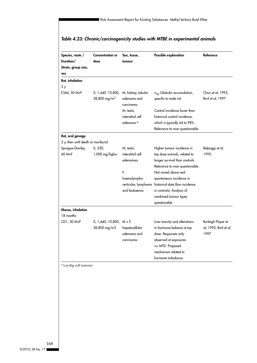| Species, route /                  | <b>Concentration or</b>     | Sex, tissue,                         | Possible explanation                    | <b>Reference</b>      |
|-----------------------------------|-----------------------------|--------------------------------------|-----------------------------------------|-----------------------|
| Duration/                         | dose                        | tumour                               |                                         |                       |
| Strain, group size,               |                             |                                      |                                         |                       |
| sex                               |                             |                                      |                                         |                       |
| Rat, inhalation                   |                             |                                      |                                         |                       |
| 2y                                |                             |                                      |                                         |                       |
| F344, 50 M+F                      |                             | 0, 1,440, 10,800, M, kidney, tubular | $\alpha_{2\nu}$ -Globulin accumulation, | Chun et al, 1992;     |
|                                   | 28,800 mg/m <sup>3</sup>    | adenoma and                          | specific to male rat                    | Bird et al, 1997      |
|                                   |                             | carcinoma                            |                                         |                       |
|                                   |                             | M, testis,                           | Control incidence lower than            |                       |
|                                   |                             | interstitial cell                    | historical control incidence,           |                       |
|                                   |                             | adenoma <sup>a</sup>                 | which is typically 64 to 98%.           |                       |
|                                   |                             |                                      | Relevance to man questionable.          |                       |
| Rat, oral gavage                  |                             |                                      |                                         |                       |
| 2 y, then until death or moribund |                             |                                      |                                         |                       |
| Sprague-Dawley,                   | 0, 250,                     | M, testis,                           | Higher tumour incidence in              | Belpoggi et al,       |
| 60 M+F                            | 1,000 mg/kgbw               | interstitial cell                    | top dose animals, related to            | 1995                  |
|                                   |                             | adenomaa                             | longer survival than controls.          |                       |
|                                   |                             |                                      | Relevance to man questionable.          |                       |
|                                   |                             | F,                                   | Not raised above real                   |                       |
|                                   |                             | haemolympho-                         | spontaneous incidence in                |                       |
|                                   |                             | recticular, lymphoma                 | historical data (low incidence          |                       |
|                                   |                             | and leukaemia                        | in controls). Analysis of               |                       |
|                                   |                             |                                      | combined tumour types                   |                       |
|                                   |                             |                                      | questionable.                           |                       |
| Mouse, inhalation                 |                             |                                      |                                         |                       |
| 18 months                         |                             |                                      |                                         |                       |
| CD1, 50 M+F                       | 0, 1,440, 10,800, $M + F$ , |                                      | Liver toxicity and alterations          | Burleigh-Flayer et    |
|                                   | 28,800 mg/m3                | hepatocellular                       | in hormone balance at top               | al, 1992; Bird et al, |
|                                   |                             | adenoma and                          | dose. Responses only                    | 1997                  |
|                                   |                             | carcinoma                            | observed at exposures                   |                       |
|                                   |                             |                                      | >> MTD. Proposed                        |                       |
|                                   |                             |                                      | mechanism related to                    |                       |
|                                   |                             |                                      | hormone imbalance.                      |                       |

# **Table 4.23: Chronic/carcinogenicity studies with MTBE in experimental animals**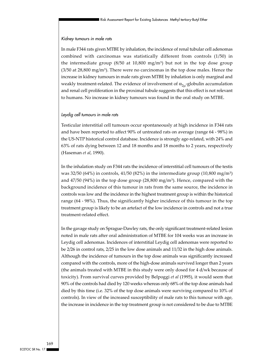### Kidney tumours in male rats

In male F344 rats given MTBE by inhalation, the incidence of renal tubular cell adenomas combined with carcinomas was statistically different from controls (1/50) in the intermediate group  $(8/50$  at 10,800 mg/m<sup>3</sup>) but not in the top dose group  $(3/50$  at  $28,800$  mg/m<sup>3</sup>). There were no carcinomas in the top dose males. Hence the increase in kidney tumours in male rats given MTBE by inhalation is only marginal and weakly treatment-related. The evidence of involvement of  $\alpha_{2\mu}$ -globulin accumulation and renal cell proliferation in the proximal tubule suggests that this effect is not relevant to humans. No increase in kidney tumours was found in the oral study on MTBE.

### Leydig cell tumours in male rats

Testicular interstitial cell tumours occur spontaneously at high incidence in F344 rats and have been reported to affect 90% of untreated rats on average (range 64 - 98%) in the US-NTP historical control database. Incidence is strongly age-related, with 24% and 63% of rats dying between 12 and 18 months and 18 months to 2 years, respectively (Haseman *et al*, 1990).

In the inhalation study on F344 rats the incidence of interstitial cell tumours of the testis was 32/50 (64%) in controls, 41/50 (82%) in the intermediate group (10,800 mg/m<sup>3</sup>) and  $47/50$  (94%) in the top dose group (28,800 mg/m<sup>3</sup>). Hence, compared with the background incidence of this tumour in rats from the same source, the incidence in controls was low and the incidence in the highest treatment group is within the historical range (64 - 98%). Thus, the significantly higher incidence of this tumour in the top treatment group is likely to be an artefact of the low incidence in controls and not a true treatment-related effect.

In the gavage study on Sprague-Dawley rats, the only significant treatment-related lesion noted in male rats after oral administration of MTBE for 104 weeks was an increase in Leydig cell adenomas. Incidences of interstitial Leydig cell adenomas were reported to be 2/26 in control rats, 2/25 in the low dose animals and 11/32 in the high dose animals. Although the incidence of tumours in the top dose animals was significantly increased compared with the controls, more of the high-dose animals survived longer than 2 years (the animals treated with MTBE in this study were only dosed for 4 d/wk because of toxicity). From survival curves provided by Belpoggi *et al* (1995), it would seem that 90% of the controls had died by 120 weeks whereas only 68% of the top dose animals had died by this time (i.e. 32% of the top dose animals were surviving compared to 10% of controls). In view of the increased susceptibility of male rats to this tumour with age, the increase in incidence in the top treatment group is not considered to be due to MTBE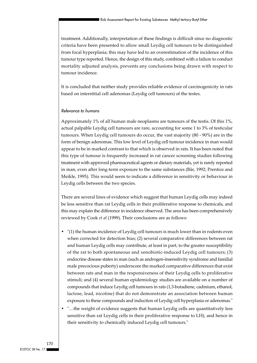treatment. Additionally, interpretation of these findings is difficult since no diagnostic criteria have been presented to allow small Leydig cell tumours to be distinguished from focal hyperplasia; this may have led to an overestimation of the incidence of this tumour type reported. Hence, the design of this study, combined with a failure to conduct mortality adjusted analysis, prevents any conclusions being drawn with respect to tumour incidence.

It is concluded that neither study provides reliable evidence of carcinogenicity in rats based on interstitial cell adenomas (Leydig cell tumours) of the testes.

# Relevance to humans

Approximately 1% of all human male neoplasms are tumours of the testis. Of this 1%, actual palpable Leydig cell tumours are rare, accounting for some 1 to 3% of testicular tumours. When Leydig cell tumours do occur, the vast majority (80 - 90%) are in the form of benign adenomas. This low level of Leydig cell tumour incidence in man would appear to be in marked contrast to that which is observed in rats. It has been noted that this type of tumour is frequently increased in rat cancer screening studies following treatment with approved pharmaceutical agents or dietary materials, yet is rarely reported in man, even after long-term exposure to the same substances (Bär, 1992; Prentice and Meikle, 1995). This would seem to indicate a difference in sensitivity or behaviour in Leydig cells between the two species.

There are several lines of evidence which suggest that human Leydig cells may indeed be less sensitive than rat Leydig cells in their proliferative response to chemicals, and this may explain the difference in incidence observed. The area has been comprehensively reviewed by Cook *et al* (1999). Their conclusions are as follows:

- "(1) the human incidence of Leydig cell tumours is much lower than in rodents even when corrected for detection bias; (2) several comparative differences between rat and human Leydig cells may contribute, at least in part, to the greater susceptibility of the rat to both spontaneous and xenobiotic-induced Leydig cell tumours; (3) endocrine disease states in man (such as androgen-insensitivity syndrome and familial male precocious puberty) underscore the marked comparative differences that exist between rats and man in the responsiveness of their Leydig cells to proliferative stimuli; and (4) several human epidemiology studies are available on a number of compounds that induce Leydig cell tumours in rats (1,3-butadiene, cadmium, ethanol, lactose, lead, nicotine) that do not demonstrate an association between human exposure to these compounds and induction of Leydig cell hyperplasia or adenomas."
- "…the weight of evidence suggests that human Leydig cells are quantitatively less sensitive than rat Leydig cells in their proliferative response to LH), and hence in their sensitivity to chemically induced Leydig cell tumours."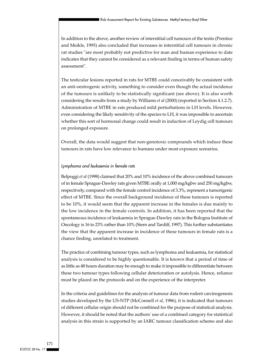In addition to the above, another review of interstitial cell tumours of the testis (Prentice and Meikle, 1995) also concluded that increases in interstitial cell tumours in chronic rat studies "are most probably not predictive for man and human experience to date indicates that they cannot be considered as a relevant finding in terms of human safety assessment".

The testicular lesions reported in rats for MTBE could conceivably be consistent with an anti-oestrogenic activity, something to consider even though the actual incidence of the tumours is unlikely to be statistically significant (see above). It is also worth considering the results from a study by Williams *et al* (2000) (reported in Section 4.1.2.7). Administration of MTBE in rats produced mild perturbations in LH levels. However, even considering the likely sensitivity of the species to LH, it was impossible to ascertain whether this sort of hormonal change could result in induction of Leydig cell tumours on prolonged exposure.

Overall, the data would suggest that non-genotoxic compounds which induce these tumours in rats have low relevance to humans under most exposure scenarios.

### Lymphoma and leukaemia in female rats

Belpoggi *et al* (1998) claimed that 20% and 10% incidence of the above combined tumours of in female Sprague-Dawley rats given MTBE orally at 1,000 mg/kgbw and 250 mg/kgbw, respectively, compared with the female control incidence of 3.3%, represent a tumorigenic effect of MTBE. Since the overall background incidence of these tumours is reported to be 10%, it would seem that the apparent increase in the females is due mainly to the low incidence in the female controls. In addition, it has been reported that the spontaneous incidence of leukaemia in Sprague-Dawley rats in the Bologna Institute of Oncology is 16 to 23% rather than 10% (Stern and Tardiff, 1997). This further substantiates the view that the apparent increase in incidence of these tumours in female rats is a chance finding, unrelated to treatment.

The practice of combining tumour types, such as lymphoma and leukaemia, for statistical analysis is considered to be highly questionable. It is known that a period of time of as little as 48 hours duration may be enough to make it impossible to differentiate between these two tumour types following cellular deterioration or autolysis. Hence, reliance must be placed on the protocols and on the experience of the interpreter.

In the criteria and guidelines for the analysis of tumour data from rodent carcinogenesis studies developed by the US-NTP (McConnell *et al*, 1986), it is indicated that tumours of different cellular origin should not be combined for the purpose of statistical analysis. However, it should be noted that the authors' use of a combined category for statistical analysis in this strain is supported by an IARC tumour classification scheme and also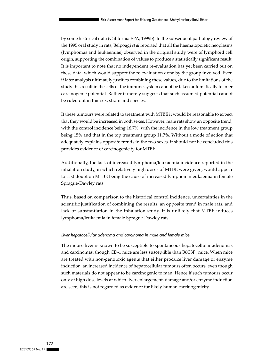by some historical data (California EPA, 1999b). In the subsequent pathology review of the 1995 oral study in rats, Belpoggi *et al* reported that all the haematopoietic neoplasms (lymphomas and leukaemias) observed in the original study were of lymphoid cell origin, supporting the combination of values to produce a statistically significant result. It is important to note that no independent re-evaluation has yet been carried out on these data, which would support the re-evaluation done by the group involved. Even if later analysis ultimately justifies combining these values, due to the limitations of the study this result in the cells of the immune system cannot be taken automatically to infer carcinogenic potential. Rather it merely suggests that such assumed potential cannot be ruled out in this sex, strain and species.

If these tumours were related to treatment with MTBE it would be reasonable to expect that they would be increased in both sexes. However, male rats show an opposite trend, with the control incidence being 16.7%, with the incidence in the low treatment group being 15% and that in the top treatment group 11.7%. Without a mode of action that adequately explains opposite trends in the two sexes, it should not be concluded this provides evidence of carcinogenicity for MTBE.

Additionally, the lack of increased lymphoma/leukaemia incidence reported in the inhalation study, in which relatively high doses of MTBE were given, would appear to cast doubt on MTBE being the cause of increased lymphoma/leukaemia in female Sprague-Dawley rats.

Thus, based on comparison to the historical control incidence, uncertainties in the scientific justification of combining the results, an opposite trend in male rats, and lack of substantiation in the inhalation study, it is unlikely that MTBE induces lymphoma/leukaemia in female Sprague-Dawley rats.

# Liver hepatocellular adenoma and carcinoma in male and female mice

The mouse liver is known to be susceptible to spontaneous hepatocellular adenomas and carcinomas, though CD-1 mice are less susceptible than  $B6C3F<sub>1</sub>$  mice. When mice are treated with non-genotoxic agents that either produce liver damage or enzyme induction, an increased incidence of hepatocellular tumours often occurs, even though such materials do not appear to be carcinogenic to man. Hence if such tumours occur only at high dose levels at which liver enlargement, damage and/or enzyme induction are seen, this is not regarded as evidence for likely human carcinogenicity.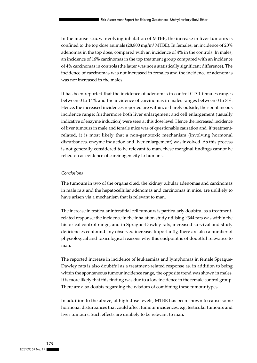In the mouse study, involving inhalation of MTBE, the increase in liver tumours is confined to the top dose animals (28,800 mg/m<sup>3</sup> MTBE). In females, an incidence of 20% adenomas in the top dose, compared with an incidence of 4% in the controls. In males, an incidence of 16% carcinomas in the top treatment group compared with an incidence of 4% carcinomas in controls (the latter was not a statistically significant difference). The incidence of carcinomas was not increased in females and the incidence of adenomas was not increased in the males.

It has been reported that the incidence of adenomas in control CD-1 females ranges between 0 to 14% and the incidence of carcinomas in males ranges between 0 to 8%. Hence, the increased incidences reported are within, or barely outside, the spontaneous incidence range; furthermore both liver enlargement and cell enlargement (usually indicative of enzyme induction) were seen at this dose level. Hence the increased incidence of liver tumours in male and female mice was of questionable causation and, if treatmentrelated, it is most likely that a non-genotoxic mechanism (involving hormonal disturbances, enzyme induction and liver enlargement) was involved. As this process is not generally considered to be relevant to man, these marginal findings cannot be relied on as evidence of carcinogenicity to humans.

#### Conclusions

The tumours in two of the organs cited, the kidney tubular adenomas and carcinomas in male rats and the hepatocellular adenomas and carcinomas in mice, are unlikely to have arisen via a mechanism that is relevant to man.

The increase in testicular interstitial cell tumours is particularly doubtful as a treatmentrelated response; the incidence in the inhalation study utilising F344 rats was within the historical control range, and in Sprague-Dawley rats, increased survival and study deficiencies confound any observed increase. Importantly, there are also a number of physiological and toxicological reasons why this endpoint is of doubtful relevance to man.

The reported increase in incidence of leukaemias and lymphomas in female Sprague-Dawley rats is also doubtful as a treatment-related response as, in addition to being within the spontaneous tumour incidence range, the opposite trend was shown in males. It is more likely that this finding was due to a low incidence in the female control group. There are also doubts regarding the wisdom of combining these tumour types.

In addition to the above, at high dose levels, MTBE has been shown to cause some hormonal disturbances that could affect tumour incidences, e.g. testicular tumours and liver tumours. Such effects are unlikely to be relevant to man.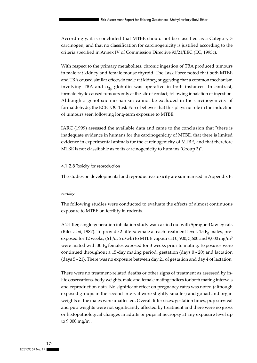Accordingly, it is concluded that MTBE should not be classified as a Category 3 carcinogen, and that no classification for carcinogenicity is justified according to the criteria specified in Annex IV of Commission Directive 93/21/EEC (EC, 1993c).

With respect to the primary metabolites, chronic ingestion of TBA produced tumours in male rat kidney and female mouse thyroid. The Task Force noted that both MTBE and TBA caused similar effects in male rat kidney, suggesting that a common mechanism involving TBA and  $\alpha_{2\mu}$ -globulin was operative in both instances. In contrast, formaldehyde caused tumours only at the site of contact, following inhalation or ingestion. Although a genotoxic mechanism cannot be excluded in the carcinogenicity of formaldehyde, the ECETOC Task Force believes that this plays no role in the induction of tumours seen following long-term exposure to MTBE.

IARC (1999) assessed the available data and came to the conclusion that "there is inadequate evidence in humans for the carcinogenicity of MTBE, that there is limited evidence in experimental animals for the carcinogenicity of MTBE, and that therefore MTBE is not classifiable as to its carcinogenicity to humans (Group 3)".

# 4.1.2.8 Toxicity for reproduction

The studies on developmental and reproductive toxicity are summarised in Appendix E.

#### **Fertility**

The following studies were conducted to evaluate the effects of almost continuous exposure to MTBE on fertility in rodents.

A 2-litter, single-generation inhalation study was carried out with Sprague-Dawley rats (Biles *et al*, 1987). To provide 2 litters/female at each treatment level, 15 F<sub>0</sub> males, preexposed for 12 weeks, (6 h/d, 5 d/wk) to MTBE vapours at 0, 900, 3,600 and 9,000 mg/m<sup>3</sup> were mated with 30  $F_0$  females exposed for 3 weeks prior to mating. Exposures were continued throughout a 15-day mating period, gestation (days 0 - 20) and lactation (days 5 - 21). There was no exposure between day 21 of gestation and day 4 of lactation.

There were no treatment-related deaths or other signs of treatment as assessed by inlife observations, body weights, male and female mating indices for both mating intervals and reproduction data. No significant effect on pregnancy rates was noted (although exposed groups in the second interval were slightly smaller) and gonad and organ weights of the males were unaffected. Overall litter sizes, gestation times, pup survival and pup weights were not significantly affected by treatment and there were no gross or histopathological changes in adults or pups at necropsy at any exposure level up to  $9,000 \,\mathrm{mg/m^3}$ .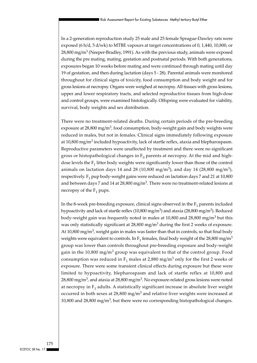In a 2-generation reproduction study 25 male and 25 female Sprague-Dawley rats were exposed (6 h/d, 5 d/wk) to MTBE vapours at target concentrations of 0, 1,440, 10,800, or  $28,800$  mg/m<sup>3</sup> (Neeper-Bradley, 1991). As with the previous study, animals were exposed during the pre mating, mating, gestation and postnatal periods. With both generations, exposures began 10 weeks before mating and were continued through mating until day 19 of gestation, and then during lactation (days 5 - 28). Parental animals were monitored throughout for clinical signs of toxicity, food consumption and body weight and for gross lesions at necropsy. Organs were weighed at necropsy. All tissues with gross lesions, upper and lower respiratory tracts, and selected reproductive tissues from high-dose and control groups, were examined histologically. Offspring were evaluated for viability, survival, body weights and sex distribution.

There were no treatment-related deaths. During certain periods of the pre-breeding exposure at  $28,800$  mg/m<sup>3</sup>, food consumption, body-weight gain and body weights were reduced in males, but not in females. Clinical signs immediately following exposure at 10,800 mg/m<sup>3</sup> included hypoactivity, lack of startle reflex, ataxia and blepharospasm. Reproductive parameters were unaffected by treatment and there were no significant gross or histopathological changes in  $F_0$  parents at necropsy. At the mid and highdose levels the  $F_1$  litter body weights were significantly lower than those of the control animals on lactation days 14 and 28 (10,800 mg/m<sup>3</sup>), and day 14 (28,800 mg/m<sup>3</sup>), respectively.  $F_1$  pup body-weight gains were reduced on lactation days 7 and 21 at 10,800 and between days 7 and 14 at  $28,800$  mg/m<sup>3</sup>. There were no treatment-related lesions at necropsy of the  $F_1$  pups.

In the 8-week pre-breeding exposure, clinical signs observed in the  $F_1$  parents included hypoactivity and lack of startle reflex (10,800 mg/m<sup>3</sup>) and ataxia (28,800 mg/m<sup>3</sup>). Reduced body-weight gain was frequently noted in males at 10,800 and 28,800 mg/m<sup>3</sup> but this was only statistically significant at  $28,800$  mg/m<sup>3</sup> during the first 2 weeks of exposure. At 10,800 mg/m<sup>3</sup>, weight gain in males was faster than that in controls, so that final body weights were equivalent to controls. In  $F_1$  females, final body weight of the 28,800 mg/m<sup>3</sup> group was lower than controls throughout pre-breeding exposure and body-weight gain in the 10,800 mg/m<sup>3</sup> group was equivalent to that of the control group. Food consumption was reduced in  $F_1$  males at 2,880 mg/m<sup>3</sup> only for the first 2 weeks of exposure. There were some transient clinical effects during exposure but these were limited to hypoactivity, blepharospasm and lack of startle reflex at 10,800 and 28,800 mg/m<sup>3</sup>, and ataxia at 28,800 mg/m<sup>3</sup>. No exposure-related gross lesions were noted at necropsy in  $F_1$  adults. A statistically significant increase in absolute liver weight occurred in both sexes at 28,800 mg/m<sup>3</sup> and relative liver weights were increased at 10,800 and 28,800 mg/m<sup>3</sup>, but there were no corresponding histopathological changes.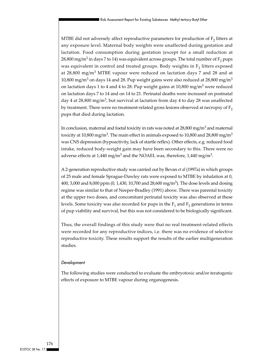MTBE did not adversely affect reproductive parameters for production of  $F<sub>2</sub>$  litters at any exposure level. Maternal body weights were unaffected during gestation and lactation. Food consumption during gestation (except for a small reduction at 28,800 mg/m<sup>3</sup> in days 7 to 14) was equivalent across groups. The total number of  $F_2$  pups was equivalent in control and treated groups. Body weights in  $F<sub>2</sub>$  litters exposed at  $28,800$  mg/m<sup>3</sup> MTBE vapour were reduced on lactation days 7 and 28 and at 10,800 mg/m<sup>3</sup> on days 14 and 28. Pup weight gains were also reduced at 28,800 mg/m<sup>3</sup> on lactation days 1 to 4 and 4 to 28. Pup weight gains at  $10,800$  mg/m<sup>3</sup> were reduced on lactation days 7 to 14 and on 14 to 21. Perinatal deaths were increased on postnatal day 4 at 28,800 mg/m<sup>3</sup>, but survival at lactation from day 4 to day 28 was unaffected by treatment. There were no treatment-related gross lesions observed at necropsy of  $F_2$ pups that died during lactation.

In conclusion, maternal and foetal toxicity in rats was noted at 28,800 mg/m<sup>3</sup> and maternal toxicity at 10,800 mg/m<sup>3</sup>. The main effect in animals exposed to 10,800 and 28,800 mg/m<sup>3</sup> was CNS depression (hypoactivity, lack of startle reflex). Other effects, e.g. reduced food intake, reduced body-weight gain may have been secondary to this. There were no adverse effects at 1,440 mg/m<sup>3</sup> and the NOAEL was, therefore, 1,440 mg/m<sup>3</sup>.

A 2-generation reproductive study was carried out by Bevan *et al* (1997a) in which groups of 25 male and female Sprague-Dawley rats were exposed to MTBE by inhalation at 0, 400, 3,000 and 8,000 ppm (0, 1,430, 10,700 and 28,600 mg/m<sup>3</sup>). The dose levels and dosing regime was similar to that of Neeper-Bradley (1991) above. There was parental toxicity at the upper two doses, and concomitant perinatal toxicity was also observed at these levels. Some toxicity was also recorded for pups in the  $F_1$  and  $F_2$  generations in terms of pup viability and survival, but this was not considered to be biologically significant.

Thus, the overall findings of this study were that no real treatment-related effects were recorded for any reproductive indices, i.e. there was no evidence of selective reproductive toxicity. These results support the results of the earlier multigeneration studies.

#### Development

The following studies were conducted to evaluate the embryotoxic and/or teratogenic effects of exposure to MTBE vapour during organogenesis.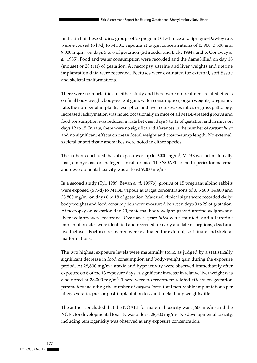In the first of these studies, groups of 25 pregnant CD-1 mice and Sprague-Dawley rats were exposed (6 h/d) to MTBE vapours at target concentrations of 0, 900, 3,600 and 9,000 mg/m<sup>3</sup> on days 5 to 6 of gestation (Schroeder and Daly, 1984a and b; Conaway *et al*, 1985). Food and water consumption were recorded and the dams killed on day 18 (mouse) or 20 (rat) of gestation. At necropsy, uterine and liver weights and uterine implantation data were recorded. Foetuses were evaluated for external, soft tissue and skeletal malformations.

There were no mortalities in either study and there were no treatment-related effects on final body weight, body-weight gain, water consumption, organ weights, pregnancy rate, the number of implants, resorption and live foetuses, sex ratios or gross pathology. Increased lachrymation was noted occasionally in mice of all MTBE-treated groups and food consumption was reduced in rats between days 9 to 12 of gestation and in mice on days 12 to 15. In rats, there were no significant differences in the number of *corpora lutea* and no significant effects on mean foetal weight and crown-rump length. No external, skeletal or soft tissue anomalies were noted in either species.

The authors concluded that, at exposures of up to  $9,000$  mg/m<sup>3</sup>, MTBE was not maternally toxic, embryotoxic or teratogenic in rats or mice. The NOAEL for both species for maternal and developmental toxicity was at least  $9,000 \text{ mg/m}^3$ .

In a second study (Tyl, 1989; Bevan *et al*, 1997b), groups of 15 pregnant albino rabbits were exposed (6 h/d) to MTBE vapour at target concentrations of 0, 3,600, 14,400 and 28,800 mg/m<sup>3</sup> on days 6 to 18 of gestation. Maternal clinical signs were recorded daily; body weights and food consumption were measured between days 0 to 29 of gestation. At necropsy on gestation day 29, maternal body weight, gravid uterine weights and liver weights were recorded. Ovarian *corpora lutea* were counted, and all uterine implantation sites were identified and recorded for early and late resorptions, dead and live foetuses. Foetuses recovered were evaluated for external, soft tissue and skeletal malformations.

The two highest exposure levels were maternally toxic, as judged by a statistically significant decrease in food consumption and body-weight gain during the exposure period. At 28,800 mg/m<sup>3</sup>, ataxia and hypoactivity were observed immediately after exposure on 6 of the 13 exposure days. A significant increase in relative liver weight was also noted at  $28,000 \text{ mg/m}^3$ . There were no treatment-related effects on gestation parameters including the number of *corpora lutea*, total non-viable implantations per litter, sex ratio, pre- or post-implantation loss and foetal body weights/litter.

The author concluded that the NOAEL for maternal toxicity was  $3,600 \text{ mg/m}^3$  and the NOEL for developmental toxicity was at least  $28,800$  mg/m<sup>3</sup>. No developmental toxicity, including teratogenicity was observed at any exposure concentration.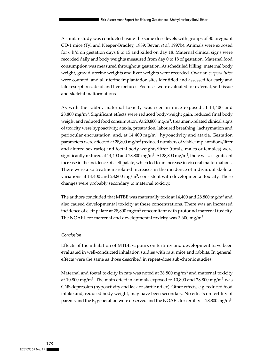A similar study was conducted using the same dose levels with groups of 30 pregnant CD-1 mice (Tyl and Neeper-Bradley, 1989; Bevan *et al*, 1997b). Animals were exposed for 6 h/d on gestation days 6 to 15 and killed on day 18. Maternal clinical signs were recorded daily and body weights measured from day 0 to 18 of gestation. Maternal food consumption was measured throughout gestation. At scheduled killing, maternal body weight, gravid uterine weights and liver weights were recorded. Ovarian *corpora lutea* were counted, and all uterine implantation sites identified and assessed for early and late resorptions, dead and live foetuses. Foetuses were evaluated for external, soft tissue and skeletal malformations.

As with the rabbit, maternal toxicity was seen in mice exposed at 14,400 and  $28,800$  mg/m<sup>3</sup>. Significant effects were reduced body-weight gain, reduced final body weight and reduced food consumption. At  $28,800$  mg/m<sup>3</sup>, treatment-related clinical signs of toxicity were hypoactivity, ataxia, prostration, laboured breathing, lachrymation and periocular encrustation, and, at  $14,400$  mg/m<sup>3</sup>, hypoactivity and ataxia. Gestation parameters were affected at  $28,800$  mg/m<sup>3</sup> (reduced numbers of viable implantations/litter and altered sex ratio) and foetal body weights/litter (totals, males or females) were significantly reduced at 14,400 and 28,800 mg/m<sup>3</sup>. At 28,800 mg/m<sup>3</sup>, there was a significant increase in the incidence of cleft palate, which led to an increase in visceral malformations. There were also treatment-related increases in the incidence of individual skeletal variations at 14,400 and  $28,800$  mg/m<sup>3</sup>, consistent with developmental toxicity. These changes were probably secondary to maternal toxicity.

The authors concluded that MTBE was maternally toxic at  $14,400$  and  $28,800$  mg/m<sup>3</sup> and also caused developmental toxicity at these concentrations. There was an increased incidence of cleft palate at  $28,800 \text{ mg/m}^3$  concomitant with profound maternal toxicity. The NOAEL for maternal and developmental toxicity was 3,600 mg/m<sup>3</sup>.

# Conclusion

Effects of the inhalation of MTBE vapours on fertility and development have been evaluated in well-conducted inhalation studies with rats, mice and rabbits. In general, effects were the same as those described in repeat-dose sub-chronic studies.

Maternal and foetal toxicity in rats was noted at  $28,800$  mg/m<sup>3</sup> and maternal toxicity at 10,800 mg/m<sup>3</sup>. The main effect in animals exposed to 10,800 and 28,800 mg/m<sup>3</sup> was CNS depression (hypoactivity and lack of startle reflex). Other effects, e.g. reduced food intake and, reduced body weight, may have been secondary. No effects on fertility of parents and the  $F_1$  generation were observed and the NOAEL for fertility is 28,800 mg/m<sup>3</sup>.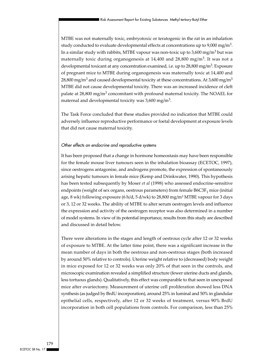MTBE was not maternally toxic, embryotoxic or teratogenic in the rat in an inhalation study conducted to evaluate developmental effects at concentrations up to  $9,000$  mg/m<sup>3</sup>. In a similar study with rabbits, MTBE vapour was non-toxic up to  $3,600 \text{ mg/m}^3$  but was maternally toxic during organogenesis at  $14,400$  and  $28,800$  mg/m<sup>3</sup>. It was not a developmental toxicant at any concentration examined, i.e. up to  $28,800$  mg/m<sup>3</sup>. Exposure of pregnant mice to MTBE during organogenesis was maternally toxic at 14,400 and 28,800 mg/m<sup>3</sup> and caused developmental toxicity at these concentrations. At 3,600 mg/m<sup>3</sup> MTBE did not cause developmental toxicity. There was an increased incidence of cleft palate at  $28,800$  mg/m<sup>3</sup> concomitant with profound maternal toxicity. The NOAEL for maternal and developmental toxicity was  $3,600 \text{ mg/m}^3$ .

The Task Force concluded that these studies provided no indication that MTBE could adversely influence reproductive performance or foetal development at exposure levels that did not cause maternal toxicity.

# Other effects on endocrine and reproductive systems

It has been proposed that a change in hormone homeostasis may have been responsible for the female mouse liver tumours seen in the inhalation bioassay (ECETOC, 1997), since oestrogens antagonise, and androgens promote, the expression of spontaneously arising hepatic tumours in female mice (Kemp and Drinkwater, 1990). This hypothesis has been tested subsequently by Moser *et al* (1998) who assessed endocrine-sensitive endpoints (weight of sex organs, oestrous parameters) from female  $B6C3F<sub>1</sub>$  mice (initial age, 8 wk) following exposure (6 h/d, 5 d/wk) to  $28,800$  mg/m<sup>3</sup> MTBE vapour for 3 days or 3, 12 or 32 weeks. The ability of MTBE to alter serum oestrogen levels and influence the expression and activity of the oestrogen receptor was also determined in a number of model systems. In view of its potential importance, results from this study are described and discussed in detail below.

There were alterations in the stages and length of oestrous cycle after 12 or 32 weeks of exposure to MTBE. At the latter time point, there was a significant increase in the mean number of days in both the oestrous and non-oestrous stages (both increased by around 50% relative to controls). Uterine weight relative to (decreased) body weight in mice exposed for 12 or 32 weeks was only 20% of that seen in the controls, and microscopic examination revealed a simplified structure (fewer uterine ducts and glands, less tortuous glands). Qualitatively, this effect was comparable to that seen in unexposed mice after ovariectomy. Measurement of uterine cell proliferation showed less DNA synthesis (as judged by BrdU incorporation), around 25% in luminal and 50% in glandular epithelial cells, respectively, after 12 or 32 weeks of treatment, versus 90% BrdU incorporation in both cell populations from controls. For comparison, less than 25%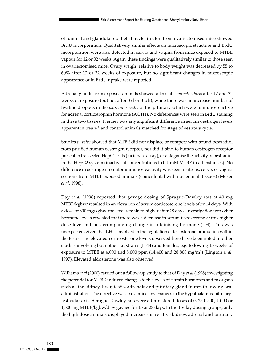of luminal and glandular epithelial nuclei in uteri from ovariectomised mice showed BrdU incorporation. Qualitatively similar effects on microscopic structure and BrdU incorporation were also detected in cervix and vagina from mice exposed to MTBE vapour for 12 or 32 weeks. Again, these findings were qualitatively similar to those seen in ovariectomised mice. Ovary weight relative to body weight was decreased by 55 to 60% after 12 or 32 weeks of exposure, but no significant changes in microscopic appearance or in BrdU uptake were reported.

Adrenal glands from exposed animals showed a loss of *zona reticularis* after 12 and 32 weeks of exposure (but not after 3 d or 3 wk), while there was an increase number of hyaline droplets in the *pars intermedia* of the pituitary which were immuno-reactive for adrenal corticotrophin hormone (ACTH). No differences were seen in BrdU staining in these two tissues. Neither was any significant difference in serum oestrogen levels apparent in treated and control animals matched for stage of oestrous cycle.

Studies *in vitro* showed that MTBE did not displace or compete with bound oestradiol from purified human oestrogen receptor, nor did it bind to human oestrogen receptor present in transected HepG2 cells (luciferase assay), or antagonise the activity of oestradiol in the HepG2 system (inactive at concentrations to 0.1 mM MTBE in all instances). No difference in oestrogen receptor immuno-reactivity was seen in uterus, cervix or vagina sections from MTBE exposed animals (coincidental with nuclei in all tissues) (Moser *et al*, 1998).

Day *et al* (1998) reported that gavage dosing of Sprague-Dawley rats at 40 mg MTBE/kgbw/ resulted in an elevation of serum corticosterone levels after 14 days. With a dose of 800 mg/kgbw, the level remained higher after 28 days. Investigation into other hormone levels revealed that there was a decrease in serum testosterone at this higher dose level but no accompanying change in luteinising hormone (LH). This was unexpected, given that LH is involved in the regulation of testosterone production within the testis. The elevated corticosterone levels observed here have been noted in other studies involving both other rat strains (F344) and females, e.g. following 13 weeks of exposure to MTBE at 4,000 and 8,000 ppm (14,400 and 28,800 mg/m³) (Lington *et al*, 1997). Elevated aldosterone was also observed.

Williams *et al* (2000) carried out a follow-up study to that of Day *et al* (1998) investigating the potential for MTBE-induced changes to the levels of certain hormones and to organs such as the kidney, liver, testis, adrenals and pituitary gland in rats following oral administration. The objective was to examine any changes in the hypothalamus-pituitarytesticular axis. Sprague-Dawley rats were administered doses of 0, 250, 500, 1,000 or 1,500 mg MTBE/kgbw/d by gavage for 15 or 28 days. In the 15-day dosing groups, only the high dose animals displayed increases in relative kidney, adrenal and pituitary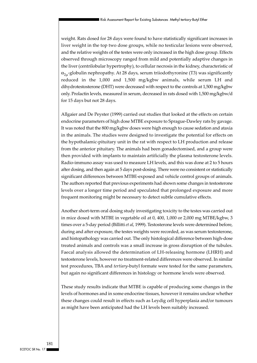weight. Rats dosed for 28 days were found to have statistically significant increases in liver weight in the top two dose groups, while no testicular lesions were observed, and the relative weights of the testes were only increased in the high dose group. Effects observed through microscopy ranged from mild and potentially adaptive changes in the liver (centrilobular hypertrophy), to cellular necrosis in the kidney, characteristic of  $\alpha_{2}$ -globulin nephropathy. At 28 days, serum triiodothyronine (T3) was significantly reduced in the 1,000 and 1,500 mg/kgbw animals, while serum LH and dihydrotestosterone (DHT) were decreased with respect to the controls at 1,500 mg/kgbw only. Prolactin levels, measured in serum, decreased in rats dosed with 1,500 mg/kgbw/d for 15 days but not 28 days.

Allgaier and De Peyster (1999) carried out studies that looked at the effects on certain endocrine parameters of high dose MTBE exposure to Sprague-Dawley rats by gavage. It was noted that the 800 mg/kgbw doses were high enough to cause sedation and ataxia in the animals. The studies were designed to investigate the potential for effects on the hypothalamic-pituitary unit in the rat with respect to LH production and release from the anterior pituitary. The animals had been gonadectomised, and a group were then provided with implants to maintain artificially the plasma testosterone levels. Radio-immuno assay was used to measure LH levels, and this was done at 2 to 5 hours after dosing, and then again at 5 days post-dosing. There were no consistent or statistically significant differences between MTBE-exposed and vehicle control groups of animals. The authors reported that previous experiments had shown some changes in testosterone levels over a longer time period and speculated that prolonged exposure and more frequent monitoring might be necessary to detect subtle cumulative effects.

Another short-term oral dosing study investigating toxicity to the testes was carried out in mice dosed with MTBE in vegetable oil at 0, 400, 1,000 or 2,000 mg MTBE/kgbw, 3 times over a 5-day period (Billitti *et al*, 1999). Testosterone levels were determined before, during and after exposure, the testes weights were recorded, as was serum testosterone, and histopathology was carried out. The only histological difference between high-dose treated animals and controls was a small increase in gross disruption of the tubules. Faecal analysis allowed the determination of LH-releasing hormone (LHRH) and testosterone levels, however no treatment-related differences were observed. In similar test procedures, TBA and *tertiary*-butyl formate were tested for the same parameters, but again no significant differences in histology or hormone levels were observed.

These study results indicate that MTBE is capable of producing some changes in the levels of hormones and in some endocrine tissues, however it remains unclear whether these changes could result in effects such as Leydig cell hyperplasia and/or tumours as might have been anticipated had the LH levels been suitably increased.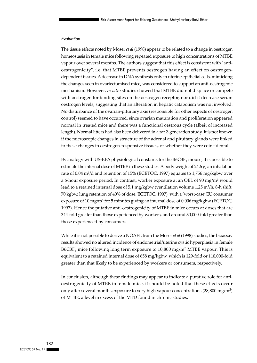#### Evaluation

The tissue effects noted by Moser *et al* (1998) appear to be related to a change in oestrogen homeostasis in female mice following repeated exposure to high concentrations of MTBE vapour over several months. The authors suggest that this effect is consistent with "antioestrogenicity", i.e. that MTBE prevents oestrogen having an effect on oestrogendependent tissues. A decrease in DNA synthesis only in uterine epithelial cells, mimicking the changes seen in ovariectomised mice, was considered to support an anti-oestrogenic mechanism. However, *in vitro* studies showed that MTBE did not displace or compete with oestrogen for binding sites on the oestrogen receptor, nor did it decrease serum oestrogen levels, suggesting that an alteration in hepatic catabolism was not involved. No disturbance of the ovarian-pituitary axis (responsible for other aspects of oestrogen control) seemed to have occurred, since ovarian maturation and proliferation appeared normal in treated mice and there was a functional oestrous cycle (albeit of increased length). Normal litters had also been delivered in a rat 2-generation study. It is not known if the microscopic changes in structure of the adrenal and pituitary glands were linked to these changes in oestrogen-responsive tissues, or whether they were coincidental.

By analogy with US-EPA physiological constants for the  $B6C3F<sub>1</sub>$  mouse, it is possible to estimate the internal dose of MTBE in these studies. A body weight of 24.6 g, an inhalation rate of 0.04 m<sup>3</sup>/d and retention of 15% (ECETOC, 1997) equates to 1,756 mg/kgbw over a 6-hour exposure period. In contrast, worker exposure at an OEL of 90 mg/m<sup>3</sup> would lead to a retained internal dose of 5.1 mg/kgbw (ventilation volume 1.25 m<sup>3</sup>/h, 8-h shift, 70 kgbw, lung retention of 40% of dose; ECETOC, 1997), with a 'worst-case' EU consumer exposure of 10 mg/m<sup>3</sup> for 5 minutes giving an internal dose of 0.006 mg/kgbw (ECETOC, 1997). Hence the putative anti-oestrogenicity of MTBE in mice occurs at doses that are 344-fold greater than those experienced by workers, and around 30,000-fold greater than those experienced by consumers.

While it is not possible to derive a NOAEL from the Moser *et al* (1998) studies, the bioassay results showed no altered incidence of endometrial/uterine cystic hyperplasia in female B6C3F<sub>1</sub> mice following long term exposure to 10,800 mg/m<sup>3</sup> MTBE vapour. This is equivalent to a retained internal dose of 658 mg/kgbw, which is 129-fold or 110,000-fold greater than that likely to be experienced by workers or consumers, respectively.

In conclusion, although these findings may appear to indicate a putative role for antioestrogenicity of MTBE in female mice, it should be noted that these effects occur only after several months exposure to very high vapour concentrations  $(28,800 \text{ mg/m}^3)$ of MTBE, a level in excess of the MTD found in chronic studies.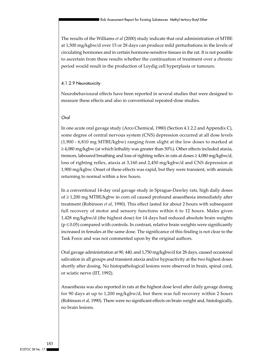The results of the Williams *et al* (2000) study indicate that oral administration of MTBE at 1,500 mg/kgbw/d over 15 or 28 days can produce mild perturbations in the levels of circulating hormones and in certain hormone-sensitive tissues in the rat. It is not possible to ascertain from these results whether the continuation of treatment over a chronic period would result in the production of Leydig cell hyperplasia or tumours.

## 4.1.2.9 Neurotoxicity

Neurobehavioural effects have been reported in several studies that were designed to measure these effects and also in conventional repeated-dose studies.

# Oral

In one acute oral gavage study (Arco Chemical, 1980) (Section 4.1.2.2 and Appendix C), some degree of central nervous system (CNS) depression occurred at all dose levels (1,900 - 6,810 mg MTBE/kgbw) ranging from slight at the low doses to marked at ≥ 4,080 mg/kgbw (at which lethality was greater than 50%). Other effects included ataxia, tremors, laboured breathing and loss of righting reflex in rats at doses ≥ 4,080 mg/kgbw/d, loss of righting reflex, ataxia at 3,160 and 2,450 mg/kgbw/d and CNS depression at 1,900 mg/kgbw. Onset of these effects was rapid, but they were transient, with animals returning to normal within a few hours.

In a conventional 14-day oral gavage study in Sprague-Dawley rats, high daily doses of ≥ 1,200 mg MTBE/kgbw in corn oil caused profound anaesthesia immediately after treatment (Robinson *et al*, 1990). This effect lasted for about 2 hours with subsequent full recovery of motor and sensory functions within 6 to 12 hours. Males given 1,428 mg/kgbw/d (the highest dose) for 14 days had reduced absolute brain weights  $(p \le 0.05)$  compared with controls. In contrast, relative brain weights were significantly increased in females at the same dose. The significance of this finding is not clear to the Task Force and was not commented upon by the original authors.

Oral gavage administration at 90, 440, and 1,750 mg/kgbw/d for 28 days, caused occasional salivation in all groups and transient ataxia and/or hypoactivity at the two highest doses shortly after dosing. No histopathological lesions were observed in brain, spinal cord, or sciatic nerve (IIT, 1992).

Anaesthesia was also reported in rats at the highest dose level after daily gavage dosing for 90 days at up to 1,200 mg/kgbw/d, but there was full recovery within 2 hours (Robinson *et al*, 1990). There were no significant effects on brain weight and, histologically, no brain lesions.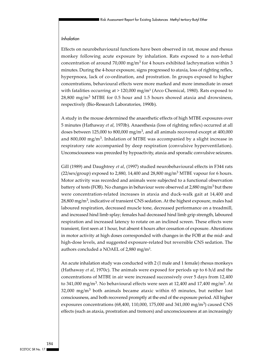## Inhalation

Effects on neurobehavioural functions have been observed in rat, mouse and rhesus monkey following acute exposure by inhalation. Rats exposed to a non-lethal concentration of around 70,000 mg/m<sup>3</sup> for 4 hours exhibited lachrymation within 3 minutes. During the 4-hour exposure, signs progressed to ataxia, loss of righting reflex, hyperpnoea, lack of co-ordination, and prostration. In groups exposed to higher concentrations, behavioural effects were more marked and more immediate in onset with fatalities occurring at > 120,000 mg/m<sup>3</sup> (Arco Chemical, 1980). Rats exposed to  $28,800$  mg/m<sup>3</sup> MTBE for 0.5 hour and 1.5 hours showed ataxia and drowsiness, respectively (Bio-Research Laboratories, 1990b).

A study in the mouse determined the anaesthetic effects of high MTBE exposures over 5 minutes (Hathaway *et al*, 1970b). Anaesthesia (loss of righting reflex) occurred at all doses between 125,000 to 800,000 mg/m<sup>3</sup>, and all animals recovered except at 400,000 and 800,000 mg/m3. Inhalation of MTBE was accompanied by a slight increase in respiratory rate accompanied by deep respiration (convulsive hyperventilation). Unconsciousness was preceded by hypoactivity, ataxia and sporadic convulsive seizures.

Gill (1989) and Daughtrey *et al*, (1997) studied neurobehavioural effects in F344 rats  $(22/\text{sex/group})$  exposed to 2,880, 14,400 and 28,800 mg/m<sup>3</sup> MTBE vapour for 6 hours. Motor activity was recorded and animals were subjected to a functional observation battery of tests (FOB). No changes in behaviour were observed at  $2,880$  mg/m<sup>3</sup> but there were concentration-related increases in ataxia and duck-walk gait at 14,400 and  $28,800$  mg/m<sup>3</sup>, indicative of transient CNS sedation. At the highest exposure, males had laboured respiration, decreased muscle tone, decreased performance on a treadmill, and increased hind limb splay; females had decreased hind limb grip strength, laboured respiration and increased latency to rotate on an inclined screen. These effects were transient, first seen at 1 hour, but absent 4 hours after cessation of exposure. Alterations in motor activity at high doses corresponded with changes in the FOB at the mid- and high-dose levels, and suggested exposure-related but reversible CNS sedation. The authors concluded a NOAEL of 2,880 mg/m³.

An acute inhalation study was conducted with 2 (1 male and 1 female) rhesus monkeys (Hathaway *et al*, 1970c). The animals were exposed for periods up to 6 h/d and the concentrations of MTBE in air were increased successively over 5 days from 12,400 to 341,000 mg/m<sup>3</sup>. No behavioural effects were seen at 12,400 and 17,400 mg/m<sup>3</sup>. At  $32,000$  mg/m<sup>3</sup> both animals became ataxic within 65 minutes, but neither lost consciousness, and both recovered promptly at the end of the exposure period. All higher exposures concentrations (68,400, 110,000, 175,000 and 341,000 mg/m<sup>3</sup>) caused CNS effects (such as ataxia, prostration and tremors) and unconsciousness at an increasingly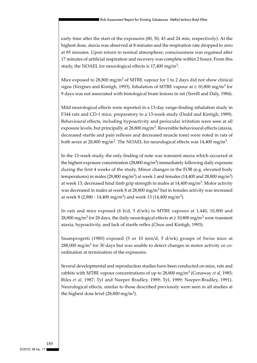early time after the start of the exposures (80, 50, 43 and 24 min, respectively). At the highest dose, ataxia was observed at 8 minutes and the respiration rate dropped to zero at 85 minutes. Upon return to normal atmosphere, consciousness was regained after 17 minutes of artificial respiration and recovery was complete within 2 hours. From this study, the NOAEL for neurological effects is  $17,400$  mg/m<sup>3</sup>.

Mice exposed to 28,800 mg/m<sup>3</sup> of MTBE vapour for 1 to 2 days did not show clinical signs (Vergnes and Kintigh, 1993). Inhalation of MTBE vapour at  $\geq 10,800$  mg/m<sup>3</sup> for 9 days was not associated with histological brain lesions in rat (Terrill and Daly, 1984).

Mild neurological effects were reported in a 13-day range-finding inhalation study in F344 rats and CD-1 mice, preparatory to a 13-week study (Dodd and Kintigh, 1989). Behavioural effects, including hypoactivity and periocular irritation were seen at all exposure levels, but principally at 28,800 mg/m<sup>3</sup>. Reversible behavioural effects (ataxia, decreased startle and pain reflexes and decreased muscle tone) were noted in rats of both sexes at 28,800 mg/m<sup>3</sup>. The NOAEL for neurological effects was  $14,400$  mg/m<sup>3</sup>.

In the 13-week study, the only finding of note was transient ataxia which occurred at the highest exposure concentration  $(28,800 \text{ mg/m}^3)$  immediately following daily exposure during the first 4 weeks of the study. Minor changes in the FOB (e.g. elevated body temperatures) in males (28,800 mg/m<sup>3</sup>) at week 1 and females (14,400 and 28,800 mg/m<sup>3</sup>) at week 13; decreased hind limb grip strength in males at  $14,400$  mg/m<sup>3</sup>. Motor activity was decreased in males at week 8 at 28,800 mg/m3 but in females activity was increased at week 8 (2,880 - 14,400 mg/m<sup>3</sup>) and week 13 (14,400 mg/m<sup>3</sup>).

In rats and mice exposed (6 h/d, 5 d/wk) to MTBE vapours at 1,440, 10,800 and 28,800 mg/m<sup>3</sup> for 28 days, the daily neurological effects at  $\geq 10,800$  mg/m<sup>3</sup> were transient ataxia, hypoactivity, and lack of startle reflex (Chun and Kintigh, 1993).

Snamprogetti (1980) exposed (5 or 10 min/d, 5 d/wk) groups of Swiss mice at 288,000 mg/m<sup>3</sup> for 30 days but was unable to detect changes in motor activity or coordination at termination of the exposures.

Several developmental and reproduction studies have been conducted on mice, rats and rabbits with MTBE vapour concentrations of up to 28,800 mg/m3 (Conaway *et al*, 1985; Biles *et al*, 1987; Tyl and Neeper Bradley, 1989; Tyl, 1989; Neeper-Bradley, 1991). Neurological effects, similar to those described previously were seen in all studies at the highest dose level  $(28,800 \text{ mg/m}^3)$ .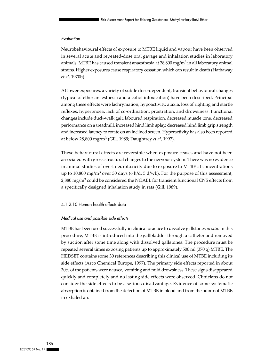## Evaluation

Neurobehavioural effects of exposure to MTBE liquid and vapour have been observed in several acute and repeated-dose oral gavage and inhalation studies in laboratory animals. MTBE has caused transient anaesthesia at  $28,800$  mg/m<sup>3</sup> in all laboratory animal strains. Higher exposures cause respiratory cessation which can result in death (Hathaway *et al*, 1970b).

At lower exposures, a variety of subtle dose-dependent, transient behavioural changes (typical of ether anaesthesia and alcohol intoxication) have been described. Principal among these effects were lachrymation, hypoactivity, ataxia, loss of righting and startle reflexes, hyperpnoea, lack of co-ordination, prostration, and drowsiness. Functional changes include duck-walk gait, laboured respiration, decreased muscle tone, decreased performance on a treadmill, increased hind limb splay, decreased hind limb grip strength and increased latency to rotate on an inclined screen. Hyperactivity has also been reported at below 28,800 mg/m<sup>3</sup> (Gill, 1989; Daughtrey *et al*, 1997).

These behavioural effects are reversible when exposure ceases and have not been associated with gross structural changes to the nervous system. There was no evidence in animal studies of overt neurotoxicity due to exposure to MTBE at concentrations up to 10,800 mg/m<sup>3</sup> over 30 days (6 h/d, 5 d/wk). For the purpose of this assessment,  $2,880$  mg/m<sup>3</sup> could be considered the NOAEL for transient functional CNS effects from a specifically designed inhalation study in rats (Gill, 1989).

# 4.1.2.10 Human health effects data

# Medical use and possible side effects

MTBE has been used successfully in clinical practice to dissolve gallstones *in situ*. In this procedure, MTBE is introduced into the gallbladder through a catheter and removed by suction after some time along with dissolved gallstones. The procedure must be repeated several times exposing patients up to approximately 500 ml (370 g) MTBE. The HEDSET contains some 30 references describing this clinical use of MTBE including its side effects (Arco Chemical Europe, 1997). The primary side effects reported in about 30% of the patients were nausea, vomiting and mild drowsiness. These signs disappeared quickly and completely and no lasting side effects were observed. Clinicians do not consider the side effects to be a serious disadvantage. Evidence of some systematic absorption is obtained from the detection of MTBE in blood and from the odour of MTBE in exhaled air.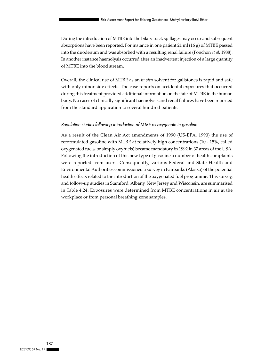During the introduction of MTBE into the bilary tract, spillages may occur and subsequent absorptions have been reported. For instance in one patient 21 ml (16 g) of MTBE passed into the duodenum and was absorbed with a resulting renal failure (Ponchon *et al*, 1988). In another instance haemolysis occurred after an inadvertent injection of a large quantity of MTBE into the blood stream.

Overall, the clinical use of MTBE as an *in situ* solvent for gallstones is rapid and safe with only minor side effects. The case reports on accidental exposures that occurred during this treatment provided additional information on the fate of MTBE in the human body. No cases of clinically significant haemolysis and renal failures have been reported from the standard application to several hundred patients.

# Population studies following introduction of MTBE as oxygenate in gasoline

As a result of the Clean Air Act amendments of 1990 (US-EPA, 1990) the use of reformulated gasoline with MTBE at relatively high concentrations (10 - 15%, called oxygenated fuels, or simply oxyfuels) became mandatory in 1992 in 37 areas of the USA. Following the introduction of this new type of gasoline a number of health complaints were reported from users. Consequently, various Federal and State Health and Environmental Authorities commissioned a survey in Fairbanks (Alaska) of the potential health effects related to the introduction of the oxygenated fuel programme. This survey, and follow-up studies in Stamford, Albany, New Jersey and Wisconsin, are summarised in Table 4.24. Exposures were determined from MTBE concentrations in air at the workplace or from personal breathing zone samples.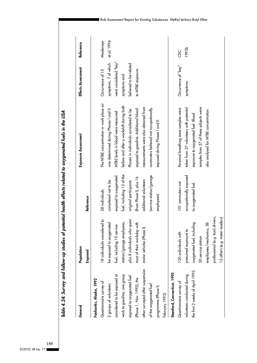| General                          | Population                        |                           | Exposure Assessment                      | Effects Assessment     | Reference         |
|----------------------------------|-----------------------------------|---------------------------|------------------------------------------|------------------------|-------------------|
|                                  | Exposed                           | Reference                 |                                          |                        |                   |
| Fairbanks, Alaska, 1992          |                                   |                           |                                          |                        |                   |
| Questionnaire survey of          | 18 individuals considered to      | 28 individuals            | The MTBE concentration in work place air | Occurrence of 15       | Moolenaar         |
| 2 groups of volunteers           | be exposed to oxygenated          | considered not to be      | was determined during Phases I and II.   | symptoms, 7 of which   | et al, 1994       |
| considered to be exposed at      | fuel, including 10 service        | exposed to oxygenated     | MTBE levels in blood were measured       | were considered "key"  |                   |
| work to gasoline; one group      | station/garage employees,         | fuel, including 12 of the | before and after a workshift during both | symptoms and           |                   |
| exposed to oxygenated fuel       | plus 8 individuals who spent      | original participants     | Phases in individuals considered to be   | believed to be related |                   |
| (Phase 1, Nov. 1992), the        | most of their workday with        | (from Phase I), plus 16   | exposed to gasoline. Additional blood    | to MTBE exposure.      |                   |
| other surveyed after suspension  | motor vehicles (Phase I).         | additional volunteers     | measurements were also obtained from     |                        |                   |
| of the oxygenated fuel           |                                   | (service station/garage   | commuters believed not occupationally    |                        |                   |
| programme (Phase II,             |                                   | employees).               | exposed during Phases I and II.          |                        |                   |
| February 1993)                   |                                   |                           |                                          |                        |                   |
| Stamford, Connecticut, 1993      |                                   |                           |                                          |                        |                   |
| Questionnaire survey of          | 120 individuals with              | 101 commuters not         | Personal breathing zone samples were     | Occurrence of "key"    | CDC,              |
| volunteers conducted during      | presumed exposure to              | occupationally exposed    | taken from 37 volunteers with potential  | symptoms.              | 1993 <sub>b</sub> |
| the first 2 weeks of April 1993. | oxygenated fuel, including        | to oxygenated fuel.       | exposure to oxygenated fuel. Blood       |                        |                   |
|                                  | 50 service station                |                           | samples from 27 of these subjects were   |                        |                   |
|                                  | employees/mechanics, 58           |                           | also analysed for MTBE concentration.    |                        |                   |
|                                  | professional (e.g. taxi) drivers, |                           |                                          |                        |                   |
|                                  | 12 others (e.g. meter readers)    |                           |                                          |                        |                   |

Table 4.24: Survey and follow-up studies of potential health effects related to oxygenated fuels in the USA **Table 4.24: Survey and follow-up studies of potential health effects related to oxygenated fuels in the USA**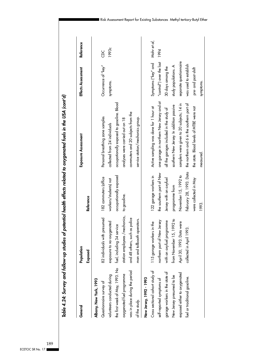|                                 |                                |                          | Table 4.24: Survey and follow-up studies of potential health effects related to oxygenated fuels in the USA (cont'd) |                          |             |
|---------------------------------|--------------------------------|--------------------------|----------------------------------------------------------------------------------------------------------------------|--------------------------|-------------|
| General                         | Population                     |                          | Exposure Assessment                                                                                                  | Effects Assessment       | Reference   |
|                                 | Exposed                        | Reference                |                                                                                                                      |                          |             |
| Albany, New York, 1993          |                                |                          |                                                                                                                      |                          |             |
| Questionnaire survey of         | 82 individuals with presumed   | 182 commuters (office    | Personal breathing zone samples                                                                                      | Occurrence of "key"      | CDC         |
| volunteers conducted during     | exposure to no-oxygenated      | workers/students) not    | collected from 24 individuals                                                                                        | symptoms.                | 1993c       |
| the first week of May, 1993. No | fuel, including 34 service     | occupationally exposed   | occupationally exposed to gasoline. Blood                                                                            |                          |             |
| oxygenated fuel programme       | station employees / mechanics, | to gasoline.             | analyses were carried out on 18                                                                                      |                          |             |
| was in place during the period  | and 48 others, such as police  |                          | commuters and 20 subjects from the                                                                                   |                          |             |
| of the study.                   | man and tollbooth operators.   |                          | service station/mechanics group.                                                                                     |                          |             |
| New Jersey, 1992 - 1993         |                                |                          |                                                                                                                      |                          |             |
| Cross sectional cohort study of | 115 garage workers in the      | 122 garage workers in    | Active sampling was done for 1 hour at                                                                               | Symptoms ("key" and      | Mohr et al, |
| self-reported symptoms of       | northern part of New Jersey    | the southern part of New | one garage in northern New Jersey and at                                                                             | "control") over the last | 1994        |
| garage workers in the state of  | with an oxyfuel programme      | Jersey with an oxyfuel   | all the garages included in the study of                                                                             | 30 days among the        |             |
| New Jersey presumed to be       | from November 15, 1992 to      | programme from           | southern New Jersey. In addition passive                                                                             | study populations. A     |             |
| exposed either to oxygenated    | April 30, 1993. Data were      | November 15, 1992 to     | samplers were given to 20 subjects; 14 in                                                                            | separate questionnaire   |             |
| fuel or traditional gasoline.   | collected in April 1993.       | February 28, 1993. Data  | the northern and 6 in the southern part of                                                                           | was used to establish    |             |
|                                 |                                | were collected in May    | the state. Blood levels of MTBE were not                                                                             | pre- and post-shift      |             |
|                                 |                                | 1993.                    | measured                                                                                                             | symptoms.                |             |

Risk Assessment Report for Existing Substances Methyl tertiary-Butyl Ether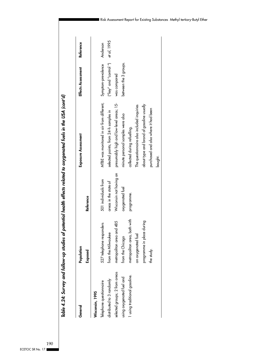| General                       | Population                      |                         | Exposure Assessment                       | <b>Effects Assessment</b> | Reference   |
|-------------------------------|---------------------------------|-------------------------|-------------------------------------------|---------------------------|-------------|
|                               | Exposed                         | Reference               |                                           |                           |             |
| Wisconsin, 1995               |                                 |                         |                                           |                           |             |
| Telephone questionnaire       | 527 telephone responders        | 501 individuals from    | MTBE was monitored in air from different, | Symptom-prevalence        | Anderson    |
| distributed to 3 randomly     | from the Milwaukee              | areas in the state of   | selected points; from 24-h samples in     | ("key" and "control"")    | et al, 1995 |
| selected groups; 2 from areas | metropolitan area and 485       | Wisconsin not having an | presumably high and low-level areas; 15-  | was compared              |             |
| using oxygenated fuel and     | from the Chicago                | oxygenated fuel         | minute personal samples were also         | between the 3 groups.     |             |
| 1 using traditional gasoline. | with<br>metropolitan area, both | programme.              | collected during refuelling.              |                           |             |
|                               | an oxygenated fuel              |                         | The questionnaire also included inquiries |                           |             |
|                               | programme in place during       |                         | about type and brand of gasoline usually  |                           |             |
|                               | the study.                      |                         | purchased and also where it had been      |                           |             |
|                               |                                 |                         | bought.                                   |                           |             |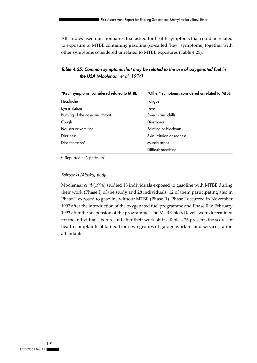All studies used questionnaires that asked for health symptoms that could be related to exposure to MTBE containing gasoline (so-called "key" symptoms) together with other symptoms considered unrelated to MTBE exposures (Table 4.25).

**Table 4.25: Common symptoms that may be related to the use of oxygenated fuel in the USA** (Moolenaar et al, 1994)

| "Key" symptoms, considered related to MTBE | "Other" symptoms, considered unrelated to MTBE |
|--------------------------------------------|------------------------------------------------|
| Headache                                   | Fatigue                                        |
| Eye irritation                             | Fever                                          |
| Burning of the nose and throat             | Sweats and chills                              |
| Cough                                      | Diarrhoea                                      |
| Nausea or vomiting                         | Fainting or blackouts                          |
| <b>Dizziness</b>                           | Skin irritaion or redness                      |
| Disorientation <sup>a</sup>                | Muscle aches                                   |
|                                            | Difficult breathing                            |

<sup>a</sup> Reported as "spaciness"

#### Fairbanks (Alaska) study

Moolenaar *et al* (1994) studied 18 individuals exposed to gasoline with MTBE during their work (Phase I) of the study and 28 individuals, 12 of them participating also in Phase I, exposed to gasoline without MTBE (Phase II). Phase I occurred in November 1992 after the introduction of the oxygenated fuel programme and Phase II in February 1993 after the suspension of the programme. The MTBE-blood levels were determined for the individuals, before and after their work shifts. Table 4.26 presents the scores of health complaints obtained from two groups of garage workers and service station attendants.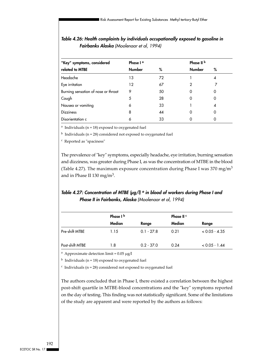| "Key" symptoms, considered          | Phase I <sup>a</sup> |    | Phase II <sup>b</sup> |   |
|-------------------------------------|----------------------|----|-----------------------|---|
| related to MTBE                     | Number               | %  | Number                | % |
| Headache                            | 13                   | 72 |                       |   |
| Eye irritation                      | 12                   | 67 |                       |   |
| Burning sensation of nose or throat | 9                    | 50 |                       |   |
| Cough                               | 5                    | 28 |                       |   |
| Nausea or vomiting                  | 6                    | 33 |                       | 4 |
| <b>Dizziness</b>                    | 8                    | 44 | Ω                     | Ω |
| Disorientation c                    | 6                    | 33 |                       |   |

**Table 4.26: Health complaints by individuals occupationally exposed to gasoline in Fairbanks Alaska** (Moolenaar et al, 1994)

<sup>a</sup> Individuals ( $n = 18$ ) exposed to oxygenated fuel

 $<sup>b</sup>$  Individuals (n = 28) considered not exposed to oxygenated fuel</sup>

<sup>c</sup> Reported as "spaciness"

The prevalence of "key" symptoms, especially headache, eye irritation, burning sensation and dizziness, was greater during Phase I, as was the concentration of MTBE in the blood (Table 4.27). The maximum exposure concentration during Phase I was 370 mg/m<sup>3</sup> and in Phase II 130 mg/m3.

# Table 4.27: Concentration of MTBE (µg/l)<sup>a</sup> in blood of workers during Phase I and **Phase II in Fairbanks, Alaska** (Moolenaar et al, 1994)

|                 | Phase I <sup>b</sup> |              | Phase II <sup>c</sup> |                 |
|-----------------|----------------------|--------------|-----------------------|-----------------|
|                 | Median               | Range        | Median                | Range           |
| Pre-shift MTBE  | 1.15                 | $0.1 - 27.8$ | 0.21                  | $< 0.05 - 4.35$ |
| Post-shift MTBE | 1.8                  | $0.2 - 37.0$ | 0.24                  | $< 0.05 - 1.44$ |

<sup>a</sup> Approximate detection limit =  $0.05 \mu g/l$ 

 $<sup>b</sup>$  Individuals (n = 18) exposed to oxygenated fuel</sup>

 $c$  Individuals ( $n = 28$ ) considered not exposed to oxygenated fuel

The authors concluded that in Phase I, there existed a correlation between the highest post-shift quartile in MTBE-blood concentrations and the "key" symptoms reported on the day of testing. This finding was not statistically significant. Some of the limitations of the study are apparent and were reported by the authors as follows: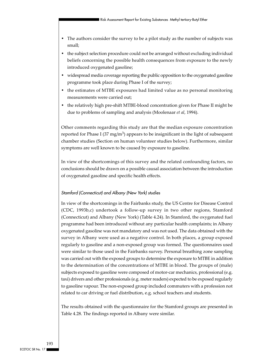- The authors consider the survey to be a pilot study as the number of subjects was small;
- the subject selection procedure could not be arranged without excluding individual beliefs concerning the possible health consequences from exposure to the newly introduced oxygenated gasoline;
- widespread media coverage reporting the public opposition to the oxygenated gasoline programme took place during Phase I of the survey;
- the estimates of MTBE exposures had limited value as no personal monitoring measurements were carried out;
- the relatively high pre-shift MTBE-blood concentration given for Phase II might be due to problems of sampling and analysis (Moolenaar *et al*, 1994).

Other comments regarding this study are that the median exposure concentration reported for Phase I (37 mg/m<sup>3</sup>) appears to be insignificant in the light of subsequent chamber studies (Section on human volunteer studies below). Furthermore, similar symptoms are well known to be caused by exposure to gasoline.

In view of the shortcomings of this survey and the related confounding factors, no conclusions should be drawn on a possible causal association between the introduction of oxygenated gasoline and specific health effects.

# Stamford (Connecticut) and Albany (New York) studies

In view of the shortcomings in the Fairbanks study, the US Centre for Disease Control (CDC, 1993b,c) undertook a follow-up survey in two other regions, Stamford (Connecticut) and Albany (New York) (Table 4.24). In Stamford, the oxygenated fuel programme had been introduced without any particular health complaints; in Albany oxygenated gasoline was not mandatory and was not used. The data obtained with the survey in Albany were used as a negative control. In both places, a group exposed regularly to gasoline and a non-exposed group was formed. The questionnaires used were similar to those used in the Fairbanks survey. Personal breathing zone sampling was carried out with the exposed groups to determine the exposure to MTBE in addition to the determination of the concentrations of MTBE in blood. The groups of (male) subjects exposed to gasoline were composed of motor-car mechanics, professional (e.g. taxi) drivers and other professionals (e.g. meter readers) expected to be exposed regularly to gasoline vapour. The non-exposed group included commuters with a profession not related to car driving or fuel distribution, e.g. school teachers and students.

The results obtained with the questionnaire for the Stamford groups are presented in Table 4.28. The findings reported in Albany were similar.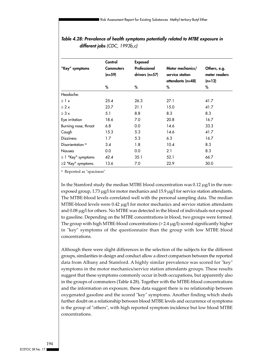|                             | Control                      | <b>Exposed</b>                   |                                                          |                                           |
|-----------------------------|------------------------------|----------------------------------|----------------------------------------------------------|-------------------------------------------|
| "Key" symptoms              | <b>Commuters</b><br>$(n=59)$ | Professional<br>drivers $(n=57)$ | Motor mechanics/<br>service station<br>attendants (n=48) | Others, e.g.<br>meter readers<br>$(n=12)$ |
|                             | %                            | $\%$                             | %                                                        | %                                         |
| Headache:                   |                              |                                  |                                                          |                                           |
| $\geq$ 1 x                  | 25.4                         | 26.3                             | 27.1                                                     | 41.7                                      |
| $\geq$ 2 x                  | 23.7                         | 21.1                             | 15.0                                                     | 41.7                                      |
| $\geq$ 3 x                  | 5.1                          | 8.8                              | 8.3                                                      | 8.3                                       |
| Eye irritation              | 18.6                         | 7.0                              | 20.8                                                     | 16.7                                      |
| Burning nose, throat        | 6.8                          | 0.0                              | 14.6                                                     | 33.3                                      |
| Cough                       | 15.3                         | 5.3                              | 14.6                                                     | 41.7                                      |
| <b>Dizziness</b>            | 1.7                          | 5.3                              | 6.3                                                      | 16.7                                      |
| Disorientation <sup>a</sup> | 3.4                          | 1.8                              | 10.4                                                     | 8.3                                       |
| Nausea                      | 0.0                          | 0.0                              | 2.1                                                      | 8.3                                       |
| $\geq$ 1 "Key" symptoms     | 42.4                         | 35.1                             | 52.1                                                     | 66.7                                      |
| ≥2 "Key" symptoms           | 13.6                         | 7.0                              | 22.9                                                     | 50.0                                      |

**Table 4.28: Prevalence of health symptoms potentially related to MTBE exposure in different jobs** (CDC, 1993b,c)

<sup>a</sup> Reported as "spaciness"

In the Stamford study the median MTBE blood concentration was  $0.12 \mu g/l$  in the nonexposed group, 1.73  $\mu$ g/l for motor mechanics and 15.9  $\mu$ g/l for service station attendants. The MTBE-blood levels correlated well with the personal sampling data. The median MTBE-blood levels were  $0.42 \mu g/l$  for motor mechanics and service station attendants and 0.08 µg/l for others. No MTBE was detected in the blood of individuals not exposed to gasoline. Depending on the MTBE concentrations in blood, two groups were formed. The group with high MTBE-blood concentrations  $(>2.4 \mu g/l)$  scored significantly higher in "key" symptoms of the questionnaire than the group with low MTBE blood concentrations.

Although there were slight differences in the selection of the subjects for the different groups, similarities in design and conduct allow a direct comparison between the reported data from Albany and Stamford. A highly similar prevalence was scored for "key" symptoms in the motor mechanics/service station attendants groups. These results suggest that these symptoms commonly occur in both occupations, but apparently also in the groups of commuters (Table 4.28). Together with the MTBE-blood concentrations and the information on exposure, these data suggest there is no relationship between oxygenated gasoline and the scored "key" symptoms. Another finding which sheds further doubt on a relationship between blood MTBE levels and occurrence of symptoms is the group of "others", with high reported symptom incidence but low blood MTBE concentrations.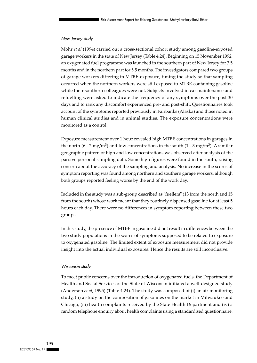#### New Jersey study

Mohr *et al* (1994) carried out a cross-sectional cohort study among gasoline-exposed garage workers in the state of New Jersey (Table 4.24). Beginning on 15 November 1992, an oxygenated fuel programme was launched in the southern part of New Jersey for 3.5 months and in the northern part for 5.5 months. The investigators compared two groups of garage workers differing in MTBE-exposure, timing the study so that sampling occurred when the northern workers were still exposed to MTBE-containing gasoline while their southern colleagues were not. Subjects involved in car maintenance and refuelling were asked to indicate the frequency of any symptoms over the past 30 days and to rank any discomfort experienced pre- and post-shift. Questionnaires took account of the symptoms reported previously in Fairbanks (Alaska) and those noted in human clinical studies and in animal studies. The exposure concentrations were monitored as a control.

Exposure measurement over 1 hour revealed high MTBE concentrations in garages in the north (6 - 2 mg/m<sup>3</sup>) and low concentrations in the south (1 - 3 mg/m<sup>3</sup>). A similar geographic pattern of high and low concentrations was observed after analysis of the passive personal sampling data. Some high figures were found in the south, raising concern about the accuracy of the sampling and analysis. No increase in the scores of symptom reporting was found among northern and southern garage workers, although both groups reported feeling worse by the end of the work day.

Included in the study was a sub-group described as "fuellers" (13 from the north and 15 from the south) whose work meant that they routinely dispensed gasoline for at least 5 hours each day. There were no differences in symptom reporting between these two groups.

In this study, the presence of MTBE in gasoline did not result in differences between the two study populations in the scores of symptoms supposed to be related to exposure to oxygenated gasoline. The limited extent of exposure measurement did not provide insight into the actual individual exposures. Hence the results are still inconclusive.

# Wisconsin study

To meet public concerns over the introduction of oxygenated fuels, the Department of Health and Social Services of the State of Wisconsin initiated a well-designed study (Anderson *et al*, 1995) (Table 4.24). The study was composed of (i) an air monitoring study, (ii) a study on the composition of gasolines on the market in Milwaukee and Chicago, (iii) health complaints received by the State Health Department and (iv) a random telephone enquiry about health complaints using a standardised questionnaire.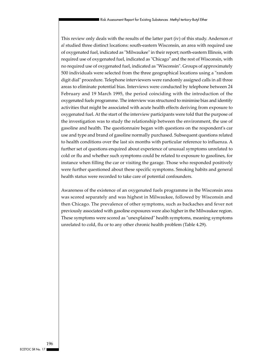This review only deals with the results of the latter part (iv) of this study. Anderson *et al* studied three distinct locations: south-eastern Wisconsin, an area with required use of oxygenated fuel, indicated as "Milwaukee" in their report; north-eastern Illinois, with required use of oxygenated fuel, indicated as "Chicago" and the rest of Wisconsin, with no required use of oxygenated fuel, indicated as "Wisconsin". Groups of approximately 500 individuals were selected from the three geographical locations using a "random digit dial" procedure. Telephone interviewers were randomly assigned calls in all three areas to eliminate potential bias. Interviews were conducted by telephone between 24 February and 19 March 1995, the period coinciding with the introduction of the oxygenated fuels programme. The interview was structured to minimise bias and identify activities that might be associated with acute health effects deriving from exposure to oxygenated fuel. At the start of the interview participants were told that the purpose of the investigation was to study the relationship between the environment, the use of gasoline and health. The questionnaire began with questions on the respondent's car use and type and brand of gasoline normally purchased. Subsequent questions related to health conditions over the last six months with particular reference to influenza. A further set of questions enquired about experience of unusual symptoms unrelated to cold or flu and whether such symptoms could be related to exposure to gasolines, for instance when filling the car or visiting the garage. Those who responded positively were further questioned about these specific symptoms. Smoking habits and general health status were recorded to take care of potential confounders.

Awareness of the existence of an oxygenated fuels programme in the Wisconsin area was scored separately and was highest in Milwaukee, followed by Wisconsin and then Chicago. The prevalence of other symptoms, such as backaches and fever not previously associated with gasoline exposures were also higher in the Milwaukee region. These symptoms were scored as "unexplained" health symptoms, meaning symptoms unrelated to cold, flu or to any other chronic health problem (Table 4.29).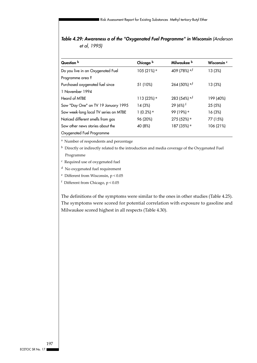**Table 4.29: Awareness a of the "Oxygenated Fuel Programme" in Wisconsin** (Anderson et al, 1995)

| Question b                            | Chicago b              | Milwaukee b            | Wisconsin <sup>c</sup> |
|---------------------------------------|------------------------|------------------------|------------------------|
| Do you live in an Oxygenated Fuel     | 105 (21%) <sup>e</sup> | 409 (78%) e,f          | 13 (3%)                |
| Programme area?                       |                        |                        |                        |
| Purchased oxygenated fuel since       | 51 (10%)               | 264 (50%) e,f          | 13 (3%)                |
| 1 November 1994                       |                        |                        |                        |
| Heard of MTBE                         | 113 (23%) <sup>e</sup> | 283 (54%) e,f          | 199 (40%)              |
| Saw "Day One" on TV 19 January 1995   | 14 (3%)                | $29(6%)$ <sup>f</sup>  | 25 (5%)                |
| Saw week-long local TV series on MTBE | $1(0.2%)$ e            | 99 (19%) <sup>e</sup>  | 16(3%)                 |
| Noticed different smells from gas     | 96 (20%)               | 275 (52%) e            | 77 (15%)               |
| Saw other news stories about the      | 40 (8%)                | 187 (35%) <sup>e</sup> | 106 (21%)              |
| Oxygenated Fuel Programme             |                        |                        |                        |

a Number of respondents and percentage

<sup>b</sup> Directly or indirectly related to the introduction and media coverage of the Oxygenated Fuel Programme

<sup>c</sup> Required use of oxygenated fuel

<sup>d</sup> No oxygenated fuel requirement

<sup>e</sup> Different from Wisconsin, p < 0.05

 $f$  Different from Chicago,  $p < 0.05$ 

The definitions of the symptoms were similar to the ones in other studies (Table 4.25). The symptoms were scored for potential correlation with exposure to gasoline and Milwaukee scored highest in all respects (Table 4.30).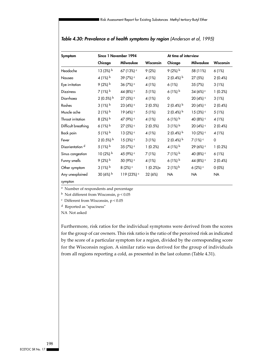| Symptom                     |                       | Since 1 November 1994  |            | At time of interview |                      |            |
|-----------------------------|-----------------------|------------------------|------------|----------------------|----------------------|------------|
|                             | Chicago               | Milwaukee              | Wisconsin  | Chicago              | Milwaukee            | Wisconsin  |
| Headache                    | 13 (3%) b             | 67 (13%) c             | 9(2%)      | 9 (2%) b             | 58 (11%)             | 6(1%)      |
| Nausea                      | 4 (1%) $^{\rm b}$     | 39 (7%) c              | 4 (1%)     | $2(0.4\%)$ b         | 27 (5%)              | $2(0.4\%)$ |
| Eye irritation              | 9 (2%) b              | 36 (7%) c              | 4 (1%)     | 6(1%)                | 35 (7%)              | 3(1%)      |
| <b>Dizziness</b>            | 7 (1%) b              | 44 (8%) c              | 5(1%)      | 6 (1%) b             | 34 (6%) <sup>c</sup> | 1(0.2%)    |
| Diarrhoea                   | $2(0.5\%)$ b          | 27 (5%) c              | 4 (1%)     | 0                    | 20 (4%) c            | 3(1%)      |
| Rashes                      | $3(1%)$ <sub>b</sub>  | 23 (4%) c              | 2(0.5%)    | 2 (0.4%) b           | 20 (4%) c            | 2(0.4%)    |
| Muscle ache                 | $2(1%)$ <sub>b</sub>  | 19 (4%) <sup>c</sup>   | 5(1%)      | 2 (0.4%) $^{\rm b}$  | 15 (3%) <sup>c</sup> | 5(1%)      |
| Throat irritation           | 8 (2%) b              | 47 (9%) c              | 4 (1%)     | 6 (1%) b             | 40 (8%) c            | 4 (1%)     |
| Difficult breathing         | 6 (1%) b              | 27 (5%) c              | $2(0.5\%)$ | $3(1%)$ <sub>b</sub> | 20 (4%) c            | 2(0.4%)    |
| Back pain                   | 5 (1%) $^{\rm b}$     | 13 (2%) c              | 4 (1%)     | 2 (0.4%) $^{\rm b}$  | 10 (2%) c            | 4 (1%)     |
| Fever                       | $2(0.5\%)$ b          | 15 (3%) c              | 3(1%)      | $2(0.4\%)$ b         | 7 (1%) c             | 0          |
| Disorientation <sup>d</sup> | 5 $(1%)$ <sub>b</sub> | 35 (7%) c              | 1(0.2%)    | 4 (1%) $^{\rm b}$    | 29 (6%) c            | 1(0.2%)    |
| Sinus congestion            | 10 (2%) b             | 45 (9%) c              | 7(1%)      | $7(1%)$ <sub>b</sub> | 40 (8%) c            | 6(1%)      |
| Funny smells                | 9 (2%) b              | 50 (9%) c              | 4 (1%)     | 6 (1%) b             | 44 (8%) c            | 2(0.4%)    |
| Other symptom               | $3(1%)$ b             | 8 (2%) c               | $1(0.2%)+$ | $2(1%)^b$            | 6 (2%) c             | 0(0%)      |
| Any unexplained             | 30 (6%) $^{\rm b}$    | 119 (23%) <sup>c</sup> | 32 (6%)    | <b>NA</b>            | <b>NA</b>            | <b>NA</b>  |
| sympton                     |                       |                        |            |                      |                      |            |

# **Table 4.30: Prevalence a of health symptoms by region** (Anderson et al, 1995)

<sup>a</sup> Number of respondents and percentage

 $<sup>b</sup>$  Not different from Wisconsin, p < 0.05</sup>

 $c$  Different from Wisconsin,  $p < 0.05$ 

<sup>d</sup> Reported as "spaciness"

NA Not asked

Furthermore, risk ratios for the individual symptoms were derived from the scores for the group of car owners. This risk ratio is the ratio of the perceived risk as indicated by the score of a particular symptom for a region, divided by the corresponding score for the Wisconsin region. A similar ratio was derived for the group of individuals from all regions reporting a cold, as presented in the last column (Table 4.31).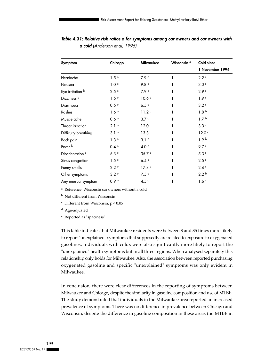| Symptom                     | Chicago          | Milwaukee         | Wisconsin <sup>a</sup> | Cold since        |
|-----------------------------|------------------|-------------------|------------------------|-------------------|
|                             |                  |                   |                        | 1 November 1994   |
| Headache                    | 1.5 <sup>b</sup> | 7.9 <sup>c</sup>  | 1                      | 2.2 <sub>c</sub>  |
| Nausea                      | 1.0 <sup>b</sup> | 9.8 <sub>c</sub>  |                        | 3.0 <sub>c</sub>  |
| Eye irritation b            | 2.5 <sup>b</sup> | 7.9 <sub>c</sub>  | 1                      | 2.9 <sup>c</sup>  |
| Dizziness <sup>b</sup>      | 1.5 <sup>b</sup> | 10.6 <sup>c</sup> | 1                      | 1.9 <sup>c</sup>  |
| Diarrhoea                   | 0.5 <sup>b</sup> | 6.5c              | 1                      | 3.2 <sup>c</sup>  |
| Rashes                      | 1.6 <sup>b</sup> | 11.2 <sup>c</sup> | 1                      | 1.8 <sup>b</sup>  |
| Muscle ache                 | 0.6 <sup>b</sup> | 3.7 <sup>c</sup>  | 1                      | 1.7 <sup>b</sup>  |
| Throat irritation           | 2.1 <sup>b</sup> | 12.0 <sup>c</sup> | 1                      | 3.3 <sup>c</sup>  |
| Difficulty breathing        | 3.1 <sup>b</sup> | 13.3 c            | 1                      | 12.0 <sup>c</sup> |
| Back pain                   | 1.3 <sup>b</sup> | 3.1c              | 1                      | 1.9 <sup>b</sup>  |
| Fever <sup>b</sup>          | 0.4 <sup>b</sup> | 4.0 <sub>c</sub>  | 1                      | 9.7 <sub>c</sub>  |
| Disorientation <sup>e</sup> | 5.3 <sup>b</sup> | 35.7 c            | 1                      | 5.3C              |
| Sinus congestion            | 1.5 <sup>b</sup> | 6.4c              | 1                      | 2.5 <sup>c</sup>  |
| Funny smells                | 2.2 <sup>b</sup> | 17.8 c            | 1                      | 2.4C              |
| Other symptoms              | 3.2 <sup>b</sup> | 7.5 <sup>c</sup>  | 1                      | 2.2 <sup>b</sup>  |
| Any unusual symptom         | 0.9 <sup>b</sup> | 4.5 <sup>c</sup>  |                        | 1.6 <sup>c</sup>  |

**Table 4.31: Relative risk ratios a for symptoms among car owners and car owners with a cold** (Anderson et al, 1995)

<sup>a</sup> Reference: Wisconsin car owners without a cold

<sup>b</sup> Not different from Wisconsin

 $c$  Different from Wisconsin,  $p < 0.05$ 

<sup>d</sup> Age-adjusted

<sup>e</sup> Reported as "spaciness"

This table indicates that Milwaukee residents were between 3 and 35 times more likely to report "unexplained" symptoms that supposedly are related to exposure to oxygenated gasolines. Individuals with colds were also significantly more likely to report the "unexplained" health symptoms but in all three regions. When analysed separately this relationship only holds for Milwaukee. Also, the association between reported purchasing oxygenated gasoline and specific "unexplained" symptoms was only evident in Milwaukee.

In conclusion, there were clear differences in the reporting of symptoms between Milwaukee and Chicago, despite the similarity in gasoline composition and use of MTBE. The study demonstrated that individuals in the Milwaukee area reported an increased prevalence of symptoms. There was no difference in prevalence between Chicago and Wisconsin, despite the difference in gasoline composition in these areas (no MTBE in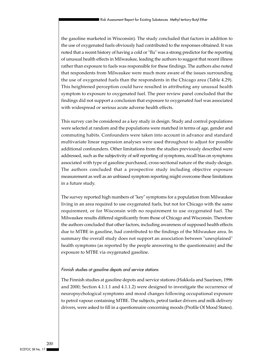the gasoline marketed in Wisconsin). The study concluded that factors in addition to the use of oxygenated fuels obviously had contributed to the responses obtained. It was noted that a recent history of having a cold or "flu" was a strong predictor for the reporting of unusual health effects in Milwaukee, leading the authors to suggest that recent illness rather than exposure to fuels was responsible for these findings. The authors also noted that respondents from Milwaukee were much more aware of the issues surrounding the use of oxygenated fuels than the respondents in the Chicago area (Table 4.29). This heightened perception could have resulted in attributing any unusual health symptom to exposure to oxygenated fuel. The peer review panel concluded that the findings did not support a conclusion that exposure to oxygenated fuel was associated with widespread or serious acute adverse health effects.

This survey can be considered as a key study in design. Study and control populations were selected at random and the populations were matched in terms of age, gender and commuting habits. Confounders were taken into account in advance and standard multivariate linear regression analyses were used throughout to adjust for possible additional confounders. Other limitations from the studies previously described were addressed, such as the subjectivity of self reporting of symptoms, recall bias on symptoms associated with type of gasoline purchased, cross-sectional nature of the study-design. The authors concluded that a prospective study including objective exposure measurement as well as an unbiased symptom reporting might overcome these limitations in a future study.

The survey reported high numbers of "key" symptoms for a population from Milwaukee living in an area required to use oxygenated fuels, but not for Chicago with the same requirement, or for Wisconsin with no requirement to use oxygenated fuel. The Milwaukee results differed significantly from those of Chicago and Wisconsin. Therefore the authors concluded that other factors, including awareness of supposed health effects due to MTBE in gasoline, had contributed to the findings of the Milwaukee area. In summary the overall study does not support an association between "unexplained" health symptoms (as reported by the people answering to the questionnaire) and the exposure to MTBE via oxygenated gasoline.

#### Finnish studies at gasoline depots and service stations

The Finnish studies at gasoline depots and service stations (Hakkola and Saarinen, 1996 and 2000; Section 4.1.1.1 and 4.1.1.2) were designed to investigate the occurrence of neuropsychological symptoms and mood changes following occupational exposure to petrol vapour containing MTBE. The subjects, petrol tanker drivers and milk delivery drivers, were asked to fill in a questionnaire concerning moods (Profile Of Mood States).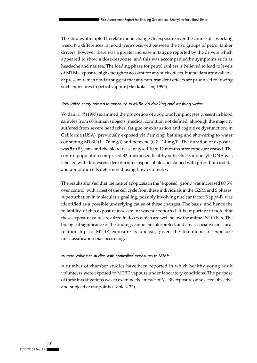The studies attempted to relate mood changes to exposure over the course of a working week. No differences in mood were observed between the two groups of petrol tanker drivers, however there was a greater increase in fatigue reported by the drivers which appeared to show a dose-response, and this was accompanied by symptoms such as headache and nausea. The loading phase for petrol tankers is believed to lead to levels of MTBE exposure high enough to account for any such effects, but no data are available at present, which tend to suggest that any non-transient effects are produced following such exposures to petrol vapour (Hakkola *et al*, 1997).

#### Population study related to exposure to MTBE via drinking and washing water

Vojdani *et al* (1997) examined the proportion of apoptotic lymphocytes present in blood samples from 60 human subjects (medical condition not defined, although the majority suffered from severe headaches, fatigue or exhaustion and cognitive dysfunction) in California (USA), previously exposed via drinking, bathing and showering to water containing MTBE (1 - 76 mg/l) and benzene (0.2 - 14 mg/l). The duration of exposure was 5 to 8 years, and the blood was analysed 10 to 12 months after exposure ceased. The control population comprised 32 unexposed healthy subjects. Lymphocyte DNA was labelled with fluorescein-deoxyuridine triphosphate and stained with propidium iodide, and apoptotic cells determined using flow cytometry.

The results showed that the rate of apoptosis in the "exposed" group was increased 80.5% over control, with arrest of the cell cycle from these individuals in the G2/M and S phases. A perturbation in molecular signalling, possibly involving nuclear factor Kappa-B, was identified as a possible underlying cause of these changes. The basis, and hence the reliability, of this exposure assessment was not reported. It is important to note that these exposure values resulted in doses which are well below the animal NOAELs. The biological significance of the findings cannot be interpreted, and any associative or causal relationship to MTBE exposure is unclear, given the likelihood of exposure misclassification bias occurring.

#### Human volunteer studies with controlled exposures to MTBE

A number of chamber studies have been reported in which healthy young adult volunteers were exposed to MTBE vapours under laboratory conditions. The purpose of these investigations was to examine the impact of MTBE exposure on selected objective and subjective endpoints (Table 4.32).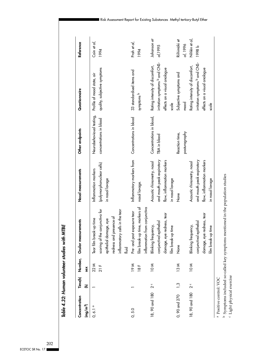| Concentration<br>$\left(\frac{m}{2}\right)$ | Ξ              | sex               | Time(h) Number, Ocular measurements            | Nasal measurements         | Other endpoints          | Questionnaire                   | Reference     |
|---------------------------------------------|----------------|-------------------|------------------------------------------------|----------------------------|--------------------------|---------------------------------|---------------|
| $0, 6.1$ a                                  |                | 22 M              | time<br>Tear film break-up                     | Inflammation markers       | Neurobehavioual testing, | Profile of mood state, air      | Cain et al,   |
|                                             |                | 21 F              | scoring of the conjunctiva for                 | (polymorphonuclear cells)  | concentrations in blood  | quality, subjective symptoms    | 1994          |
|                                             |                |                   | epithelial damage, eye                         | in nasal lavage            |                          |                                 |               |
|                                             |                |                   | redness and presence of                        |                            |                          |                                 |               |
|                                             |                |                   | in the tear<br>inflammatory cells<br>i<br>Huid |                            |                          |                                 |               |
|                                             |                |                   |                                                |                            |                          |                                 |               |
| 0, 5.0                                      |                | 19 M              | Pre- and post exposure tear                    | Inflammatory markers from  | Concentrations in blood  | 33 standardised items and       | Prah et al,   |
|                                             |                | $\frac{18}{18}$   | film break-up time, markers of                 | nasal lavage.              |                          | symptoms b                      | 1994          |
|                                             |                |                   | conjunctiva<br>inflammation from               |                            |                          |                                 |               |
| 18,90 and 180                               | $\frac{c}{2}$  | $\frac{10}{10}$   | Blinking frequency.                            | Acoustic rhinometry, nasal | Concentrations in blood, | Rating intensity of discomfort, | Johanson et   |
|                                             |                |                   | conjunctival epithelial                        | and mouth peak expiratory  | TBA in blood             | irritation symptoms b and CNS-  | al, 1995      |
|                                             |                |                   | damage, eye redness, tear                      | flow, inflammation markers |                          | effects on a visual analogue    |               |
|                                             |                |                   | film break-up time                             | in nasal lavage            |                          | scale                           |               |
| 0,90 and 270                                | $\frac{1}{3}$  | 13M               | None                                           | None                       | Reaction time,           | Subjective symptoms and         | Riihimäki et  |
|                                             |                |                   |                                                |                            | posturography            | mood                            | al, 1996      |
| 18,90 and 180                               | 2 <sup>c</sup> | $\overline{10}$ M | Blinking frequency                             | Acoustic rhinometry, nasal |                          | Rating intensity of discomfort, | Nihlén et al, |
|                                             |                |                   | conjunctival epithelial                        | and mouth peak expiratory  |                          | irritation symptoms b and CNS-  | 1998 b        |
|                                             |                |                   | damage, eye redness, tear                      | flow, inflammation markers |                          | effects on a visual analogue    |               |
|                                             |                |                   | film break-up time                             | in nasal lavage            |                          | scale                           |               |

b Symptoms included so-called key symptoms mentioned in the population studies  $^{\rm b}$  Symptoms included so-called key symptoms mentioned in the population studies  $^{\rm c}$  Light physical exercise

Light physical exercise

**Table 4.32: Human volunteer studies with MTBE**

Table 4.32: Human volunteer studies with MTBE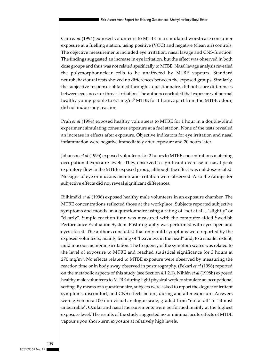Cain *et al* (1994) exposed volunteers to MTBE in a simulated worst-case consumer exposure at a fuelling station, using positive (VOC) and negative (clean air) controls. The objective measurements included eye irritation, nasal lavage and CNS-function. The findings suggested an increase in eye irritation, but the effect was observed in both dose groups and thus was not related specifically to MTBE. Nasal lavage analysis revealed the polymorphonuclear cells to be unaffected by MTBE vapours. Standard neurobehavioural tests showed no differences between the exposed groups. Similarly, the subjective responses obtained through a questionnaire, did not score differences between eye-, nose- or throat- irritation. The authors concluded that exposures of normal healthy young people to 6.1 mg/m<sup>3</sup> MTBE for 1 hour, apart from the MTBE odour, did not induce any reaction.

Prah *et al* (1994) exposed healthy volunteers to MTBE for 1 hour in a double-blind experiment simulating consumer exposure at a fuel station. None of the tests revealed an increase in effects after exposure. Objective indicators for eye irritation and nasal inflammation were negative immediately after exposure and 20 hours later.

Johanson *et al* (1995) exposed volunteers for 2 hours to MTBE concentrations matching occupational exposure levels. They observed a significant decrease in nasal peak expiratory flow in the MTBE exposed group, although the effect was not dose-related. No signs of eye or mucous membrane irritation were observed. Also the ratings for subjective effects did not reveal significant differences.

Riihimäki *et al* (1996) exposed healthy male volunteers in an exposure chamber. The MTBE concentrations reflected those at the workplace. Subjects reported subjective symptoms and moods on a questionnaire using a rating of "not at all", "slightly" or "clearly". Simple reaction time was measured with the computer-aided Swedish Performance Evaluation System. Posturography was performed with eyes open and eyes closed. The authors concluded that only mild symptoms were reported by the exposed volunteers, mainly feeling of "heaviness in the head" and, to a smaller extent, mild mucous membrane irritation. The frequency of the symptom scores was related to the level of exposure to MTBE and reached statistical significance for 3 hours at  $270 \text{ mg/m}^3$ . No effects related to MTBE exposure were observed by measuring the reaction time or in body sway observed in posturography. (Pekari *et al* (1996) reported on the metabolic aspects of this study (see Section 4.1.2.1). Nihlén *et al* (1998b) exposed healthy male volunteers to MTBE during light physical work to simulate an occupational setting. By means of a questionnaire, subjects were asked to report the degree of irritant symptoms, discomfort, and CNS effects before, during and after exposure. Answers were given on a 100 mm visual analogue scale, graded from "not at all" to "almost unbearable". Ocular and nasal measurements were performed mainly at the highest exposure level. The results of the study suggested no or minimal acute effects of MTBE vapour upon short-term exposure at relatively high levels.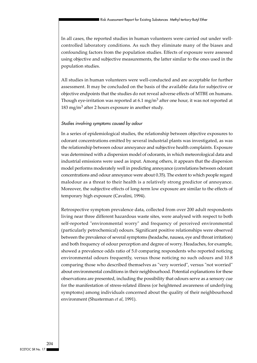In all cases, the reported studies in human volunteers were carried out under wellcontrolled laboratory conditions. As such they eliminate many of the biases and confounding factors from the population studies. Effects of exposure were assessed using objective and subjective measurements, the latter similar to the ones used in the population studies.

All studies in human volunteers were well-conducted and are acceptable for further assessment. It may be concluded on the basis of the available data for subjective or objective endpoints that the studies do not reveal adverse effects of MTBE on humans. Though eye-irritation was reported at 6.1 mg/m<sup>3</sup> after one hour, it was not reported at 183 mg/m<sup>3</sup> after 2 hours exposure in another study.

#### Studies involving symptoms caused by odour

In a series of epidemiological studies, the relationship between objective exposures to odorant concentrations emitted by several industrial plants was investigated, as was the relationship between odour annoyance and subjective health complaints. Exposure was determined with a dispersion model of odorants, in which meteorological data and industrial emissions were used as input. Among others, it appears that the dispersion model performs moderately well in predicting annoyance (correlations between odorant concentrations and odour annoyance were about 0.35). The extent to which people regard malodour as a threat to their health is a relatively strong predictor of annoyance. Moreover, the subjective effects of long-term low exposure are similar to the effects of temporary high exposure (Cavalini, 1994).

Retrospective symptom prevalence data, collected from over 200 adult respondents living near three different hazardous waste sites, were analysed with respect to both self-reported "environmental worry" and frequency of perceived environmental (particularly petrochemical) odours. Significant positive relationships were observed between the prevalence of several symptoms (headache, nausea, eye and throat irritation) and both frequency of odour perception and degree of worry. Headaches, for example, showed a prevalence odds ratio of 5.0 comparing respondents who reported noticing environmental odours frequently, versus those noticing no such odours and 10.8 comparing those who described themselves as "very worried", versus "not worried" about environmental conditions in their neighbourhood. Potential explanations for these observations are presented, including the possibility that odours serve as a sensory cue for the manifestation of stress-related illness (or heightened awareness of underlying symptoms) among individuals concerned about the quality of their neighbourhood environment (Shusterman *et al*, 1991).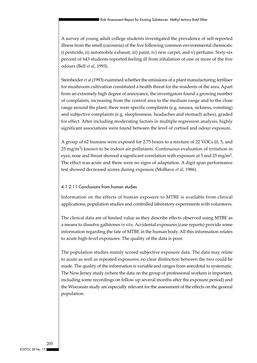A survey of young adult college students investigated the prevalence of self-reported illness from the smell (cacosmia) of the five following common environmental chemicals: i) pesticide, ii) automobile exhaust, iii) paint, iv) new carpet, and v) perfume. Sixty-six percent of 643 students reported feeling ill from inhalation of one or more of the five odours (Bell *et al*, 1993).

Steinheider *et al* (1993) examined whether the emissions of a plant manufacturing fertiliser for mushroom cultivation constituted a health threat for the residents of the area. Apart from an extremely high degree of annoyance, the investigators found a growing number of complaints, increasing from the control area to the medium range and to the close range around the plant; there were specific complaints (e.g. nausea, sickness, vomiting) and subjective complaints (e.g. sleeplessness, headaches and stomach aches), graded for effect. After including moderating factors in multiple regression analysis, highly significant associations were found between the level of cortisol and odour exposure.

A group of 62 humans were exposed for 2.75 hours to a mixture of 22 VOCs (0, 5, and  $25 \text{ mg/m}^3$ ) known to be indoor air pollutants. Continuous evaluation of irritation in eyes, nose and throat showed a significant correlation with exposure at 5 and 25 mg/m<sup>3</sup>. The effect was acute and there were no signs of adaptation. A digit span performance test showed decreased scores during exposure (Molhave *et al*, 1986).

# 4.1.2.11 Conclusions from human studies

Information on the effects of human exposure to MTBE is available from clinical applications, population studies and controlled laboratory experiments with volunteers.

The clinical data are of limited value as they describe effects observed using MTBE as a means to dissolve gallstones *in situ*. Accidental exposures (case reports) provide some information regarding the fate of MTBE in the human body. All this information relates to acute high-level exposures. The quality of the data is poor.

The population studies mainly scored subjective exposure data. The data may relate to acute as well as repeated exposures; no clear distinction between the two could be made. The quality of the information is variable and ranges from anecdotal to systematic. The New Jersey study (where the data on the group of professional workers is important, including some recordings on follow up several months after the exposure period) and the Wisconsin study are especially relevant for the assessment of the effects on the general population.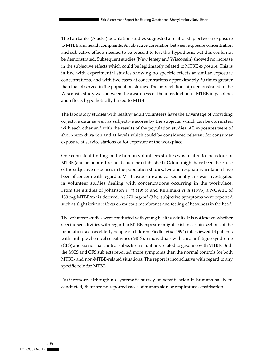The Fairbanks (Alaska) population studies suggested a relationship between exposure to MTBE and health complaints. An objective correlation between exposure concentration and subjective effects needed to be present to test this hypothesis, but this could not be demonstrated. Subsequent studies (New Jersey and Wisconsin) showed no increase in the subjective effects which could be legitimately related to MTBE exposure. This is in line with experimental studies showing no specific effects at similar exposure concentrations, and with two cases at concentrations approximately 30 times greater than that observed in the population studies. The only relationship demonstrated in the Wisconsin study was between the awareness of the introduction of MTBE in gasoline, and effects hypothetically linked to MTBE.

The laboratory studies with healthy adult volunteers have the advantage of providing objective data as well as subjective scores by the subjects, which can be correlated with each other and with the results of the population studies. All exposures were of short-term duration and at levels which could be considered relevant for consumer exposure at service stations or for exposure at the workplace.

One consistent finding in the human volunteers studies was related to the odour of MTBE (and an odour threshold could be established). Odour might have been the cause of the subjective responses in the population studies. Eye and respiratory irritation have been of concern with regard to MTBE exposure and consequently this was investigated in volunteer studies dealing with concentrations occurring in the workplace. From the studies of Johanson *et al* (1995) and Riihimäki *et al* (1996) a NOAEL of 180 mg MTBE/ $m<sup>3</sup>$  is derived. At 270 mg/ $m<sup>3</sup>$  (3 h), subjective symptoms were reported such as slight irritant effects on mucous membranes and feeling of heaviness in the head.

The volunteer studies were conducted with young healthy adults. It is not known whether specific sensitivities with regard to MTBE exposure might exist in certain sections of the population such as elderly people or children. Fiedler *et al* (1994) interviewed 14 patients with multiple chemical sensitivities (MCS), 5 individuals with chronic fatigue syndrome (CFS) and six normal control subjects on situations related to gasoline with MTBE. Both the MCS and CFS subjects reported more symptoms than the normal controls for both MTBE- and non-MTBE-related situations. The report is inconclusive with regard to any specific role for MTBE.

Furthermore, although no systematic survey on sensitisation in humans has been conducted, there are no reported cases of human skin or respiratory sensitisation.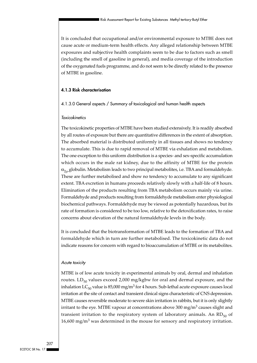It is concluded that occupational and/or environmental exposure to MTBE does not cause acute or medium-term health effects. Any alleged relationship between MTBE exposures and subjective health complaints seem to be due to factors such as smell (including the smell of gasoline in general), and media coverage of the introduction of the oxygenated fuels programme, and do not seem to be directly related to the presence of MTBE in gasoline.

#### **4.1.3 Risk characterisation**

#### 4.1.3.0 General aspects / Summary of toxicological and human health aspects

#### Toxicokinetics

The toxicokinetic properties of MTBE have been studied extensively. It is readily absorbed by all routes of exposure but there are quantitative differences in the extent of absorption. The absorbed material is distributed uniformly in all tissues and shows no tendency to accumulate. This is due to rapid removal of MTBE via exhalation and metabolism. The one exception to this uniform distribution is a species- and sex-specific accumulation which occurs in the male rat kidney, due to the affinity of MTBE for the protein  $\alpha_{2\mu}$ -globulin. Metabolism leads to two principal metabolites, i.e. TBA and formaldehyde. These are further metabolised and show no tendency to accumulate to any significant extent. TBA excretion in humans proceeds relatively slowly with a half-life of 8 hours. Elimination of the products resulting from TBA metabolism occurs mainly via urine. Formaldehyde and products resulting from formaldehyde metabolism enter physiological biochemical pathways. Formaldehyde may be viewed as potentially hazardous, but its rate of formation is considered to be too low, relative to the detoxification rates, to raise concerns about elevation of the natural formaldehyde levels in the body.

It is concluded that the biotransformation of MTBE leads to the formation of TBA and formaldehyde which in turn are further metabolised. The toxicokinetic data do not indicate reasons for concern with regard to bioaccumulation of MTBE or its metabolites.

#### Acute toxicity

MTBE is of low acute toxicity in experimental animals by oral, dermal and inhalation routes.  $LD_{50}$  values exceed 2,000 mg/kgbw for oral and dermal exposure, and the inhalation  $LC_{50}$  value is 85,000 mg/m<sup>3</sup> for 4 hours. Sub-lethal acute exposure causes local irritation at the site of contact and transient clinical signs characteristic of CNS depression. MTBE causes reversible moderate to severe skin irritation in rabbits, but it is only slightly irritant to the eye. MTBE vapour at concentrations above  $300 \text{ mg/m}^3$  causes slight and transient irritation to the respiratory system of laboratory animals. An  $RD_{50}$  of 16,600 mg/m<sup>3</sup> was determined in the mouse for sensory and respiratory irritation.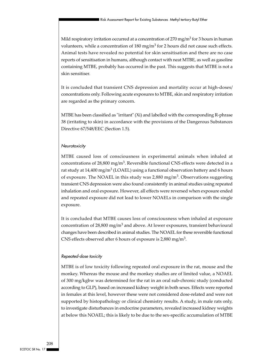Mild respiratory irritation occurred at a concentration of 270 mg/m<sup>3</sup> for 3 hours in human volunteers, while a concentration of 180 mg/m<sup>3</sup> for 2 hours did not cause such effects. Animal tests have revealed no potential for skin sensitisation and there are no case reports of sensitisation in humans, although contact with neat MTBE, as well as gasoline containing MTBE, probably has occurred in the past. This suggests that MTBE is not a skin sensitiser.

It is concluded that transient CNS depression and mortality occur at high-doses/ concentrations only. Following acute exposures to MTBE, skin and respiratory irritation are regarded as the primary concern.

MTBE has been classified as "irritant" (Xi) and labelled with the corresponding R-phrase 38 (irritating to skin) in accordance with the provisions of the Dangerous Substances Directive 67/548/EEC (Section 1.5).

#### **Neurotoxicity**

MTBE caused loss of consciousness in experimental animals when inhaled at concentrations of  $28,800$  mg/m<sup>3</sup>. Reversible functional CNS effects were detected in a rat study at  $14,400$  mg/m<sup>3</sup> (LOAEL) using a functional observation battery and 6 hours of exposure. The NOAEL in this study was 2,880 mg/m3. Observations suggesting transient CNS depression were also found consistently in animal studies using repeated inhalation and oral exposure. However, all effects were reversed when exposure ended and repeated exposure did not lead to lower NOAELs in comparison with the single exposure.

It is concluded that MTBE causes loss of consciousness when inhaled at exposure concentration of  $28,800$  mg/m<sup>3</sup> and above. At lower exposures, transient behavioural changes have been described in animal studies. The NOAEL for these reversible functional CNS effects observed after 6 hours of exposure is 2,880 mg/m3.

#### Repeated-dose toxicity

MTBE is of low toxicity following repeated oral exposure in the rat, mouse and the monkey. Whereas the mouse and the monkey studies are of limited value, a NOAEL of 300 mg/kgbw was determined for the rat in an oral sub-chronic study (conducted according to GLP), based on increased kidney weight in both sexes. Effects were reported in females at this level, however these were not considered dose-related and were not supported by histopathology or clinical chemistry results. A study, in male rats only, to investigate disturbances in endocrine parameters, revealed increased kidney weights at below this NOAEL; this is likely to be due to the sex-specific accumulation of MTBE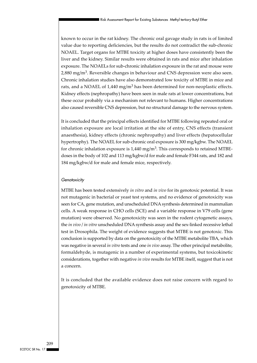known to occur in the rat kidney. The chronic oral gavage study in rats is of limited value due to reporting deficiencies, but the results do not contradict the sub-chronic NOAEL. Target organs for MTBE toxicity at higher doses have consistently been the liver and the kidney. Similar results were obtained in rats and mice after inhalation exposure. The NOAELs for sub-chronic inhalation exposure in the rat and mouse were  $2,880$  mg/m<sup>3</sup>. Reversible changes in behaviour and CNS depression were also seen. Chronic inhalation studies have also demonstrated low toxicity of MTBE in mice and rats, and a NOAEL of 1,440 mg/m<sup>3</sup> has been determined for non-neoplastic effects. Kidney effects (nephropathy) have been seen in male rats at lower concentrations, but these occur probably via a mechanism not relevant to humans. Higher concentrations also caused reversible CNS depression, but no structural damage to the nervous system.

It is concluded that the principal effects identified for MTBE following repeated oral or inhalation exposure are local irritation at the site of entry, CNS effects (transient anaesthesia), kidney effects (chronic nephropathy) and liver effects (hepatocellular hypertrophy). The NOAEL for sub-chronic oral exposure is 300 mg/kgbw. The NOAEL for chronic inhalation exposure is  $1,440$  mg/m<sup>3</sup>. This corresponds to retained MTBEdoses in the body of 102 and 113 mg/kgbw/d for male and female F344 rats, and 182 and 184 mg/kgbw/d for male and female mice, respectively.

#### **Genotoxicity**

MTBE has been tested extensively *in vitro* and *in vivo* for its genotoxic potential. It was not mutagenic in bacterial or yeast test systems, and no evidence of genotoxicity was seen for CA, gene mutation, and unscheduled DNA synthesis determined in mammalian cells. A weak response in CHO cells (SCE) and a variable response in V79 cells (gene mutation) were observed. No genotoxicity was seen in the rodent cytogenetic assays, the *in vivo* / *in vitro* unscheduled DNA synthesis assay and the sex-linked recessive lethal test in Drosophila. The weight of evidence suggests that MTBE is not genotoxic. This conclusion is supported by data on the genotoxicity of the MTBE metabolite TBA, which was negative in several *in vitro* tests and one *in vivo* assay. The other principal metabolite, formaldehyde, is mutagenic in a number of experimental systems, but toxicokinetic considerations, together with negative *in vivo* results for MTBE itself, suggest that is not a concern.

It is concluded that the available evidence does not raise concern with regard to genotoxicity of MTBE.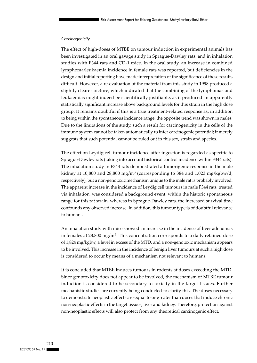### **Carcinogenicity**

The effect of high-doses of MTBE on tumour induction in experimental animals has been investigated in an oral gavage study in Sprague-Dawley rats, and in inhalation studies with F344 rats and CD-1 mice. In the oral study, an increase in combined lymphoma/leukaemia incidence in female rats was reported, but deficiencies in the design and initial reporting have made interpretation of the significance of these results difficult. However, a re-evaluation of the material from this study in 1998 produced a slightly clearer picture, which indicated that the combining of the lymphomas and leukaemias might indeed be scientifically justifiable, as it produced an apparently statistically significant increase above background levels for this strain in the high dose group. It remains doubtful if this is a true treatment-related response as, in addition to being within the spontaneous incidence range, the opposite trend was shown in males. Due to the limitations of the study, such a result for carcinogenicity in the cells of the immune system cannot be taken automatically to infer carcinogenic potential; it merely suggests that such potential cannot be ruled out in this sex, strain and species.

The effect on Leydig cell tumour incidence after ingestion is regarded as specific to Sprague-Dawley rats (taking into account historical control incidence within F344 rats). The inhalation study in F344 rats demonstrated a tumorigenic response in the male kidney at 10,800 and 28,800 mg/m<sup>3</sup> (corresponding to 384 and 1,023 mg/kgbw/d, respectively), but a non-genotoxic mechanism unique to the male rat is probably involved. The apparent increase in the incidence of Leydig cell tumours in male F344 rats, treated via inhalation, was considered a background event, within the historic spontaneous range for this rat strain, whereas in Sprague-Dawley rats, the increased survival time confounds any observed increase. In addition, this tumour type is of doubtful relevance to humans.

An inhalation study with mice showed an increase in the incidence of liver adenomas in females at  $28,800$  mg/m<sup>3</sup>. This concentration corresponds to a daily retained dose of 1,824 mg/kgbw, a level in excess of the MTD, and a non-genotoxic mechanism appears to be involved. This increase in the incidence of benign liver tumours at such a high dose is considered to occur by means of a mechanism not relevant to humans.

It is concluded that MTBE induces tumours in rodents at doses exceeding the MTD. Since genotoxicity does not appear to be involved, the mechanism of MTBE tumour induction is considered to be secondary to toxicity in the target tissues. Further mechanistic studies are currently being conducted to clarify this. The doses necessary to demonstrate neoplastic effects are equal to or greater than doses that induce chronic non-neoplastic effects in the target tissues, liver and kidney. Therefore, protection against non-neoplastic effects will also protect from any theoretical carcinogenic effect.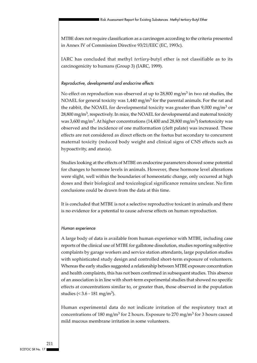MTBE does not require classification as a carcinogen according to the criteria presented in Annex IV of Commission Directive 93/21/EEC (EC, 1993c).

IARC has concluded that methyl *tertiary*-butyl ether is not classifiable as to its carcinogenicity to humans (Group 3) (IARC, 1999).

### Reproductive, developmental and endocrine effects

No effect on reproduction was observed at up to  $28,800$  mg/m<sup>3</sup> in two rat studies, the NOAEL for general toxicity was  $1,440$  mg/m<sup>3</sup> for the parental animals. For the rat and the rabbit, the NOAEL for developmental toxicity was greater than  $9,000 \text{ mg/m}^3$  or  $28,800$  mg/m<sup>3</sup>, respectively. In mice, the NOAEL for developmental and maternal toxicity was  $3,600 \text{ mg/m}^3$ . At higher concentrations (14,400 and 28,800 mg/m<sup>3</sup>) foetotoxicity was observed and the incidence of one malformation (cleft palate) was increased. These effects are not considered as direct effects on the foetus but secondary to concurrent maternal toxicity (reduced body weight and clinical signs of CNS effects such as hypoactivity, and ataxia).

Studies looking at the effects of MTBE on endocrine parameters showed some potential for changes to hormone levels in animals. However, these hormone level alterations were slight, well within the boundaries of homeostatic change, only occurred at high doses and their biological and toxicological significance remains unclear. No firm conclusions could be drawn from the data at this time.

It is concluded that MTBE is not a selective reproductive toxicant in animals and there is no evidence for a potential to cause adverse effects on human reproduction.

#### Human experience

A large body of data is available from human experience with MTBE, including case reports of the clinical use of MTBE for gallstone dissolution, studies reporting subjective complaints by garage workers and service station attendants, large population studies with sophisticated study design and controlled short-term exposure of volunteers. Whereas the early studies suggested a relationship between MTBE exposure concentration and health complaints, this has not been confirmed in subsequent studies. This absence of an association is in line with short-term experimental studies that showed no specific effects at concentrations similar to, or greater than, those observed in the population studies ( $< 3.6 - 181$  mg/m<sup>3</sup>).

Human experimental data do not indicate irritation of the respiratory tract at concentrations of 180 mg/m<sup>3</sup> for 2 hours. Exposure to 270 mg/m<sup>3</sup> for 3 hours caused mild mucous membrane irritation in some volunteers.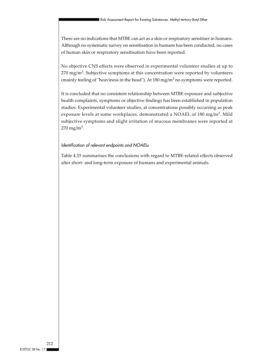There are no indications that MTBE can act as a skin or respiratory sensitiser in humans. Although no systematic survey on sensitisation in humans has been conducted, no cases of human skin or respiratory sensitisation have been reported.

No objective CNS effects were observed in experimental volunteer studies at up to  $270 \text{ mg/m}^3$ . Subjective symptoms at this concentration were reported by volunteers (mainly feeling of "heaviness in the head"). At  $180 \text{ mg/m}^3$  no symptoms were reported.

It is concluded that no consistent relationship between MTBE exposure and subjective health complaints, symptoms or objective findings has been established in population studies. Experimental volunteer studies, at concentrations possibly occurring as peak exposure levels at some workplaces, demonstrated a NOAEL of 180 mg/m<sup>3</sup>. Mild subjective symptoms and slight irritation of mucous membranes were reported at  $270 \,\mathrm{mg/m^3}$ .

### Identification of relevant endpoints and NOAELs

Table 4.33 summarises the conclusions with regard to MTBE-related effects observed after short- and long-term exposure of humans and experimental animals.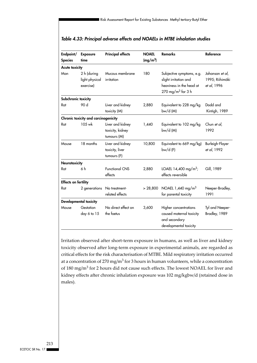| Endpoint/<br><b>Species</b> | <b>Exposure</b><br>time                    | <b>Principal effects</b>                            | <b>NOAEL</b><br>(mg/m <sup>3</sup> ) | <b>Remarks</b>                                                                                                  | <b>Reference</b>                                  |
|-----------------------------|--------------------------------------------|-----------------------------------------------------|--------------------------------------|-----------------------------------------------------------------------------------------------------------------|---------------------------------------------------|
| <b>Acute toxicity</b>       |                                            |                                                     |                                      |                                                                                                                 |                                                   |
| Man                         | 2 h (during<br>light physical<br>exercise) | Mucous membrane<br>irritation                       | 180                                  | Subjective symptoms, e.g.<br>slight irritation and<br>heaviness in the head at<br>270 mg/m <sup>3</sup> for 3 h | Johanson et al,<br>1995; Riihimäki<br>et al, 1996 |
| Subchronic toxicity         |                                            |                                                     |                                      |                                                                                                                 |                                                   |
| Rat                         | 90 d                                       | Liver and kidney<br>toxicity (M)                    | 2,880                                | Equivalent to 228 mg/kg<br>bw/d (M)                                                                             | Dodd and<br>Kintigh, 1989                         |
|                             | Chronic toxicity and carcinogenicity       |                                                     |                                      |                                                                                                                 |                                                   |
| Rat                         | 105 wk                                     | Liver and kidney<br>toxicity, kidney<br>tumours (M) | 1,440                                | Equivalent to 102 mg/kg<br>bw/d(M)                                                                              | Chun et al,<br>1992                               |
| Mouse                       | 18 months                                  | Liver and kidney<br>toxicity, liver<br>tumours (F)  | 10,800                               | Equivalent to 669 mg/kg)<br>$bw/d$ (F)                                                                          | Burleigh-Flayer<br>et al, 1992                    |
| Neurotoxicity               |                                            |                                                     |                                      |                                                                                                                 |                                                   |
| Rat                         | 6 h                                        | <b>Functional CNS</b><br>effects                    | 2,880                                | LOAEL 14,400 mg/m <sup>3</sup> ;<br>effects reversible                                                          | Gill, 1989                                        |
| <b>Effects on fertility</b> |                                            |                                                     |                                      |                                                                                                                 |                                                   |
| Rat                         | 2 generations                              | No treatment-<br>related effects                    | > 28,800                             | NOAEL 1,440 mg/m <sup>3</sup><br>for parental toxicity                                                          | Neeper-Bradley,<br>1991                           |
|                             | Developmental toxicity                     |                                                     |                                      |                                                                                                                 |                                                   |
| Mouse                       | Gestation<br>day 6 to 15                   | No direct effect on<br>the foetus                   | 3,600                                | Higher concentrations<br>caused maternal toxicity<br>and secondary<br>developmental toxicity                    | Tyl and Neeper-<br>Bradley, 1989                  |

## **Table 4.33: Principal adverse effects and NOAELs in MTBE inhalation studies**

Irritation observed after short-term exposure in humans, as well as liver and kidney toxicity observed after long-term exposure in experimental animals, are regarded as critical effects for the risk characterisation of MTBE. Mild respiratory irritation occurred at a concentration of 270 mg/m<sup>3</sup> for 3 hours in human volunteers, while a concentration of 180 mg/m<sup>3</sup> for 2 hours did not cause such effects. The lowest NOAEL for liver and kidney effects after chronic inhalation exposure was 102 mg/kgbw/d (retained dose in males).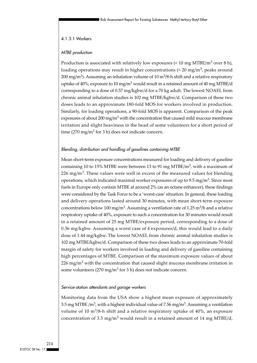### 4.1.3.1 Workers

#### MTBE production

Production is associated with relatively low exposures  $(< 10$  mg MTBE/m<sup>3</sup> over 8 h), loading operations may result in higher concentrations  $(> 20 \text{ mg/m}^3)$ , peaks around 200 mg/m<sup>3</sup>). Assuming an inhalation volume of 10 m<sup>3</sup>/8-h shift and a relative respiratory uptake of 40%, exposure to 10 mg/m<sup>3</sup> would result in a retained amount of 40 mg MTBE/d corresponding to a dose of 0.57 mg/kgbw/d for a 70 kg adult. The lowest NOAEL from chronic animal inhalation studies is 102 mg MTBE/kgbw/d. Comparison of these two doses leads to an approximate 180-fold MOS for workers involved in production. Similarly, for loading operations, a 90-fold MOS is apparent. Comparison of the peak exposures of about 200 mg/m<sup>3</sup> with the concentration that caused mild mucous membrane irritation and slight heaviness in the head of some volunteers for a short period of time (270 mg/m<sup>3</sup> for 3 h) does not indicate concern.

### Blending, distribution and handling of gasolines containing MTBE

Mean short-term exposure concentrations measured for loading and delivery of gasoline containing 10 to 15% MTBE were between 13 to 91 mg MTBE/ $m<sup>3</sup>$ , with a maximum of  $226 \text{ mg/m}^3$ . These values were well in excess of the measured values for blending operations, which indicated maximal worker exposures of up to  $9.5 \,\mathrm{mg/m^3}$ . Since most fuels in Europe only contain MTBE at around 2% (as an octane enhancer), these findings were considered by the Task Force to be a 'worst-case' situation. In general, these loading and delivery operations lasted around 30 minutes, with mean short-term exposure concentrations below 100 mg/m<sup>3</sup>. Assuming a ventilation rate of 1.25 m<sup>3</sup>/h and a relative respiratory uptake of 40%, exposure to such a concentration for 30 minutes would result in a retained amount of 25 mg MTBE/exposure period, corresponding to a dose of 0.36 mg/kgbw. Assuming a worst case of 4 exposures/d, this would lead to a daily dose of 1.44 mg/kgbw. The lowest NOAEL from chronic animal inhalation studies is 102 mg MTBE/kgbw/d. Comparison of these two doses leads to an approximate 70-fold margin of safety for workers involved in loading and delivery of gasoline containing high percentages of MTBE. Comparison of the maximum exposure values of about 226 mg/m<sup>3</sup> with the concentration that caused slight mucous membrane irritation in some volunteers (270 mg/m<sup>3</sup> for 3 h) does not indicate concern.

### Service-station attendants and garage workers

Monitoring data from the USA show a highest mean exposure of approximately 3.5 mg MTBE /m<sup>3</sup>, with a highest individual value of 7.56 mg/m<sup>3</sup>. Assuming a ventilation volume of 10  $m^3/8$ -h shift and a relative respiratory uptake of 40%, an exposure concentration of 3.5 mg/m<sup>3</sup> would result in a retained amount of 14 mg MTBE/d,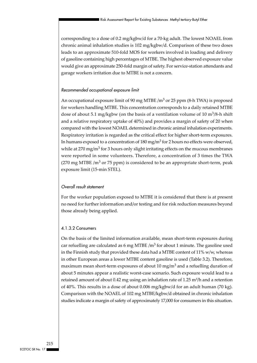corresponding to a dose of 0.2 mg/kgbw/d for a 70-kg adult. The lowest NOAEL from chronic animal inhalation studies is 102 mg/kgbw/d. Comparison of these two doses leads to an approximate 510-fold MOS for workers involved in loading and delivery of gasoline containing high percentages of MTBE. The highest observed exposure value would give an approximate 250-fold margin of safety. For service-station attendants and garage workers irritation due to MTBE is not a concern.

#### Recommended occupational exposure limit

An occupational exposure limit of 90 mg MTBE  $/m^3$  or 25 ppm (8-h TWA) is proposed for workers handling MTBE. This concentration corresponds to a daily retained MTBE dose of about 5.1 mg/kgbw (on the basis of a ventilation volume of 10  $\text{m}^3/\text{8-h}$  shift and a relative respiratory uptake of 40%) and provides a margin of safety of 20 when compared with the lowest NOAEL determined in chronic animal inhalation experiments. Respiratory irritation is regarded as the critical effect for higher short-term exposures. In humans exposed to a concentration of  $180 \text{ mg/m}^3$  for 2 hours no effects were observed, while at  $270 \text{ mg/m}^3$  for 3 hours only slight irritating effects on the mucous membranes were reported in some volunteers. Therefore, a concentration of 3 times the TWA (270 mg MTBE / $m<sup>3</sup>$  or 75 ppm) is considered to be an appropriate short-term, peak exposure limit (15-min STEL).

## Overall result statement

For the worker population exposed to MTBE it is considered that there is at present no need for further information and/or testing and for risk reduction measures beyond those already being applied.

#### 4.1.3.2 Consumers

On the basis of the limited information available, mean short-term exposures during car refuelling are calculated as  $6 \text{ mg MTBE/m}^3$  for about 1 minute. The gasoline used in the Finnish study that provided these data had a MTBE content of 11% w/w, whereas in other European areas a lower MTBE content gasoline is used (Table 3.2). Therefore, maximum mean short-term exposures of about 10 mg/m<sup>3</sup> and a refuelling duration of about 5 minutes appear a realistic worst-case scenario. Such exposure would lead to a retained amount of about 0.42 mg using an inhalation rate of 1.25 m<sup>3</sup>/h and a retention of 40%. This results in a dose of about 0.006 mg/kgbw/d for an adult human (70 kg). Comparison with the NOAEL of 102 mg MTBE/kgbw/d obtained in chronic inhalation studies indicate a margin of safety of approximately 17,000 for consumers in this situation.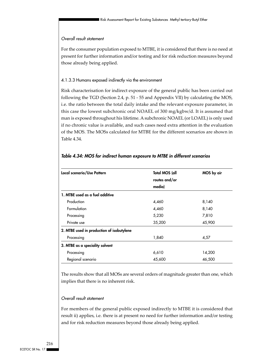## Overall result statement

For the consumer population exposed to MTBE, it is considered that there is no need at present for further information and/or testing and for risk reduction measures beyond those already being applied.

## 4.1.3.3 Humans exposed indirectly via the environment

Risk characterisation for indirect exposure of the general public has been carried out following the TGD (Section 2.4, p. 51 - 55 and Appendix VII) by calculating the MOS, i.e. the ratio between the total daily intake and the relevant exposure parameter, in this case the lowest subchronic oral NOAEL of 300 mg/kgbw/d. It is assumed that man is exposed throughout his lifetime. A subchronic NOAEL (or LOAEL) is only used if no chronic value is available, and such cases need extra attention in the evaluation of the MOS. The MOSs calculated for MTBE for the different scenarios are shown in Table 4.34.

| Local scenario/Use Pattern                | <b>Total MOS (all</b> | MOS by air |
|-------------------------------------------|-----------------------|------------|
|                                           | routes and/or         |            |
|                                           | media)                |            |
| 1. MTBE used as a fuel additive           |                       |            |
| Production                                | 4,460                 | 8,140      |
| Formulation                               | 4,460                 | 8,140      |
| Processing                                | 5,230                 | 7,810      |
| Private use                               | 35,200                | 45,900     |
| 2. MTBE used in production of isobutylene |                       |            |
| Processing                                | 1,840                 | 4,57       |
| 3. MTBE as a speciality solvent           |                       |            |
| Processing                                | 6,610                 | 14,200     |
| Regional scenario                         | 45,600                | 46,500     |

## **Table 4.34: MOS for indirect human exposure to MTBE in different scenarios**

The results show that all MOSs are several orders of magnitude greater than one, which implies that there is no inherent risk.

## Overall result statement

For members of the general public exposed indirectly to MTBE it is considered that result ii) applies, i.e. there is at present no need for further information and/or testing and for risk reduction measures beyond those already being applied.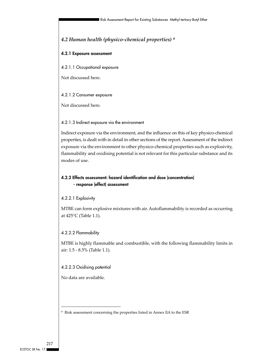# *4.2 Human health (physico-chemical properties) <sup>a</sup>*

## **4.2.1 Exposure assessment**

4.2.1.1 Occupational exposure

Not discussed here.

4.2.1.2 Consumer exposure

Not discussed here.

4.2.1.3 Indirect exposure via the environment

Indirect exposure via the environment, and the influence on this of key physico-chemical properties, is dealt with in detail in other sections of the report. Assessment of the indirect exposure via the environment to other physico-chemical properties such as explosivity, flammability and oxidising potential is not relevant for this particular substance and its modes of use.

# **4.2.2 Effects assessment: hazard identification and dose (concentration) - response (effect) assessment**

4.2.2.1 Explosivity

MTBE can form explosive mixtures with air. Autoflammability is recorded as occurring at 425°C (Table 1.1).

4.2.2.2 Flammability

MTBE is highly flammable and combustible, with the following flammability limits in air: 1.5 - 8.5% (Table 1.1).

# 4.2.2.3 Oxidising potential

No data are available.

<sup>a</sup> Risk assessment concerning the properties listed in Annex llA to the ESR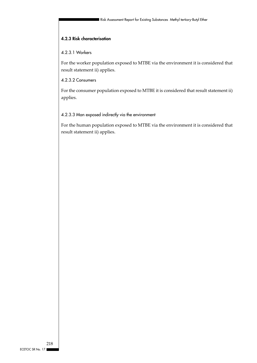# **4.2.3 Risk characterisation**

### 4.2.3.1 Workers

For the worker population exposed to MTBE via the environment it is considered that result statement ii) applies.

## 4.2.3.2 Consumers

For the consumer population exposed to MTBE it is considered that result statement ii) applies.

### 4.2.3.3 Man exposed indirectly via the environment

For the human population exposed to MTBE via the environment it is considered that result statement ii) applies.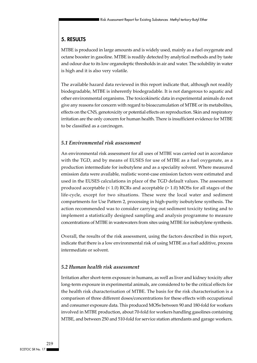# **5. RESULTS**

MTBE is produced in large amounts and is widely used, mainly as a fuel oxygenate and octane booster in gasoline. MTBE is readily detected by analytical methods and by taste and odour due to its low organoleptic thresholds in air and water. The solubility in water is high and it is also very volatile.

The available hazard data reviewed in this report indicate that, although not readily biodegradable, MTBE is inherently biodegradable. It is not dangerous to aquatic and other environmental organisms. The toxicokinetic data in experimental animals do not give any reasons for concern with regard to bioaccumulation of MTBE or its metabolites, effects on the CNS, genotoxicity or potential effects on reproduction. Skin and respiratory irritation are the only concern for human health. There is insufficient evidence for MTBE to be classified as a carcinogen.

# *5.1 Environmental risk assessment*

An environmental risk assessment for all uses of MTBE was carried out in accordance with the TGD, and by means of EUSES for use of MTBE as a fuel oxygenate, as a production intermediate for isobutylene and as a speciality solvent. Where measured emission data were available, realistic worst-case emission factors were estimated and used in the EUSES calculations in place of the TGD default values. The assessment produced acceptable  $(21.0)$  RCRs and acceptable  $(21.0)$  MOSs for all stages of the life-cycle, except for two situations. These were the local water and sediment compartments for Use Pattern 2, processing in high-purity isobutylene synthesis. The action recommended was to consider carrying out sediment toxicity testing and to implement a statistically designed sampling and analysis programme to measure concentrations of MTBE in wastewaters from sites using MTBE for isobutylene synthesis.

Overall, the results of the risk assessment, using the factors described in this report, indicate that there is a low environmental risk of using MTBE as a fuel additive, process intermediate or solvent.

# *5.2 Human health risk assessment*

Irritation after short-term exposure in humans, as well as liver and kidney toxicity after long-term exposure in experimental animals, are considered to be the critical effects for the health risk characterisation of MTBE. The basis for the risk characterisation is a comparison of three different doses/concentrations for these effects with occupational and consumer exposure data. This produced MOSs between 90 and 180-fold for workers involved in MTBE production, about 70-fold for workers handling gasolines containing MTBE, and between 250 and 510-fold for service station attendants and garage workers.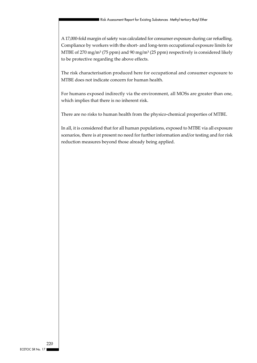A 17,000-fold margin of safety was calculated for consumer exposure during car refuelling. Compliance by workers with the short- and long-term occupational exposure limits for MTBE of 270 mg/m<sup>3</sup> (75 ppm) and 90 mg/m<sup>3</sup> (25 ppm) respectively is considered likely to be protective regarding the above effects.

The risk characterisation produced here for occupational and consumer exposure to MTBE does not indicate concern for human health.

For humans exposed indirectly via the environment, all MOSs are greater than one, which implies that there is no inherent risk.

There are no risks to human health from the physico-chemical properties of MTBE.

In all, it is considered that for all human populations, exposed to MTBE via all exposure scenarios, there is at present no need for further information and/or testing and for risk reduction measures beyond those already being applied.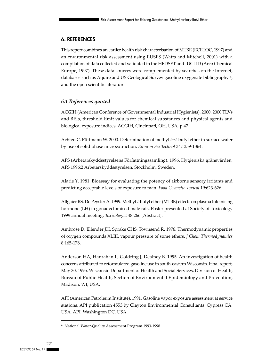# **6. REFERENCES**

This report combines an earlier health risk characterisation of MTBE (ECETOC, 1997) and an environmental risk assessment using EUSES (Watts and Mitchell, 2001) with a compilation of data collected and validated in the HEDSET and IUCLID (Arco Chemical Europe, 1997). These data sources were complemented by searches on the Internet, databases such as Aquire and US Geological Survey gasoline oxygenate bibliography<sup>a</sup>, and the open scientific literature.

# *6.1 References quoted*

ACGIH (American Conference of Governmental Industrial Hygienists). 2000. 2000 TLVs and BEIs, threshold limit values for chemical substances and physical agents and biological exposure indices. ACGIH, Cincinnati, OH, USA, p 47.

Achten C, Püttmann W. 2000. Determination of methyl *tert*-butyl ether in surface water by use of solid phase microextraction. *Environ Sci Technol* 34:1359-1364.

AFS (Arbetarskyddsstyrelsens Författningssamling), 1996. Hygieniska gränsvärden, AFS 1996:2 Arbetarskyddsstyrelsen, Stockholm, Sweden.

Alarie Y. 1981. Bioassay for evaluating the potency of airborne sensory irritants and predicting acceptable levels of exposure to man. *Food Cosmetic Toxicol* 19:623-626.

Allgaier BS, De Peyster A. 1999. Methyl *t*-butyl ether (MTBE) effects on plasma luteinising hormone (LH) in gonadectomised male rats. Poster presented at Society of Toxicology 1999 annual meeting. *Toxicologist* 48:266 [Abstract].

Ambrose D, Ellender JH, Sprake CHS, Townsend R. 1976. Thermodynamic properties of oxygen compounds XLIII, vapour pressure of some ethers. *J Chem Thermodynamics* 8:165-178.

Anderson HA, Hanrahan L, Goldring J, Dealney B. 1995. An investigation of health concerns attributed to reformulated gasoline use in south-eastern Wisconsin. Final report, May 30, 1995. Wisconsin Department of Health and Social Services, Division of Health, Bureau of Public Health, Section of Environmental Epidemiology and Prevention, Madison, WI, USA.

API (American Petroleum Institute). 1991. Gasoline vapor exposure assessment at service stations. API publication 4553 by Clayton Environmental Consultants, Cypress CA, USA. API, Washington DC, USA.

<sup>a</sup> National Water-Quality Assessment Program 1993-1998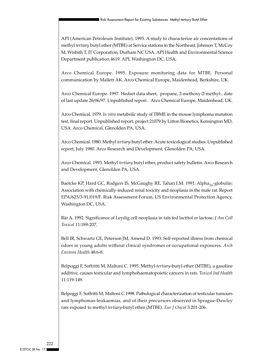API (American Petroleum Institute). 1995. A study to characterize air concentations of methyl *tertiary* butyl ether (MTBE) at Service stations in the Northeast. Johnson T, McCoy M, Wisbith T, IT Corporation, Durham NC USA. API Health and Environmental Science Department publication 4619. API, Washington DC, USA.

Arco Chemical Europe. 1995. Exposure monitoring data for MTBE. Personal communication by Mallett AK. Arco Chemical Europe, Maidenhead, Berkshire, UK.

Arco Chemical Europe. 1997. Hedset data sheet, propane, 2-methoxy-2-methyl-, date of last update 26/06/97. Unpublished report . Arco Chemical Europe, Maidenhead, UK.

Arco Chemical. 1979. *In vitro* metabolic study of TBME in the mouse lymphoma mutation test, final report. Unpublished report, project 21079 by Litton Bionetics, Kensington MD, USA. Arco Chemical, Glenolden PA, USA.

Arco Chemical. 1980. Methyl *tertiary*-butyl ether: Acute toxicological studies. Unpublished report, July 1980. Arco Research and Development, Glenolden PA, USA.

Arco Chemical. 1993. Methyl *tertiary* butyl ether, product safety bulletin. Arco Research and Development, Glenolden PA, USA.

Baetcke KP, Hard GC, Rodgers IS, McGaughy RE, Tahan LM. 1991. Alpha<sub>2u-gl</sub>obulin: Association with chemically-induced renal toxicity and neoplasia in the male rat. Report EPA/625/3-91/019/F. Risk Assessment Forum, US Environmental Protection Agency, Washington DC, USA.

Bär A. 1992. Significance of Leydig cell neoplasia in rats fed lactitol or lactose. *J Am Coll Toxicol* 11:189-207.

Bell IR, Schwartz GE, Peterson JM, Amend D. 1993. Self-reported illness from chemical odors in young adults without clinical syndromes or occupational exposures. *Arch Environ Health* 48:6-8.

Belpoggi F, Soffritti M, Maltoni C. 1995. Methyl-*tertiary*-butyl ether (MTBE), a gasoline additive, causes testicular and lymphohaematopoietic cancers in rats. *Toxicol Ind Health* 11:119-149.

Belpoggi F, Soffritti M, Maltoni C.1998. Pathological characterization of testicular tumours and lymphomas-leukaemias, and of their precursors observed in Sprague-Dawley rats exposed to methyl *tertiary*-butyl ether (MTBE). *Eur J Oncol* 3:201-206.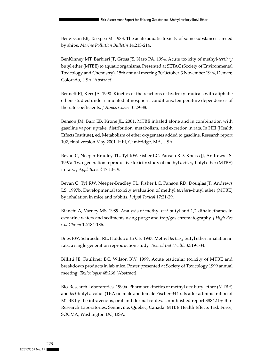Bengtsson EB, Tarkpea M. 1983. The acute aquatic toxicity of some substances carried by ships. *Marine Pollution Bulletin* 14:213-214.

BenKinney MT, Barbieri JF, Gross JS, Naro PA. 1994. Acute toxicity of methyl-*tertiary* butyl ether (MTBE) to aquatic organisms. Presented at SETAC (Society of Environmental Toxicology and Chemistry), 15th annual meeting 30 October-3 November 1994, Denver, Colorado, USA [Abstract].

Bennett PJ, Kerr JA. 1990. Kinetics of the reactions of hydroxyl radicals with aliphatic ethers studied under simulated atmospheric conditions: temperature dependences of the rate coefficients. *J Atmos Chem* 10:29-38.

Benson JM, Barr EB, Krone JL. 2001. MTBE inhaled alone and in combination with gasoline vapor: uptake, distribution, metabolism, and excretion in rats. In HEI (Health Effects Institute), ed, Metabolism of ether oxygenates added to gasoline. Research report 102, final version May 2001. HEI, Cambridge, MA, USA.

Bevan C, Neeper-Bradley TL, Tyl RW, Fisher LC, Panson RD, Kneiss JJ, Andrews LS. 1997a. Two-generation reproductive toxicity study of methyl *tertiary*-butyl ether (MTBE) in rats. *J Appl Toxicol* 17:13-19.

Bevan C, Tyl RW, Neeper-Bradley TL, Fisher LC, Panson RD, Douglas JF, Andrews LS, 1997b. Developmental toxicity evaluation of methyl *tertiary*-butyl ether (MTBE) by inhalation in mice and rabbits. *J Appl Toxicol* 17:21-29.

Bianchi A, Varney MS. 1989. Analysis of methyl *tert*-butyl and 1,2-dihaloethanes in estuarine waters and sediments using purge and trap/gas chromatography. *J High Res Col Chrom* 12:184-186.

Biles RW, Schroeder RE, Holdsworth CE. 1987. Methyl *tertiary* butyl ether inhalation in rats: a single generation reproduction study. *Toxicol Ind Health* 3:519-534.

Billitti JE, Faulkner BC, Wilson BW. 1999. Acute testicular toxicity of MTBE and breakdown products in lab mice. Poster presented at Society of Toxicology 1999 annual meeting. *Toxicologist* 48:266 [Abstract].

Bio-Research Laboratories. 1990a. Pharmacokinetics of methyl *tert*-butyl ether (MTBE) and *tert*-butyl alcohol (TBA) in male and female Fischer-344 rats after administration of MTBE by the intravenous, oral and dermal routes. Unpublished report 38842 by Bio-Research Laboratories, Senneville, Quebec, Canada. MTBE Health Effects Task Force, SOCMA, Washington DC, USA.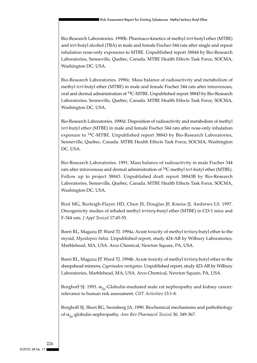Bio-Research Laboratories. 1990b. Pharmaco-kinetics of methyl *tert*-butyl ether (MTBE) and *tert*-butyl alcohol (TBA) in male and female Fischer-344 rats after single and repeat inhalation nose-only exposures to MTBE. Unpublished report 38844 by Bio-Research Laboratories, Senneville, Quebec, Canada. MTBE Health Effects Task Force, SOCMA, Washington DC, USA.

Bio-Research Laboratories. 1990c. Mass balance of radioactivity and metabolism of methyl *tert*-butyl ether (MTBE) in male and female Fischer 344 rats after intravenous, oral and dermal administration of 14C-MTBE. Unpublished report 38843 by Bio-Research Laboratories, Senneville, Quebec, Canada. MTBE Health Effects Task Force, SOCMA, Washington DC, USA.

Bio-Research Laboratories. 1990d. Disposition of radioactivity and metabolism of methyl *tert*-butyl ether (MTBE) in male and female Fischer 344 rats after nose-only inhalation exposure to 14C-MTBE. Unpublished report 38843 by Bio-Research Laboratories, Senneville, Quebec, Canada. MTBE Health Effects Task Force, SOCMA, Washington DC, USA.

Bio-Research Laboratories. 1991. Mass balance of radioactivity in male Fischer 344 rats after intravenous and dermal administration of 14C-methyl *tert*-butyl ether (MTBE). Follow up to project 38843. Unpublished draft report 38843B by Bio-Research Laboratories, Senneville, Quebec, Canada. MTBE Health Effects Task Force, SOCMA, Washington DC, USA.

Bird MG, Burleigh-Flayer HD, Chun JS, Douglas JF, Kneiss JJ, Andrews LS. 1997. Oncogenicity studies of inhaled methyl *tertiary*-butyl ether (MTBE) in CD-1 mice and F-344 rats. *J Appl Toxicol* 17:45-55.

Boeri RL, Magazu JP, Ward TJ. 1994a. Acute toxicity of methyl *tertiary* butyl ether to the mysid, *Mysidopsis bahia*. Unpublished report, study 424-AR by Wilbury Laboratories, Marblehead, MA, USA. Arco Chemical, Newton Square, PA, USA.

Boeri RL, Magazu JP, Ward TJ. 1994b. Acute toxicity of methyl *tertiary* butyl ether to the sheepshead minnow, *Cyprinodon variegatus*. Unpublished report, study 423-AR by Wilbury Laboratories, Marblehead, MA, USA. Arco Chemical, Newton Square, PA, USA.

Borghoff SJ. 1993.  $\alpha_{2\mu}$ -Globulin-mediated male rat nephropathy and kidney cancer: relevance to human risk assessment. *CIIT Activities* 13:1-8.

Borghoff SJ, Short BG, Swenberg JA. 1990. Biochemical mechanisms and pathobiology of α2µ-globulin nephropathy. *Ann Rev Pharmacol Toxicol* 30, 349-367.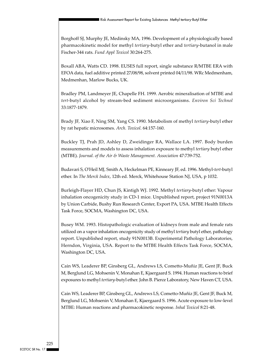Borghoff SJ, Murphy JE, Medinsky MA, 1996. Development of a physiologically based pharmacokinetic model for methyl *tertiary*-butyl ether and *tertiary*-butanol in male Fischer-344 rats. *Fund Appl Toxicol* 30:264-275.

Boxall ABA, Watts CD. 1998. EUSES full report, single substance R/MTBE ERA with EFOA data, fuel additive printed 27/08/98, solvent printed 04/11/98. WRc Medmenham, Medmenhan, Marlow Bucks, UK.

Bradley PM, Landmeyer JE, Chapelle FH. 1999. Aerobic mineralisation of MTBE and *tert*-butyl alcohol by stream-bed sediment microorganisms. *Environ Sci Technol* 33:1877-1879.

Brady JF, Xiao F, Ning SM, Yang CS. 1990. Metabolism of methyl *tertiary*-butyl ether by rat hepatic microsomes. *Arch. Toxicol*. 64:157-160.

Buckley TJ, Prah JD, Ashley D, Zweidinger RA, Wallace LA. 1997. Body burden measurements and models to assess inhalation exposure to methyl *tertiary* butyl ether (MTBE). *Journal. of the Air & Waste Management. Association* 47:739-752.

Budavari S, O'Heil MJ, Smith A, Heckelman PE, Kinneary JF, ed. 1996. Methyl-*tert*-butyl ether. In *The Merck Index*, 12th ed. Merck, Whitehouse Station NJ, USA, p 1032.

Burleigh-Flayer HD, Chun JS, Kintigh WJ. 1992. Methyl *tertiary*-butyl ether: Vapour inhalation oncogenicity study in CD-1 mice. Unpublished report, project 91N0013A by Union Carbide, Bushy Run Research Center, Export PA, USA. MTBE Health Effects Task Force, SOCMA, Washington DC, USA.

Busey WM. 1993. Histopathologic evaluation of kidneys from male and female rats utilized on a vapor inhalation oncogenicity study of methyl *tertiary* butyl ether, pathology report. Unpublished report, study 91N0013B. Experimental Pathology Laboratories, Herndon, Virginia, USA. Report to the MTBE Health Effects Task Force, SOCMA, Washington DC, USA.

Cain WS, Leaderer BP, Ginsberg GL, Andrews LS, Cometto-Muñiz JE, Gent JF, Buck M, Berglund LG, Mohsenin V, Monahan E, Kjaergaard S. 1994. Human reactions to brief exposures to methyl *tertiary*-butyl ether. John B. Pierce Laboratory, New Haven CT, USA.

Cain WS, Leaderer BP, Ginsberg GL, Andrews LS, Cometto-Muñiz JE, Gent JF, Buck M, Berglund LG, Mohsenin V, Monahan E, Kjaergaard S. 1996. Acute exposure to low-level MTBE: Human reactions and pharmacokinetic response. *Inhal Toxicol* 8:21-48.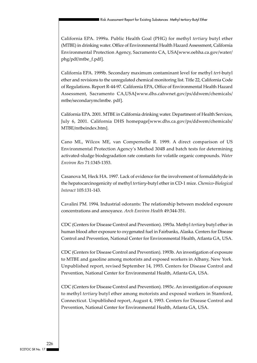California EPA. 1999a. Public Health Goal (PHG) for methyl *tertiary* butyl ether (MTBE) in drinking water. Office of Environmental Health Hazard Assessment, California Environmental Protection Agency, Sacramento CA, USA[www.oehha.ca.gov/water/ phg/pdf/mtbe\_f.pdf].

California EPA. 1999b. Secondary maximum contaminant level for methyl *tert*-butyl ether and revisions to the unregulated chemical monitoring list. Title 22, California Code of Regulations. Report R-44-97. California EPA, Office of Environmental Health Hazard Assessment, Sacramento CA,USA[www.dhs.cahwnet.gov/ps/ddwem/chemicals/ mtbe/secondarymclmtbe. pdf].

California EPA. 2001. MTBE in California drinking water. Department of Health Services, July 6, 2001. California DHS homepage[www.dhs.ca.gov/ps/ddwem/chemicals/ MTBE/mtbeindex.htm].

Cano ML, Wilcox ME, van Compernolle R. 1999. A direct comparison of US Environmental Protection Agency's Method 304B and batch tests for determining activated-sludge biodegradation rate constants for volatile organic compounds. *Water Environ Res* 71:1345-1353.

Casanova M, Heck HA. 1997. Lack of evidence for the involvement of formaldehyde in the hepatocarcinogenicity of methyl *tertiary*-butyl ether in CD-1 mice. *Chemico-Biological Interact* 105:131-143.

Cavalini PM. 1994. Industrial odorants: The relationship between modeled exposure concentrations and annoyance. *Arch Environ Health* 49:344-351.

CDC (Centers for Disease Control and Prevention). 1993a. Methyl *tertiary* butyl ether in human blood after exposure to oxygenated fuel in Fairbanks, Alaska. Centers for Disease Control and Prevention, National Center for Environmental Health, Atlanta GA, USA.

CDC (Centers for Disease Control and Prevention). 1993b. An investigation of exposure to MTBE and gasoline among motorists and exposed workers in Albany, New York. Unpublished report, revised September 14, 1993. Centers for Disease Control and Prevention, National Center for Environmental Health, Atlanta GA, USA.

CDC (Centers for Disease Control and Prevention). 1993c. An investigation of exposure to methyl *tertiary* butyl ether among motorists and exposed workers in Stamford, Connecticut. Unpublished report, August 4, 1993. Centers for Disease Control and Prevention, National Center for Environmental Health, Atlanta GA, USA.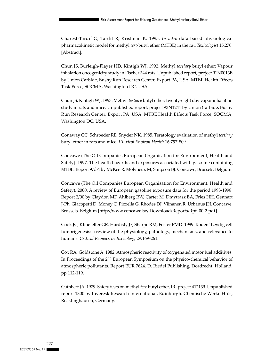Charest-Tardif G, Tardif R, Krishnan K. 1995. *In vitro* data based physiological pharmacokinetic model for methyl *tert*-butyl ether (MTBE) in the rat. *Toxicologist* 15:270. [Abstract].

Chun JS, Burleigh-Flayer HD, Kintigh WJ. 1992. Methyl *tertiary* butyl ether: Vapour inhalation oncogenicity study in Fischer 344 rats. Unpublished report, project 91N0013B by Union Carbide, Bushy Run Research Center, Export PA, USA. MTBE Health Effects Task Force, SOCMA, Washington DC, USA.

Chun JS, Kintigh WJ. 1993. Methyl *tertiary* butyl ether: twenty-eight day vapor inhalation study in rats and mice. Unpublished report, project 93N1241 by Union Carbide, Bushy Run Research Center, Export PA, USA. MTBE Health Effects Task Force, SOCMA, Washington DC, USA.

Conaway CC, Schroeder RE, Snyder NK. 1985. Teratology evaluation of methyl *tertiary* butyl ether in rats and mice. *J Toxicol Environ Health* 16:797-809.

Concawe (The Oil Companies European Organisation for Environment, Health and Safety). 1997. The health hazards and exposures associated with gasoline containing MTBE. Report 97/54 by McKee R, Molyneux M, Simpson BJ. Concawe, Brussels, Belgium.

Concawe (The Oil Companies European Organisation for Environment, Health and Safety). 2000. A review of European gasoline exposure data for the period 1993-1998. Report 2/00 by Claydon MF, Ahlberg RW, Carter M, Dmytrasz BA, Fries HH, Gennart J-Ph, Giacopetti D, Money C, Pizzella G, Rhodes DJ, Viinanen R, Urbanus JH. Concawe, Brussels, Belgium [http://www.concawe.be/ Download/Reports/Rpt\_00-2.pdf].

Cook JC, Klinefelter GR, Hardisty JF, Sharpe RM, Foster PMD. 1999. Rodent Leydig cell tumorigenesis: a review of the physiology, pathology, mechanisms, and relevance to humans. *Critical Reviews in Toxicology* 29:169-261.

Cox RA, Goldstone A. 1982. Atmospheric reactivity of oxygenated motor fuel additives. In Proceedings of the 2nd European Symposium on the physico-chemical behavior of atmospheric pollutants. Report EUR 7624. D. Riedel Publishing, Dordrecht, Holland, pp 112-119.

Cuthbert JA. 1979. Safety tests on methyl *tert*-butyl ether, IRI project 412139. Unpublished report 1300 by Inveresk Research International, Edinburgh. Chemische Werke Hüls, Recklinghausen, Germany.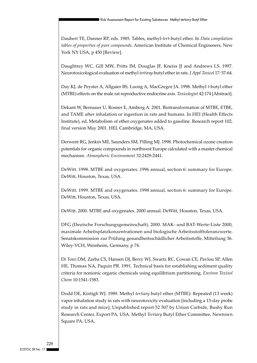Daubert TE, Danner RP, eds. 1985. Tables, methyl-*tert*-butyl ether. In *Data compilation tables of properties of pure compounds*. American Institute of Chemical Engineeers, New York NY USA, p 450 [Review].

Daughtrey WC, Gill MW, Pritts IM, Douglas JF, Kneiss JJ and Andrews LS. 1997. Neurotoxicological evaluation of methyl *tertiray*-butyl ether in rats. *J Appl Toxicol* 17: 57-64.

Day KJ, de Peyster A, Allgaier BS, Luong A, MacGregor JA. 1998. Methyl *t*-butyl ether (MTBE) effects on the male rat reproductive endocrine axis. *Toxicologist* 42:174 [Abstract].

Dekant W, Bernauer U, Rosner E, Amberg A. 2001. Biotransformation of MTBE, ETBE, and TAME after inhalation or ingestion in rats and humans. In HEI (Health Effects Institute), ed, Metabolism of ether oxygenates added to gasoline. Research report 102, final version May 2001. HEI, Cambridge, MA, USA.

Derwent RG, Jenkin ME, Saunders SM, Pilling MJ. 1998. Photochemical ozone creation potentials for organic compounds in northwest Europe calculated with a master chemical mechanism. *Atmospheric Environment* 32:2429-2441.

DeWitt. 1998. MTBE and oxygenates. 1996 annual, section 6: summary for Europe. DeWitt, Houston, Texas, USA.

DeWitt. 1999. MTBE and oxygenates. 1998 annual, section 6: summary for Europe. DeWitt, Houston, Texas, USA.

DeWitt. 2000. MTBE and oxygenates. 2000 annual. DeWitt, Houston, Texas, USA.

DFG (Deutsche Forschungsgemeinschaft). 2000. MAK- und BAT-Werte-Liste 2000, maximale Arbeitsplatzkonzentrationen und biologische Arbeitsstofftoleranzwerte. Senatskommission zur Prüfung gesundheitsschädlicher Arbeitsstoffe, Mitteilung 36. Wiley-VCH, Weinheim, Germany, p 74.

Di Toro DM, Zarba CS, Hansen DJ, Berry WJ, Swartz RC, Cowan CE, Pavlou SP, Allen HE, Thomas NA, Paquin PR. 1991. Technical basis for establishing sediment quality criteria for nonionic organic chemicals using equilibrium partitioning. *Environ Toxixol Chem* 10:1541-1583.

Dodd DE, Kintigh WJ. 1989. Methyl *tertiary* butyl ether (MTBE): Repeated (13 week) vapor inhalation study in rats with neurotoxicity evaluation [including a 13-day probe study in rats and mice]. Unpublished report 52 507 by Union Carbide, Bushy Run Research Center, Export PA, USA. Methyl *Tertiary* Butyl Ether Committee, Newtown Square PA, USA.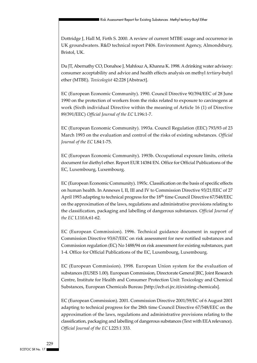Dottridge J, Hall M, Firth S. 2000. A review of current MTBE usage and occurrence in UK groundwaters. R&D technical report P406. Environment Agency, Almondsbury, Bristol, UK.

Du JT, Abernathy CO, Donahoe J, Mahfouz A, Khanna K. 1998. A drinking water advisory: consumer acceptability and advice and health effects analysis on methyl *tertiary*-butyl ether (MTBE). *Toxicologist* 42:228 [Abstract].

EC (European Economic Community). 1990. Council Directive 90/394/EEC of 28 June 1990 on the protection of workers from the risks related to exposure to carcinogens at work (Sixth individual Directive within the meaning of Article 16 (1) of Directive 89/391/EEC) *Official Journal of the EC* L196:1-7.

EC (European Economic Community). 1993a. Council Regulation (EEC) 793/93 of 23 March 1993 on the evaluation and control of the risks of existing substances. *Official Journal of the EC* L84:1-75.

EC (European Economic Community). 1993b. Occupational exposure limits, criteria document for diethyl ether. Report EUR 14384 EN. Office for Official Publications of the EC, Luxembourg, Luxembourg.

EC (European Economic Community). 1993c. Classification on the basis of specific effects on human health. In Annexes I, II, III and IV to Commission Directive 93/21/EEC of 27 April 1993 adapting to technical progress for the 18th time Council Directive 67/548/EEC on the approximation of the laws, regulations and administrative provisions relating to the classification, packaging and labelling of dangerous substances. *Official Journal of the EC* L110A:61-62.

EC (European Commission). 1996. Technical guidance document in support of Commission Directive 93/67/EEC on risk assessment for new notified substances and Commission regulation (EC) No 1488/94 on risk assessment for existing substances, part 1-4. Office for Official Publications of the EC, Luxembourg, Luxembourg.

EC (European Commission). 1998. European Union system for the evaluation of substances (EUSES 1.00). European Commission, Directorate General JRC, Joint Research Centre, Institute for Health and Consumer Protection Unit: Toxicology and Chemical Substances, European Chemicals Bureau [http://ecb.ei.jrc.it/existing-chemicals].

EC (European Commission). 2001. Commission Directive 2001/59/EC of 6 August 2001 adapting to technical progress for the 28th time Council Directive 67/548/EEC on the approximation of the laws, regulations and administrative provisions relating to the classification, packaging and labelling of dangerous substances (Text with EEA relevance). *Official Journal of the EC* L225:1 333.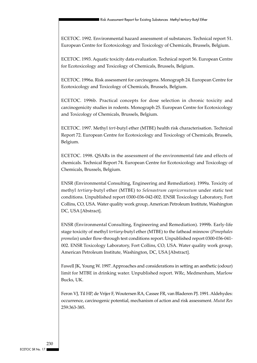ECETOC. 1992. Environmental hazard assessment of substances. Technical report 51. European Centre for Ecotoxicology and Toxicology of Chemicals, Brussels, Belgium.

ECETOC. 1993. Aquatic toxicity data evaluation. Technical report 56. European Centre for Ecotoxicology and Toxicology of Chemicals, Brussels, Belgium.

ECETOC. 1996a. Risk assessment for carcinogens. Monograph 24. European Centre for Ecotoxicology and Toxicology of Chemicals, Brussels, Belgium.

ECETOC. 1996b. Practical concepts for dose selection in chronic toxicity and carcinogenicity studies in rodents. Monograph 25. European Centre for Ecotoxicology and Toxicology of Chemicals, Brussels, Belgium.

ECETOC. 1997. Methyl *tert*-butyl ether (MTBE) health risk characterisation. Technical Report 72. European Centre for Ecotoxicology and Toxicology of Chemicals, Brussels, Belgium.

ECETOC. 1998. QSARs in the assessment of the environmental fate and effects of chemicals. Technical Report 74. European Centre for Ecotoxicology and Toxicology of Chemicals, Brussels, Belgium.

ENSR (Environmental Consulting, Engineering and Remediation). 1999a. Toxicity of methyl *tertiary*-butyl ether (MTBE) to *Selenastrum capricornutum* under static test conditions. Unpublished report 0300-036-042-002. ENSR Toxicology Laboratory, Fort Collins, CO, USA. Water quality work group, American Petroleum Institute, Washington DC, USA [Abstract].

ENSR (Environmental Consulting, Engineering and Remediation). 1999b. Early-life stage toxicity of methyl *tertiary*-butyl ether (MTBE) to the fathead minnow (*Pimephales promelas*) under flow-through test conditions report. Unpublished report 0300-036-041- 002. ENSR Toxicology Laboratory, Fort Collins, CO, USA. Water quality work group, American Petroleum Institute, Washington, DC, USA [Abstract].

Fawell JK, Young W. 1997. Approaches and considerations in setting an aesthetic (odour) limit for MTBE in drinking water. Unpublished report. WRc, Medmenham, Marlow Bucks, UK.

Feron VJ, Til HP, de Vrijer F, Woutersen RA, Cassee FR, van Bladeren PJ. 1991. Aldehydes: occurrence, carcinogenic potential, mechanism of action and risk assessment. *Mutat Res* 259:363-385.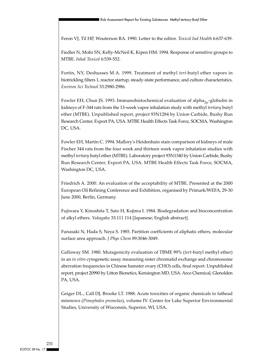Feron VJ, Til HP, Wouterson RA. 1990. Letter to the editor. *Toxicol Ind Health* 6:637-639.

Fiedler N, Mohr SN, Kelly-McNeil K, Kipen HM. 1994. Response of sensitive groups to MTBE. *Inhal Toxicol* 6:539-552.

Fortin, NY, Deshusses M A. 1999. Treatment of methyl *tert*-butyl ether vapors in biotrickling filters 1, reactor startup, steady-state performance, and culture characteristics. *Environ Sci Technol* 33:2980-2986.

Fowler EH, Chun JS. 1993. Immunohistochemical evaluation of alpha<sub>2u</sub>-globulin in kidneys of F-344 rats from the 13-week vapor inhalation study with methyl *tertiary* butyl ether (MTBE). Unpublished report, project 93N1284 by Union Carbide, Bushy Run Research Center, Export PA, USA. MTBE Health Effects Task Force, SOCMA, Washington DC, USA.

Fowler EH, Martin C. 1994. Mallory's Heidenhain stain comparison of kidneys of male Fischer 344 rats from the four week and thirteen week vapor inhalation studies with methyl *tertiary* butyl ether (MTBE). Laboratory project 93N1340 by Union Carbide, Bushy Run Research Center, Export PA, USA. MTBE Health Effects Task Force, SOCMA, Washington DC, USA.

Friedrich A. 2000. An evaluation of the acceptability of MTBE. Presented at the 2000 European Oil Refining Conference and Exhibition, organised by Primark/WEFA, 29-30 June 2000, Berlin, Germany.

Fujiwara Y, Kinoshita T, Sato H, Kojima I. 1984. Biodegradation and bioconcentration of alkyl ethers. *Yukagaku* 33:111 114 [Japanese; English abstract].

Funasaki N, Hada S, Neya S. 1985. Partition coefficients of aliphatic ethers, molecular surface area approach. *J Phys Chem* 89:3046-3049.

Galloway SM. 1980. Mutagenicity evaluation of TBME 99% (*tert*-butyl methyl ether) in an *in vitro* cytogenetic assay measuring sister chromatid exchange and chromosome aberration frequencies in Chinese hamster ovary (CHO) cells, final report. Unpublished report, project 20990 by Litton Bionetics, Kensington MD, USA. Arco Chemical, Glenolden PA, USA.

Geiger DL., Call DJ, Brooke LT. 1988. Acute toxicities of organic chemicals to fathead minnows (*Pimephales promelas*), volume IV. Center for Lake Superior Environmental Studies, University of Wisconsin, Superior, WI, USA.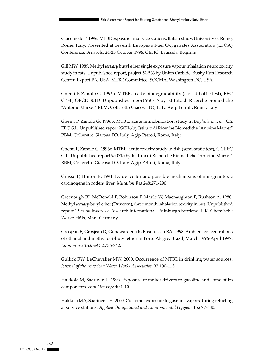Giacomello P. 1996. MTBE exposure in service stations, Italian study. University of Rome, Rome, Italy. Presented at Seventh European Fuel Oxygenates Association (EFOA) Conference, Brussels, 24-25 October 1996. CEFIC, Brussels, Belgium.

Gill MW. 1989. Methyl *tertiary* butyl ether single exposure vapour inhalation neurotoxicity study in rats. Unpublished report, project 52-533 by Union Carbide, Bushy Run Research Center, Export PA, USA. MTBE Committee, SOCMA, Washington DC, USA.

Gnemi P, Zanolo G. 1996a. MTBE, ready biodegradability (closed bottle test), EEC C.4-E, OECD 301D. Unpublished report 950717 by Istituto di Ricerche Biomediche "Antoine Marxer" RBM, Colleretto Giacosa TO, Italy. Agip Petroli, Roma, Italy.

Gnemi P, Zanolo G. 1996b. MTBE, acute immobilization study in *Daphnia magna*, C.2 EEC G.L. Unpublished report 950716 by Istituto di Ricerche Biomediche "Antoine Marxer" RBM, Colleretto Giacosa TO, Italy. Agip Petroli, Roma, Italy.

Gnemi P, Zanolo G. 1996c. MTBE, acute toxicity study in fish (semi-static test), C.1 EEC G.L. Unpublished report 950715 by Istituto di Richerche Biomediche "Antoine Marxer" RBM, Colleretto Giacosa TO, Italy. Agip Petroli, Roma, Italy.

Grasso P, Hinton R. 1991. Evidence for and possible mechanisms of non-genotoxic carcinogens in rodent liver. *Mutation Res* 248:271-290.

Greenough RJ, McDonald P, Robinson P, Maule W, Macnaughtan F, Rushton A. 1980. Methyl *tertiary*-butyl ether (Driveron), three month inhalation toxicity in rats. Unpublished report 1596 by Inveresk Research International, Edinburgh Scotland, UK. Chemische Werke Hüls, Marl, Germany.

Grosjean E, Grosjean D, Gunawardena R, Rasmussen RA. 1998. Ambient concentrations of ethanol and methyl *tert*-butyl ether in Porto Alegre, Brazil, March 1996-April 1997. *Environ Sci Technol* 32:736-742.

Gullick RW, LeChevalier MW. 2000. Occurrence of MTBE in drinking water sources. *Journal of the American Water Works Association* 92:100-113.

Hakkola M, Saarinen L. 1996. Exposure of tanker drivers to gasoline and some of its components. *Ann Occ Hyg* 40:1-10.

Hakkola MA, Saarinen LH. 2000. Customer exposure to gasoline vapors during refueling at service stations. *Applied Occupational and Environmental Hygiene* 15:677-680.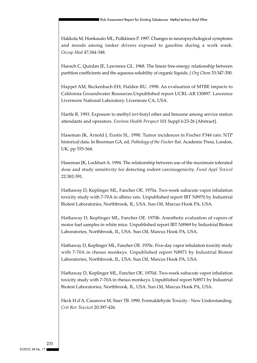Hakkola M, Honkasalo ML, Pulkkinen P. 1997. Changes in neuropsychological symptoms and moods among tanker drivers exposed to gasoline during a work week. *Occup Med* 47:344-348.

Hansch C, Quinlan JE, Lawrence GL. 1968. The linear free-energy relationship between partition coefficients and the aqueous solubility of organic liquids. *J Org Chem* 33:347-350.

Happel AM, Beckenbach EH, Halden RU. 1998. An evaluation of MTBE impacts to California Groundwater Resources.Unpublished report UCRL-AR 130897. Lawrence Livermore National Laboratory. Livermore CA, USA.

Hartle R. 1993. Exposure to methyl *tert*-butyl ether and benzene among service station attendants and operators. *Environ Health Perspect* 101 Suppl 6:23-26 [Abstract].

Haseman JK, Arnold J, Eustis SL. 1990. Tumor incidences in Fischer F344 rats: NTP historical data. In Boorman GA, ed, *Pathology of the Fischer Rat*. Academic Press, London, UK, pp 555-564.

Haseman JK, Lockhart A. 1994. The relationship between use of the maximum tolerated dose and study sensitivity for detecting rodent carcinogenicity. *Fund Appl Toxicol* 22:382-391.

Hathaway D, Keplinger ML, Fancher OE. 1970a. Two-week subacute vapor inhalation toxicity study with 7-70A in albino rats. Unpublished report IBT N8970 by Industrial Biotest Laboratories, Northbrook, IL, USA. Sun Oil, Marcus Hook PA, USA.

Hathaway D, Keplinger ML, Fancher OE. 1970b. Anesthetic evaluation of vapors of motor fuel samples in white mice. Unpublished report IBT N8969 by Industrial Biotest Laboratories, Northbrook, IL, USA. Sun Oil, Marcus Hook PA, USA.

Hathaway D, Keplinger ML, Fancher OE. 1970c. Five-day vapor inhalation toxicity study with 7-70A in rhesus monkeys. Unpublished report N8971 by Industrial Biotest Laboratories, Northbrook, IL, USA. Sun Oil, Marcus Hook PA, USA.

Hathaway D, Keplinger ML, Fancher OE. 1970d. Two-week subacute vapor inhalation toxicity study with 7-70A in rhesus monkeys. Unpublished report N8971 by Industrial Biotest Laboratories, Northbrook, IL, USA. Sun Oil, Marcus Hook PA, USA.

Heck H d'A, Casanova M, Starr TB. 1990. Formaldehyde Toxicity - New Understanding. *Crit Rev Toxcicol* 20:397-426.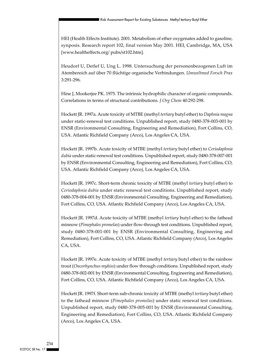HEI (Health Effects Institute). 2001. Metabolism of ether oxygenates added to gasoline, synposis. Research report 102, final version May 2001. HEI, Cambridge, MA, USA [www.healtheffects.org/ pubs/st102.htm].

Heudorf U, Detlef U, Ung L. 1998. Untersuchung der personenbezogenen Luft im Atembereich auf über 70 flüchtige organische Verbindungen. *Umweltmed Forsch Prax* 3:291-296.

Hine J, Mookerjee PK. 1975. The intrinsic hydrophilic character of organic compounds. Correlations in terms of structural contributions. *J Org Chem* 40:292-298.

Hockett JR. 1997a. Acute toxicity of MTBE (methyl *tertiary* butyl ether) to *Daphnia magna* under static-renewal test conditions. Unpublished report, study 0480-378-003-001 by ENSR (Environmental Consulting, Engineering and Remediation), Fort Collins, CO, USA. Atlantic Richfield Company (Arco), Los Angeles CA, USA.

Hockett JR. 1997b. Acute toxicity of MTBE (methyl *tertiary* butyl ether) to *Ceriodaphnia dubia* under static-renewal test conditions. Unpublished report, study 0480-378-007-001 by ENSR (Environmental Consulting, Engineering and Remediation), Fort Collins, CO, USA. Atlantic Richfield Company (Arco), Los Angeles CA, USA.

Hockett JR. 1997c. Short-term chronic toxicity of MTBE (methyl *tertiary* butyl ether) to *Ceriodaphnia dubia* under static renewal test conditions. Unpublished report, study 0480-378-004-001 by ENSR (Environmental Consulting, Engineering and Remediation), Fort Collins, CO, USA. Atlantic Richfield Company (Arco), Los Angeles CA, USA.

Hockett JR. 1997d. Acute toxicity of MTBE (methyl *tertiary* butyl ether) to the fathead minnow (*Pimephales promelas*) under flow-through test conditions. Unpublished report, study 0480-378-001-001 by ENSR (Environmental Consulting, Engineering and Remediation), Fort Collins, CO, USA. Atlantic Richfield Company (Arco), Los Angeles CA, USA.

Hockett JR. 1997e. Acute toxicity of MTBE (methyl *tertiary* butyl ether) to the rainbow trout (*Oncorhynchus mykiss*) under flow through conditions. Unpublished report, study 0480-378-002-001 by ENSR (Environmental Consulting, Engineering and Remediation), Fort Collins, CO, USA. Atlantic Richfield Company (Arco), Los Angeles CA, USA.

Hockett JR. 1997f. Short-term sub-chronic toxicity of MTBE (methyl *tertiary* butyl ether) to the fathead minnow (*Pimephales promelas*) under static renewal test conditions. Unpublished report, study 0480-378-005-001 by ENSR (Environmental Consulting, Engineering and Remediation), Fort Collins, CO, USA. Atlantic Richfield Company (Arco), Los Angeles CA, USA.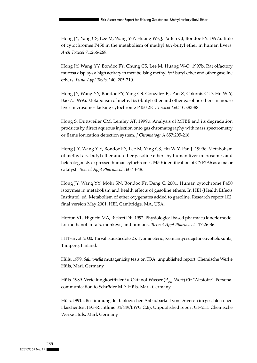Hong JY, Yang CS, Lee M, Wang Y-Y, Huang W-Q, Patten CJ, Bondoc FY. 1997a. Role of cytochromes P450 in the metabolism of methyl *tert*-butyl ether in human livers. *Arch Toxicol* 71:266-269.

Hong JY, Wang YY, Bondoc FY, Chung CS, Lee M, Huang W-Q. 1997b. Rat olfactory mucosa displays a high activity in metabolising methyl *tert*-butyl ether and other gasoline ethers. *Fund Appl Toxicol* 40, 205-210.

Hong JY, Wang YY, Bondoc FY, Yang CS, Gonzalez FJ, Pan Z, Cokonis C-D, Hu W-Y, Bao Z. 1999a. Metabolism of methyl *tert*-butyl ether and other gasoline ethers in mouse liver microsomes lacking cytochrome P450 2E1. *Toxicol Lett* 105:83-88.

Hong S, Duttweiler CM, Lemley AT. 1999b. Analysis of MTBE and its degradation products by direct aqueous injection onto gas chromatography with mass spectrometry or flame ionization detection system. *J Chromatogr* A 857:205-216.

Hong J-Y, Wang Y-Y, Bondoc FY, Lee M, Yang CS, Hu W-Y, Pan J. 1999c. Metabolism of methyl *tert*-butyl ether and other gasoline ethers by human liver microsomes and heterologously expressed human cytochromes P450: identification of CYP2A6 as a major catalyst. *Toxicol Appl Pharmacol* 160:43-48.

Hong JY, Wang YY, Mohr SN, Bondoc FY, Deng C. 2001. Human cytochrome P450 isozymes in metabolism and health effects of gasoline ethers. In HEI (Health Effects Institute), ed, Metabolism of ether oxygenates added to gasoline. Research report 102, final version May 2001. HEI, Cambridge, MA, USA.

Horton VL, Higuchi MA, Rickert DE. 1992. Physiological based pharmaco kinetic model for methanol in rats, monkeys, and humans. *Toxicol Appl Pharmacol* 117:26-36.

HTP-arvot. 2000. Turvallisuustiedote 25. Työmineteriö, Kemiantyösuojeluneuvottelukunta, Tampere, Finland.

Hüls. 1979. *Salmonella* mutagenicity tests on TBA, unpublished report. Chemische Werke Hüls, Marl, Germany.

Hüls. 1989. Verteilungkoeffizient *n*-Oktanol-Wasser (P<sub>ow</sub>-Wert) für "Altstoffe". Personal communication to Schröder MD. Hüls, Marl, Germany.

Hüls. 1991a. Bestimmung der biologischen Abbaubarkeit von Driveron im geschlossenen Flaschentest (EG-Richtlinie 84/449/EWG C.6). Unpublished report GF-211. Chemische Werke Hüls, Marl, Germany.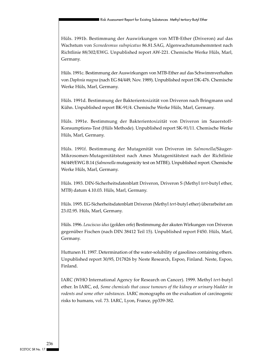Hüls. 1991b. Bestimmung der Auswirkungen von MTB-Ether (Driveron) auf das Wachstum von *Scenedesmus subspicatus* 86.81.SAG, Algenwachstumshemmtest nach Richtlinie 88/302/EWG. Unpublished report AW-221. Chemische Werke Hüls, Marl, Germany.

Hüls. 1991c. Bestimmung der Auswirkungen von MTB-Ether auf das Schwimmverhalten von *Daphnia magna* (nach EG 84/449, Nov. 1989). Unpublished report DK-476. Chemische Werke Hüls, Marl, Germany.

Hüls. 1991d. Bestimmung der Bakterientoxizität von Driveron nach Bringmann und Kühn. Unpublished report BK-91/4. Chemische Werke Hüls, Marl, Germany.

Hüls. 1991e. Bestimmung der Bakterientoxizität von Driveron im Sauerstoff-Konsumptions-Test (Hüls Methode). Unpublished report SK-91/11. Chemische Werke Hüls, Marl, Germany.

Hüls. 1991f. Bestimmung der Mutagenität von Driveron im *Salmonella*/Säuger-Mikrosomen-Mutagenitätstest nach Ames Mutagenitätstest nach der Richtlinie 84/449/EWG B.14 (*Salmonella* mutagenicity test on MTBE). Unpublished report. Chemische Werke Hüls, Marl, Germany.

Hüls. 1993. DIN-Sicherheitsdatenblatt Driveron, Driveron S (Methyl *tert*-butyl ether, MTB) datum 4.10.03. Hüls, Marl, Germany.

Hüls. 1995. EG-Sicherheitsdatenblatt Driveron (Methyl *tert*-butyl ether) überarbeitet am 23.02.95. Hüls, Marl, Germany.

Hüls. 1996. *Leuciscus idus* (golden orfe) Bestimmung der akuten Wirkungen von Driveron gegenüber Fischen (nach DIN 38412 Teil 15). Unpublished report F450. Hüls, Marl, Germany.

Huttunen H. 1997. Determination of the water-solubility of gasolines containing ethers. Unpublished report 30/95, D17826 by Neste Research, Espoo, Finland. Neste, Espoo, Finland.

IARC (WHO International Agency for Research on Cancer). 1999. Methyl *tert*-butyl ether. In IARC, ed, *Some chemicals that cause tumours of the kidney or urinary bladder in rodents and some other substances*. IARC monographs on the evaluation of carcinogenic risks to humans, vol. 73. IARC, Lyon, France, pp339-382.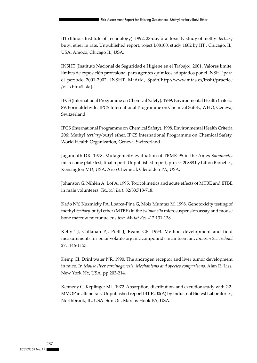IIT (Illinois Institute of Technology). 1992. 28-day oral toxicity study of methyl *tertiary* butyl ether in rats. Unpublished report, roject L08100, study 1602 by IIT , Chicago, IL, USA. Amoco, Chicago IL, USA.

INSHT (Instituto Nacional de Seguridad e Higiene en el Trabajo). 2001. Valores límite, límites de exposición profesional para agentes químicos adoptados por el INSHT para el período 2001-2002. INSHT, Madrid, Spain[http://www.mtas.es/insht/practice /vlas.htm#lista].

IPCS (International Programme on Chemical Safety). 1989. Environmental Health Criteria 89: Formaldehyde. IPCS International Programme on Chemical Safety, WHO, Geneva, Switzerland.

IPCS (International Programme on Chemical Safety). 1998. Environmental Health Criteria 206: Methyl *tertiary*-butyl ether. IPCS International Programme on Chemical Safety, World Health Organization, Geneva, Switzerland.

Jagannath DR. 1978. Mutagenicity evaluation of TBME-95 in the Ames *Salmonella* microsome plate test, final report. Unpublished report, project 20838 by Litton Bionetics, Kensington MD, USA. Arco Chemical, Glenolden PA, USA.

Johanson G, Nihlén A, Löf A. 1995. Toxicokinetics and acute effects of MTBE and ETBE in male volunteers. *Toxicol. Lett*. 82/83:713-718.

Kado NY, Kuzmicky PA, Loarca-Pina G, Moiz Mumtaz M. 1998. Genotoxicity testing of methyl *tertiary*-butyl ether (MTBE) in the *Salmonella* microsuspension assay and mouse bone marrow micronucleus test. *Mutat Res* 412:131-138.

Kelly TJ, Callahan PJ, Piell J, Evans GF. 1993. Method development and field measurements for polar volatile organic compounds in ambient air. *Environ Sci Technol* 27:1146-1153.

Kemp CJ, Drinkwater NR. 1990. The androgen receptor and liver tumor development in mice. In *Mouse liver carcinogenesis: Mechanisms and species comparisons*. Alan R. Liss, New York NY, USA, pp 203-214.

Kennedy G, Keplinger ML. 1972. Absorption, distribution, and excretion study with 2,2- MMOP in albino rats. Unpublished report IBT E200(A) by Industrial Biotest Laboratories, Northbrook, IL, USA. Sun Oil, Marcus Hook PA, USA.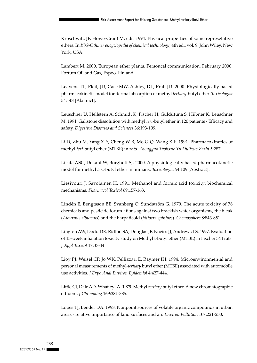Kroschwitz JF, Howe-Grant M, eds. 1994. Physical properties of some represetative ethers. In *Kirk-Othmer encyclopedia of chemical technology*, 4th ed., vol. 9. John Wiley, New York, USA.

Lambert M. 2000. European ether plants. Personcal communication, February 2000. Fortum Oil and Gas, Espoo, Finland.

Leavens TL, Pleil, JD, Case MW, Ashley, DL, Prah JD. 2000. Physiologically based pharmacokinetic model for dermal absorption of methyl *tertiary*-butyl ether. *Toxicologist* 54:148 [Abstract].

Leuschner U, Hellstern A, Schmidt K, Fischer H, Güldütuna S, Hübner K, Leuschner M. 1991. Gallstone dissolution with methyl *tert*-butyl ether in 120 patients - Efficacy and safety. *Digestive Diseases and Sciences* 36:193-199.

Li D, Zhu M, Yang X-Y, Cheng W-B, Mo G-Q, Wang X-F. 1991. Pharmacokinetics of methyl *tert*-butyl ether (MTBE) in rats. *Zhongguo Yaolixue Yu Dulixue Zazhi* 5:287.

Licata ASC, Dekant W, Borghoff SJ. 2000. A physiologically based pharmacokinetic model for methyl *tert*-butyl ether in humans. *Toxicologist* 54:109 [Abstract].

Liesivouri J, Savolainen H. 1991. Methanol and formic acid toxicity: biochemical mechanisms. *Pharmacol Toxicol* 69:157-163.

Lindén E, Bengtsson BE, Svanberg O, Sundström G. 1979. The acute toxicity of 78 chemicals and pesticide forumlations against two brackish water organisms, the bleak (*Alburnus alburnus*) and the harpaticoid (*Nitocra spinipes*). *Chemosphere* 8:843-851.

Lington AW, Dodd DE, Ridlon SA, Douglas JF, Kneiss JJ, Andrews LS. 1997. Evaluation of 13-week inhalation toxicity study on Methyl t-butyl ether (MTBE) in Fischer 344 rats. *J Appl Toxicol* 17:37-44.

Lioy PJ, Weisel CP, Jo WK, Pellizzari E, Raymer JH. 1994. Microenvironmental and personal measurements of methyl-*tertiary* butyl ether (MTBE) associated with automobile use activities. *J Expo Anal Environ Epidemiol* 4:427-444.

Little CJ, Dale AD, Whatley JA. 1979. Methyl *tertiary* butyl ether. A new chromatographic effluent. *J Chromatog* 169:381-385.

Lopes TJ, Bender DA. 1998. Nonpoint sources of volatile organic compounds in urban areas - relative importance of land surfaces and air. *Environ Pollution* 107:221-230.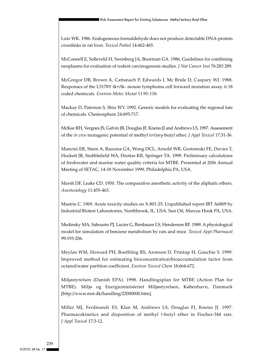Lutz WK. 1986. Endogeneous formaldehyde does not produce detectable DNA-protein crosslinks in rat liver. *Toxicol Pathol* 14:462-465.

McConnell E, Solleveld H, Swenberg JA, Boorman GA. 1986. Guidelines for combining neoplasms for evaluation of rodent carcinogenesis studies. *J Nat Cancer Inst* 76:283 289.

McGregor DB, Brown A, Cattanach P, Edwards I, Mc Bride D, Caspary WJ. 1988. Responses of the L5178Y tk+/tk- mouse lymphoma cell forward mutation assay. ii 18 coded chemicals. *Environ Molec Mutat* 11:91-118.

Mackay D, Paterson S, Shiu WY. 1992. Generic models for evaluating the regional fate of chemicals. Chemosphere 24:695-717.

McKee RH, Vergnes JS, Galvin JB, Douglas JF, Kneiss JJ and Andrews LS, 1997. Assessment of the *in vivo* mutagenic potential of methyl *tertiary*-butyl ether. *J Appl Toxicol* 17:31-36.

Mancini ER, Steen A, Rausina GA, Wong DCL, Arnold WR, Gostomski FE, Davies T, Hockett JR, Stubblefield WA, Drottar KR, Springer TA. 1999. Preliminary calculations of freshwater and marine water quality criteria for MTBE. Presented at 20th Annual Meeting of SETAC, 14-18 November 1999, Philadelphia PA, USA.

Marsh DF, Leake CD. 1950. The comparative anesthetic activity of the aliphatic ethers. *Anestesiology* 11:455-463.

Mastrie C. 1969. Acute toxicity studies on X-801-25. Unpublished report IBT A6809 by Industrial Biotest Laboratories, Northbrook, IL, USA. Sun Oil, Marcus Hook PA, USA.

Medinsky MA, Sabourin PJ, Lucier G, Birnbaum LS, Henderson RF. 1989. A physiological model for simulation of benzene metabolism by rats and mice. *Toxicol Appl Pharmacol* 99:193-206.

Meylan WM, Howard PH, Boethling RS, Aronson D, Printup H, Gouchie S. 1999. Improved method for estimating bioconcentration/bioaccumulation factor from octanol/water partition coefficient. *Environ Toxicol Chem* 18:664-672.

Miljøstyrelsen (Danish EPA). 1998. Handlingsplan for MTBE (Action Plan for MTBE). Miljø og Energieministeriet Miljøstyrelsen, København, Danmark [http://www.mst.dk/handling/22000000.htm].

Miller MJ, Ferdinandi ES, Klan M, Andrews LS, Douglas FJ, Kneiss JJ. 1997. Pharmacokinetics and disposition of methyl *t*-butyl ether in Fischer-344 rats. *J Appl Toxicol* 17:3-12.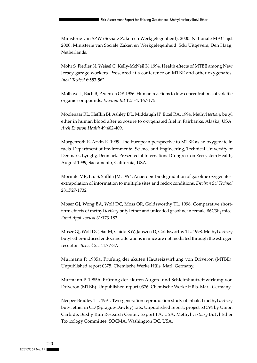Ministerie van SZW (Sociale Zaken en Werkgelegenheid). 2000. Nationale MAC lijst 2000. Ministerie van Sociale Zaken en Werkgelegenheid. Sdu Uitgevers, Den Haag, Netherlands.

Mohr S, Fiedler N, Weisel C, Kelly-McNeil K. 1994. Health effects of MTBE among New Jersey garage workers. Presented at a conference on MTBE and other oxygenates. *Inhal Toxicol* 6:553-562.

Molhave L, Bach B, Pedersen OF. 1986. Human reactions to low concentrations of volatile organic compounds. *Environ Int* 12:1-4, 167-175.

Moolenaar RL, Hefflin BJ, Ashley DL, Middaugh JP, Etzel RA. 1994. Methyl *tertiary* butyl ether in human blood after exposure to oxygenated fuel in Fairbanks, Alaska, USA. *Arch Environ Health* 49:402-409.

Morgenroth E, Arvin E. 1999. The European perspective to MTBE as an oxygenate in fuels. Department of Environmental Science and Engineering, Technical University of Denmark, Lyngby, Denmark. Presented at International Congress on Ecosystem Health, August 1999, Sacramento, California, USA.

Mormile MR, Liu S, Suflita JM. 1994. Anaerobic biodegradation of gasoline oxygenates: extrapolation of information to multiple sites and redox conditions. *Environ Sci Technol* 28:1727-1732.

Moser GJ, Wong BA, Wolf DC, Moss OR, Goldsworthy TL. 1996. Comparative shortterm effects of methyl *tertiary* butyl ether and unleaded gasoline in female B6C3F<sub>1</sub> mice. *Fund Appl Toxicol* 31:173-183.

Moser GJ, Wolf DC, Sar M, Gaido KW, Janszen D, Goldsworthy TL. 1998. Methyl *tertiary* butyl ether-induced endocrine alterations in mice are not mediated through the estrogen receptor. *Toxicol Sci* 41:77-87.

Murmann P. 1985a. Prüfung der akuten Hautreizwirkung von Driveron (MTBE). Unpublished report 0375. Chemische Werke Hüls, Marl, Germany.

Murmann P. 1985b. Prüfung der akuten Augen- und Schleimhautreizwirkung von Driveron (MTBE). Unpublished report 0376. Chemische Werke Hüls, Marl, Germany.

Neeper-Bradley TL. 1991. Two-generation reproduction study of inhaled methyl *tertiary* butyl ether in CD (Sprague-Dawley) rats. Unpublished report, project 53 594 by Union Carbide, Bushy Run Research Center, Export PA, USA. Methyl *Tertiary* Butyl Ether Toxicology Committee, SOCMA, Washington DC, USA.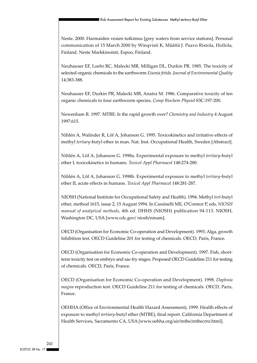Neste. 2000. Harmaiden vesien tutkimus [grey waters from service stations]. Personal communication of 15 March 2000 by Winqvisti K, Määttä J. Paavo Ristola, Hollola, Finland. Neste Markkinointi, Espoo, Finland.

Neuhauser EF, Loehr RC, Malecki MR, Milligan DL, Durkin PR. 1985. The toxicity of selected organic chemicals to the earthworm *Eisenia fetida. Journal of Environmental Quality* 14:383-388.

Neuhauser EF, Durkin PR, Malecki MR, Anatra M. 1986. Comparative toxicity of ten organic chemicals to four earthworm species. *Comp Biochem Physiol* 83C:197-200.

Newenham R. 1997. MTBE: Is the rapid growth over? *Chemistry and Industry* 4 August 1997:615.

Nihlén A, Walinder R, Löf A, Johanson G. 1995. Toxicokinetics and irritative effects of methyl *tertiary*-butyl ether in man. Nat. Inst. Occupational Health, Sweden [Abstract].

Nihlén A, Löf A, Johanson G. 1998a. Experimental exposure to methyl *tertiary*-butyl ether I, toxicokinetics in humans. *Toxicol Appl Pharmacol* 148:274-280.

Nihlén A, Löf A, Johanson G. 1998b. Experimental exposure to methyl *tertiary*-butyl ether II, acute effects in humans. *Toxicol Appl Pharmacol* 148:281-287.

NIOSH (National Institute for Occupational Safety and Health). 1994. Methyl *tert*-butyl ether, method 1615, issue 2, 15 August 1994. In Cassinelli ME, O'Connor P, eds, *NIOSH manual of analytical methods*, 4th ed. DHHS (NIOSH) publication 94-113. NIOSH, Washington DC, USA [www.cdc.gov/ niosh/nmam].

OECD (Organisation for Economic Co-operation and Development). 1993. Alga, growth Inhibition test. OECD Guideline 201 for testing of chemicals. OECD, Paris, France.

OECD (Organisation for Economic Co-operation and Development). 1997. Fish, shortterm toxicity test on embryo and sac-fry stages. Proposed OECD Guideline 211 for testing of chemicals. OECD, Paris, France.

OECD (Organisation for Economic Co-operation and Development). 1998. *Daphnia magna* reproduction test. OECD Guideline 211 for testing of chemicals. OECD, Paris, France.

OEHHA (Office of Environmental Health Hazard Assessment), 1999. Health effects of exposure to methyl *tertiary*-butyl ether (MTBE), final report. California Department of Health Services, Sacramento CA, USA [www.oehha.org/air/mtbe/mtbecrnr.html].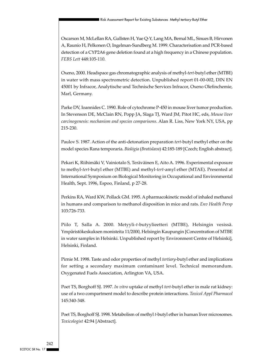Oscarson M, McLellan RA, Gullsten H, Yue Q-Y, Lang MA, Bernal ML, Sinues B, Hirvonen A, Raunio H, Pelkonen O, Ingelman-Sundberg M. 1999. Characterisation and PCR-based detection of a CYP2A6 gene deletion found at a high frequency in a Chinese population. *FEBS Lett* 448:105-110.

Oxeno, 2000. Headspace gas chromatographic analysis of methyl-*tert*-butyl ether (MTBE) in water with mass spectrometric detection. Unpublished report 01-00-002, DIN EN 45001 by Infracor, Analytische und Technische Services Infracor, Oxeno Olefinchemie, Marl, Germany.

Parke DV, Ioannides C. 1990. Role of cytochrome P-450 in mouse liver tumor production. In Stevenson DE, McClain RN, Popp JA, Slaga TJ, Ward JM, Pitot HC, eds, *Mouse liver carcinogenesis: mechanism and species comparisons*. Alan R. Liss, New York NY, USA, pp 215-230.

Paulov S. 1987. Action of the anti-detonation preparation *tert*-butyl methyl ether on the model species Rana temporaria. *Biológia* (*Bratislava*) 42:185-189 [Czech; English abstract].

Pekari K, Riihimäki V, Vainiotalo S, Teräväinen E, Aito A. 1996. Experimental exposure to methyl-*tert*-butyl ether (MTBE) and methyl-*tert*-amyl ether (MTAE). Presented at International Symposium on Biological Monitoring in Occupational and Environmental Health, Sept. 1996, Espoo, Finland, p 27-28.

Perkins RA, Ward KW, Pollack GM. 1995. A pharmacokinetic model of inhaled methanol in humans and comparison to methanol disposition in mice and rats. *Env Health Persp* 103:726-733.

Piilo T, Salla A. 2000. Metyyli-*t*-butyylieetteri (MTBE), Helsingin vesissä. Ympäristökeskuksen monisteita 11/2000, Helsingin Kaupungin [Concentration of MTBE in water samples in Helsinki. Unpublished report by Environment Centre of Helsinki], Helsinki, Finland.

Pirnie M. 1998. Taste and odor properties of methyl *tertiary*-butyl ether and implications for setting a secondary maximum contaminant level. Technical memorandum. Oxygenated Fuels Association, Arlington VA, USA.

Poet TS, Borghoff SJ. 1997. *In vitro* uptake of methyl *tert*-butyl ether in male rat kidney: use of a two compartment model to describe protein interactions. *Toxicol Appl Pharmacol* 145:340-348.

Poet TS, Borghoff SJ. 1998. Metabolism of methyl *t*-butyl ether in human liver microsomes. *Toxicologist* 42:94 [Abstract].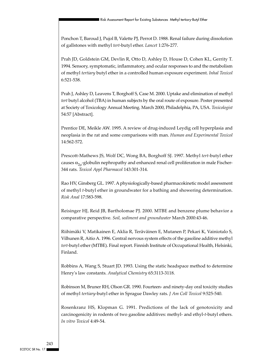Ponchon T, Baroud J, Pujol B, Valette PJ, Perrot D. 1988. Renal failure during dissolution of gallstones with methyl *tert*-butyl ether. *Lancet* 1:276-277.

Prah JD, Goldstein GM, Devlin R, Otto D, Ashley D, House D, Cohen KL, Gerrity T. 1994. Sensory, symptomatic, inflammatory, and ocular responses to and the metabolism of methyl *tertiary* butyl ether in a controlled human exposure experiment. *Inhal Toxicol* 6:521-538.

Prah J, Ashley D, Leavens T, Borghoff S, Case M. 2000. Uptake and elimination of methyl *tert* butyl alcohol (TBA) in human subjects by the oral route of exposure. Poster presented at Society of Toxicology Annual Meeting. March 2000, Philadelphia, PA, USA. *Toxicologist* 54:57 [Abstract].

Prentice DE, Meikle AW. 1995. A review of drug-induced Leydig cell hyperplasia and neoplasia in the rat and some comparisons with man. *Human and Experimental Toxicol* 14:562-572.

Prescott-Mathews JS, Wolf DC, Wong BA, Borghoff SJ. 1997. Methyl *tert*-butyl ether causes  $\alpha_{21}$ -globulin nephropathy and enhanced renal cell proliferation in male Fischer-344 rats. *Toxicol Appl Pharmacol* 143:301-314.

Rao HV, Ginsberg GL. 1997. A physiologically-based pharmacokinetic model assessment of methyl *t*-butyl ether in groundwater for a bathing and showering determination. *Risk Anal* 17:583-598.

Reisinger HJ, Reid JB, Bartholomae PJ. 2000. MTBE and benzene plume behavior a comparative perspective. *Soil, sediment and groundwater* March 2000:43-46.

Riihimäki V, Matikainen E, Aklia R, Teräväinen E, Mutanen P, Pekari K, Vainiotalo S, Vilhunen R, Aitio A. 1996. Central nervous system effects of the gasoline additive methyl *tert*-butyl ether (MTBE). Final report. Finnish Institute of Occupational Health, Helsinki, Finland.

Robbins A, Wang S, Stuart JD. 1993. Using the static headspace method to determine Henry's law constants. *Analytical Chemistry* 65:3113-3118.

Robinson M, Bruner RH, Olson GR. 1990. Fourteen- and ninety-day oral toxicity studies of methyl *tertiary*-butyl ether in Sprague Dawley rats. *J Am Coll Toxicol* 9:525-540.

Rosenkranz HS, Klopman G. 1991. Predictions of the lack of genotoxicity and carcinogenicity in rodents of two gasoline additives: methyl- and ethyl-*t*-butyl ethers. *In vitro Toxicol* 4:49-54.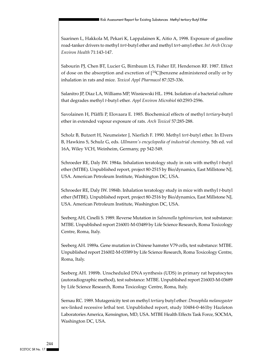Saarinen L, Hakkola M, Pekari K, Lappalainen K, Aitio A, 1998. Exposure of gasoline road-tanker drivers to methyl *tert*-butyl ether and methyl *tert*-amyl ether. *Int Arch Occup Environ Health* 71:143-147.

Sabourin PJ, Chen BT, Lucier G, Birnbaum LS, Fisher EF, Henderson RF. 1987. Effect of dose on the absorption and excretion of  $[14C]$ benzene administered orally or by inhalation in rats and mice. *Toxicol Appl Pharmacol* 87:325-336.

Salanitro JP, Diaz LA, Williams MP, Wisniewski HL. 1994. Isolation of a bacterial culture that degrades methyl *t*-butyl ether. *Appl Environ Microbiol* 60:2593-2596.

Savolainen H, Pfäffli P, Elovaara E. 1985. Biochemical effects of methyl *tertiary*-butyl ether in extended vapour exposure of rats. *Arch Toxicol* 57:285-288.

Scholz B, Butzert H, Neumeister J, Nierlich F. 1990. Methyl *tert*-butyl ether. In Elvers B, Hawkins S, Schulz G, eds. *Ullmann's encyclopedia of industrial chemistry*. 5th ed. vol 16A, Wiley VCH, Weinheim, Germany, pp 542-549.

Schroeder RE, Daly IW. 1984a. Inhalation teratology study in rats with methyl *t*-butyl ether (MTBE). Unpublished report, project 80-2515 by Bio/dynamics, East Millstone NJ, USA. American Petroleum Institute, Washington DC, USA.

Schroeder RE, Daly IW. 1984b. Inhalation teratology study in mice with methyl *t*-butyl ether (MTBE). Unpublished report, project 80-2516 by Bio/dynamics, East Millstone NJ, USA. American Petroleum Institute, Washington DC, USA.

Seeberg AH, Cinelli S. 1989. Reverse Mutation in *Salmonella typhimurium*, test substance: MTBE. Unpublished report 216001-M-03489 by Life Science Research, Roma Toxicology Centre, Roma, Italy.

Seeberg AH. 1989a. Gene mutation in Chinese hamster V79 cells, test substance: MTBE. Unpublished report 216002-M-03589 by Life Science Research, Roma Toxicology Centre, Roma, Italy.

Seeberg AH. 1989b. Unscheduled DNA synthesis (UDS) in primary rat hepatocytes (autoradiographic method), test substance: MTBE. Unpublished report 216003-M-03689 by Life Science Research, Roma Toxicology Centre, Roma, Italy.

Sernau RC. 1989. Mutagenicity test on methyl *tertiary* butyl ether: *Drosophila melanogaster* sex-linked recessive lethal test. Unpublished report, study 10484-0-461by Hazleton Laboratories America, Kensington, MD, USA. MTBE Health Effects Task Force, SOCMA, Washington DC, USA.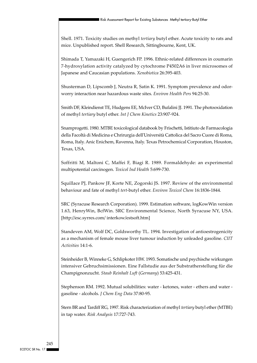Shell. 1971. Toxicity studies on methyl *tertiary* butyl ether. Acute toxicity to rats and mice. Unpublished report. Shell Research, Sittingbourne, Kent, UK.

Shimada T, Yamazaki H, Guengerich FP. 1996. Ethnic-related differences in coumarin 7-hydroxylation activity catalyzed by cytochrome P4502A6 in liver microsomes of Japanese and Caucasian populations. *Xenobiotica* 26:395-403.

Shusterman D, Lipscomb J, Neutra R, Satin K. 1991. Symptom prevalence and odorworry interaction near hazardous waste sites. *Environ Health Pers* 94:25-30.

Smith DF, Kleindienst TE, Hudgens EE, McIver CD, Bufalini JJ. 1991. The photooxidation of methyl *tertiary* butyl ether. *Int J Chem Kinetics* 23:907-924.

Snamprogetti. 1980. MTBE toxicological databook by Frischetti, Istitiuto de Farmacologia della Facoltà di Medicina e Chrirurgia dell'Università Cattolica del Sacro Cuore di Roma, Roma, Italy. Anic Enichem, Ravenna, Italy. Texas Petrochemical Corporation, Houston, Texas, USA.

Soffritti M, Maltoni C, Maffei F, Biagi R. 1989. Formaldehyde: an experimental multipotential carcinogen. *Toxicol Ind Health* 5:699-730.

Squillace PJ, Pankow JF, Korte NE, Zogorski JS. 1997. Review of the environmental behaviour and fate of methyl *tert*-butyl ether. *Environ Toxicol Chem* 16:1836-1844.

SRC (Syracuse Research Corporation). 1999. Estimation software, logKowWin version 1.63, HenryWin, BcfWin. SRC Environmental Science, North Syracuse NY, USA. [http://esc.syrres.com/ interkow/estsoft.htm]

Standeven AM, Wolf DC, Goldsworthy TL. 1994. Investigation of antioestrogenicity as a mechanism of female mouse liver tumour induction by unleaded gasoline. *CIIT Activities* 14:1-6.

Steinheider B, Winneke G, Schlipkoter HW. 1993. Somatische und psychische wirkungen intensiver Gebruchsimissionen. Eine Fallstudie aus der Substratherstellung für die Champignonzucht. *Staub Reinhalt Luft* (*Germany*) 53:425-431.

Stephenson RM. 1992. Mutual solubilities: water - ketones, water - ethers and water gasoline - alcohols. *J Chem Eng Data* 37:80-95.

Stern BR and Tardiff RG, 1997. Risk characterization of methyl *tertiary* butyl ether (MTBE) in tap water. *Risk Analysis* 17:727-743.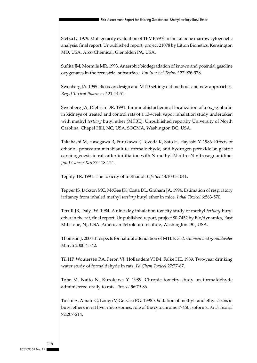Stetka D. 1979. Mutagenicity evaluation of TBME 99% in the rat bone marrow cytogenetic analysis, final report. Unpublished report, project 21078 by Litton Bionetics, Kensington MD, USA. Arco Chemical, Glenolden PA, USA.

Suflita JM, Mormile MR. 1993. Anaerobic biodegradation of known and potential gasoline oxygenates in the terrestrial subsurface. *Environ Sci Technol* 27:976-978.

Swenberg JA. 1995. Bioassay design and MTD setting: old methods and new approaches. *Regul Toxicol Pharmacol* 21:44-51.

Swenberg JA, Dietrich DR. 1991. Immunohistochemical localization of a  $\alpha_{21}$ -globulin in kidneys of treated and control rats of a 13-week vapor inhalation study undertaken with methyl *tertiary* butyl ether (MTBE). Unpublished reportby University of North Carolina, Chapel Hill, NC, USA. SOCMA, Washington DC, USA.

Takahashi M, Hasegawa R, Furukawa F, Toyoda K, Sato H, Hayashi Y. 1986. Effects of ethanol, potassium metabisulfite, formaldehyde, and hydrogen peroxide on gastric carcinogenesis in rats after inititiation with N-methyl-N-nitro-N-nitrosoguanidine. *Jpn J Cancer Res* 77:118-124.

Tephly TR. 1991. The toxicity of methanol. *Life Sci* 48:1031-1041.

Tepper JS, Jackson MC, McGee JK, Costa DL, Graham JA. 1994. Estimation of respiratory irritancy from inhaled methyl *tertiary* butyl ether in mice. *Inhal Toxicol* 6:563-570.

Terrill JB, Daly IW. 1984. A nine-day inhalation toxicity study of methyl *tertiary*-butyl ether in the rat, final report. Unpublished report, project 80-7452 by Bio/dynamics, East Millstone, NJ, USA. American Petroleum Institute, Washington DC, USA.

Thomson J. 2000. Prospects for natural attenuation of MTBE. *Soil, sediment and groundwater* March 2000:41-42.

Til HP, Woutersen RA, Feron VJ, Hollanders VHM, Falke HE. 1989. Two-year drinking water study of formaldehyde in rats. *Fd Chem Toxicol* 27:77-87.

Tobe M, Naito N, Kurokawa Y. 1989. Chronic toxicity study on formaldehyde administered orally to rats. *Toxicol* 56:79-86.

Turini A, Amato G, Longo V, Gervasi PG. 1998. Oxidation of methyl- and ethyl-*tertiary*butyl ethers in rat liver microsomes: role of the cytochrome P-450 isoforms. *Arch Toxicol* 72:207-214.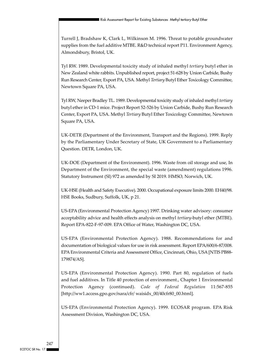Turrell J, Bradshaw K, Clark L, Wilkinson M. 1996. Threat to potable groundwater supplies from the fuel additive MTBE. R&D technical report P11. Environment Agency, Almondsbury, Bristol, UK.

Tyl RW. 1989. Developmental toxicity study of inhaled methyl *tertiary* butyl ether in New Zealand white rabbits. Unpublished report, project 51-628 by Union Carbide, Bushy Run Research Center, Export PA, USA. Methyl *Tertiary* Butyl Ether Toxicology Committee, Newtown Square PA, USA.

Tyl RW, Neeper Bradley TL. 1989. Developmental toxicity study of inhaled methyl *tertiary* butyl ether in CD-1 mice. Project Report 52-526 by Union Carbide, Bushy Run Research Center, Export PA, USA. Methyl *Tertiary* Butyl Ether Toxicology Committee, Newtown Square PA, USA.

UK-DETR (Department of the Environment, Transport and the Regions). 1999. Reply by the Parliamentary Under Secretary of State, UK Government to a Parliamentary Question. DETR, London, UK.

UK-DOE (Department of the Environment). 1996. Waste from oil storage and use, In Department of the Environment, the special waste (amendment) regulations 1996. Statutory Instrument (SI) 972 as amended by SI 2019. HMSO, Norwich, UK.

UK-HSE (Health and Safety Executive). 2000. Occupational exposure limits 2000. EH40/98. HSE Books, Sudbury, Suffolk, UK, p 21.

US-EPA (Environmental Protection Agency) 1997. Drinking water advisory: consumer acceptability advice and health effects analysis on methyl *tertiary*-butyl ether (MTBE). Report EPA-822-F-97-009. EPA Office of Water, Washington DC, USA.

US-EPA (Environmental Protection Agency). 1988. Recommendations for and documentation of biological values for use in risk assessment. Report EPA/600/6-87/008. EPA Environmental Criteria and Assessment Office, Cincinnati, Ohio, USA [NTIS PB88- 179874/AS].

US-EPA (Environmental Protection Agency). 1990. Part 80, regulation of fuels and fuel additives. In Title 40 protection of environment., Chapter 1 Environmental Protection Agency (continued). *Code of Federal Regulation* 11:567-855 [http://ww1.access.gpo.gov/nara/cfr/ waisidx\_00/40cfr80\_00.html].

US-EPA (Environmental Protection Agency). 1999. ECOSAR program. EPA Risk Assessment Division, Washington DC, USA.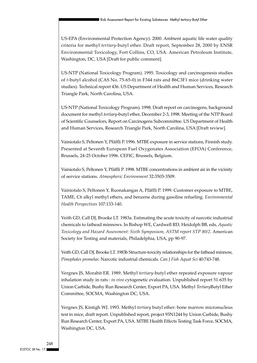US-EPA (Environmental Protection Agency). 2000. Ambient aquatic life water quality criteria for methyl *tertiary*-butyl ether. Draft report, September 28, 2000 by ENSR Environmental Toxicology, Fort Collins, CO, USA. American Petroleum Institute, Washington, DC, USA [Draft for public comment].

US-NTP (National Toxicology Program). 1995. Toxicology and carcinogenesis studies of *t*-butyl alcohol (CAS No. 75-65-0) in F344 rats and B6C3F1 mice (drinking water studies). Technical report 436. US Department of Health and Human Services, Research Triangle Park, North Carolina, USA.

US-NTP (National Toxicology Program). 1998. Draft report on carcinogens, background document for methyl *tertiary*-butyl ether, December 2-3, 1998. Meeting of the NTP Board of Scientific Counselors, Report on Carcinogens Subcommittee. US Department of Health and Human Services, Research Triangle Park, North Carolina, USA [Draft review].

Vainiotalo S, Peltonen Y, Pfäffli P. 1996. MTBE exposure in service stations, Finnish study. Presented at Seventh European Fuel Oxygenates Association (EFOA) Conference, Brussels, 24-25 October 1996. CEFIC, Brussels, Belgium.

Vainiotalo S, Peltonen Y, Pfäffli P. 1998. MTBE concentrations in ambient air in the vicinity of service stations. *Atmospheric Environment* 32:3503-3509.

Vainiotalo S, Peltonen Y, Ruonakangas A, Pfäffli P. 1999. Customer exposure to MTBE, TAME, C6 alkyl methyl ethers, and benzene during gasoline refueling. *Environmental Health Perspectives* 107:133-140.

Veith GD, Call DJ, Brooke LT. 1983a. Estimating the acute toxicity of narcotic industrial chemicals to fathead minnows. In Bishop WE, Cardwell RD, Heidolph BB, eds, *Aquatic Toxicology and Hazard Assessment: Sixth Symposium, ASTM report STP 80/2*. American Society for Testing and materials, Philadelphia, USA, pp 90-97.

Veith GD, Call DJ, Brooke LT. 1983b Structure-toxicity relationships for the fathead minnow, *Pimephales promelas*: Narcotic industrial chemicals. *Can J Fish Aquat Sci* 40:743-748.

Vergnes JS, Morabit ER. 1989. Methyl *tertiary*-butyl ether repeated exposure vapour inhalation study in rats : *in vivo* cytogenetic evaluation. Unpublished report 51-635 by Union Carbide, Bushy Run Research Center, Export PA, USA. Methyl *Tertiary*Butyl Ether Committee, SOCMA, Washington DC, USA.

Vergnes JS, Kintigh WJ. 1993. Methyl *tertiary* butyl ether: bone marrow micronucleus test in mice, draft report. Unpublished report, project 93N1244 by Union Carbide, Bushy Run Research Center, Export PA, USA. MTBE Health Effects Testing Task Force, SOCMA, Washington DC, USA.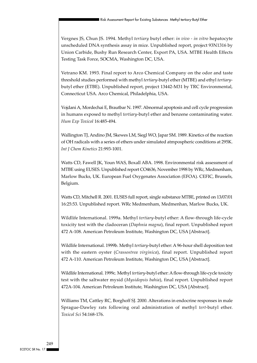Vergnes JS, Chun JS. 1994. Methyl *tertiary* butyl ether: *in vivo - in vitro* hepatocyte unscheduled DNA synthesis assay in mice. Unpublished report, project 93N1316 by Union Carbide, Bushy Run Research Center, Export PA, USA. MTBE Health Effects Testing Task Force, SOCMA, Washington DC, USA.

Vetrano KM. 1993. Final report to Arco Chemical Company on the odor and taste threshold studies performed with methyl *tertiary*-butyl ether (MTBE) and ethyl *tertiary*butyl ether (ETBE). Unpublished report, project 13442-M31 by TRC Environmental, Connecticut USA. Arco Chemical, Philadelphia, USA.

Vojdani A, Mordechai E, Brautbar N. 1997. Abnormal apoptosis and cell cycle progression in humans exposed to methyl *tertiary*-butyl ether and benzene contaminating water. *Hum Exp Toxicol* 16:485-494.

Wallington TJ, Andino JM, Skewes LM, Siegl WO, Japar SM. 1989. Kinetics of the reaction of OH radicals with a series of ethers under simulated atmpospheric conditions at 295K. *Int J Chem Kinetics* 21:993-1001.

Watts CD, Fawell JK, Youn WAS, Boxall ABA. 1998. Environmental risk assessment of MTBE using EUSES. Unpublished report CO4636, November 1998 by WRc, Medmenham, Marlow Bucks, UK. European Fuel Oxygenates Association (EFOA). CEFIC, Brussels, Belgium.

Watts CD, Mitchell R. 2001. EUSES full report, single substance MTBE, printed on 13/07/01 16:25:53. Unpublished report. WRc Medmenham, Medmenhan, Marlow Bucks, UK.

Wildlife International. 1999a. Methyl *tertiary*-butyl ether: A flow-through life-cycle toxicity test with the cladoceran (*Daphnia magna*), final report. Unpublished report 472 A-108. American Petroleum Institute, Washington DC, USA [Abstract].

Wildlife International. 1999b. Methyl *tertiary*-butyl ether: A 96-hour shell deposition test with the eastern oyster (*Crassostrea virginica*), final report. Unpublished report 472 A-110. American Petroleum Institute, Washington DC, USA [Abstract].

Wildlife International. 1999c. Methyl *tertiary*-butyl ether: A flow-through life-cycle toxicity test with the saltwater mysid (*Mysidopsis bahia*), final report. Unpublished report 472A-104. American Petroleum Institute, Washington DC, USA [Abstract].

Williams TM, Cattley RC, Borghoff SJ. 2000. Alterations in endocrine responses in male Sprague-Dawley rats following oral administration of methyl *tert*-butyl ether. *Toxicol Sci* 54:168-176.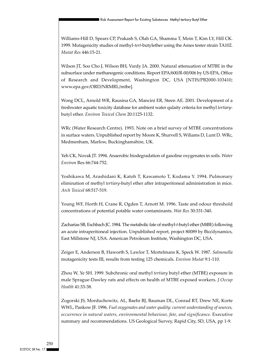Williams-Hill D, Spears CP, Prakash S, Olah GA, Shamma T, Moin T, Kim LY, Hill CK. 1999. Mutagenicity studies of methyl-*tert*-butylether using the Ames tester strain TA102. *Mutat Res* 446:15-21.

Wilson JT, Soo Cho J, Wilson BH, Vardy JA. 2000. Natural attenuation of MTBE in the subsurface under methanogenic conditions. Report EPA/600/R-00/006 by US-EPA, Office of Research and Development, Washington DC, USA [NTIS/PB2000-103410; www.epa.gov/ORD/NRMRL/mtbe].

Wong DCL, Arnold WR, Rausina GA, Mancini ER, Steen AE. 2001. Development of a freshwater aquatic toxicity database for ambient water qulaity criteria for methyl *tertiary*butyl ether. *Environ Toxicol Chem* 20:1125-1132.

WRc (Water Research Centre). 1993. Note on a brief survey of MTBE concentrations in surface waters. Unpublished report by Moore K, Shurvell S, Wiliams D, Lunt D. WRc, Medmenham, Marlow, Buckinghamshire, UK.

Yeh CK, Novak JT. 1994. Anaerobic biodegradation of gasoline oxygenates in soils. *Water Environ* Res 66:744-752.

Yoshikawa M, Arashidani K, Katoh T, Kawamoto T, Kodama Y. 1994. Pulmonary elimination of methyl *tertiary*-butyl ether after intraperitoneal administration in mice. *Arch Toxicol* 68:517-519.

Young WF, Horth H, Crane R, Ogden T, Arnott M. 1996. Taste and odour threshold concentrations of potential potable water contaminants. *Wat Res* 30:331-340.

Zacharias SB, Eschbach JC. 1984. The metabolic fate of methyl-*t*-butyl ether (MtBE) following an acute intraperitoneal injection. Unpublished report, project 80089 by Bio/dynamics, East Millstone NJ, USA. American Petroleum Institute, Washington DC, USA.

Zeiger E, Anderson B, Haworth S, Lawlor T, Mortelmans K, Speck W. 1987. *Salmonella* mutagenicity tests III, results from testing 125 chemicals. *Environ Mutat* 9:1-110.

Zhou W, Ye SH. 1999. Subchronic oral methyl *tertiary* butyl ether (MTBE) exposure in male Sprague-Dawley rats and effects on health of MTBE exposed workers. *J Occup Health* 41:33-38.

Zogorski JS, Morduchowitz, AL, Baehr BJ, Bauman DL, Conrad RT, Drew NE, Korte WWL, Pankow JF. 1996. *Fuel oxygenates and water quality: current understanding of sources, occurrence in natural waters, environmental behaviour, fate, and significance*. Executive summary and recommendations. US Geological Survey, Rapid City, SD, USA, pp 1-9.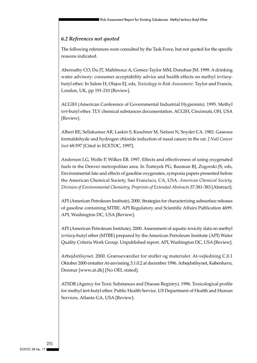# *6.2 References not quoted*

The following references were consulted by the Task Force, but not quoted for the specific reasons indicated.

Abernathy CO, Du JT, Mahfmouz A, Gomez-Taylor MM, Donohue JM. 1999. A drinking water advisory: consumer acceptability advice and health effects on methyl *tertiary*butyl ether. In Salem H, Olajos EJ, eds, *Toxicology in Risk Assessment*. Taylor and Francis, London, UK, pp 191-210 [Review].

ACGIH (American Conference of Governmental Industrial Hygienists). 1995. Methyl *tert*-butyl ether. TLV chemical substances documentation. ACGIH, Cincinnati, OH, USA [Review].

Albert RE, Sellakumar AR, Laskin S, Kuschner M, Nelson N, Snyder CA. 1982. Gaseous formaldehyde and hydrogen chloride induction of nasal cancer in the rat. *J Natl Cancer Inst* 68:597 [Cited in ECETOC, 1997].

Anderson LG, Wolfe P, Wilkes EB. 1997. Effects and effectiveness of using oxygenated fuels in the Denver metropolitan area. In Tratnyek PG, Bauman BJ, Zogorski JS, eds, Environmental fate and effects of gasoline oxygenates, symposia papers presented before the American Chemical Society, San Francisco, CA, USA. *American Chemical Society, Division of Environmental Chemistry, Preprints of Extended Abstracts* 37:381-383 [Abstract].

API (American Petroleum Institute). 2000. Strategies for characterizing subsurface releases of gasoline containing MTBE. API Regulatory and Scientific Affairs Publication 4699. API, Washington DC, USA [Review].

API (American Petroleum Institute). 2000. Assessment of aquatic toxicity data on methyl *tertiary*-butyl ether (MTBE) prepared by the American Petroleum Institute (API) Water Quality Criteria Work Group. Unpublished report. API, Washington DC, USA [Review].

Arbejdstilsynet. 2000. Grænseværdier for stoffer og materialer. At-vejledning C.0.1 Oktober 2000 erstatter At-anvisning 3.1.0.2 af december 1996. Arbejdstilsynet, København, Denmar [www.at.dk] [No OEL stated].

ATSDR (Agency for Toxic Substances and Disease Registry). 1996. Toxicological profile for methyl tert-butyl ether. Public Health Service. US Department of Health and Human Services, Atlanta GA, USA [Review].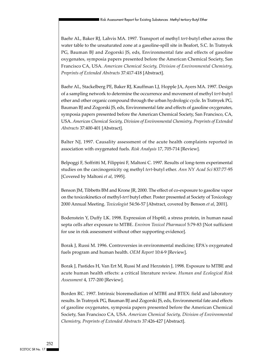Baehr AL, Baker RJ, Lahvis MA. 1997. Transport of methyl *tert*-butyl ether across the water table to the unsaturated zone at a gasoline-spill site in Beafort, S.C. In Tratnyek PG, Bauman BJ and Zogorski JS, eds, Environmental fate and effects of gasoline oxygenates, symposia papers presented before the American Chemical Society, San Francisco CA, USA. *American Chemical Society, Division of Environmental Chemistry, Preprints of Extended Abstracts* 37:417-418 [Abstract].

Baehr AL, Stackelberg PE, Baker RJ, Kauffman LJ, Hopple JA, Ayers MA. 1997. Design of a sampling network to determine the occurrence and movement of methyl *tert*-butyl ether and other organic compound through the urban hydrologic cycle. In Tratnyek PG, Bauman BJ and Zogorski JS, eds, Environmental fate and effects of gasoline oxygenates, symposia papers presented before the American Chemical Society, San Francisco, CA, USA. *American Chemical Society, Division of Environmental Chemistry, Preprints of Extended Abstracts* 37:400-401 [Abstract].

Balter NJ, 1997. Causality assessment of the acute health complaints reported in association with oxygenated fuels. *Risk Analysis* 17, 705-714 [Review].

Belpoggi F, Soffritti M, Filippini F, Maltoni C. 1997. Results of long-term experimental studies on the carcinogenicity og methyl *tert*-butyl ether. *Ann NY Acad Sci* 837:77-95 [Covered by Maltoni *et al*, 1995].

Benson JM, Tibbetts BM and Krone JR, 2000. The effect of co-exposure to gasoline vapor on the toxicokinetics of methyl-*tert* butyl ether. Poster presented at Society of Toxicology 2000 Annual Meeting. *Toxicologist* 54:56-57 [Abstract, covered by Benson *et al*, 2001].

Bodenstein Y, Duffy LK. 1998. Expression of Hsp60, a stress protein, in human nasal septa cells after exposure to MTBE. *Environ Toxicol Pharmacol* 5:79-83 [Not sufficient for use in risk assessment without other supporting evidence].

Borak J, Russi M. 1996. Controversies in environmental medicine; EPA's oxygenated fuels program and human health. *OEM Report* 10:4-9 [Review].

Borak J, Pastides H, Van Ert M, Russi M and Herzstein J, 1998. Exposure to MTBE and acute human health effects: a critical literature review. *Human and Ecological Risk Assessment* 4, 177-200 [Review].

Borden RC. 1997. Intrinsic bioremediation of MTBE and BTEX: field and laboratory results. In Tratnyek PG, Bauman BJ and Zogorski JS, eds, Environmental fate and effects of gasoline oxygenates, symposia papers presented before the American Chemical Society, San Francisco CA, USA. *American Chemical Society, Division of Environmental Chemistry, Preprints of Extended Abstracts* 37:426-427 [Abstract].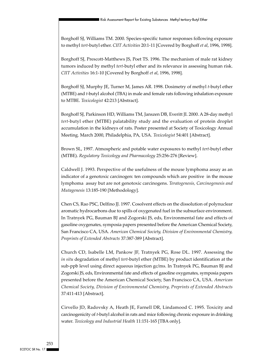Borghoff SJ, Williams TM. 2000. Species-specific tumor responses following exposure to methyl *tert*-butyl ether. *CIIT Activities* 20:1-11 [Covered by Borghoff *et al*, 1996, 1998].

Borghoff SJ, Prescott-Matthews JS, Poet TS. 1996. The mechanism of male rat kidney tumors induced by methyl *tert*-butyl ether and its relevance in assessing human risk. *CIIT Activities* 16:1-10 [Covered by Borghoff *et al*, 1996, 1998].

Borghoff SJ, Murphy JE, Turner M, James AR. 1998. Dosimetry of methyl *t*-butyl ether (MTBE) and *t*-butyl alcohol (TBA) in male and female rats following inhalation exposure to MTBE. *Toxicologist* 42:213 [Abstract].

Borghoff SJ, Parkinson HD, Williams TM, Janszen DB, Everitt JI. 2000. A 28-day methyl *tert*-butyl ether (MTBE) palatability study and the evaluation of protein droplet accumulation in the kidneys of rats. Poster presented at Society of Toxicology Annual Meeting. March 2000, Philadelphia, PA, USA. *Toxicologist* 54:401 [Abstract].

Brown SL, 1997. Atmospheric and potable water exposures to methyl *tert*-butyl ether (MTBE). *Regulatory Toxicology and Pharmacology* 25:256-276 [Review].

Caldwell J. 1993. Perspective of the usefulness of the mouse lymphoma assay as an indicator of a genotoxic carcinogen: ten compounds which are positive in the mouse lymphoma assay but are not genotoxic carcinogens. *Teratogenesis, Carcinogenesis and Mutagenesis* 13:185-190 [Methodology].

Chen CS, Rao PSC, Delfino JJ. 1997. Cosolvent effects on the dissolution of polynuclear aromatic hydrocarbons due to spills of oxygenated fuel in the subsurface environment. In Tratnyek PG, Bauman BJ and Zogorski JS, eds, Environmental fate and effects of gasoline oxygenates, symposia papers presented before the American Chemical Society, San Francisco CA, USA. *American Chemical Society, Division of Environmental Chemistry, Preprints of Extended Abstracts* 37:387-389 [Abstract].

Church CD, Isabelle LM, Pankow JF, Tratnyek PG, Rose DL. 1997. Assessing the *in situ* degradation of methyl *tert*-butyl ether (MTBE) by product identification at the sub-ppb level using direct aqueous injection gc/ms. In Tratnyek PG, Bauman BJ and Zogorski JS, eds, Environmental fate and effects of gasoline oxygenates, symposia papers presented before the American Chemical Society, San Francisco CA, USA. *American Chemical Society, Division of Environmental Chemistry, Preprints of Extended Abstracts* 37:411-413 [Abstract].

Cirvello JD, Radovsky A, Heath JE, Farnell DR, Lindamood C. 1995. Toxicity and carcinogenicity of *t*-butyl alcohol in rats and mice following chronic exposure in drinking water. *Toxicology and Industrial Health* 11:151-165 [TBA only].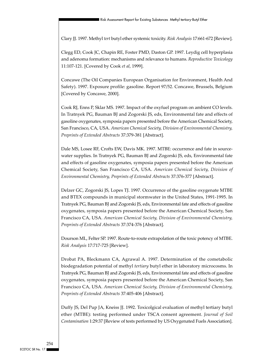Clary JJ. 1997. Methyl *tert* butyl ether systemic toxicity. *Risk Analysis* 17:661-672 [Review].

Clegg ED, Cook JC, Chapin RE, Foster PMD, Daston GP. 1997. Leydig cell hyperplasia and adenoma formation: mechanisms and relevance to humans. *Reproductive Toxicology* 11:107-121. [Covered by Cook *et al*, 1999].

Concawe (The Oil Companies European Organisation for Environment, Health And Safety). 1997. Exposure profile: gasoline. Report 97/52. Concawe, Brussels, Belgium [Covered by Concawe, 2000].

Cook RJ, Enns P, Sklar MS. 1997. Impact of the oxyfuel program on ambient CO levels. In Tratnyek PG, Bauman BJ and Zogorski JS, eds, Environmental fate and effects of gasoline oxygenates, symposia papers presented before the American Chemical Society, San Francisco, CA, USA. *American Chemical Society, Division of Environmental Chemistry, Preprints of Extended Abstracts* 37:379-381 [Abstract].

Dale MS, Losee RF, Crofts EW, Davis MK. 1997. MTBE: occurrence and fate in sourcewater supplies. In Tratnyek PG, Bauman BJ and Zogorski JS, eds, Environmental fate and effects of gasoline oxygenates, symposia papers presented before the American Chemical Society, San Francisco CA, USA. *American Chemical Society, Division of Environmental Chemistry, Preprints of Extended Abstracts* 37:376-377 [Abstract].

Delzer GC, Zogorski JS, Lopes TJ. 1997. Occurrence of the gasoline oxygenate MTBE and BTEX compounds in municipal stormwater in the United States, 1991-1995. In Tratnyek PG, Bauman BJ and Zogorski JS, eds, Environmental fate and effects of gasoline oxygenates, symposia papers presented before the American Chemical Society, San Francisco CA, USA. *American Chemical Society, Division of Environmental Chemistry, Preprints of Extended Abstracts* 37:374-376 [Abstract].

Dourson ML, Felter SP. 1997. Route-to-route extrapolation of the toxic potency of MTBE. *Risk Analysis* 17:717-725 [Review].

Drobat PA, Bleckmann CA, Agrawal A. 1997. Determination of the cometabolic biodegradation potential of methyl *tertiary* butyl ether in laboratory microcosms. In Tratnyek PG, Bauman BJ and Zogorski JS, eds, Environmental fate and effects of gasoline oxygenates, symposia papers presented before the American Chemical Society, San Francisco CA, USA. *American Chemical Society, Division of Environmental Chemistry, Preprints of Extended Abstracts* 37:405-406 [Abstract].

Duffy JS, Del Pup JA, Kneiss JJ. 1992. Toxicolgical evaluation of methyl tertiary butyl ether (MTBE): testing performed under TSCA consent agreement. *Journal of Soil Contamination* 1:29:37 [Review of tests performed by US Oxygenated Fuels Association].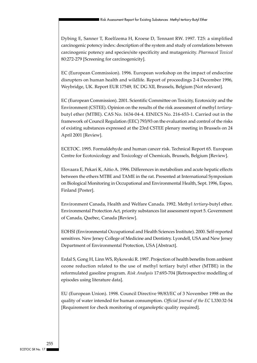Dybing E, Sanner T, Roelfzema H, Kroese D, Tennant RW. 1997. T25: a simplified carcinogenic potency index: description of the system and study of correlations between carcinogenic potency and species/site specificity and mutagenicity. *Pharmacol Toxicol* 80:272-279 [Screening for carcinogenicity].

EC (European Commission). 1996. European workshop on the impact of endocrine disrupters on human health and wildlife. Report of proceedings 2-4 December 1996, Weybridge, UK. Report EUR 17549, EC DG XII, Brussels, Belgium [Not relevant].

EC (European Commission). 2001. Scientific Committee on Toxicity, Ecotoxicity and the Environment (CSTEE). Opinion on the results of the risk assessment of methyl *tertiary*butyl ether (MTBE). CAS No. 1634-04-4. EINECS No. 216-653-1. Carried out in the framework of Council Regulation (EEC) 793/93 on the evaluation and control of the risks of existing substances expressed at the 23rd CSTEE plenary meeting in Brussels on 24 April 2001 [Review].

ECETOC. 1995. Formaldehyde and human cancer risk. Technical Report 65. European Centre for Ecotoxicology and Toxicology of Chemicals, Brussels, Belgium [Review].

Elovaara E, Pekari K, Aitio A. 1996. Differences in metabolism and acute hepatic effects between the ethers MTBE and TAME in the rat. Presented at International Symposium on Biological Monitoring in Occupational and Environmental Health, Sept. 1996, Espoo, Finland [Poster].

Environment Canada, Health and Welfare Canada. 1992. Methyl *tertiary*-butyl ether. Environmental Protection Act, priority substances list assessment report 5. Government of Canada, Quebec, Canada [Review].

EOHSI (Environmental Occupational and Health Sciences Institute). 2000. Self-reported sensitives. New Jersey College of Medicine and Dentistry. Lyondell, USA and New Jersey Department of Environmental Protection, USA [Abstract].

Erdal S, Gong H, Linn WS, Rykowski R. 1997. Projection of health benefits from ambient ozone reduction related to the use of methyl tertiary butyl ether (MTBE) in the reformulated gasoline program. *Risk Analysis* 17:693-704 [Retrospective modelling of episodes using literature data].

EU (European Union). 1998. Council Directive 98/83/EC of 3 November 1998 on the quality of water intended for human consumption. *Official Journal of the EC* L330:32-54 [Requirement for check monitoring of organoleptic quality required].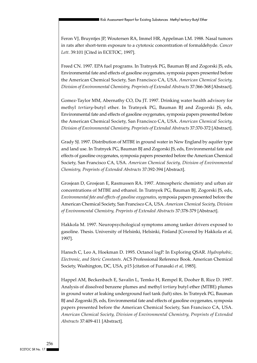Feron VJ, Bruyntjes JP, Woutersen RA, Immel HR, Appelman LM. 1988. Nasal tumors in rats after short-term exposure to a cytotoxic concentration of formaldehyde. *Cancer Lett*. 39:101 [Cited in ECETOC, 1997].

Freed CN. 1997. EPA fuel programs. In Tratnyek PG, Bauman BJ and Zogorski JS, eds, Environmental fate and effects of gasoline oxygenates, symposia papers presented before the American Chemical Society, San Francisco CA, USA. *American Chemical Society, Division of Environmental Chemistry, Preprints of Extended Abstracts* 37:366-368 [Abstract].

Gomez-Taylor MM, Abernathy CO, Du JT. 1997. Drinking water health advisory for methyl *tertiary*-butyl ether. In Tratnyek PG, Bauman BJ and Zogorski JS, eds, Environmental fate and effects of gasoline oxygenates, symposia papers presented before the American Chemical Society, San Francisco CA, USA. *American Chemical Society, Division of Environmental Chemistry, Preprints of Extended Abstracts* 37:370-372 [Abstract].

Grady SJ. 1997. Distribution of MTBE in ground water in New England by aquifer type and land use. In Tratnyek PG, Bauman BJ and Zogorski JS, eds, Environmental fate and effects of gasoline oxygenates, symposia papers presented before the American Chemical Society, San Francisco CA, USA. *American Chemical Society, Division of Environmental Chemistry, Preprints of Extended Abstracts* 37:392-394 [Abstract].

Grosjean D, Grosjean E, Rasmussen RA. 1997. Atmospheric chemistry and urban air concentrations of MTBE and ethanol. In Tratnyek PG, Bauman BJ, Zogorski JS, eds, *Environmental fate and effects of gasoline oxygenates*, symposia papers presented before the American Chemical Society, San Francisco CA, USA. *American Chemical Society, Division of Environmental Chemistry, Preprints of Extended Abstracts* 37:378-379 [Abstract].

Hakkola M. 1997. Neuropsychological symptoms among tanker drivers exposed to gasoline. Thesis. University of Helsinki, Helsinki, Finland [Covered by Hakkola et al, 1997].

Hansch C, Leo A, Hoekman D. 1995. Octanol logP. In Exploring QSAR. *Hydrophobic, Electronic, and Steric Constants*. ACS Professional Reference Book. American Chemical Society, Washington, DC, USA, p15 [citation of Funasaki *et al*, 1985].

Happel AM, Beckenbach E, Savalin L, Temko H, Rempel R, Dooher B, Rice D. 1997. Analysis of dissolved benzene plumes and methyl *tertiary* butyl ether (MTBE) plumes in ground water at leaking underground fuel tank (luft) sites. In Tratnyek PG, Bauman BJ and Zogorski JS, eds, Environmental fate and effects of gasoline oxygenates, symposia papers presented before the American Chemical Society, San Francisco CA, USA. *American Chemical Society, Division of Environmental Chemistry, Preprints of Extended Abstracts* 37:409-411 [Abstract].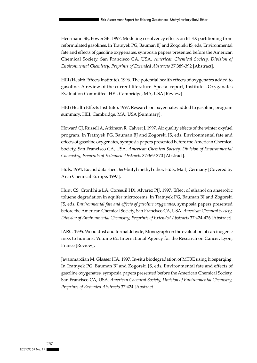Heermann SE, Power SE. 1997. Modeling cosolvency effects on BTEX partitioning from reformulated gasolines. In Tratnyek PG, Bauman BJ and Zogorski JS, eds, Environmental fate and effects of gasoline oxygenates, symposia papers presented before the American Chemical Society, San Francisco CA, USA. *American Chemical Society, Division of Environmental Chemistry, Preprints of Extended Abstracts* 37:389-392 [Abstract].

HEI (Health Effects Institute). 1996. The potential health effects of oxygenates added to gasoline. A review of the current literature. Special report, Institute's Oxyganates Evaluation Committee. HEI, Cambridge, MA, USA [Review].

HEI (Health Effects Institute). 1997. Research on oxygenates added to gasoline, program summary. HEI, Cambridge, MA, USA [Summary].

Howard CJ, Russell A, Atkinson R, Calvert J. 1997. Air quality effects of the winter oxyfuel program. In Tratnyek PG, Bauman BJ and Zogorski JS, eds, Environmental fate and effects of gasoline oxygenates, symposia papers presented before the American Chemical Society, San Francisco CA, USA. *American Chemical Society, Division of Environmental Chemistry, Preprints of Extended Abstracts* 37:369-370 [Abstract].

Hüls. 1994. Euclid data sheet *tert*-butyl methyl ether. Hüls, Marl, Germany [Covered by Arco Chemical Europe, 1997].

Hunt CS, Cronkhite LA, Corseuil HX, Alvarez PJJ. 1997. Effect of ethanol on anaerobic toluene degradation in aquifer microcosms. In Tratnyek PG, Bauman BJ and Zogorski JS, eds, *Environmental fate and effects of gasoline oxygenates*, symposia papers presented before the American Chemical Society, San Francisco CA, USA. *American Chemical Society, Division of Environmental Chemistry, Preprints of Extended Abstracts* 37:424-426 [Abstract].

IARC. 1995. Wood dust and formaldehyde, Monograph on the evaluation of carcinogenic risks to humans. Volume 62. International Agency for the Research on Cancer, Lyon, France [Review].

Javanmardian M, Glasser HA. 1997. In-situ biodegradation of MTBE using biosparging. In Tratnyek PG, Bauman BJ and Zogorski JS, eds, Environmental fate and effects of gasoline oxygenates, symposia papers presented before the American Chemical Society, San Francisco CA, USA. *American Chemical Society, Division of Environmental Chemistry, Preprints of Extended Abstracts* 37:424 [Abstract].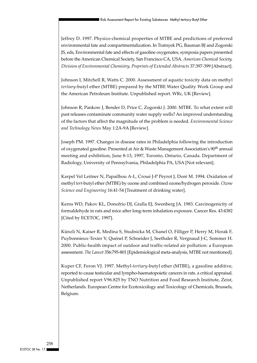Jeffrey D. 1997. Physico-chemical properties of MTBE and predictions of preferred environmental fate and compartmentalization. In Tratnyek PG, Bauman BJ and Zogorski JS, eds, Environmental fate and effects of gasoline oxygenates, symposia papers presented before the American Chemical Society, San Francisco CA, USA. *American Chemical Society, Division of Environmental Chemistry, Preprints of Extended Abstracts* 37:397-399 [Abstract].

Johnson I, Mitchell R, Watts C. 2000. Assessment of aquatic toxicity data on methyl *tertiary*-butyl ether (MTBE) prepared by the MTBE Water Quality Work Group and the American Petroleum Institute. Unpublished report. WRc, UK [Review].

Johnson R, Pankow J, Bender D, Price C, Zogorski J. 2000. MTBE. To what extent will past releases contaminate community water supply wells? An improved understanding of the factors that affect the magnitude of the problem is needed. *Environmental Science and Technology News* May 1:2A-9A [Review].

Joseph PM. 1997. Changes in disease rates in Philadelphia following the introduction of oxygenated gasoline. Presented at Air & Waste Management Association's 90<sup>th</sup> annual meeting and exhibition, June 8-13, 1997, Toronto, Ontario, Canada. Department of Radiology, University of Pennsylvania, Philadelphia PA, USA [Not relevant].

Karpel Vel Leitner N, Papailhou A-L, Croué J-P Peyrot J, Doré M. 1994. Oxidation of methyl *tert*-butyl ether (MTBE) by ozone and combined ozone/hydrogen peroxide. *Ozone Science and Engineering* 16:41-54 [Treatment of drinking water].

Kerns WD, Pakov KL, Donofrio DJ, Gralla EJ, Swenberg JA. 1983. Carcinogenicity of formaldehyde in rats and mice after long-term inhalation exposure. Cancer Res. 43:4382 [Cited by ECETOC, 1997].

Künzli N, Kaiser R, Medina S, Studnicka M, Chanel O, Filliger P, Herry M, Horak F, Puybonnieux-Texier V, Quénel P, Schneider J, Seethaler R, Vergnaud J-C, Sommer H. 2000. Public-health impact of outdoor and traffic-related air pollution: a European assessment. *The Lancet* 356:795-801 [Epidemiological meta-analysis, MTBE not mentioned].

Kuper CF, Feron VJ. 1997. Methyl-*tertiary*-butyl ether (MTBE), a gasoline additive, reported to cause testicular and lympho-haematopoietic cancers in rats. a critical appraisal. Unpublished report V96.825 by TNO Nutrition and Food Research Institute, Zeist, Netherlands. European Centre for Ecotoxicology and Toxicology of Chemicals, Brussels, Belgium.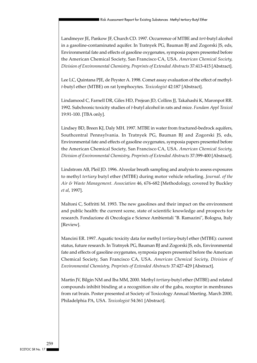Landmeyer JE, Pankow JF, Church CD. 1997. Occurrence of MTBE and *tert*-butyl alcohol in a gasoline-contaminated aquifer. In Tratnyek PG, Bauman BJ and Zogorski JS, eds, Environmental fate and effects of gasoline oxygenates, symposia papers presented before the American Chemical Society, San Francisco CA, USA. *American Chemical Society, Division of Environmental Chemistry, Preprints of Extended Abstracts* 37:413-415 [Abstract].

Lee LC, Quintana PJE, de Peyster A. 1998. Comet assay evaluation of the effect of methyl*t*-butyl ether (MTBE) on rat lymphocytes. *Toxicologist* 42:187 [Abstract].

Lindamood C, Farnell DR, Giles HD, Prejean JD, Collins JJ, Takahashi K, Maronpot RR. 1992. Subchronic toxicity studies of *t*-butyl alcohol in rats and mice. *Fundam Appl Toxicol* 19:91-100. [TBA only].

Lindsey BD, Breen KJ, Daly MH. 1997. MTBE in water from fractured-bedrock aquifers, Southcentral Pennsylvania. In Tratnyek PG, Bauman BJ and Zogorski JS, eds, Environmental fate and effects of gasoline oxygenates, symposia papers presented before the American Chemical Society, San Francisco CA, USA. *American Chemical Society, Division of Environmental Chemistry, Preprints of Extended Abstracts* 37:399-400 [Abstract].

Lindstrom AB, Pleil JD. 1996. Alveolar breath sampling and analysis to assess exposures to methyl *tertiary* butyl ether (MTBE) during motor vehicle refueling. *Journal. of the Air & Waste Management. Association* 46, 676-682 [Methodology, covered by Buckley *et al*, 1997].

Maltoni C, Soffritti M. 1993. The new gasolines and their impact on the environment and public health: the current scene, state of scientific knowledge and prospects for research. Fondazione di Oncologia e Science Ambientali "B. Ramazini", Bologna, Italy [Review].

Mancini ER. 1997. Aquatic toxicity data for methyl *tertiary*-butyl ether (MTBE): current status, future research. In Tratnyek PG, Bauman BJ and Zogorski JS, eds, Environmental fate and effects of gasoline oxygenates, symposia papers presented before the American Chemical Society, San Francisco CA, USA. *American Chemical Society, Division of Environmental Chemistry, Preprints of Extended Abstracts* 37:427-429 [Abstract].

Martin JV, Bilgin NM and Iba MM, 2000. Methyl *tertiary*-butyl ether (MTBE) and related compounds inhibit binding at a recognition site of the gaba, receptor in membranes from rat brain. Poster presented at Society of Toxicology Annual Meeting. March 2000, Philadelphia PA, USA. *Toxicologist* 54:361 [Abstract].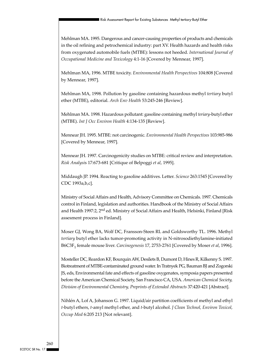Mehlman MA. 1995. Dangerous and cancer-causing properties of products and chemicals in the oil refining and petrochemical industry: part XV. Health hazards and health risks from oxygenated automobile fuels (MTBE): lessons not heeded. *International Journal of Occupational Medicine and Toxicology* 4:1-16 [Covered by Mennear, 1997].

Mehlman MA, 1996. MTBE toxicity. *Environmental Health Perspectives* 104:808 [Covered by Mennear, 1997].

Mehlman MA, 1998. Pollution by gasoline containing hazardous methyl *tertiary* butyl ether (MTBE), editorial. *Arch Env Health* 53:245-246 [Review].

Mehlman MA. 1998. Hazardous pollutant: gasoline containing methyl *teriary*-butyl ether (MTBE). *Int J Occ Environ Health* 4:134-135 [Review].

Mennear JH. 1995. MTBE: not carcinogenic. *Environmental Health Perspectives* 103:985-986 [Covered by Mennear, 1997].

Mennear JH. 1997. Carcinogenicity studies on MTBE: critical review and interpretation. *Risk Analysi*s 17:673-681 [Critique of Belpoggi *et al*, 1995].

Middaugh JP. 1994. Reacting to gasoline additives. Letter. *Science* 263:1545 [Covered by CDC 1993a,b,c].

Ministry of Social Affairs and Health, Advisory Committee on Chemicals. 1997. Chemicals control in Finland, legislation and authorities. Handbook of the Ministry of Social Affairs and Health 1997:2, 2nd ed. Ministry of Social Affairs and Health, Helsinki, Finland [Risk assesment process in Finland].

Moser GJ, Wong BA, Wolf DC, Fransson-Steen RL and Goldsworthy TL. 1996. Methyl *tertiary* butyl ether lacks tumor-promoting activity in N-nitrosodiethylamine-initiated B6C3F<sub>1</sub> female mouse liver. *Carcinogenesis* 17, 2753-2761 [Covered by Moser *et al*, 1996].

Mosteller DC, Reardon KF, Bourquin AW, Desilets B, Dumont D, Hines R, Kilkenny S. 1997. Biotreatment of MTBE-contaminated ground water. In Tratnyek PG, Bauman BJ and Zogorski JS, eds, Environmental fate and effects of gasoline oxygenates, symposia papers presented before the American Chemical Society, San Francisco CA, USA. *American Chemical Society, Division of Environmental Chemistry, Preprints of Extended Abstracts* 37:420-421 [Abstract].

Nihlén A, Lof A, Johanson G. 1997. Liquid/air partition coefficients of methyl and ethyl *t*-butyl ethers, *t*-amyl methyl ether, and *t*-butyl alcohol. *J Clean Technol, Environ Toxicol, Occup Med* 6:205 213 [Not relevant].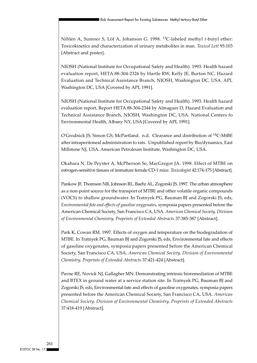Nihlén A, Sumner S, Löf A, Johanson G. 1998. 13C-labeled methyl *t*-butyl ether: Toxicokinetics and characterization of urinary metabolites in man. *Toxicol Lett* 95:103 [Abstract and poster].

NIOSH (National Institute for Occupational Safety and Health). 1993. Health hazard evaluation report, HETA 88-304-2326 by Hartle RW, Kelly JE, Burton NC, Hazard Evaluation and Technical Assistance Branch, NIOSH, Washington DC, USA. API, Washington DC, USA [Covered by API, 1991].

NIOSH (National Institute for Occupational Safety and Health). 1993. Health hazard evaluation report, Report HETA 88-304-2344 by Almaguer D, Hazard Evaluation and Technical Assistance Branch, NIOSH, Washington DC, USA. National Centers fo Environmental Health, Albany NY, USA [Covered by API, 1991].

O'Grodnick JS, Simon GS, McPartland. n.d. Clearance and distribution of 14C-MtBE after intraperitoneal administration to rats. Unpublished report by Bio/dynamics, East Millstone NJ, USA. American Petroleum Institute, Washington DC, USA.

Okahara N, De Peyster A, McPherson Se, MacGregor JA. 1998. Effect of MTBE on estrogen-sensitive tissues of immature female CD-1 mice. *Toxicologist* 42:174-175 [Abstract].

Pankow JF, Thomson NR, Johnson RL, Baehr AL, Zogorski JS. 1997. The urban atmosphere as a non-point source for the transport of MTBE and other volatile organic compounds (VOCS) to shallow groundwater. In Tratnyek PG, Bauman BJ and Zogorski JS, eds, *Environmental fate and effects of gasoline oxygenates*, symposia papers presented before the American Chemical Society, San Francisco CA, USA. *American Chemical Society, Division of Environmental Chemistry, Preprints of Extended Abstracts* 37:385-387 [Abstract].

Park K, Cowan RM. 1997. Effects of oxygen and temperature on the biodegradation of MTBE. In Tratnyek PG, Bauman BJ and Zogorski JS, eds, Environmental fate and effects of gasoline oxygenates, symposia papers presented before the American Chemical Society, San Francisco CA, USA. *American Chemical Society, Division of Environmental Chemistry, Preprints of Extended Abstracts* 37:421-424 [Abstract].

Pavne RE, Novick NJ, Gallagher MN. Demonstrating intrinsic bioremediation of MTBE and BTEX in ground water at a service station site. In Tratnyek PG, Bauman BJ and Zogorski JS, eds, Environmental fate and effects of gasoline oxygenates, symposia papers presented before the American Chemical Society, San Francisco CA, USA. *American Chemical Society, Division of Environmental Chemistry, Preprints of Extended Abstracts* 37:418-419 [Abstract].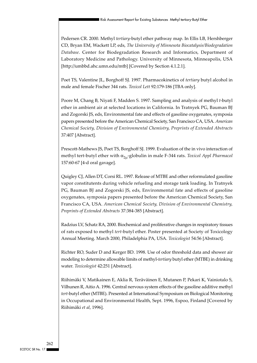Pedersen CR. 2000. Methyl *tertiary*-butyl ether pathway map. In Ellis LB, Hershberger CD, Bryan EM, Wackett LP, eds, *The University of Minnesota Biocatalysis/Biodegradation Database*. Center for Biodegradation Research and Informatics, Department of Laboratory Medicine and Pathology. University of Minnesota, Minneapolis, USA [http://umbbd.ahc.umn.edu/mtb] [Covered by Section 4.1.2.1].

Poet TS, Valentine JL, Borghoff SJ. 1997. Pharmacokinetics of *tertiary* butyl alcohol in male and female Fischer 344 rats. *Toxicol Lett* 92:179-186 [TBA only].

Poore M, Chang B, Niyati F, Madden S. 1997. Sampling and analysis of methyl *t*-butyl ether in ambient air at selected locations in California. In Tratnyek PG, Bauman BJ and Zogorski JS, eds, Environmental fate and effects of gasoline oxygenates, symposia papers presented before the American Chemical Society, San Francisco CA, USA. *American Chemical Society, Division of Environmental Chemistry, Preprints of Extended Abstracts* 37:407 [Abstract].

Prescott-Mathews JS, Poet TS, Borghoff SJ. 1999. Evaluation of the in vivo interaction of methyl tert-butyl ether with α<sub>2μ</sub>-globulin in male F-344 rats. *Toxicol Appl Pharmacol* 157:60-67 [4-d oral gavage].

Quigley CJ, Allen DT, Corsi RL. 1997. Release of MTBE and other reformulated gasoline vapor constitutents during vehicle refueling and storage tank loading. In Tratnyek PG, Bauman BJ and Zogorski JS, eds, Environmental fate and effects of gasoline oxygenates, symposia papers presented before the American Chemical Society, San Francisco CA, USA. *American Chemical Society, Division of Environmental Chemistry, Preprints of Extended Abstracts* 37:384-385 [Abstract].

Radzius LV, Schatz RA, 2000. Biochemical and proliferative changes in respiratory tissues of rats exposed to methyl *tert*-butyl ether. Poster presented at Society of Toxicology Annual Meeting. March 2000, Philadelphia PA, USA. *Toxicologist* 54:56 [Abstract].

Richter RO, Suder D and Kerger BD. 1998. Use of odor threshold data and shower air modeling to determine allowable limits of methyl-*tertiary* butyl ether (MTBE) in drinking water. *Toxicologist* 42:251 [Abstract].

Riihimäki V, Matikainen E, Aklia R, Teräväinen E, Mutanen P, Pekari K, Vainiotalo S, Vilhunen R, Aitio A. 1996. Central nervous system effects of the gasoline additive methyl *tert*-butyl ether (MTBE). Presented at International Symposium on Biological Monitoring in Occupational and Environmental Health, Sept. 1996, Espoo, Finland [Covered by Riihimäki *et al*, 1996].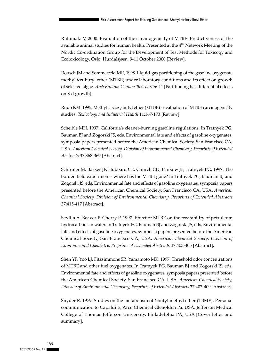Riihimäki V, 2000. Evaluation of the carcinogenicity of MTBE. Predictiveness of the available animal studies for human health. Presented at the 4<sup>th</sup> Network Meeting of the Nordic Co-ordination Group for the Development of Test Methods for Toxicogy and Ecotoxicology. Oslo, Hurdalsjøen, 9-11 October 2000 [Review].

Rousch JM and Sommerfeld MR, 1998. Liquid-gas partitioning of the gasoline oxygenate methyl *tert*-butyl ether (MTBE) under laboratory conditions and its effect on growth of selected algae. *Arch Environ Contam Toxicol* 34:6-11 [Partitioning has differential effects on 8-d growth].

Rudo KM. 1995. Methyl *tertiary* butyl ether (MTBE) - evaluation of MTBE carcinogenicity studies. *Toxicology and Industrial Health* 11:167-173 [Review].

Scheible MH. 1997. California's cleaner-burning gasoline regulations. In Tratnyek PG, Bauman BJ and Zogorski JS, eds, Environmental fate and effects of gasoline oxygenates, symposia papers presented before the American Chemical Society, San Francisco CA, USA. *American Chemical Society, Division of Environmental Chemistry, Preprints of Extended Abstracts* 37:368-369 [Abstract].

Schirmer M, Barker JF, Hubbard CE, Church CD, Pankow JF, Tratnyek PG. 1997. The borden field experiment - where has the MTBE gone? In Tratnyek PG, Bauman BJ and Zogorski JS, eds, Environmental fate and effects of gasoline oxygenates, symposia papers presented before the American Chemical Society, San Francisco CA, USA. *American Chemical Society, Division of Environmental Chemistry, Preprints of Extended Abstracts* 37:415-417 [Abstract].

Sevilla A, Beaver P, Cherry P. 1997. Effect of MTBE on the treatability of petroleum hydrocarbons in water. In Tratnyek PG, Bauman BJ and Zogorski JS, eds, Environmental fate and effects of gasoline oxygenates, symposia papers presented before the American Chemical Society, San Francisco CA, USA. *American Chemical Society, Division of Environmental Chemistry, Preprints of Extended Abstracts* 37:403-405 [Abstract].

Shen YF, Yoo LJ, Fitzsimmons SR, Yamamoto MK. 1997. Threshold odor concentrations of MTBE and other fuel oxygenates. In Tratnyek PG, Bauman BJ and Zogorski JS, eds, Environmental fate and effects of gasoline oxygenates, symposia papers presented before the American Chemical Society, San Francisco CA, USA. *American Chemical Society, Division of Environmental Chemistry, Preprints of Extended Abstracts* 37:407-409 [Abstract].

Snyder R. 1979. Studies on the metabolism of *t*-butyl methyl ether (TBME). Personal communication to Capaldi E, Arco Chemical Glenolden Pa, USA. Jefferson Medical College of Thomas Jefferson University, Philadelphia PA, USA [Cover letter and summary].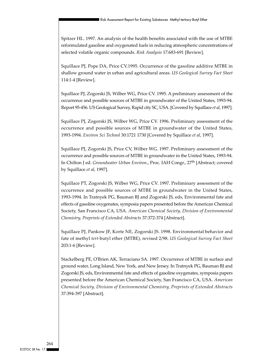Spitzer HL. 1997. An analysis of the health benefits associated with the use of MTBE reformulated gasoline and oxygenated fuels in reducing atmospheric concentrations of selected volatile organic compounds. *Risk Analysis* 17:683-691 [Review].

Squillace PJ, Pope DA, Price CV.1995. Occurrence of the gasoline additive MTBE in shallow ground water in urban and agricultural areas. *US Geological Survey Fact Sheet* 114:1-4 [Review].

Squillace PJ, Zogorski JS, Wilber WG, Price CV. 1995. A preliminary assessment of the occurrence and possible sources of MTBE in groundwater of the United States, 1993-94. Report 95-456. US Geological Survey, Rapid city SC, USA. [Covered by Squillace *et al*, 1997].

Squillace PJ, Zogorski JS, Wilber WG, Price CV. 1996. Preliminary assessment of the occurrence and possible sources of MTBE in groundwater of the United States, 1993-1994. *Environ Sci Technol* 30:1721 1730 [Covered by Squillace *et al*, 1997].

Squillace PJ, Zogorski JS, Price CV, Wilber WG. 1997. Preliminary assessment of the occurrence and possible sources of MTBE in groundwater in the United States, 1993-94. In Chilton J ed. *Groundwater Urban Environ.*, Proc. IAH Congr., 27<sup>th</sup> [Abstract; covered by Squillace *et al*, 1997].

Squillace PT, Zogorski JS, Wilber WG, Price CV. 1997. Preliminary assessment of the occurrence and possible sources of MTBE in groundwater in the United States, 1993-1994. In Tratnyek PG, Bauman BJ and Zogorski JS, eds, Environmental fate and effects of gasoline oxygenates, symposia papers presented before the American Chemical Society, San Francisco CA, USA. *American Chemical Society, Division of Environmental Chemistry, Preprints of Extended Abstracts* 37:372-374 [Abstract].

Squillace PJ, Pankow JF, Korte NE, Zogorski JS. 1998. Environmental behavior and fate of methyl *tert*-butyl ether (MTBE), revised 2/98. *US Geological Survey Fact Sheet* 203:1-6 [Review].

Stackelberg PE, O'Brien AK, Terraciano SA. 1997. Occurrence of MTBE in surface and ground water, Long Island, New York, and New Jersey. In Tratnyek PG, Bauman BJ and Zogorski JS, eds, Environmental fate and effects of gasoline oxygenates, symposia papers presented before the American Chemical Society, San Francisco CA, USA. *American Chemical Society, Division of Environmental Chemistry, Preprints of Extended Abstracts* 37:394-397 [Abstract].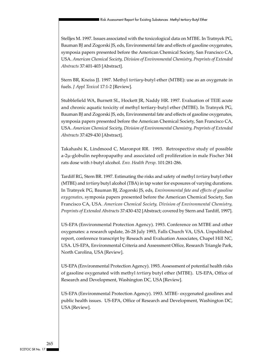Stelljes M. 1997. Issues associated with the toxicological data on MTBE. In Tratnyek PG, Bauman BJ and Zogorski JS, eds, Environmental fate and effects of gasoline oxygenates, symposia papers presented before the American Chemical Society, San Francisco CA, USA. *American Chemical Society, Division of Environmental Chemistry, Preprints of Extended Abstracts* 37:401-403 [Abstract].

Stern BR, Kneiss JJ. 1997. Methyl *tertiary*-butyl ether (MTBE): use as an oxygenate in fuels. *J Appl Toxicol* 17:1-2 [Review].

Stubblefield WA, Burnett SL, Hockett JR, Naddy HR. 1997. Evaluation of TEIE acute and chronic aquatic toxicity of methyl tertiary-butyl ether (MTBE). In Tratnyek PG, Bauman BJ and Zogorski JS, eds, Environmental fate and effects of gasoline oxygenates, symposia papers presented before the American Chemical Society, San Francisco CA, USA. *American Chemical Society, Division of Environmental Chemistry, Preprints of Extended Abstracts* 37:429-430 [Abstract].

Takahashi K, Lindmood C, Maronpot RR. 1993. Retrospective study of possible a-2µ-globulin nephropapathy and associated cell proliferation in male Fischer 344 rats dose with *t*-butyl alcohol. *Env. Health Persp*. 101:281-286.

Tardiff RG, Stern BR. 1997. Estimating the risks and safety of methyl *tertiary* butyl ether (MTBE) and *tertiary* butyl alcohol (TBA) in tap water for exposures of varying durations. In Tratnyek PG, Bauman BJ, Zogorski JS, eds, *Environmental fate and effects of gasoline oxygenates*, symposia papers presented before the American Chemical Society, San Francisco CA, USA. *American Chemical Society, Division of Environmental Chemistry, Preprints of Extended Abstracts* 37:430-432 [Abstract; covered by Stern and Tardiff, 1997].

US-EPA (Environmental Protection Agency). 1993. Conference on MTBE and other oxygenates: a research update, 26-28 July 1993, Falls Church VA, USA. Unpublished report, conference transcript by Reseach and Evaluation Associates, Chapel Hill NC, USA. US-EPA, Environmental Criteria and Assessment Office, Research Triangle Park, North Carolina, USA [Review].

US-EPA (Environmental Protection Agency). 1993. Assessment of potential health risks of gasoline oxygenated with methyl *tertiary* butyl ether (MTBE). US-EPA, Office of Research and Development, Washington DC, USA [Review].

US-EPA (Environmental Protection Agency). 1993. MTBE- oxygenated gasolines and public health issues. US-EPA, Office of Research and Development, Washington DC, USA [Review].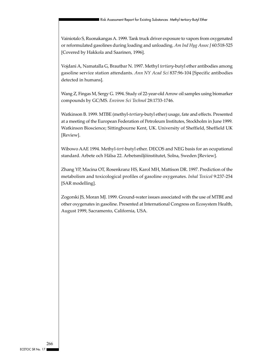Vainiotalo S, Ruonakangas A. 1999. Tank truck driver exposure to vapors from oxygenated or reformulated gasolines during loading and unloading. *Am Ind Hyg Assoc J* 60:518-525 [Covered by Hakkola and Saarinen, 1996].

Vojdani A, Namatalla G, Brautbar N. 1997. Methyl *tertiary*-butyl ether antibodies among gasoline service station attendants. *Ann NY Acad Sci* 837:96-104 [Specific antibodies detected in humans].

Wang Z, Fingas M, Sergy G. 1994. Study of 22-year-old Arrow oil samples using biomarker compounds by GC/MS. *Environ Sci Technol* 28:1733-1746.

Watkinson B. 1999. MTBE (methyl-*tertiary*-butyl ether) usage, fate and effects. Presented at a meeting of the European Federation of Petroleum Institutes, Stockholm in June 1999. Watkinson Bioscience; Sittingbourne Kent, UK. University of Sheffield, Sheffield UK [Review].

Wibowo AAE 1994. Methyl-*tert*-butyl ether. DECOS and NEG basis for an ocupational standard. Arbete och Hälsa 22. Arbetsmiljöinstitutet, Solna, Sweden [Review].

Zhang YP, Macina OT, Rosenkranz HS, Karol MH, Mattison DR. 1997. Prediction of the metabolism and toxicological profiles of gasoline oxygenates. *Inhal Toxicol* 9:237-254 [SAR modelling].

Zogorski JS, Moran MJ. 1999. Ground-water issues associated with the use of MTBE and other oxygenates in gasoline. Presented at International Congress on Ecosystem Health, August 1999, Sacramento, California, USA.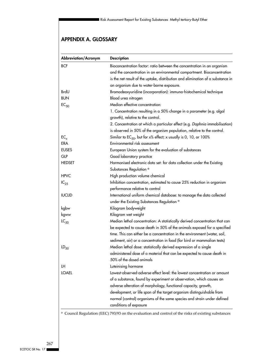# **APPENDIX A. GLOSSARY**

| Abbreviation/Acronym | <b>Description</b>                                                              |
|----------------------|---------------------------------------------------------------------------------|
| <b>BCF</b>           | Bioconcentration factor: ratio between the concentration in an organism         |
|                      | and the concentration in an environmental compartment. Bioconcentration         |
|                      | is the net result of the uptake, distribution and elimination of a substance in |
|                      | an organism due to water-borne exposure.                                        |
| BrdU                 | Bromodeoxyuridine (incorporation): immuno-histochemical technique               |
| <b>BUN</b>           | Blood urea nitrogen                                                             |
| $EC_{50}$            | Median effective concentration:                                                 |
|                      | 1. Concentration resulting in a 50% change in a parameter (e.g. algal           |
|                      | growth), relative to the control.                                               |
|                      | 2. Concentration at which a particular effect (e.g. Daphnia immobilisation)     |
|                      | is observed in 50% of the organism population, relative to the control.         |
| $EC_{x}$             | Similar to EC <sub>50</sub> , but for x% effect; x usually is 0, 10, or 100%    |
| ERA                  | Environmental risk assessment                                                   |
| <b>EUSES</b>         | European Union system for the evaluation of substances                          |
| <b>GLP</b>           | Good laboratory practice                                                        |
| <b>HEDSET</b>        | Harmonised electronic data set: for data collection under the Existing          |
|                      | Substances Regulation <sup>a</sup>                                              |
| <b>HPVC</b>          | High production volume chemical                                                 |
| $IC_{25}$            | Inhibition concentration, estimated to cause 25% reduction in organism          |
|                      | performance relative to control                                                 |
| <b>IUCLID</b>        | International uniform chemical database: to manage the data collected           |
|                      | under the Existing Substances Regulation <sup>a</sup>                           |
| kgbw                 | Kilogram bodyweight                                                             |
| kgww                 | Kilogram wet weight                                                             |
| $LC_{50}$            | Median lethal concentration: A statistically derived concentration that can     |
|                      | be expected to cause death in 50% of the animals exposed for a specified        |
|                      | time. This can either be a concentration in the environment (water, soil,       |
|                      | sediment, air) or a concentration in food (for bird or mammalian tests)         |
| $LD_{50}$            | Median lethal dose: statistically derived expression of a single                |
|                      | administered dose of a material that can be expected to cause death in          |
|                      | 50% of the dosed animals                                                        |
| LH.                  | Luteinising hormone                                                             |
| <b>LOAEL</b>         | Lowest-observed-adverse-effect level: the lowest concentration or amount        |
|                      | of a substance, found by experiment or observation, which causes an             |
|                      | adverse alteration of morphology, functional capacity, growth,                  |
|                      | development, or life span of the target organism distinguishable from           |
|                      | normal (control) organisms of the same species and strain under defined         |
|                      | conditions of exposure                                                          |
|                      |                                                                                 |

<sup>a</sup> Council Regulation (EEC) 793/93 on the evaluation and control of the risks of existing substances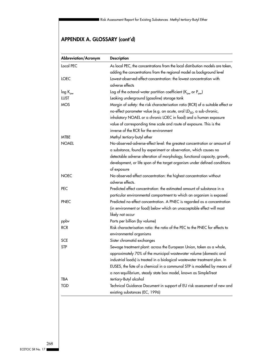# **APPENDIX A. GLOSSARY (cont'd)**

| <b>Abbreviation/Acronym</b> | <b>Description</b>                                                               |
|-----------------------------|----------------------------------------------------------------------------------|
| Local PEC                   | As local PEC, the concentrations from the local distribution models are taken,   |
|                             | adding the concentrations from the regional model as background level            |
| <b>LOEC</b>                 | Lowest-observed-effect-concentration: the lowest concentration with              |
|                             | adverse effects                                                                  |
| $log K_{ow}$                | Log of the octanol-water partition coefficient ( $K_{ow}$ or $P_{ow}$ )          |
| <b>LUST</b>                 | Leaking underground (gasoline) storage tank                                      |
| <b>MOS</b>                  | Margin of safety: the risk characterisation ratio (RCR) of a suitable effect or  |
|                             | no-effect parameter value (e.g. an acute, oral LD <sub>50</sub> , a sub-chronic, |
|                             | inhalatory NOAEL or a chronic LOEC in food) and a human exposure                 |
|                             | value of corresponding time scale and route of exposure. This is the             |
|                             | inverse of the RCR for the environment                                           |
| <b>MTBE</b>                 | Methyl tertiary-butyl ether                                                      |
| <b>NOAEL</b>                | No-observed-adverse-effect level: the greatest concentration or amount of        |
|                             | a substance, found by experiment or observation, which causes no                 |
|                             | detectable adverse alteration of morphology, functional capacity, growth,        |
|                             | development, or life span of the target organism under defined conditions        |
|                             | of exposure                                                                      |
| <b>NOEC</b>                 | No-observed-effect concentration: the highest concentration without              |
|                             | adverse effects.                                                                 |
| PEC                         | Predicted effect concentration: the estimated amount of substance in a           |
|                             | particular environmental compartment to which an organism is exposed             |
| <b>PNEC</b>                 | Predicted no-effect concentration. A PNEC is regarded as a concentration         |
|                             | (in environment or food) below which an unacceptable effect will most            |
|                             | likely not occur                                                                 |
| ppbv                        | Parts per billion (by volume)                                                    |
| <b>RCR</b>                  | Risk characterisation ratio: the ratio of the PEC to the PNEC for effects to     |
|                             | environmental organisms                                                          |
| <b>SCE</b>                  | Sister chromatid exchanges                                                       |
| <b>STP</b>                  | Sewage treatment plant: across the European Union, taken as a whole,             |
|                             | approximately 70% of the municipal wastewater volume (domestic and               |
|                             | industrial loads) is treated in a biological wastewater treatment plan. In       |
|                             | EUSES, the fate of a chemical in a communal STP is modelled by means of          |
|                             | a non-equilibrium, steady state box model, known as SimpleTreat                  |
| <b>TBA</b>                  | tertiary-Butyl alcohol                                                           |
| <b>TGD</b>                  | Technical Guidance Document in support of EU risk assessment of new and          |
|                             | existing substances (EC, 1996)                                                   |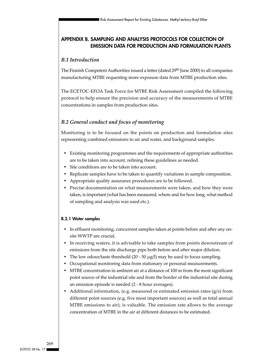# **APPENDIX B. SAMPLING AND ANALYSIS PROTOCOLS FOR COLLECTION OF EMISSION DATA FOR PRODUCTION AND FORMULATION PLANTS**

### *B.1 Introduction*

The Finnish Competent Authorities issued a letter (dated 29<sup>th</sup> June 2000) to all companies manufacturing MTBE requesting more exposure data from MTBE production sites.

The ECETOC-EFOA Task Force for MTBE Risk Assessment compiled the following protocol to help ensure the precision and accuracy of the measurements of MTBE concentrations in samples from production sites.

## *B.2 General conduct and focus of monitoring*

Monitoring is to be focused on the points on production and formulation sites representing combined emissions to air and water, and background samples.

- Existing monitoring programmes and the requirements of appropriate authorities are to be taken into account, refining these guidelines as needed.
- Site conditions are to be taken into account.
- Replicate samples have to be taken to quantify variations in sample composition.
- Appropriate quality assurance procedures are to be followed.
- Precise documentation on what measurements were taken, and how they were taken, is important (what has been measured, where and for how long, what method of sampling and analysis was used etc.).

### **B.2.1 Water samples**

- In effluent monitoring, concurrent samples taken at points before and after any onsite WWTP are crucial.
- In receiving waters, it is advisable to take samples from points downstream of emissions from the site discharge pipe both before and after major dilution.
- The low odour/taste threshold (20 50 µg/l) may be used to focus sampling.
- Occupational monitoring data from stationary or personal measurements.
- MTBE concentration in ambient air at a distance of 100 m from the most significant point source of the industrial site and from the border of the industrial site during an emission episode is needed (2 - 8 hour averages).
- Additional information, (e.g. measured or estimated emission rates  $(g/s)$  from different point sources (e.g. five most important sources) as well as total annual MTBE emissions to air), is valuable. The emission rate allows to the average concentration of MTBE in the air at different distances to be estimated.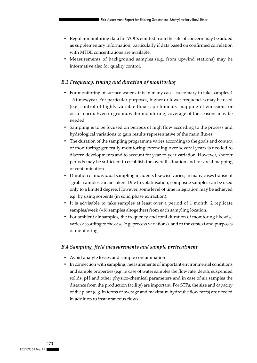- Regular monitoring data for VOCs emitted from the site of concern may be added as supplementary information, particularly if data based on confirmed correlation with MTBE concentrations are available.
- Measurements of background samples (e.g. from upwind stations) may be informative also for quality control.

### *B.3 Frequency, timing and duration of monitoring*

- For monitoring of surface waters, it is in many cases customary to take samples 4 - 5 times/year. For particular purposes, higher or lower frequencies may be used (e.g. control of highly variable fluxes, preliminary mapping of emissions or occurrence). Even in groundwater monitoring, coverage of the seasons may be needed.
- Sampling is to be focused on periods of high flow according to the process and hydrological variations to gain results representative of the main fluxes.
- The duration of the sampling programme varies according to the goals and context of monitoring; generally monitoring extending over several years is needed to discern developments and to account for year-to-year variation. However, shorter periods may be sufficient to establish the overall situation and for areal mapping of contamination.
- Duration of individual sampling incidents likewise varies; in many cases transient "grab" samples can be taken. Due to volatilisation, composite samples can be used only to a limited degree. However, some level of time integration may be achieved e.g. by using sorbents (in solid phase extraction).
- It is advisable to take samples at least over a period of 1 month, 2 replicate samples/week (=16 samples altogether) from each sampling location.
- For ambient air samples, the frequency and total duration of monitoring likewise varies according to the case (e.g. process variations), and to the context and purposes of monitoring.

### *B.4 Sampling, field measurements and sample pretreatment*

- Avoid analyte losses and sample contamination
- In connection with sampling, measurements of important environmental conditions and sample properties (e.g. in case of water samples the flow rate, depth, suspended solids, pH and other physico-chemical parameters and in case of air samples the distance from the production facility) are important. For STPs, the size and capacity of the plant (e.g. in terms of average and maximum hydraulic flow rates) are needed in addition to instantaneous flows.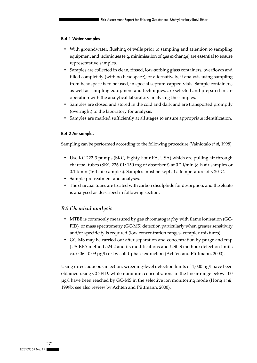### **B.4.1 Water samples**

- With groundwater, flushing of wells prior to sampling and attention to sampling equipment and techniques (e.g. minimisation of gas exchange) are essential to ensure representative samples.
- Samples are collected in clean, rinsed, low-sorbing glass containers, overflown and filled completely (with no headspace); or alternatively, if analysis using sampling from headspace is to be used, in special septum-capped vials. Sample containers, as well as sampling equipment and techniques, are selected and prepared in cooperation with the analytical laboratory analysing the samples.
- Samples are closed and stored in the cold and dark and are transported promptly (overnight) to the laboratory for analysis.
- Samples are marked sufficiently at all stages to ensure appropriate identification.

### **B.4.2 Air samples**

Sampling can be performed according to the following procedure (Vainiotalo *et al*, 1998):

- Use KC 222-3 pumps (SKC, Eighty Four PA, USA) which are pulling air through charcoal tubes (SKC 226-01; 150 mg of absorbent) at 0.2 l/min (8-h air samples or 0.1 l/min (16-h air samples). Samples must be kept at a temperature of < 20°C.
- Sample pretreatment and analyses.
- The charcoal tubes are treated with carbon disulphide for desorption, and the eluate is analysed as described in following section.

### *B.5 Chemical analysis*

- MTBE is commonly measured by gas chromatography with flame ionisation (GC-FID), or mass spectrometry (GC-MS) detection particularly when greater sensitivity and/or specificity is required (low concentration ranges, complex mixtures).
- GC-MS may be carried out after separation and concentration by purge and trap (US-EPA method 524.2 and its modifications and USGS method; detection limits ca. 0.06 - 0.09 µg/l) or by solid-phase extraction (Achten and Püttmann, 2000).

Using direct aqueous injection, screening-level detection limits of 1,000 µg/l have been obtained using GC-FID, while minimum concentrations in the linear range below 100 µg/l have been reached by GC-MS in the selective ion monitoring mode (Hong *et al*, 1999b; see also review by Achten and Püttmann, 2000).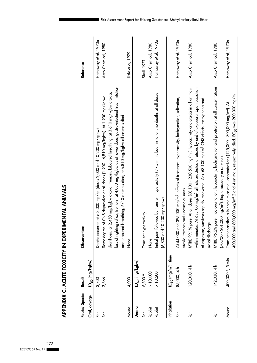|               | APPENDIX C. ACUTE TOXICITY IN EXPERI | IMENTAL ANIMALS                                                                                                                                                                                                                                                                              |                       |
|---------------|--------------------------------------|----------------------------------------------------------------------------------------------------------------------------------------------------------------------------------------------------------------------------------------------------------------------------------------------|-----------------------|
| Route/Species | <b>Result</b>                        | Observations                                                                                                                                                                                                                                                                                 | Reference             |
| Oral, gavage  | LD <sub>50</sub> (mg/kgbw)           |                                                                                                                                                                                                                                                                                              |                       |
| <b>Rat</b>    | 3,800                                | Deaths occurred at > 3,000 mg/kg (doses 2,000 and 10,200 mg/kgbw)                                                                                                                                                                                                                            | Hathaway et al, 1970a |
| Rot           | 3,866                                | Some degree of CNS depression at all doses (1,800, CDS assuard to the constant of NS of the Some degree of CNS                                                                                                                                                                               | Arco Chemical, 1980   |
|               |                                      | loss of righting reflex, tremors; at 4,080 mg/kgbw as at lower dose, gastro-intestinal tract irritation<br>2,450 mg/kgbw ataxia, tremors, laboured breathing; at 3,610 mg/kgbw ataxia,<br>l breathing, 6/10 animals died; at 6,810 mg/kgbw all animals died<br>diarrhoea; at<br>and laboured |                       |
| Mouse         | 4,000                                | None                                                                                                                                                                                                                                                                                         | Little et al, 1979    |
| Dermal        | LD <sub>50</sub> (mg/kgbw)           |                                                                                                                                                                                                                                                                                              |                       |
| <b>Rat</b>    | 6,800 °                              | Transient hyperactivity                                                                                                                                                                                                                                                                      | Shell, 1971           |
| Rabbit        | > 10,000                             | None                                                                                                                                                                                                                                                                                         | Arco Chemical, 1980   |
| <b>Rabbit</b> | > 10,200                             | Initial pain followed by transient hyperactivity (3 - 5 min), local irritation, no deaths at all doses                                                                                                                                                                                       | Hathaway et al, 1970a |
|               |                                      | 0,200 mg/kgbw)<br>(6,800 and                                                                                                                                                                                                                                                                 |                       |
| Inhalation    | $LC_{50}$ (mg/m <sup>3</sup> ), time |                                                                                                                                                                                                                                                                                              |                       |
| kat           | 85,000, 4 h                          | nd 395,000 mg/m <sup>3</sup> , effects of treatment: hyperactivity, lachrymation, salivation,<br>At 44,000 ar                                                                                                                                                                                | Hathaway et al, 1970a |
|               |                                      | ataxia, tremors and unconsciousness                                                                                                                                                                                                                                                          |                       |
| Rat           | 120,300,4h                           | within minutes. At 68,100 mg/m <sup>3</sup> all rats prostrated or ataxic by end of exposure. Upon cessation<br>pure, At all doses (68,100 - 230,500 mg/m <sup>3</sup> ) hypoactivity and ataxia in all animals<br>MTBE 99.1%                                                                | Arco Chemical, 1980   |
|               |                                      | survivors rapidly recovered. At > 68,100 mg/m <sup>3</sup> CNS effects, tachypnoea and<br>nasal discharge<br>of exposure,                                                                                                                                                                    |                       |
| Rot           | 142,030,4h                           | MTBE 96.2% pure. Inco-ordination, hypoactivity, lachrymation and prostration at all concentrations                                                                                                                                                                                           | Arco Chemical, 1980   |
|               |                                      | $(70, 700 - 201, 000 \text{ mg/m}^3)$ . Rapid recovery in survivors.                                                                                                                                                                                                                         |                       |
| Mouse         | 400,000 b, 5 min                     | Transient anaesthesia in some mice at all concentrations (125,000 - 8000,000 mg/m <sup>3</sup> ). At                                                                                                                                                                                         | Hathaway et al, 1970a |
|               |                                      | 800,000 mg/m <sup>3</sup> 2 and 4 animals, respectively, died. EC <sub>50</sub> was 200,000 mg/m <sup>3</sup><br>400,000 and                                                                                                                                                                 |                       |

ADDENINIY CACITE TOVICITY IN EVDEDIMENTAL ANIMALS

Risk Assessment Report for Existing Substances Methyl tertiary-Butyl Ether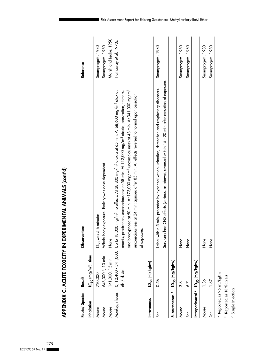| Route/Species             | <b>Result</b>                                    | Observations                                                                                                                                                                                                                  | Reference             |
|---------------------------|--------------------------------------------------|-------------------------------------------------------------------------------------------------------------------------------------------------------------------------------------------------------------------------------|-----------------------|
| Inhalation                | $LC_{50}$ (mg/m <sup>3</sup> ), time             |                                                                                                                                                                                                                               |                       |
| Mouse                     | 720,000                                          | minutes<br>$IT_{50}$ was 5.6                                                                                                                                                                                                  | Snamprogetti, 1980    |
| Mouse                     | 648,000 b, 10 min                                | Whole-body exposure. Toxicity was dose dependent                                                                                                                                                                              | Snamprogetti, 1980    |
| Mouse                     | 141,000, 15 min                                  | None                                                                                                                                                                                                                          | Marsh and Leake, 1950 |
| Monkey, rhesus            | 0, 12, 400 - 341,000, Up to 18,000<br>6h / d, 5d | mg/m <sup>3</sup> no effects. At 38,800 mg/m <sup>3</sup> ataxia at 65 min. At 68,600 mg/m <sup>3</sup> ataxia,<br>emesis, prostration, unconsciousness at 58 min. At 112,000 mg/m <sup>3</sup> ataxia, prostration, tremors, | Hathaway et al, 1970c |
|                           |                                                  | and bradypnoea at 50 min. At 173,000 mg/m <sup>3</sup> unconsciousness at 43 min. At 341,000 mg/m <sup>3</sup><br>unconsciousness at 24 min; apnoea after 85 min. All effects reversed to normal upon cessation               |                       |
|                           |                                                  | of exposure.                                                                                                                                                                                                                  |                       |
| Intravenous               | LD <sub>50</sub> (ml/kgbw)                       |                                                                                                                                                                                                                               |                       |
| Rot                       | 0.56                                             | Lethal within 5 min, preceded by hyper-salivation, urination, defecation and respiratory disorders.                                                                                                                           | Snamprogetti, 1980    |
|                           |                                                  | CNS effects (various, as above), reversed within 15 - 20 min after cessation of exposure.<br>Survivors had                                                                                                                    |                       |
| Subcutaneous <sup>c</sup> | LD <sub>50</sub> (mg/kgbw)                       |                                                                                                                                                                                                                               |                       |
| Mouse                     | $3.\overline{6}$                                 | Nore                                                                                                                                                                                                                          | Snamprogetti, 1980    |
| Rot                       | 6.7                                              | None                                                                                                                                                                                                                          | Snamprogetti, 1980    |
|                           | Intraperitoneal ' LD <sub>50</sub> (mg/kgbw)     |                                                                                                                                                                                                                               |                       |
| Mouse                     | 1.36                                             | Nore                                                                                                                                                                                                                          | Snamprogetti, 1980    |
| Rat                       | 1.67                                             | None                                                                                                                                                                                                                          | Snamprogetti, 1980    |

 $^{\rm b}$  Reported as 18 % in air b Reported as 18 % in air

<sup>c</sup> Single injection Single injection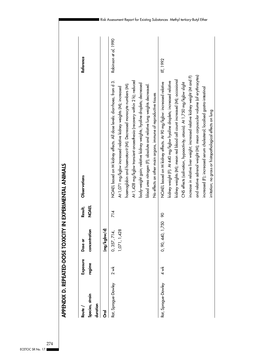|                            |                    |                          |                         | AMPENDIA D. REFEAIED-DOSE I VALERINENIAL ANIMALO                                               |  |
|----------------------------|--------------------|--------------------------|-------------------------|------------------------------------------------------------------------------------------------|--|
| Species, strain<br>Route / | Exposure<br>regime | concentration<br>Dose or | <b>NOAEL</b><br>Result, | Reference<br>Observations                                                                      |  |
| duration                   |                    |                          |                         |                                                                                                |  |
| ල<br>ර                     |                    | (mg/kgbw/d)              |                         |                                                                                                |  |
| Rat, Sprague-Dawley        | $2 \times$         | 0, 357, 714,             | 714                     | Robinson et al, 1990<br>NOAEL based on M kidney effects. All dose levels: diarrhoea, from d 3. |  |
|                            |                    | 1,071, 1,428             |                         | At 1,071 mg/kgbw increased relative kidney weights (M); increased                              |  |
|                            |                    |                          |                         | haemoglobin and haematocrit (M). Decreased monocyte numbers (M).                               |  |
|                            |                    |                          |                         | At 1,428 mg/kgbw transient anaesthesia (recovery within 2 h); reduced                          |  |
|                            |                    |                          |                         | body-weight gain; relative kidney weights; hyaline droplets; decreased                         |  |
|                            |                    |                          |                         | blood urea nitrogen (F); absolute and relative lung weights decreased.                         |  |
|                            |                    |                          |                         | No effects on other main organs, immune of reproductive tissues                                |  |
| Rat, Sprague-Dawley        | $4 \times$         | 0, 90, 440, 1,750        | $\infty$                | IIT, 1992<br>NOAEL based on M kidney effects. At 90 mg/kgbw: increased relative                |  |
|                            |                    |                          |                         | kidney weight [F]. At 440 mg/kgbw hyaline droplets; increased relative                         |  |
|                            |                    |                          |                         | kidney weights (M); mean red blood cell count increased (M); occasional                        |  |
|                            |                    |                          |                         | CNS effects (salivation, hypoactivity, ataxia). At 1,750 mg/kgbw slight                        |  |
|                            |                    |                          |                         | increase in relative liver weight; increased relative kidney weight (M and F)                  |  |
|                            |                    |                          |                         | and relative adrenal weight (M); mean corpuscular volume (of erythrocytes)                     |  |
|                            |                    |                          |                         | increased (F); increased serum cholesterol; localised gastro-intestinal                        |  |
|                            |                    |                          |                         | irritation; no gross or histopathological effects on lung                                      |  |
|                            |                    |                          |                         |                                                                                                |  |

**ADDENINIX DI DEDEATED-DOSE TOXICITY IN EXPEDIMENTAL ANIMALS APPENDIX D. REPEATED-DOSE TOXICITY IN EXPERIMENTAL ANIMALS**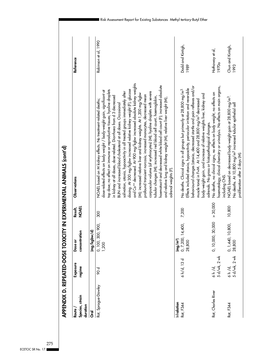| APPENDIX D. REPEATED-DOSE TOXICITY I |                         |                               |              | N EXPERIMENTAL ANIMALS (cont'd)                                                                                                                                                                                                                                                                                                                                                                                                                                                                                                                                                                                                                                                                                                                                                                                                                                                                                                                                                                                                                                      |                           |
|--------------------------------------|-------------------------|-------------------------------|--------------|----------------------------------------------------------------------------------------------------------------------------------------------------------------------------------------------------------------------------------------------------------------------------------------------------------------------------------------------------------------------------------------------------------------------------------------------------------------------------------------------------------------------------------------------------------------------------------------------------------------------------------------------------------------------------------------------------------------------------------------------------------------------------------------------------------------------------------------------------------------------------------------------------------------------------------------------------------------------------------------------------------------------------------------------------------------------|---------------------------|
| Route                                | Exposure                | Dose or                       | Result,      | Observations                                                                                                                                                                                                                                                                                                                                                                                                                                                                                                                                                                                                                                                                                                                                                                                                                                                                                                                                                                                                                                                         | Reference                 |
| Species, strain<br>duration          | regime                  | concentration                 | <b>NOAEL</b> |                                                                                                                                                                                                                                                                                                                                                                                                                                                                                                                                                                                                                                                                                                                                                                                                                                                                                                                                                                                                                                                                      |                           |
| ਰ<br>ਠੱ                              |                         | (mg/kgbw/d)                   |              |                                                                                                                                                                                                                                                                                                                                                                                                                                                                                                                                                                                                                                                                                                                                                                                                                                                                                                                                                                                                                                                                      |                           |
| Rat, Sprague-Dawley                  | 90 d                    | 0, 100, 300, 900,             | 300          | and Co <sup>++</sup> decreased. At 900 mg/kgbw increased absolute kidney weights<br>haematocrit and decreased white blood cell count (F); increased absolute<br>dosing. At 300 mg/kgbw increased relative kidney weight (F), glucose<br>top dose; no effect on immune or reproductive tissues; hyaline droplets<br>dose-related effects on body weight / body-weight gain, significant at<br>corpuscular volume (of erythrocytes) (M); hyaline droplets with severe<br>salivation, ataxia, hypoactivity in all treated groups immediately after<br>(M); increased relative liver and kidney weights. At 1,200 mg/kgbw<br>profound transient narcosis; increased monocytes, decreased mean<br>in kidney at all doses, dose-related. Diarrhoea from d 3 decreased<br>tubular changes (M); increased red blood cell count, haemoglobin,<br>and relative lung and kidney weight (M), relative liver weight (M),<br>NOAEL based on M kidney effects. No treatment-related deaths;<br>BUN and increased blood cholesterol at all doses. Occasional<br>adrenal weights (F). | Robinson et al, 1990      |
| Inhalation                           |                         | $\left(\frac{mg}{m^3}\right)$ |              |                                                                                                                                                                                                                                                                                                                                                                                                                                                                                                                                                                                                                                                                                                                                                                                                                                                                                                                                                                                                                                                                      |                           |
| Rat, F344                            | 6 h/d, 13 d             | 0, 7,200, 14,400,<br>28,800   | 7,200        | behavioural changes (ataxia, decreased startle and pain reflexes and/or<br>Effects included ataxia, hypoactivity, periocular irritation and reversible<br>No deaths. Clinical signs in all groups but primarily at 28,800 mg/m <sup>3.</sup><br>body-weight gain, and increase of relative weights liver, kidney and<br>muscle tone) in F+M. At 14,400 and 28,800 mg/m <sup>3</sup> decreased<br>adrenals. No gross or histopathological changes.                                                                                                                                                                                                                                                                                                                                                                                                                                                                                                                                                                                                                    | Dodd and Kintigh,<br>1989 |
| Rat, Charles River                   | 6 h /d,<br>5 d/wk, 2 wk | 0, 10,000, 30,000             | > 30,000     | haematology, clinical chemistry or urinalysis. No effects on main organs,<br>No deaths, no clinical signs, no effects on body weight, no effects on<br>including CNS                                                                                                                                                                                                                                                                                                                                                                                                                                                                                                                                                                                                                                                                                                                                                                                                                                                                                                 | Hathaway et al,<br>1970a  |
| Rat, F344                            | 5 d/wk, 2 wk<br>6 h /d, | 0, 1,440, 10,800,<br>28,800   | 10,800       | NOAEL based on decreased body-weight gain at 28,800 mg/m <sup>3</sup> .<br>No deaths. At 10,800 mg/m <sup>3</sup> increased tubular epithelial cell<br>proliferation after 5 days (M).                                                                                                                                                                                                                                                                                                                                                                                                                                                                                                                                                                                                                                                                                                                                                                                                                                                                               | Chun and Kintigh,<br>1993 |

# $\overline{1}$ **APPENDIX D. REPEATED-DOSE TOXICITY IN EXPERIMENTAL ANIMALS (cont'd)** VICTV IN FVDFDIAFNITAI ANIIAAIC I.  $\frac{1}{1}$  $\overline{1}$  $\overline{\phantom{a}}$  $\overline{\phantom{a}}$  $\overline{1}$ ļ  $\frac{1}{2}$  $\epsilon$ ADDENIDIV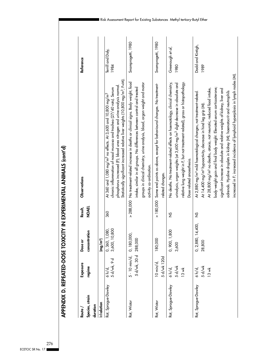| APPENDIX D. REPEATED-DOSE TOXICITY |                                                             |                                 |               | IN EXPERIMENTAL ANIMALS (cont'd)                                                                                                                                                                                                                                                                                                                                                                                                                                                                                                                                    |                           |
|------------------------------------|-------------------------------------------------------------|---------------------------------|---------------|---------------------------------------------------------------------------------------------------------------------------------------------------------------------------------------------------------------------------------------------------------------------------------------------------------------------------------------------------------------------------------------------------------------------------------------------------------------------------------------------------------------------------------------------------------------------|---------------------------|
| Route /                            | Exposure                                                    | Dose or                         | Result,       | Observations                                                                                                                                                                                                                                                                                                                                                                                                                                                                                                                                                        | Reference                 |
| Species, strain                    | regime                                                      | concentration                   | <b>NOAEL</b>  |                                                                                                                                                                                                                                                                                                                                                                                                                                                                                                                                                                     |                           |
| duration                           |                                                             |                                 |               |                                                                                                                                                                                                                                                                                                                                                                                                                                                                                                                                                                     |                           |
| Inhalation                         |                                                             | $\left(\frac{mg}{m^3}\right)$   |               |                                                                                                                                                                                                                                                                                                                                                                                                                                                                                                                                                                     |                           |
| Rat, Sprague-Dawley                | 5 d/wk, 9 d<br>6 h/d,                                       | 0, 360, 1,080,<br>3,600, 10,800 | 360           | Statistically significant increased relative liver weights (10,800 mg/m <sup>3</sup> , F+M).<br>phosphorus increased (F); blood urea nitrogen and urine analysis normal<br>chronic inflammation of nasal mucosa and trachea (27/40 rats). Serum<br>At 360 and 1,080 mg/m <sup>3</sup> no effects. At 3,600 and 10,800 mg/m <sup>3</sup>                                                                                                                                                                                                                             | Terrill and Daly,<br>1984 |
| Rat, Wistar                        | $5 - 10 \text{ min/d}, 0, 180,000,$<br>5 d/wk, 30 d 288,000 |                                 |               | > 288,000 No treatment-related increase in deaths or clinical signs. Body weight, food<br>groups in clinical chemistry, urine analysis, blood, organ weight and motor<br>intake, similar in all groups. No differences between control and treated<br>activity co-ordination.                                                                                                                                                                                                                                                                                       | Snamprogetti, 1980        |
| Rat, Wistar                        | 5 d/wk 120d<br>$10$ min/d,                                  | 180,000                         |               | > 180,000 Same end points as above, except for behavioural changes. No treatment-<br>related changes.                                                                                                                                                                                                                                                                                                                                                                                                                                                               | Snamprogetti, 1980        |
| Rat, Sprague-Dawley                | 5 d/wk<br>6 h/d,<br>13wk                                    | 0, 900, 1,800<br>3,600          | $\frac{5}{2}$ | relative lung weight in F, but not treatment-related), gross or histopathology.<br>No deaths. No treatment-related effects on haematology, clinical chemistry,<br>urinalysis, organ weights (at 3,600 mg/m <sup>3</sup> slight decrease in absolute and<br>Dose-related anaesthesia.                                                                                                                                                                                                                                                                                | Greenough et al,<br>1980  |
| Rat, Sprague-Dawley                | 5 d/wk<br>13wk<br>6 h/d                                     | 0, 2,880, 14,400,<br>28,800     | $\frac{8}{2}$ | increased in F; increased incidence of lymphoid hyperplasia in lymph nodes (M).<br>body-weight gain and final body weight. Elevated serum corticosterone;<br>At 28,800 mg/m <sup>3</sup> no deaths, ataxia, not neurotic, reduced food intake,<br>significant increase in absolute and relative weights of kidney, liver and<br>At 2,880 mg/m <sup>3</sup> mild haematological changes, not treatment-related.<br>adrenals. Hyaline droplets in kidney (M); haematocrit and neutrophils<br>At 14,400 mg/m <sup>3</sup> hypoactivity, decrease in hind leg grip (M). | Dodd and Kintigh,<br>1989 |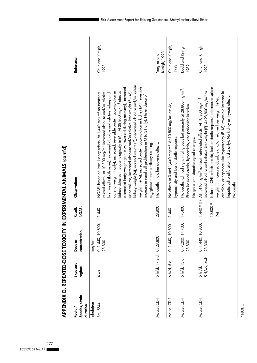|                             |                        |                               |               | APPENDIX D. REPEATED-DOSE TOXICITY IN EXPERIMENTAL ANIMALS (cont'd)                                                                                                                                                                                                                                                                                                                                                                                                                                                                                                                                                                                                                                                                                                                                                                                   |                              |
|-----------------------------|------------------------|-------------------------------|---------------|-------------------------------------------------------------------------------------------------------------------------------------------------------------------------------------------------------------------------------------------------------------------------------------------------------------------------------------------------------------------------------------------------------------------------------------------------------------------------------------------------------------------------------------------------------------------------------------------------------------------------------------------------------------------------------------------------------------------------------------------------------------------------------------------------------------------------------------------------------|------------------------------|
| Route                       | Exposure               | Dose or                       | Result,       | Observations                                                                                                                                                                                                                                                                                                                                                                                                                                                                                                                                                                                                                                                                                                                                                                                                                                          | Reference                    |
| Species, strain<br>duration | regime                 | concentration                 | <b>NOAEL</b>  |                                                                                                                                                                                                                                                                                                                                                                                                                                                                                                                                                                                                                                                                                                                                                                                                                                                       |                              |
| Inhalation                  |                        | $\left(\frac{m}{2}\right)$    |               |                                                                                                                                                                                                                                                                                                                                                                                                                                                                                                                                                                                                                                                                                                                                                                                                                                                       |                              |
| Rat, F344                   | $4 \times k$           | 0, 1,440, 10,800,<br>28,800   | 1,440         | kidney weight (M), adrenal weight (F); decreased absolute and/or spleen<br>weight (F + M); increased protein accumulation in kidney (M); reversible<br>decreased body-weight gain in M (reversed during recovery); increased<br>adrenal weight (F only); increased, reversible protein accumulation in<br>urine volume; increased absolute and/or relative liver weight (F + M),<br>related effects. At 10,800 mg/m <sup>3</sup> increased absolute and/or relative<br>kidney detected histopathologically in M; . At 28,800 mg/m <sup>3</sup> ataxia;<br>NOAEL based on liver, kidney effects. At 1,440 mg/m <sup>3</sup> no treatment<br>liver weight (both sexes); increased absolute and relative kidney and<br>increase in renal cell proliferation in M (d 31 only). No evidence of<br>$\alpha_{2\mathsf{p}}$ -globulin from antibody staining. | Chun and Kintigh,<br>1993    |
| Mouse, CD-1                 | 6 h/d, 1 - 2 d         | 0, 28,800                     | 28,800        | No deaths, no other adverse effects.                                                                                                                                                                                                                                                                                                                                                                                                                                                                                                                                                                                                                                                                                                                                                                                                                  | Kintigh, 1993<br>Vergnes and |
| Mouse, CD-1                 | 6h/d, 5d               | 0, 1, 440, 10, 800            | 1,440         | No effects at 0 and 1,440 mg/m <sup>3</sup> . At 10,800 mg/m <sup>3</sup> ataxia,<br>hypoactivity and loss of startle response.                                                                                                                                                                                                                                                                                                                                                                                                                                                                                                                                                                                                                                                                                                                       | Chun and Kintigh,<br>1993    |
| Mouse, CD-1                 | 6 h/d, 13 d            | 0, 7, 200, 14, 400,<br>28,800 | 14,400        | No deaths. Clinical signs in all groups but primarily at 28,800 mg/m <sup>3</sup> .<br>Effects included ataxia, hypoactivity, and periocular irritation.<br>No gross or histopathological changes.                                                                                                                                                                                                                                                                                                                                                                                                                                                                                                                                                                                                                                                    | Dodd and Kintigh,<br>1989    |
| Mouse, CD-1                 | 5 d/wk, 4wk<br>6 h /d, | 0, 1, 440, 10, 800,<br>28,800 | 10,800 °<br>ξ | before + CNS effects (ataxia, lack of startle response); decreased spleen<br>increased absolute and relative liver weight (F). At 28,800 mg/m <sup>3</sup> as<br>centrilobular hepatocellular hypertrophy (F+M); reversible increase in<br>hepatic cell proliferation (F, d 5 only). No kidney or thyroid effects.<br>weight (F); increased absolute and/or relative liver weight (F+M);<br>1,440 ° [F] At 1,440 mg/m <sup>3</sup> no treatment-related effects. At 10,800 mg/m <sup>3</sup><br>No deaths                                                                                                                                                                                                                                                                                                                                             | Chun and Kintigh,<br>1993    |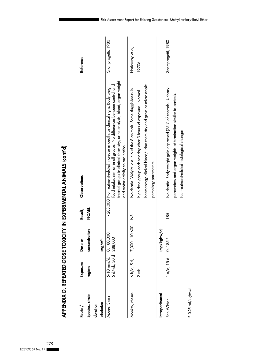|                                | APPENDIX D. REPEATED-DOSE TOXICITY |                                     |               | IN EXPERIMENTAL ANIMALS (cont'd)                                                                                                                                                                                                                                              |                          |
|--------------------------------|------------------------------------|-------------------------------------|---------------|-------------------------------------------------------------------------------------------------------------------------------------------------------------------------------------------------------------------------------------------------------------------------------|--------------------------|
| Route /                        | Exposure                           | Dose or                             | Result,       | <b>Observations</b>                                                                                                                                                                                                                                                           | Reference                |
| Species, strain                | regime                             | concentration                       | <b>NOAEL</b>  |                                                                                                                                                                                                                                                                               |                          |
| Inhalation<br>duration         |                                    | $\left(\frac{mg}{m^3}\right)$       |               |                                                                                                                                                                                                                                                                               |                          |
| Mouse, Swiss                   | 5 d/wk, 30 d 288,000               | $5-10$ min/d, 0, 180,000,           |               | treated groups in clinical chemistry, urine analysis, blood, organ weight<br>> 288,000 No treatment-related increase in deaths or clinical signs. Body weight,<br>tood intake, similar in all groups. No differences between control and<br>and motor activity co-ordination. | Snamprogetti, 1980       |
| Monkey, rhesus                 | 6 h/d, 5 d,<br>$2 \times k$        | 7,000 - 10,600                      | $\frac{8}{2}$ | haemaotogy, clinical blood/urine chemistry and gross or microscopic<br>No deaths. Weight loss in 6 of the 8 animals. Some sluggishness in<br>high-dose group each test day after 3 hours of exposure. Normal<br>pathology parameters.                                         | Hathaway et al,<br>1970d |
| Intraperitoneal<br>Rat, Wistar | $1 \times d$ , $15 d$              | $\frac{1}{2}$<br>0,185 <sup>b</sup> | 185           | No deaths. Body-weight gain depressed (75 % of controls). Urinary<br>parameters and organ weights at termination similar to controls.<br>No treatment-related histological changes                                                                                            | Snamprogetti, 1980       |
| $0.25$ ml/kohw/d               |                                    |                                     |               |                                                                                                                                                                                                                                                                               |                          |

 $0.25$  ml/kgbw/d b 0.25 ml/kgbw/d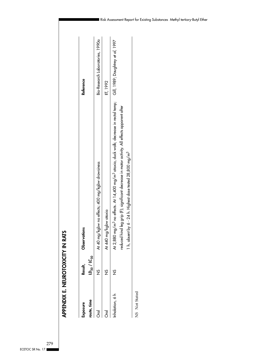| Exposure        | Result,                            | Observation                                                                                                                                              | Reference                        |
|-----------------|------------------------------------|----------------------------------------------------------------------------------------------------------------------------------------------------------|----------------------------------|
| route, time     | D <sub>50</sub> / LC <sub>50</sub> |                                                                                                                                                          |                                  |
| ਰ<br>ਹੱ         | $\frac{5}{2}$                      | At 40 mg/kgbw no effects; 400 mg/kgbw drowsiness                                                                                                         | Bio-Research Laboratories, 1990a |
| $\bar{5}$       | $\frac{5}{2}$                      | 'kgbw ataxia<br>At 440 mg/                                                                                                                               | IIT, 1992                        |
| Inhalation, 6 h | $\frac{5}{2}$                      | At 2,880 mg/m <sup>3</sup> no effects. At 14,400 mg/m <sup>3</sup> ataxia, duck walk; decrease in rectal temp; Gill, 1989; Daughtrey <i>et al</i> , 1997 |                                  |
|                 |                                    | reduced hind leg grip (F); significant decrease in motor activity. All effects apparent after                                                            |                                  |
|                 |                                    | by 6 - 24 h. Highest dose tested 28,800 mg/m $^3$<br>h, absent                                                                                           |                                  |

NS Not Stated NS Not Stated

**APPENDIX E. NEUROTOXICITY IN RATS**

APPENDIX E. NEUROTOXICITY IN RATS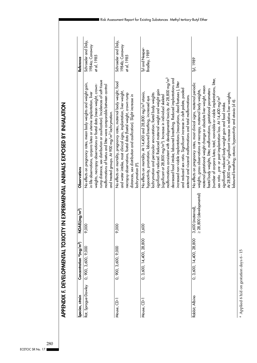| Species, strain     | Concentration <sup>a</sup> (mg/m <sup>3</sup> ) | EL(mg/m <sup>3</sup> )<br>$\frac{3}{2}$               | Observations                                                                                                                                                                                                                                                                                                                                                                                                                                                                                                                                                                                                                                                                                                                              | Reference                                            |
|---------------------|-------------------------------------------------|-------------------------------------------------------|-------------------------------------------------------------------------------------------------------------------------------------------------------------------------------------------------------------------------------------------------------------------------------------------------------------------------------------------------------------------------------------------------------------------------------------------------------------------------------------------------------------------------------------------------------------------------------------------------------------------------------------------------------------------------------------------------------------------------------------------|------------------------------------------------------|
| Rat, Sprague-Dawley | 0, 900, 3,600, 9,000                            | 9,000                                                 | rump distance, sex distribution or ossification). Incidences of soft tissue<br>No effects on pregnancy rates, mean body weights and weight gain,<br>weights, necropsy observations or foetal data (mean weight, crown-<br>malformations of foetus and litter were comparable between control<br>in-life observations, corpora lutea or uterine implantation, liver<br>and treated groups. At 900 mg/m <sup>3</sup> lachrymation.                                                                                                                                                                                                                                                                                                          | Schroeder and Daly,<br>1984a; Conaway<br>et al, 1985 |
| Mouse, CD-          | 0, 900, 3,600, 9,000                            | 9,000                                                 | No effects on mortality, pregnancy rates, maternal body weight, food<br>and water intake, most clinical signs, implantation, liver weight,<br>necropsy observations, foetal data (foetal weight, crown-rump<br>distances, sex distribution and ossification). Slight increase in<br>achrymation (F).                                                                                                                                                                                                                                                                                                                                                                                                                                      | Schroeder and Daly,<br>1984b; Conaway<br>et al, 1985 |
| Mouse, CD-          | 0, 3,600, 14,400, 28,800                        | 3,600                                                 | malformations consistent with developmental toxicity. At 28,800 mg/m <sup>3</sup><br>decreased food intake; laboured breathing. Reduced implantations and<br>increased non-viable implantations (resorptions, dead foetuses ), litter<br>and reduced sex ratio. Significant increase in cleft palate, pooled<br>significantly reduced. Reduced maternal weight and weight gain<br>No effects on mortality. At 14,400 and 28,800 mg/m <sup>3</sup> ataxia,<br>lachrymation and periocular encrustation; foetal body weights<br>(significant at 28,800 mg/m <sup>3</sup> ). Increase in individual skeletal<br>external and visceral malformations and total malformations.<br>hypoactivity, prostration, laboured breathing, increased eye | Tyl and Neeper-<br>Bradley, 1989                     |
| Rabbit, Albino      | 0, 3,600, 14,400, 28,800                        | 800 (developmental)<br>3,600 (maternal),<br>$\geq 28$ | (number of corpora lutea, total, nonviable or viable implantations, litter,<br>No effects on pregnancy rates, most clinical signs, maternal periodic<br>maternal gestational weight change or absolute liver weight, mean<br>foetal body weights, litter, malformations, gestational parameters<br>weights, gross observations at necropsy, maternal body weights,<br>At 28,800 mg/m <sup>3</sup> significant increase in relative liver weights;<br>sex ratio, pre- or post-implantation loss. At 14,400 mg/m <sup>3</sup><br>laboured breathing; ataxia; hypoactivity and ataxia (d 6)<br>significantly reduced body-weight gain and food intake.                                                                                       | Tyl, 1989                                            |

# APPENDIX F. DEVELOPMENTAL TOXICITY IN EXPERIMENTAL ANIMALS EXPOSED BY INHALATION **APPENDIX F. DEVELOPMENTAL TOXICITY IN EXPERIMENTAL ANIMALS EXPOSED BY INHALATION**

280 ECETOC SR No. 17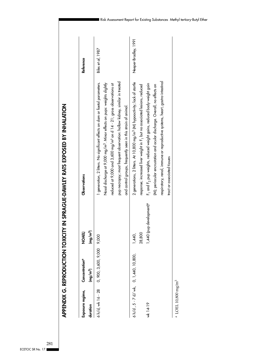| $\frac{1}{2}$                                                  |
|----------------------------------------------------------------|
|                                                                |
|                                                                |
|                                                                |
|                                                                |
|                                                                |
|                                                                |
|                                                                |
|                                                                |
| こうシン・コンコン                                                      |
|                                                                |
|                                                                |
|                                                                |
| $\frac{1}{2}$                                                  |
|                                                                |
|                                                                |
|                                                                |
|                                                                |
|                                                                |
|                                                                |
|                                                                |
| <b>CONTRACT STATES IN THE REAL PROPERTY AND REAL PROPERTY.</b> |
|                                                                |
|                                                                |
|                                                                |
|                                                                |
|                                                                |
| リー I I I D I I D D I D I D                                     |
|                                                                |
|                                                                |
|                                                                |
|                                                                |
|                                                                |
|                                                                |
|                                                                |
|                                                                |
|                                                                |
|                                                                |
|                                                                |
|                                                                |
| ļ                                                              |
|                                                                |

| Exposure regime,                           | Concentration <sup>a</sup> | NOAEL)                               | Observations                                                                                                                                                                                                                                             | Reference            |
|--------------------------------------------|----------------------------|--------------------------------------|----------------------------------------------------------------------------------------------------------------------------------------------------------------------------------------------------------------------------------------------------------|----------------------|
| duration                                   | $\left(\frac{m}{2}\right)$ | $\left(\frac{mg}{m^3}\right)$        |                                                                                                                                                                                                                                                          |                      |
| $6 h/d$ , wk $16 - 28$                     | 0, 900, 3,600, 9,000 9,000 |                                      | 1 generation, 2 litters. No significant effects on dam or foetal parameters.<br>Nasal discharge at 9,000 mg/m <sup>3</sup> . Minor effects on pups: weights slightly<br>reduced at 9,000 and 3,600 mg/m <sup>3</sup> on d 14 - 21; gross observations at | Biles et al, 1987    |
|                                            |                            |                                      | pup necropsy; most frequent observation: hollow kidney, similar in treated<br>and control groups, frequently seen in this strain of animal.                                                                                                              |                      |
| $6 h/d$ , $5 - 7 d/mk$ , 0, 1,440, 10,800, |                            | 28,800<br>1,440,                     | 2 generations, 2 litters. At 10,800 mg/m <sup>3</sup> (M) hypoactivity; lack of startle                                                                                                                                                                  | Neeper-Bradley, 1991 |
| wk 14-19                                   |                            | 1,440 (pup development) <sup>a</sup> | $F_1$ and $F_2$ pup weights, reduced weight gains, reduced body-weight gain<br>response; increased liver weight in F <sub>1</sub> but no associated lesions, reduced<br>(M); periocular encrustation and ocular discharge. Overall, no effects on        |                      |
|                                            |                            |                                      | respiratory, renal, immune or reproductive systems, heart, gastro-intestinal<br>tract or associated tissues                                                                                                                                              |                      |
| $\alpha$ LOEL 10,800 mg/m <sup>3</sup>     |                            |                                      |                                                                                                                                                                                                                                                          |                      |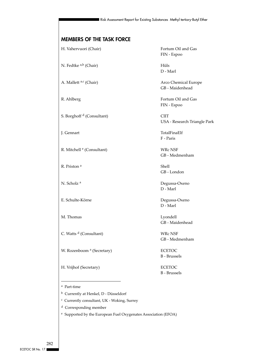## **MEMBERS OF THE TASK FORCE**

|  | H. Vahervuori (Chair) |  |
|--|-----------------------|--|
|--|-----------------------|--|

N. Fedtke <sup>a,b</sup> (Chair) Hüls

S. Borghoff <sup>d</sup> (Consultant) CIIT

R. Mitchell <sup>e</sup> (Consultant) WRc NSF

R. Priston <sup>a</sup> Shell

E. Schulte-Körne Degussa-Oxeno

M. Thomas Lyondell

C. Watts <sup>d</sup> (Consultant) WRc NSF

W. Rozenboom <sup>a</sup> (Secretary) ECETOC

H. Vrijhof (Secretary) ECETOC

Fortum Oil and Gas FIN - Espoo

D - Marl

A. Mallett <sup>a,c</sup> (Chair) Arco Chemical Europe GB - Maidenhead

R. Ahlberg Fortum Oil and Gas FIN - Espoo

USA - Research Triangle Park

J. Gennart TotalFinaElf F - Paris

GB - Medmenham

GB - London

N. Scholz<sup>a</sup> Degussa-Oxeno D - Marl

D - Marl

GB - Maidenhead

GB - Medmenham

B - Brussels

B - Brussels

<sup>a</sup> Part-time

<sup>b</sup> Currently at Henkel, D - Düsseldorf

<sup>c</sup> Currently consultant, UK - Woking, Surrey

<sup>d</sup> Corresponding member

<sup>e</sup> Supported by the European Fuel Oxygenates Association (EFOA)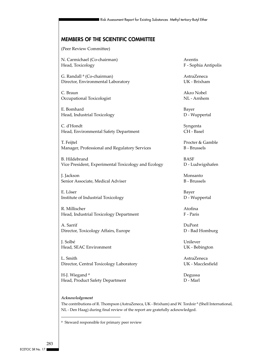# **MEMBERS OF THE SCIENTIFIC COMMITTEE**

(Peer Review Committee)

N. Carmichael (Co-chairman) Aventis Head, Toxicology F - Sophia Antipolis

G. Randall <sup>a</sup> (Co-chairman) <br>Director Environmental Laboratory Material and TIK - Brixham Director, Environmental Laboratory

C. Braun Akzo Nobel Occupational Toxicologist NL - Arnhem

E. Bomhard Bayer Head, Industrial Toxicology **D** - Wuppertal

C. d'Hondt<br>Head. Environmental Safety Department<br>CH - Basel Head, Environmental Safety Department

T. Feijtel Procter & Gamble Manager, Professional and Regulatory Services B - Brussels

B. Hildebrand BASF Vice President, Experimental Toxicology and Ecology D - Ludwigshafen

J. Jackson Monsanto Senior Associate, Medical Adviser B - Brussels

E. Löser Bayer Institute of Industrial Toxicology D - Wuppertal

R. Millischer Atofina Head, Industrial Toxicology Department F - Paris

A. Sarrif DuPont Director, Toxicology Affairs, Europe D - Bad Homburg

J. Solbé Unilever Head, SEAC Environment UK - Bebington

L. Smith AstraZeneca **AstraZeneca** Director, Central Toxicology Laboratory UK - Macclesfield

H-J. Wiegand <sup>a</sup> Degussa Head, Product Safety Department D - Marl

#### *Acknowledgement*

The contributions of R. Thompson (AstraZeneca, UK - Brixham) and W. Tordoir<sup>a</sup> (Shell International, NL - Den Haag) during final review of the report are gratefully acknowledged.

<sup>a</sup> Steward responsible for primary peer review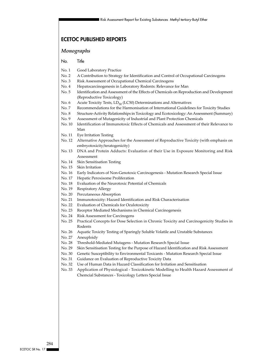# **ECETOC PUBLISHED REPORTS**

## *Monographs*

- No. 1 Good Laboratory Practice
- No. 2 A Contribution to Strategy for Identification and Control of Occupational Carcinogens
- No. 3 Risk Assessment of Occupational Chemical Carcinogens
- No. 4 Hepatocarcinogenesis in Laboratory Rodents: Relevance for Man
- No. 5 Identification and Assessment of the Effects of Chemicals on Reproduction and Development (Reproductive Toxicology)
- No. 6 Acute Toxicity Tests,  $LD_{50}$  (LC50) Determinations and Alternatives<br>No. 7 Recommendations for the Harmonisation of International Guidelin
- Recommendations for the Harmonisation of International Guidelines for Toxicity Studies
- No. 8 Structure-Activity Relationships in Toxicology and Ecotoxicology: An Assessment (Summary)
- No. 9 Assessment of Mutagenicity of Industrial and Plant Protection Chemicals
- No. 10 Identification of Immunotoxic Effects of Chemicals and Assessment of their Relevance to Man
- No. 11 Eye Irritation Testing
- No. 12 Alternative Approaches for the Assessment of Reproductive Toxicity (with emphasis on embryotoxicity/teratogenicity)
- No. 13 DNA and Protein Adducts: Evaluation of their Use in Exposure Monitoring and Risk Assessment
- No. 14 Skin Sensitisation Testing
- No. 15 Skin Irritation
- No. 16 Early Indicators of Non-Genotoxic Carcinogenesis Mutation Research Special Issue
- No. 17 Hepatic Peroxisome Proliferation
- No. 18 Evaluation of the Neurotoxic Potential of Chemicals
- No. 19 Respiratory Allergy
- No. 20 Percutaneous Absorption
- No. 21 Immunotoxicity: Hazard Identification and Risk Characterisation
- No. 22 Evaluation of Chemicals for Oculotoxicity
- No. 23 Receptor Mediated Mechanisms in Chemical Carcinogenesis
- No. 24 Risk Assessment for Carcinogens
- No. 25 Practical Concepts for Dose Selection in Chronic Toxicity and Carcinogenicity Studies in Rodents
- No. 26 Aquatic Toxicity Testing of Sparingly Soluble Volatile and Unstable Substances
- No. 27 Aneuploidy
- No. 28 Threshold-Mediated Mutagens Mutation Research Special Issue
- No. 29 Skin Sensitisation Testing for the Purpose of Hazard Identification and Risk Assessment
- No. 30 Genetic Susceptibility to Environmental Toxicants Mutation Research Special Issue
- No. 31 Guidance on Evaluation of Reproductive Toxicity Data
- No. 32 Use of Human Data in Hazard Classification for Irritation and Sensitisation
- No. 33 Application of Physiological Toxicokinetic Modelling to Health Hazard Assessment of Chemcial Substances - Toxicology Letters Special Issue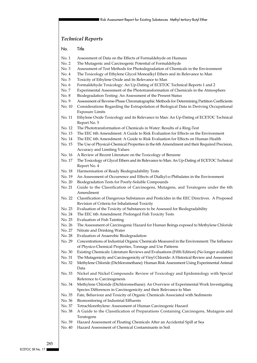# *Technical Reports*

- No. 1 Assessment of Data on the Effects of Formaldehyde on Humans
- No. 2 The Mutagenic and Carcinogenic Potential of Formaldehyde
- No. 3 Assessment of Test Methods for Photodegradation of Chemicals in the Environment
- No. 4 The Toxicology of Ethylene Glycol Monoalkyl Ethers and its Relevance to Man
- No. 5 Toxicity of Ethylene Oxide and its Relevance to Man
- No. 6 Formaldehyde Toxicology: An Up-Dating of ECETOC Technical Reports 1 and 2
- No. 7 Experimental Assessment of the Phototransformation of Chemicals in the Atmosphere
- No. 8 Biodegradation Testing: An Assessment of the Present Status
- No. 9 Assessment of Reverse-Phase Chromatographic Methods for Determining Partition Coefficients
- No. 10 Considerations Regarding the Extrapolation of Biological Data in Deriving Occupational Exposure Limits
- No. 11 Ethylene Oxide Toxicology and its Relevance to Man: An Up-Dating of ECETOC Technical Report No. 5
- No. 12 The Phototransformation of Chemicals in Water: Results of a Ring-Test
- No. 13 The EEC 6th Amendment: A Guide to Risk Evaluation for Effects on the Environment
- No. 14 The EEC 6th Amendment: A Guide to Risk Evaluation for Effects on Human Health
- No. 15 The Use of Physical-Chemical Properties in the 6th Amendment and their Required Precision, Accuracy and Limiting Values
- No. 16 A Review of Recent Literature on the Toxicology of Benzene
- No. 17 The Toxicology of Glycol Ethers and its Relevance to Man: An Up-Dating of ECETOC Technical Report No. 4
- No. 18 Harmonisation of Ready Biodegradability Tests
- No. 19 An Assessment of Occurrence and Effects of Dialkyl-o-Phthalates in the Environment
- No. 20 Biodegradation Tests for Poorly-Soluble Compounds
- No. 21 Guide to the Classification of Carcinogens, Mutagens, and Teratogens under the 6th Amendment
- No. 22 Classification of Dangerous Substances and Pesticides in the EEC Directives. A Proposed Revision of Criteria for Inhalational Toxicity
- No. 23 Evaluation of the Toxicity of Substances to be Assessed for Biodegradability
- No. 24 The EEC 6th Amendment: Prolonged Fish Toxicity Tests
- No. 25 Evaluation of Fish Tainting
- No. 26 The Assessment of Carcinogenic Hazard for Human Beings exposed to Methylene Chloride
- No. 27 Nitrate and Drinking Water
- No. 28 Evaluation of Anaerobic Biodegradation
- No. 29 Concentrations of Industrial Organic Chemicals Measured in the Environment: The Influence of Physico-Chemical Properties, Tonnage and Use Patterns
- No. 30 Existing Chemicals: Literature Reviews and Evaluations (Fifth Edition) (No longer available)
- No. 31 The Mutagenicity and Carcinogenicity of Vinyl Chloride: A Historical Review and Assessment
- No. 32 Methylene Chloride (Dichloromethane): Human Risk Assessment Using Experimental Animal Data
- No. 33 Nickel and Nickel Compounds: Review of Toxicology and Epidemiology with Special Reference to Carcinogenesis
- No. 34 Methylene Chloride (Dichloromethane): An Overview of Experimental Work Investigating Species Differences in Carcinogenicity and their Relevance to Man
- No. 35 Fate, Behaviour and Toxicity of Organic Chemicals Associated with Sediments
- No. 36 Biomonitoring of Industrial Effluents
- No. 37 Tetrachlorethylene: Assessment of Human Carcinogenic Hazard
- No. 38 A Guide to the Classification of Preparations Containing Carcinogens, Mutagens and Teratogens
- No. 39 Hazard Assessment of Floating Chemicals After an Accidental Spill at Sea
- No. 40 Hazard Assessment of Chemical Contaminants in Soil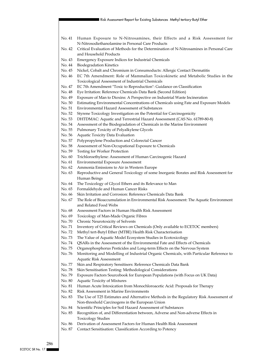- No. 41 Human Exposure to N-Nitrosamines, their Effects and a Risk Assessment for N-Nitrosodiethanolamine in Personal Care Products
- No. 42 Critical Evaluation of Methods for the Determination of N-Nitrosamines in Personal Care and Household Products
- No. 43 Emergency Exposure Indices for Industrial Chemicals
- No. 44 Biodegradation Kinetics
- No. 45 Nickel, Cobalt and Chromium in Consumoducts: Allergic Contact Dermatitis
- No. 46 EC 7th Amendment: Role of Mammalian Toxicokinetic and Metabolic Studies in the Toxicological Assessment of Industrial Chemicals
- No. 47 EC 7th Amendment "Toxic to Reproduction": Guidance on Classification
- No. 48 Eye Irritation: Reference Chemicals Data Bank (Second Edition)
- No. 49 Exposure of Man to Dioxins: A Perspective on Industrial Waste Incineration
- No. 50 Estimating Environmental Concentrations of Chemicals using Fate and Exposure Models
- No. 51 Environmental Hazard Assessment of Substances
- No. 52 Styrene Toxicology Investigation on the Potential for Carcinogenicity
- No. 53 DHTDMAC: Aquatic and Terrestrial Hazard Assessment (CAS No. 61789-80-8)
- No. 54 Assessment of the Biodegradation of Chemicals in the Marine Environment
- No. 55 Pulmonary Toxicity of Polyalkylene Glycols
- No. 56 Aquatic Toxicity Data Evaluation
- No. 57 Polypropylene Production and Colorectal Cancer
- No. 58 Assessment of Non-Occupational Exposure to Chemicals
- No. 59 Testing for Worker Protection
- No. 60 Trichloroethylene: Assessment of Human Carcinogenic Hazard
- No. 61 Environmental Exposure Assessment
- No. 62 Ammonia Emissions to Air in Western Europe
- No. 63 Reproductive and General Toxicology of some Inorganic Borates and Risk Assessment for Human Beings
- No. 64 The Toxicology of Glycol Ethers and its Relevance to Man
- No. 65 Formaldehyde and Human Cancer Risks
- No. 66 Skin Irritation and Corrosion: Reference Chemicals Data Bank
- No. 67 The Role of Bioaccumulation in Environmental Risk Assessment: The Aquatic Environment and Related Food Webs
- No. 68 Assessment Factors in Human Health Risk Assessment
- No. 69 Toxicology of Man-Made Organic Fibres
- No. 70 Chronic Neurotoxicity of Solvents
- No. 71 Inventory of Critical Reviews on Chemicals (Only available to ECETOC members)
- No. 72 Methyl tert-Butyl Ether (MTBE) Health Risk Characterisation
- No. 73 The Value of Aquatic Model Ecosystem Studies in Ecotoxicology
- No. 74 QSARs in the Assessment of the Environmental Fate and Effects of Chemicals
- No. 75 Organophosphorus Pesticides and Long-term Effects on the Nervous System
- No. 76 Monitoring and Modelling of Industrial Organic Chemicals, with Particular Reference to Aquatic Risk Assessment
- No. 77 Skin and Respiratory Sensitisers: Reference Chemicals Data Bank
- No. 78 Skin Sensitisation Testing: Methodological Considerations
- No. 79 Exposure Factors Sourcebook for European Populations (with Focus on UK Data)
- No. 80 Aquatic Toxicity of Mixtures
- No. 81 Human Acute Intoxication from Monochloroacetic Acid: Proposals for Therapy
- No. 82 Risk Assessment in Marine Environments
- No. 83 The Use of T25 Estimates and Alternative Methods in the Regulatory Risk Assessment of Non-threshold Carcinogens in the European Union
- No. 84 Scientific Principles for Soil Hazard Assessment of Substances
- No. 85 Recognition of, and Differentiation between, Adverse and Non-adverse Effects in Toxicology Studies
- No. 86 Derivation of Assessment Factors for Human Health Risk Assessment
- No. 87 Contact Sensitisation: Classification According to Potency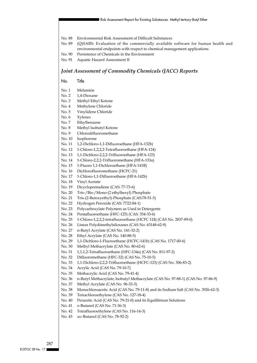| No. 88 Environmental Risk Assessment of Difficult Substances                           |
|----------------------------------------------------------------------------------------|
| No. 89 (Q)SARS: Evaluation of the commercially available software for human health and |
| environmental endpoints with respect to chemical management applications               |
| No. 90 Persistence of Chemicals in the Environment                                     |
| No. 91 Aquatic Hazard Assessment II                                                    |

# *Joint Assessment of Commodity Chemicals (JACC) Reports*

| No.1   | Melamine                                                                        |
|--------|---------------------------------------------------------------------------------|
| No. 2  | 1,4-Dioxane                                                                     |
| No. 3  | Methyl Ethyl Ketone                                                             |
| No. 4  | Methylene Chloride                                                              |
| No. 5  | Vinylidene Chloride                                                             |
| No. 6  | <b>Xylenes</b>                                                                  |
| No. 7  | Ethylbenzene                                                                    |
| No. 8  | Methyl Isobutyl Ketone                                                          |
| No. 9  | Chlorodifluoromethane                                                           |
| No. 10 | Isophorone                                                                      |
| No. 11 | 1,2-Dichloro-1,1-Difluoroethane (HFA-132b)                                      |
| No. 12 | 1-Chloro-1,2,2,2-Tetrafluoroethane (HFA-124)                                    |
| No. 13 | 1,1-Dichloro-2,2,2-Trifluoroethane (HFA-123)                                    |
| No. 14 | 1-Chloro-2,2,2-Trifluoromethane (HFA-133a)                                      |
| No. 15 | 1-Fluoro 1,1-Dichloroethane (HFA-141B)                                          |
| No. 16 | Dichlorofluoromethane (HCFC-21)                                                 |
| No. 17 | 1-Chloro-1,1-Difluoroethane (HFA-142b)                                          |
| No. 18 | Vinyl Acetate                                                                   |
| No. 19 | Dicyclopentadiene (CAS: 77-73-6)                                                |
| No. 20 | Tris-/Bis-/Mono-(2 ethylhexyl) Phosphate                                        |
| No. 21 | Tris-(2-Butoxyethyl)-Phosphate (CAS:78-51-3)                                    |
| No. 22 | Hydrogen Peroxide (CAS: 7722-84-1)                                              |
| No. 23 | Polycarboxylate Polymers as Used in Detergents                                  |
| No. 24 | Pentafluoroethane (HFC-125) (CAS: 354-33-6)                                     |
| No. 25 | 1-Chloro-1,2,2,2-tetrafluoroethane (HCFC 124) (CAS No. 2837-89-0)               |
| No. 26 | Linear Polydimethylsiloxanes (CAS No. 63148-62-9)                               |
| No. 27 | n-Butyl Acrylate (CAS No. 141-32-2)                                             |
| No. 28 | Ethyl Acrylate (CAS No. 140-88-5)                                               |
| No. 29 | 1,1-Dichloro-1-Fluoroethane (HCFC-141b) (CAS No. 1717-00-6)                     |
| No. 30 | Methyl Methacrylate (CAS No. 80-62-6)                                           |
| No. 31 | 1,1,1,2-Tetrafluoroethane (HFC-134a) (CAS No. 811-97-2)                         |
| No. 32 | Difluoromethane (HFC-32) (CAS No. 75-10-5)                                      |
| No. 33 | 1,1-Dichloro-2,2,2-Trifluoroethane (HCFC-123) (CAS No. 306-83-2)                |
| No. 34 | Acrylic Acid (CAS No. 79-10-7)                                                  |
| No. 35 | Methacrylic Acid (CAS No. 79-41-4)                                              |
| No. 36 | n-Butyl Methacrylate; Isobutyl Methacrylate (CAS No. 97-88-1) (CAS No. 97-86-9) |
| No. 37 | Methyl Acrylate (CAS No. 96-33-3)                                               |
| No. 38 | Monochloroacetic Acid (CAS No. 79-11-8) and its Sodium Salt (CAS No. 3926-62-3) |
| No. 39 | Tetrachloroethylene (CAS No. 127-18-4)                                          |
| No. 40 | Peracetic Acid (CAS No. 79-21-0) and its Equilibrium Solutions                  |
| No. 41 | n-Butanol (CAS No. 71-36-3)                                                     |
| No. 42 | Tetrafluoroethylene (CAS No. 116-14-3)                                          |
| No. 43 | sec-Butanol (CAS No. 78-92-2)                                                   |
|        |                                                                                 |
|        |                                                                                 |